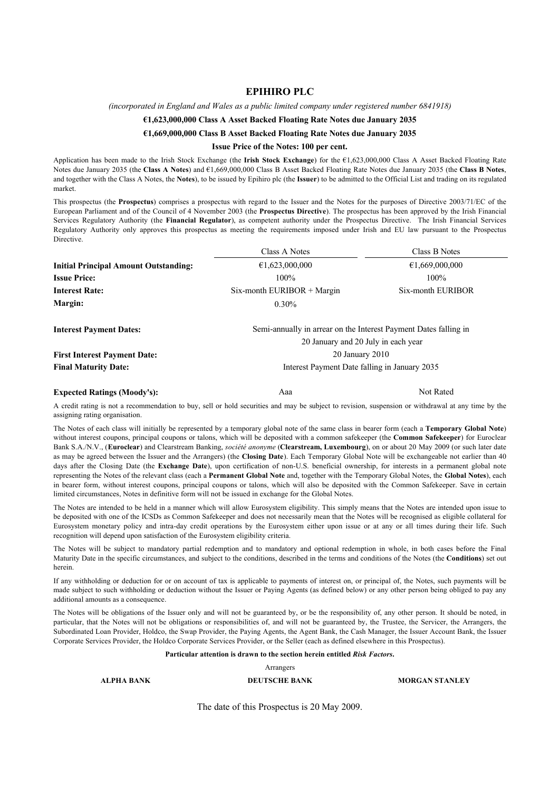#### **EPIHIRO PLC**

*(incorporated in England and Wales as a public limited company under registered number 6841918)*

#### **€1,623,000,000 Class A Asset Backed Floating Rate Notes due January 2035**

#### **€1,669,000,000 Class B Asset Backed Floating Rate Notes due January 2035**

#### **Issue Price of the Notes: 100 per cent.**

Application has been made to the Irish Stock Exchange (the **Irish Stock Exchange**) for the €1,623,000,000 Class A Asset Backed Floating Rate Notes due January 2035 (the **Class A Notes**) and €1,669,000,000 Class B Asset Backed Floating Rate Notes due January 2035 (the **Class B Notes**, and together with the Class A Notes, the **Notes**), to be issued by Epihiro plc (the **Issuer**) to be admitted to the Official List and trading on its regulated market.

This prospectus (the **Prospectus**) comprises a prospectus with regard to the Issuer and the Notes for the purposes of Directive 2003/71/EC of the European Parliament and of the Council of 4 November 2003 (the **Prospectus Directive**). The prospectus has been approved by the Irish Financial Services Regulatory Authority (the **Financial Regulator**), as competent authority under the Prospectus Directive. The Irish Financial Services Regulatory Authority only approves this prospectus as meeting the requirements imposed under Irish and EU law pursuant to the Prospectus Directive.

|                                              | Class A Notes                                                    | Class B Notes                                  |  |  |  |
|----------------------------------------------|------------------------------------------------------------------|------------------------------------------------|--|--|--|
| <b>Initial Principal Amount Outstanding:</b> | €1,623,000,000                                                   | €1,669,000,000<br>$100\%$<br>Six-month EURIBOR |  |  |  |
| <b>Issue Price:</b>                          | $100\%$                                                          |                                                |  |  |  |
| <b>Interest Rate:</b>                        | Six-month EURIBOR + Margin                                       |                                                |  |  |  |
| Margin:                                      | $0.30\%$                                                         |                                                |  |  |  |
| <b>Interest Payment Dates:</b>               | Semi-annually in arrear on the Interest Payment Dates falling in |                                                |  |  |  |
|                                              | 20 January and 20 July in each year                              |                                                |  |  |  |
| <b>First Interest Payment Date:</b>          | 20 January 2010                                                  |                                                |  |  |  |
| <b>Final Maturity Date:</b>                  | Interest Payment Date falling in January 2035                    |                                                |  |  |  |
|                                              |                                                                  |                                                |  |  |  |

#### **Expected Ratings (Moody's):** Aaa Aaa Not Rated

A credit rating is not a recommendation to buy, sell or hold securities and may be subject to revision, suspension or withdrawal at any time by the assigning rating organisation.

The Notes of each class will initially be represented by a temporary global note of the same class in bearer form (each a **Temporary Global Note**) without interest coupons, principal coupons or talons, which will be deposited with a common safekeeper (the **Common Safekeeper**) for Euroclear Bank S.A./N.V., (**Euroclear**) and Clearstream Banking, *société anonyme* (**Clearstream, Luxembourg**), on or about 20 May 2009 (or such later date as may be agreed between the Issuer and the Arrangers) (the **Closing Date**). Each Temporary Global Note will be exchangeable not earlier than 40 days after the Closing Date (the **Exchange Date**), upon certification of non-U.S. beneficial ownership, for interests in a permanent global note representing the Notes of the relevant class (each a **Permanent Global Note** and, together with the Temporary Global Notes, the **Global Notes**), each in bearer form, without interest coupons, principal coupons or talons, which will also be deposited with the Common Safekeeper. Save in certain limited circumstances, Notes in definitive form will not be issued in exchange for the Global Notes.

The Notes are intended to be held in a manner which will allow Eurosystem eligibility. This simply means that the Notes are intended upon issue to be deposited with one of the ICSDs as Common Safekeeper and does not necessarily mean that the Notes will be recognised as eligible collateral for Eurosystem monetary policy and intra-day credit operations by the Eurosystem either upon issue or at any or all times during their life. Such recognition will depend upon satisfaction of the Eurosystem eligibility criteria.

The Notes will be subject to mandatory partial redemption and to mandatory and optional redemption in whole, in both cases before the Final Maturity Date in the specific circumstances, and subject to the conditions, described in the terms and conditions of the Notes (the **Conditions**) set out herein.

If any withholding or deduction for or on account of tax is applicable to payments of interest on, or principal of, the Notes, such payments will be made subject to such withholding or deduction without the Issuer or Paying Agents (as defined below) or any other person being obliged to pay any additional amounts as a consequence.

The Notes will be obligations of the Issuer only and will not be guaranteed by, or be the responsibility of, any other person. It should be noted, in particular, that the Notes will not be obligations or responsibilities of, and will not be guaranteed by, the Trustee, the Servicer, the Arrangers, the Subordinated Loan Provider, Holdco, the Swap Provider, the Paying Agents, the Agent Bank, the Cash Manager, the Issuer Account Bank, the Issuer Corporate Services Provider, the Holdco Corporate Services Provider, or the Seller (each as defined elsewhere in this Prospectus).

#### **Particular attention is drawn to the section herein entitled** *Risk Factors***.**

Arrangers

#### **ALPHA BANK DEUTSCHE BANK MORGAN STANLEY**

The date of this Prospectus is 20 May 2009.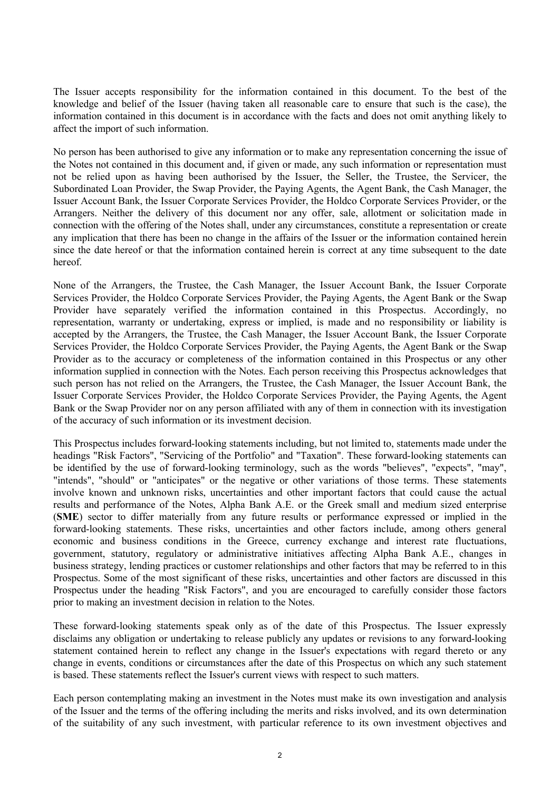The Issuer accepts responsibility for the information contained in this document. To the best of the knowledge and belief of the Issuer (having taken all reasonable care to ensure that such is the case), the information contained in this document is in accordance with the facts and does not omit anything likely to affect the import of such information.

No person has been authorised to give any information or to make any representation concerning the issue of the Notes not contained in this document and, if given or made, any such information or representation must not be relied upon as having been authorised by the Issuer, the Seller, the Trustee, the Servicer, the Subordinated Loan Provider, the Swap Provider, the Paying Agents, the Agent Bank, the Cash Manager, the Issuer Account Bank, the Issuer Corporate Services Provider, the Holdco Corporate Services Provider, or the Arrangers. Neither the delivery of this document nor any offer, sale, allotment or solicitation made in connection with the offering of the Notes shall, under any circumstances, constitute a representation or create any implication that there has been no change in the affairs of the Issuer or the information contained herein since the date hereof or that the information contained herein is correct at any time subsequent to the date hereof.

None of the Arrangers, the Trustee, the Cash Manager, the Issuer Account Bank, the Issuer Corporate Services Provider, the Holdco Corporate Services Provider, the Paying Agents, the Agent Bank or the Swap Provider have separately verified the information contained in this Prospectus. Accordingly, no representation, warranty or undertaking, express or implied, is made and no responsibility or liability is accepted by the Arrangers, the Trustee, the Cash Manager, the Issuer Account Bank, the Issuer Corporate Services Provider, the Holdco Corporate Services Provider, the Paying Agents, the Agent Bank or the Swap Provider as to the accuracy or completeness of the information contained in this Prospectus or any other information supplied in connection with the Notes. Each person receiving this Prospectus acknowledges that such person has not relied on the Arrangers, the Trustee, the Cash Manager, the Issuer Account Bank, the Issuer Corporate Services Provider, the Holdco Corporate Services Provider, the Paying Agents, the Agent Bank or the Swap Provider nor on any person affiliated with any of them in connection with its investigation of the accuracy of such information or its investment decision.

This Prospectus includes forward-looking statements including, but not limited to, statements made under the headings "Risk Factors", "Servicing of the Portfolio" and "Taxation". These forward-looking statements can be identified by the use of forward-looking terminology, such as the words "believes", "expects", "may", "intends", "should" or "anticipates" or the negative or other variations of those terms. These statements involve known and unknown risks, uncertainties and other important factors that could cause the actual results and performance of the Notes, Alpha Bank A.E. or the Greek small and medium sized enterprise (**SME**) sector to differ materially from any future results or performance expressed or implied in the forward-looking statements. These risks, uncertainties and other factors include, among others general economic and business conditions in the Greece, currency exchange and interest rate fluctuations, government, statutory, regulatory or administrative initiatives affecting Alpha Bank A.E., changes in business strategy, lending practices or customer relationships and other factors that may be referred to in this Prospectus. Some of the most significant of these risks, uncertainties and other factors are discussed in this Prospectus under the heading "Risk Factors", and you are encouraged to carefully consider those factors prior to making an investment decision in relation to the Notes.

These forward-looking statements speak only as of the date of this Prospectus. The Issuer expressly disclaims any obligation or undertaking to release publicly any updates or revisions to any forward-looking statement contained herein to reflect any change in the Issuer's expectations with regard thereto or any change in events, conditions or circumstances after the date of this Prospectus on which any such statement is based. These statements reflect the Issuer's current views with respect to such matters.

Each person contemplating making an investment in the Notes must make its own investigation and analysis of the Issuer and the terms of the offering including the merits and risks involved, and its own determination of the suitability of any such investment, with particular reference to its own investment objectives and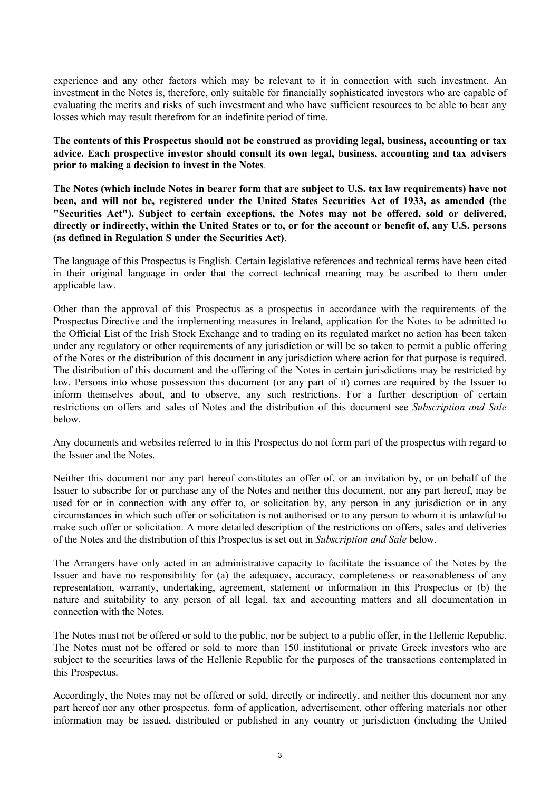experience and any other factors which may be relevant to it in connection with such investment. An investment in the Notes is, therefore, only suitable for financially sophisticated investors who are capable of evaluating the merits and risks of such investment and who have sufficient resources to be able to bear any losses which may result therefrom for an indefinite period of time.

**The contents of this Prospectus should not be construed as providing legal, business, accounting or tax advice. Each prospective investor should consult its own legal, business, accounting and tax advisers prior to making a decision to invest in the Notes**.

**The Notes (which include Notes in bearer form that are subject to U.S. tax law requirements) have not been, and will not be, registered under the United States Securities Act of 1933, as amended (the "Securities Act"). Subject to certain exceptions, the Notes may not be offered, sold or delivered, directly or indirectly, within the United States or to, or for the account or benefit of, any U.S. persons (as defined in Regulation S under the Securities Act)**.

The language of this Prospectus is English. Certain legislative references and technical terms have been cited in their original language in order that the correct technical meaning may be ascribed to them under applicable law.

Other than the approval of this Prospectus as a prospectus in accordance with the requirements of the Prospectus Directive and the implementing measures in Ireland, application for the Notes to be admitted to the Official List of the Irish Stock Exchange and to trading on its regulated market no action has been taken under any regulatory or other requirements of any jurisdiction or will be so taken to permit a public offering of the Notes or the distribution of this document in any jurisdiction where action for that purpose is required. The distribution of this document and the offering of the Notes in certain jurisdictions may be restricted by law. Persons into whose possession this document (or any part of it) comes are required by the Issuer to inform themselves about, and to observe, any such restrictions. For a further description of certain restrictions on offers and sales of Notes and the distribution of this document see *Subscription and Sale*  below.

Any documents and websites referred to in this Prospectus do not form part of the prospectus with regard to the Issuer and the Notes.

Neither this document nor any part hereof constitutes an offer of, or an invitation by, or on behalf of the Issuer to subscribe for or purchase any of the Notes and neither this document, nor any part hereof, may be used for or in connection with any offer to, or solicitation by, any person in any jurisdiction or in any circumstances in which such offer or solicitation is not authorised or to any person to whom it is unlawful to make such offer or solicitation. A more detailed description of the restrictions on offers, sales and deliveries of the Notes and the distribution of this Prospectus is set out in *Subscription and Sale* below.

The Arrangers have only acted in an administrative capacity to facilitate the issuance of the Notes by the Issuer and have no responsibility for (a) the adequacy, accuracy, completeness or reasonableness of any representation, warranty, undertaking, agreement, statement or information in this Prospectus or (b) the nature and suitability to any person of all legal, tax and accounting matters and all documentation in connection with the Notes.

The Notes must not be offered or sold to the public, nor be subject to a public offer, in the Hellenic Republic. The Notes must not be offered or sold to more than 150 institutional or private Greek investors who are subject to the securities laws of the Hellenic Republic for the purposes of the transactions contemplated in this Prospectus.

Accordingly, the Notes may not be offered or sold, directly or indirectly, and neither this document nor any part hereof nor any other prospectus, form of application, advertisement, other offering materials nor other information may be issued, distributed or published in any country or jurisdiction (including the United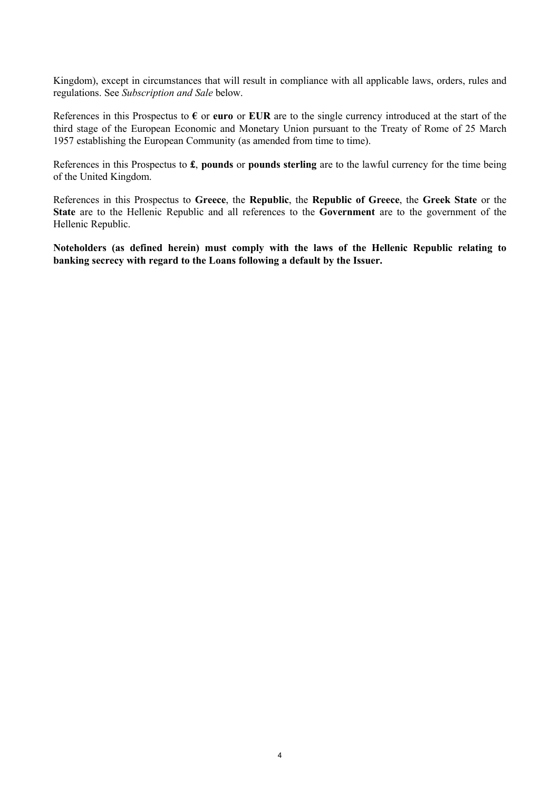Kingdom), except in circumstances that will result in compliance with all applicable laws, orders, rules and regulations. See *Subscription and Sale* below.

References in this Prospectus to  $\epsilon$  or **euro** or **EUR** are to the single currency introduced at the start of the third stage of the European Economic and Monetary Union pursuant to the Treaty of Rome of 25 March 1957 establishing the European Community (as amended from time to time).

References in this Prospectus to **£**, **pounds** or **pounds sterling** are to the lawful currency for the time being of the United Kingdom.

References in this Prospectus to **Greece**, the **Republic**, the **Republic of Greece**, the **Greek State** or the **State** are to the Hellenic Republic and all references to the **Government** are to the government of the Hellenic Republic.

**Noteholders (as defined herein) must comply with the laws of the Hellenic Republic relating to banking secrecy with regard to the Loans following a default by the Issuer.**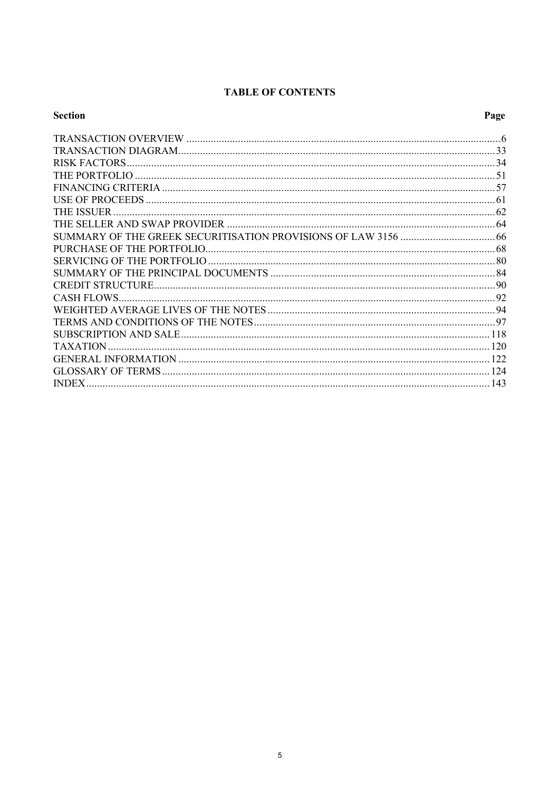# **TABLE OF CONTENTS**

| <b>Section</b> | Page |
|----------------|------|
|                |      |
|                |      |
|                |      |
|                |      |
|                |      |
|                |      |
|                |      |
|                |      |
|                |      |
|                |      |
|                |      |
|                |      |
|                |      |
|                |      |
|                |      |
|                |      |
|                |      |
|                |      |
|                |      |
|                |      |
| <b>INDEX.</b>  |      |
|                |      |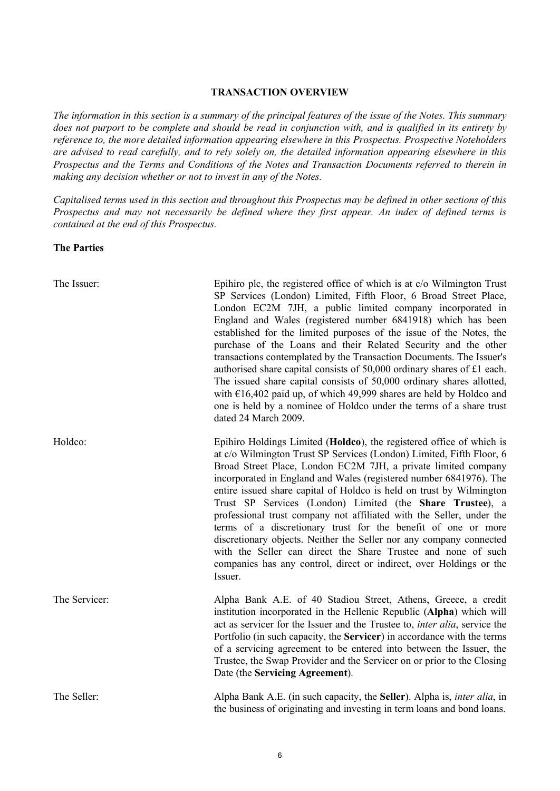#### **TRANSACTION OVERVIEW**

*The information in this section is a summary of the principal features of the issue of the Notes. This summary does not purport to be complete and should be read in conjunction with, and is qualified in its entirety by reference to, the more detailed information appearing elsewhere in this Prospectus. Prospective Noteholders are advised to read carefully, and to rely solely on, the detailed information appearing elsewhere in this Prospectus and the Terms and Conditions of the Notes and Transaction Documents referred to therein in making any decision whether or not to invest in any of the Notes.*

*Capitalised terms used in this section and throughout this Prospectus may be defined in other sections of this Prospectus and may not necessarily be defined where they first appear. An index of defined terms is contained at the end of this Prospectus.*

**The Parties**

| The Issuer:   | Epihiro plc, the registered office of which is at $c/o$ Wilmington Trust<br>SP Services (London) Limited, Fifth Floor, 6 Broad Street Place,<br>London EC2M 7JH, a public limited company incorporated in<br>England and Wales (registered number 6841918) which has been<br>established for the limited purposes of the issue of the Notes, the<br>purchase of the Loans and their Related Security and the other<br>transactions contemplated by the Transaction Documents. The Issuer's<br>authorised share capital consists of 50,000 ordinary shares of £1 each.<br>The issued share capital consists of 50,000 ordinary shares allotted,<br>with $\epsilon$ 16,402 paid up, of which 49,999 shares are held by Holdco and<br>one is held by a nominee of Holdco under the terms of a share trust<br>dated 24 March 2009. |
|---------------|--------------------------------------------------------------------------------------------------------------------------------------------------------------------------------------------------------------------------------------------------------------------------------------------------------------------------------------------------------------------------------------------------------------------------------------------------------------------------------------------------------------------------------------------------------------------------------------------------------------------------------------------------------------------------------------------------------------------------------------------------------------------------------------------------------------------------------|
| Holdco:       | Epihiro Holdings Limited (Holdco), the registered office of which is<br>at c/o Wilmington Trust SP Services (London) Limited, Fifth Floor, 6<br>Broad Street Place, London EC2M 7JH, a private limited company<br>incorporated in England and Wales (registered number 6841976). The<br>entire issued share capital of Holdco is held on trust by Wilmington<br>Trust SP Services (London) Limited (the Share Trustee), a<br>professional trust company not affiliated with the Seller, under the<br>terms of a discretionary trust for the benefit of one or more<br>discretionary objects. Neither the Seller nor any company connected<br>with the Seller can direct the Share Trustee and none of such<br>companies has any control, direct or indirect, over Holdings or the<br>Issuer.                                   |
| The Servicer: | Alpha Bank A.E. of 40 Stadiou Street, Athens, Greece, a credit<br>institution incorporated in the Hellenic Republic (Alpha) which will<br>act as servicer for the Issuer and the Trustee to, <i>inter alia</i> , service the<br>Portfolio (in such capacity, the Servicer) in accordance with the terms<br>of a servicing agreement to be entered into between the Issuer, the<br>Trustee, the Swap Provider and the Servicer on or prior to the Closing<br>Date (the Servicing Agreement).                                                                                                                                                                                                                                                                                                                                    |
| The Seller:   | Alpha Bank A.E. (in such capacity, the Seller). Alpha is, <i>inter alia</i> , in<br>the business of originating and investing in term loans and bond loans.                                                                                                                                                                                                                                                                                                                                                                                                                                                                                                                                                                                                                                                                    |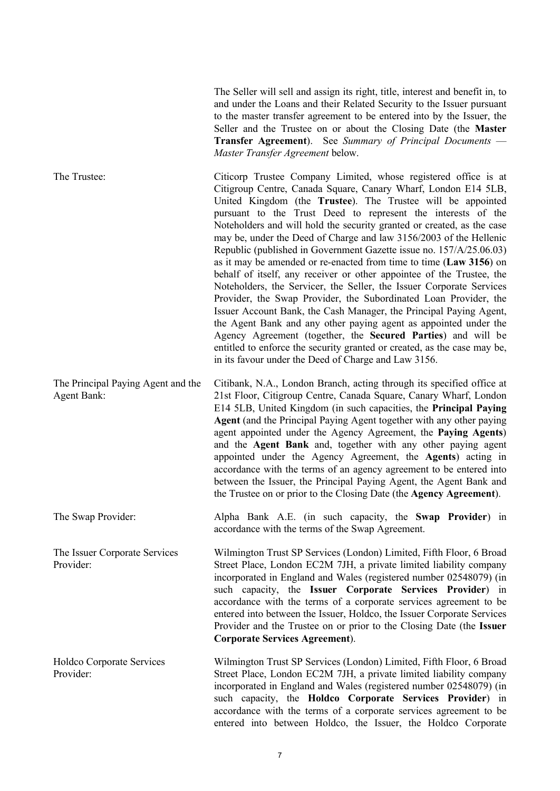The Seller will sell and assign its right, title, interest and benefit in, to and under the Loans and their Related Security to the Issuer pursuant to the master transfer agreement to be entered into by the Issuer, the Seller and the Trustee on or about the Closing Date (the **Master Transfer Agreement**). See *Summary of Principal Documents* — *Master Transfer Agreement* below.

The Trustee: Citicorp Trustee Company Limited, whose registered office is at Citigroup Centre, Canada Square, Canary Wharf, London E14 5LB, United Kingdom (the **Trustee**). The Trustee will be appointed pursuant to the Trust Deed to represent the interests of the Noteholders and will hold the security granted or created, as the case may be, under the Deed of Charge and law 3156/2003 of the Hellenic Republic (published in Government Gazette issue no. 157/A/25.06.03) as it may be amended or re-enacted from time to time (**Law 3156**) on behalf of itself, any receiver or other appointee of the Trustee, the Noteholders, the Servicer, the Seller, the Issuer Corporate Services Provider, the Swap Provider, the Subordinated Loan Provider, the Issuer Account Bank, the Cash Manager, the Principal Paying Agent, the Agent Bank and any other paying agent as appointed under the Agency Agreement (together, the **Secured Parties**) and will be entitled to enforce the security granted or created, as the case may be, in its favour under the Deed of Charge and Law 3156.

The Principal Paying Agent and the Agent Bank: Citibank, N.A., London Branch, acting through its specified office at 21st Floor, Citigroup Centre, Canada Square, Canary Wharf, London E14 5LB, United Kingdom (in such capacities, the **Principal Paying Agent** (and the Principal Paying Agent together with any other paying agent appointed under the Agency Agreement, the **Paying Agents**) and the **Agent Bank** and, together with any other paying agent appointed under the Agency Agreement, the **Agents**) acting in accordance with the terms of an agency agreement to be entered into between the Issuer, the Principal Paying Agent, the Agent Bank and the Trustee on or prior to the Closing Date (the **Agency Agreement**).

The Swap Provider: Alpha Bank A.E. (in such capacity, the **Swap Provider**) in accordance with the terms of the Swap Agreement.

Provider:

The Issuer Corporate Services Wilmington Trust SP Services (London) Limited, Fifth Floor, 6 Broad Street Place, London EC2M 7JH, a private limited liability company incorporated in England and Wales (registered number 02548079) (in such capacity, the **Issuer Corporate Services Provider**) in accordance with the terms of a corporate services agreement to be entered into between the Issuer, Holdco, the Issuer Corporate Services Provider and the Trustee on or prior to the Closing Date (the **Issuer Corporate Services Agreement**).

Holdco Corporate Services Provider: Wilmington Trust SP Services (London) Limited, Fifth Floor, 6 Broad Street Place, London EC2M 7JH, a private limited liability company incorporated in England and Wales (registered number 02548079) (in such capacity, the **Holdco Corporate Services Provider**) in accordance with the terms of a corporate services agreement to be entered into between Holdco, the Issuer, the Holdco Corporate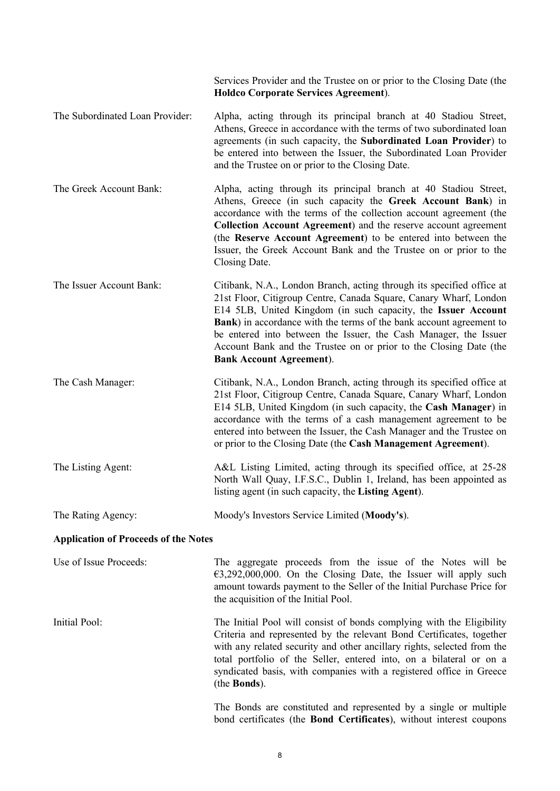|                                             | Services Provider and the Trustee on or prior to the Closing Date (the<br>Holdco Corporate Services Agreement).                                                                                                                                                                                                                                                                                                                                                 |  |  |  |
|---------------------------------------------|-----------------------------------------------------------------------------------------------------------------------------------------------------------------------------------------------------------------------------------------------------------------------------------------------------------------------------------------------------------------------------------------------------------------------------------------------------------------|--|--|--|
| The Subordinated Loan Provider:             | Alpha, acting through its principal branch at 40 Stadiou Street,<br>Athens, Greece in accordance with the terms of two subordinated loan<br>agreements (in such capacity, the Subordinated Loan Provider) to<br>be entered into between the Issuer, the Subordinated Loan Provider<br>and the Trustee on or prior to the Closing Date.                                                                                                                          |  |  |  |
| The Greek Account Bank:                     | Alpha, acting through its principal branch at 40 Stadiou Street,<br>Athens, Greece (in such capacity the Greek Account Bank) in<br>accordance with the terms of the collection account agreement (the<br>Collection Account Agreement) and the reserve account agreement<br>(the Reserve Account Agreement) to be entered into between the<br>Issuer, the Greek Account Bank and the Trustee on or prior to the<br>Closing Date.                                |  |  |  |
| The Issuer Account Bank:                    | Citibank, N.A., London Branch, acting through its specified office at<br>21st Floor, Citigroup Centre, Canada Square, Canary Wharf, London<br>E14 5LB, United Kingdom (in such capacity, the Issuer Account<br>Bank) in accordance with the terms of the bank account agreement to<br>be entered into between the Issuer, the Cash Manager, the Issuer<br>Account Bank and the Trustee on or prior to the Closing Date (the<br><b>Bank Account Agreement</b> ). |  |  |  |
| The Cash Manager:                           | Citibank, N.A., London Branch, acting through its specified office at<br>21st Floor, Citigroup Centre, Canada Square, Canary Wharf, London<br>E14 5LB, United Kingdom (in such capacity, the Cash Manager) in<br>accordance with the terms of a cash management agreement to be<br>entered into between the Issuer, the Cash Manager and the Trustee on<br>or prior to the Closing Date (the Cash Management Agreement).                                        |  |  |  |
| The Listing Agent:                          | A&L Listing Limited, acting through its specified office, at 25-28<br>North Wall Quay, I.F.S.C., Dublin 1, Ireland, has been appointed as<br>listing agent (in such capacity, the Listing Agent).                                                                                                                                                                                                                                                               |  |  |  |
| The Rating Agency:                          | Moody's Investors Service Limited (Moody's).                                                                                                                                                                                                                                                                                                                                                                                                                    |  |  |  |
| <b>Application of Proceeds of the Notes</b> |                                                                                                                                                                                                                                                                                                                                                                                                                                                                 |  |  |  |
| Use of Issue Proceeds:                      | The aggregate proceeds from the issue of the Notes will be<br>$\epsilon$ 3,292,000,000. On the Closing Date, the Issuer will apply such<br>amount towards payment to the Seller of the Initial Purchase Price for<br>the acquisition of the Initial Pool.                                                                                                                                                                                                       |  |  |  |
| Initial Pool:                               | The Initial Pool will consist of bonds complying with the Eligibility<br>Criteria and represented by the relevant Bond Certificates, together<br>with any related security and other ancillary rights, selected from the<br>total portfolio of the Seller, entered into, on a bilateral or on a<br>syndicated basis, with companies with a registered office in Greece<br>(the <b>Bonds</b> ).                                                                  |  |  |  |
|                                             | The Bonds are constituted and represented by a single or multiple<br>bond certificates (the Bond Certificates), without interest coupons                                                                                                                                                                                                                                                                                                                        |  |  |  |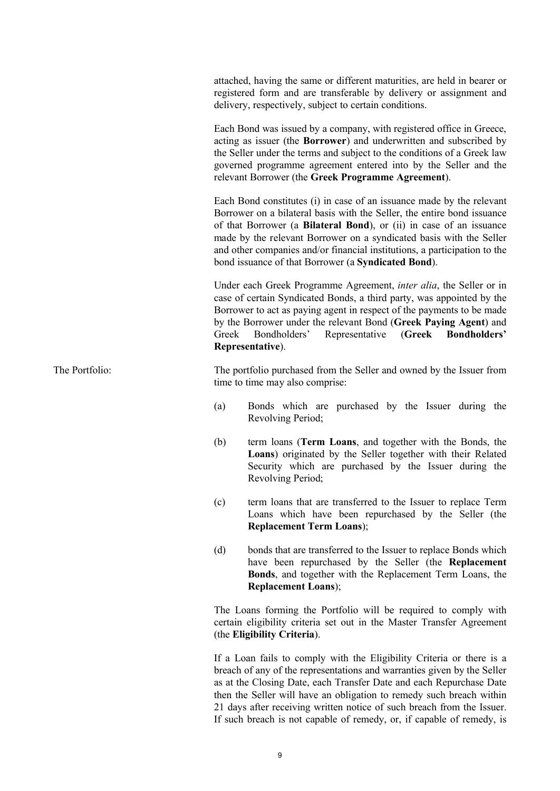attached, having the same or different maturities, are held in bearer or registered form and are transferable by delivery or assignment and delivery, respectively, subject to certain conditions.

Each Bond was issued by a company, with registered office in Greece, acting as issuer (the **Borrower**) and underwritten and subscribed by the Seller under the terms and subject to the conditions of a Greek law governed programme agreement entered into by the Seller and the relevant Borrower (the **Greek Programme Agreement**).

Each Bond constitutes (i) in case of an issuance made by the relevant Borrower on a bilateral basis with the Seller, the entire bond issuance of that Borrower (a **Bilateral Bond**), or (ii) in case of an issuance made by the relevant Borrower on a syndicated basis with the Seller and other companies and/or financial institutions, a participation to the bond issuance of that Borrower (a **Syndicated Bond**).

Under each Greek Programme Agreement, *inter alia*, the Seller or in case of certain Syndicated Bonds, a third party, was appointed by the Borrower to act as paying agent in respect of the payments to be made by the Borrower under the relevant Bond (**Greek Paying Agent**) and Greek Bondholders' Representative (**Greek Bondholders' Representative**).

The Portfolio: The portfolio purchased from the Seller and owned by the Issuer from time to time may also comprise:

- (a) Bonds which are purchased by the Issuer during the Revolving Period;
- (b) term loans (**Term Loans**, and together with the Bonds, the **Loans**) originated by the Seller together with their Related Security which are purchased by the Issuer during the Revolving Period;
- (c) term loans that are transferred to the Issuer to replace Term Loans which have been repurchased by the Seller (the **Replacement Term Loans**);
- (d) bonds that are transferred to the Issuer to replace Bonds which have been repurchased by the Seller (the **Replacement Bonds**, and together with the Replacement Term Loans, the **Replacement Loans**);

The Loans forming the Portfolio will be required to comply with certain eligibility criteria set out in the Master Transfer Agreement (the **Eligibility Criteria**).

If a Loan fails to comply with the Eligibility Criteria or there is a breach of any of the representations and warranties given by the Seller as at the Closing Date, each Transfer Date and each Repurchase Date then the Seller will have an obligation to remedy such breach within 21 days after receiving written notice of such breach from the Issuer. If such breach is not capable of remedy, or, if capable of remedy, is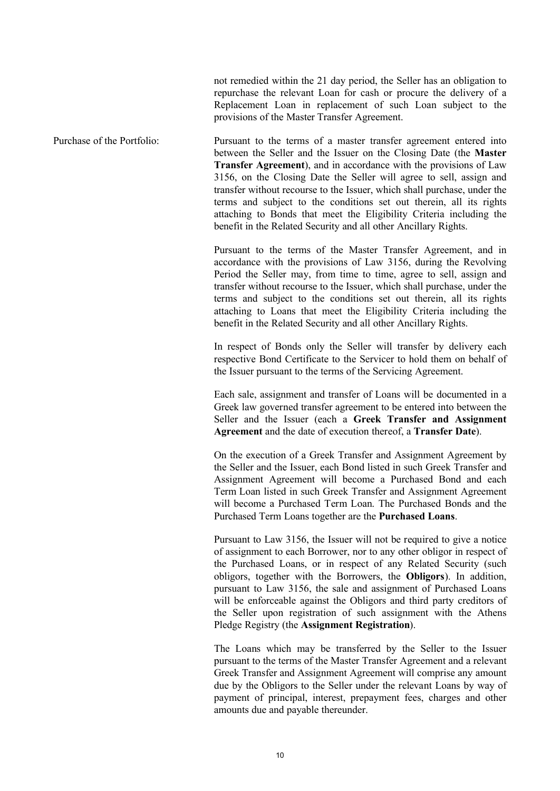not remedied within the 21 day period, the Seller has an obligation to repurchase the relevant Loan for cash or procure the delivery of a Replacement Loan in replacement of such Loan subject to the provisions of the Master Transfer Agreement.

Purchase of the Portfolio: Pursuant to the terms of a master transfer agreement entered into between the Seller and the Issuer on the Closing Date (the **Master Transfer Agreement**), and in accordance with the provisions of Law 3156, on the Closing Date the Seller will agree to sell, assign and transfer without recourse to the Issuer, which shall purchase, under the terms and subject to the conditions set out therein, all its rights attaching to Bonds that meet the Eligibility Criteria including the benefit in the Related Security and all other Ancillary Rights.

> Pursuant to the terms of the Master Transfer Agreement, and in accordance with the provisions of Law 3156, during the Revolving Period the Seller may, from time to time, agree to sell, assign and transfer without recourse to the Issuer, which shall purchase, under the terms and subject to the conditions set out therein, all its rights attaching to Loans that meet the Eligibility Criteria including the benefit in the Related Security and all other Ancillary Rights.

> In respect of Bonds only the Seller will transfer by delivery each respective Bond Certificate to the Servicer to hold them on behalf of the Issuer pursuant to the terms of the Servicing Agreement.

> Each sale, assignment and transfer of Loans will be documented in a Greek law governed transfer agreement to be entered into between the Seller and the Issuer (each a **Greek Transfer and Assignment Agreement** and the date of execution thereof, a **Transfer Date**).

> On the execution of a Greek Transfer and Assignment Agreement by the Seller and the Issuer, each Bond listed in such Greek Transfer and Assignment Agreement will become a Purchased Bond and each Term Loan listed in such Greek Transfer and Assignment Agreement will become a Purchased Term Loan. The Purchased Bonds and the Purchased Term Loans together are the **Purchased Loans**.

> Pursuant to Law 3156, the Issuer will not be required to give a notice of assignment to each Borrower, nor to any other obligor in respect of the Purchased Loans, or in respect of any Related Security (such obligors, together with the Borrowers, the **Obligors**). In addition, pursuant to Law 3156, the sale and assignment of Purchased Loans will be enforceable against the Obligors and third party creditors of the Seller upon registration of such assignment with the Athens Pledge Registry (the **Assignment Registration**).

> The Loans which may be transferred by the Seller to the Issuer pursuant to the terms of the Master Transfer Agreement and a relevant Greek Transfer and Assignment Agreement will comprise any amount due by the Obligors to the Seller under the relevant Loans by way of payment of principal, interest, prepayment fees, charges and other amounts due and payable thereunder.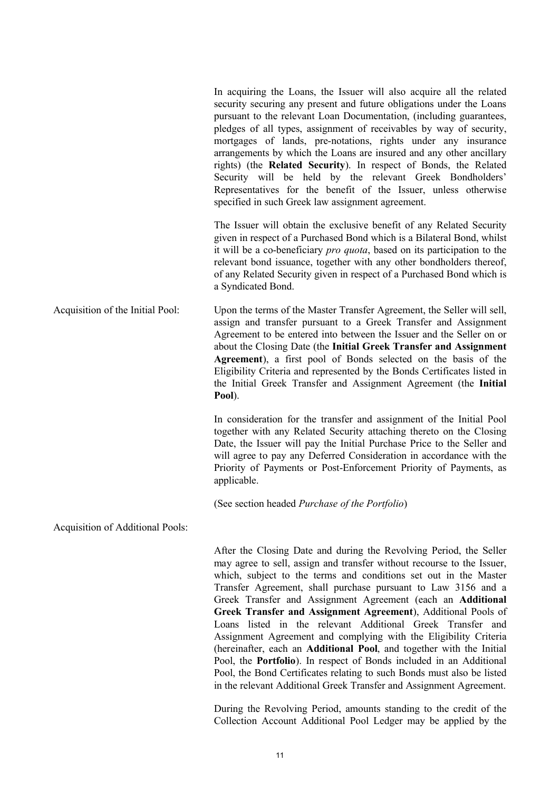In acquiring the Loans, the Issuer will also acquire all the related security securing any present and future obligations under the Loans pursuant to the relevant Loan Documentation, (including guarantees, pledges of all types, assignment of receivables by way of security, mortgages of lands, pre-notations, rights under any insurance arrangements by which the Loans are insured and any other ancillary rights) (the **Related Security**). In respect of Bonds, the Related Security will be held by the relevant Greek Bondholders' Representatives for the benefit of the Issuer, unless otherwise specified in such Greek law assignment agreement.

The Issuer will obtain the exclusive benefit of any Related Security given in respect of a Purchased Bond which is a Bilateral Bond, whilst it will be a co-beneficiary *pro quota*, based on its participation to the relevant bond issuance, together with any other bondholders thereof, of any Related Security given in respect of a Purchased Bond which is a Syndicated Bond.

Acquisition of the Initial Pool: Upon the terms of the Master Transfer Agreement, the Seller will sell, assign and transfer pursuant to a Greek Transfer and Assignment Agreement to be entered into between the Issuer and the Seller on or about the Closing Date (the **Initial Greek Transfer and Assignment Agreement**), a first pool of Bonds selected on the basis of the Eligibility Criteria and represented by the Bonds Certificates listed in the Initial Greek Transfer and Assignment Agreement (the **Initial Pool**).

> In consideration for the transfer and assignment of the Initial Pool together with any Related Security attaching thereto on the Closing Date, the Issuer will pay the Initial Purchase Price to the Seller and will agree to pay any Deferred Consideration in accordance with the Priority of Payments or Post-Enforcement Priority of Payments, as applicable.

(See section headed *Purchase of the Portfolio*)

Acquisition of Additional Pools:

After the Closing Date and during the Revolving Period, the Seller may agree to sell, assign and transfer without recourse to the Issuer, which, subject to the terms and conditions set out in the Master Transfer Agreement, shall purchase pursuant to Law 3156 and a Greek Transfer and Assignment Agreement (each an **Additional Greek Transfer and Assignment Agreement**), Additional Pools of Loans listed in the relevant Additional Greek Transfer and Assignment Agreement and complying with the Eligibility Criteria (hereinafter, each an **Additional Pool**, and together with the Initial Pool, the **Portfolio**). In respect of Bonds included in an Additional Pool, the Bond Certificates relating to such Bonds must also be listed in the relevant Additional Greek Transfer and Assignment Agreement.

During the Revolving Period, amounts standing to the credit of the Collection Account Additional Pool Ledger may be applied by the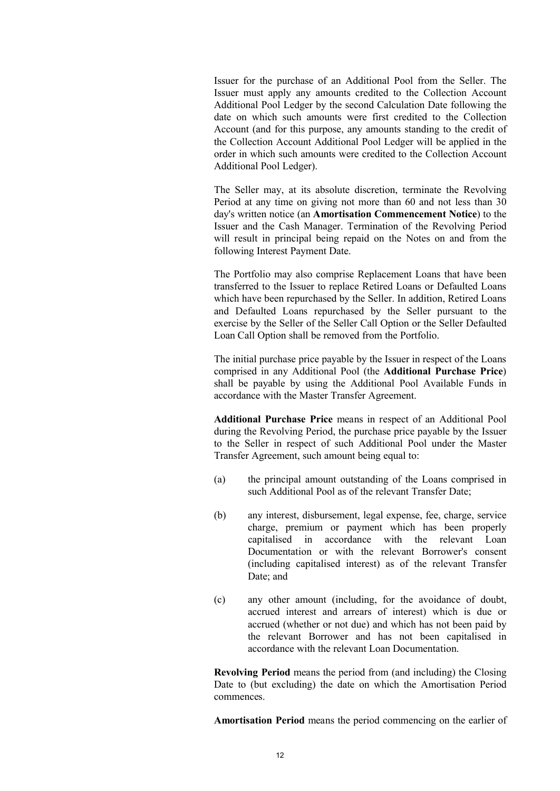Issuer for the purchase of an Additional Pool from the Seller. The Issuer must apply any amounts credited to the Collection Account Additional Pool Ledger by the second Calculation Date following the date on which such amounts were first credited to the Collection Account (and for this purpose, any amounts standing to the credit of the Collection Account Additional Pool Ledger will be applied in the order in which such amounts were credited to the Collection Account Additional Pool Ledger).

The Seller may, at its absolute discretion, terminate the Revolving Period at any time on giving not more than 60 and not less than 30 day's written notice (an **Amortisation Commencement Notice**) to the Issuer and the Cash Manager. Termination of the Revolving Period will result in principal being repaid on the Notes on and from the following Interest Payment Date.

The Portfolio may also comprise Replacement Loans that have been transferred to the Issuer to replace Retired Loans or Defaulted Loans which have been repurchased by the Seller. In addition, Retired Loans and Defaulted Loans repurchased by the Seller pursuant to the exercise by the Seller of the Seller Call Option or the Seller Defaulted Loan Call Option shall be removed from the Portfolio.

The initial purchase price payable by the Issuer in respect of the Loans comprised in any Additional Pool (the **Additional Purchase Price**) shall be payable by using the Additional Pool Available Funds in accordance with the Master Transfer Agreement.

**Additional Purchase Price** means in respect of an Additional Pool during the Revolving Period, the purchase price payable by the Issuer to the Seller in respect of such Additional Pool under the Master Transfer Agreement, such amount being equal to:

- (a) the principal amount outstanding of the Loans comprised in such Additional Pool as of the relevant Transfer Date;
- (b) any interest, disbursement, legal expense, fee, charge, service charge, premium or payment which has been properly capitalised in accordance with the relevant Loan Documentation or with the relevant Borrower's consent (including capitalised interest) as of the relevant Transfer Date; and
- (c) any other amount (including, for the avoidance of doubt, accrued interest and arrears of interest) which is due or accrued (whether or not due) and which has not been paid by the relevant Borrower and has not been capitalised in accordance with the relevant Loan Documentation.

**Revolving Period** means the period from (and including) the Closing Date to (but excluding) the date on which the Amortisation Period commences.

**Amortisation Period** means the period commencing on the earlier of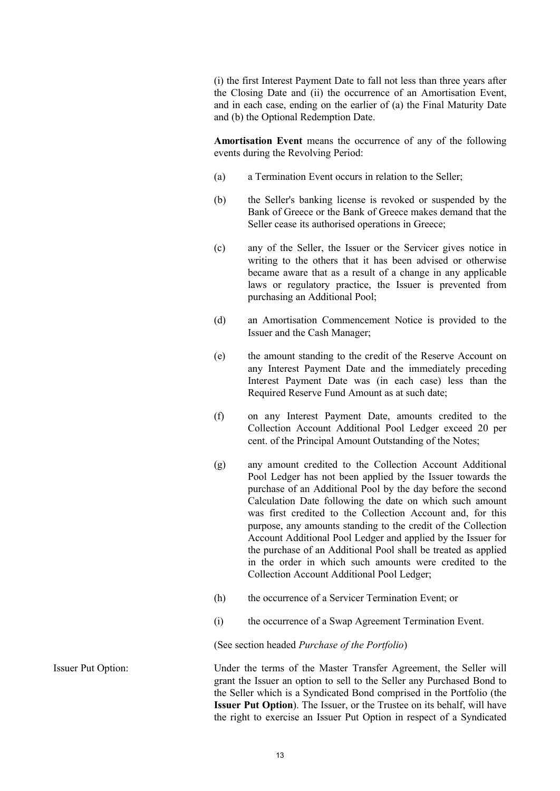(i) the first Interest Payment Date to fall not less than three years after the Closing Date and (ii) the occurrence of an Amortisation Event, and in each case, ending on the earlier of (a) the Final Maturity Date and (b) the Optional Redemption Date.

**Amortisation Event** means the occurrence of any of the following events during the Revolving Period:

- (a) a Termination Event occurs in relation to the Seller;
- (b) the Seller's banking license is revoked or suspended by the Bank of Greece or the Bank of Greece makes demand that the Seller cease its authorised operations in Greece;
- (c) any of the Seller, the Issuer or the Servicer gives notice in writing to the others that it has been advised or otherwise became aware that as a result of a change in any applicable laws or regulatory practice, the Issuer is prevented from purchasing an Additional Pool;
- (d) an Amortisation Commencement Notice is provided to the Issuer and the Cash Manager;
- (e) the amount standing to the credit of the Reserve Account on any Interest Payment Date and the immediately preceding Interest Payment Date was (in each case) less than the Required Reserve Fund Amount as at such date;
- (f) on any Interest Payment Date, amounts credited to the Collection Account Additional Pool Ledger exceed 20 per cent. of the Principal Amount Outstanding of the Notes;
- (g) any amount credited to the Collection Account Additional Pool Ledger has not been applied by the Issuer towards the purchase of an Additional Pool by the day before the second Calculation Date following the date on which such amount was first credited to the Collection Account and, for this purpose, any amounts standing to the credit of the Collection Account Additional Pool Ledger and applied by the Issuer for the purchase of an Additional Pool shall be treated as applied in the order in which such amounts were credited to the Collection Account Additional Pool Ledger;
- (h) the occurrence of a Servicer Termination Event; or
- (i) the occurrence of a Swap Agreement Termination Event.

(See section headed *Purchase of the Portfolio*)

Issuer Put Option: Under the terms of the Master Transfer Agreement, the Seller will grant the Issuer an option to sell to the Seller any Purchased Bond to the Seller which is a Syndicated Bond comprised in the Portfolio (the **Issuer Put Option**). The Issuer, or the Trustee on its behalf, will have the right to exercise an Issuer Put Option in respect of a Syndicated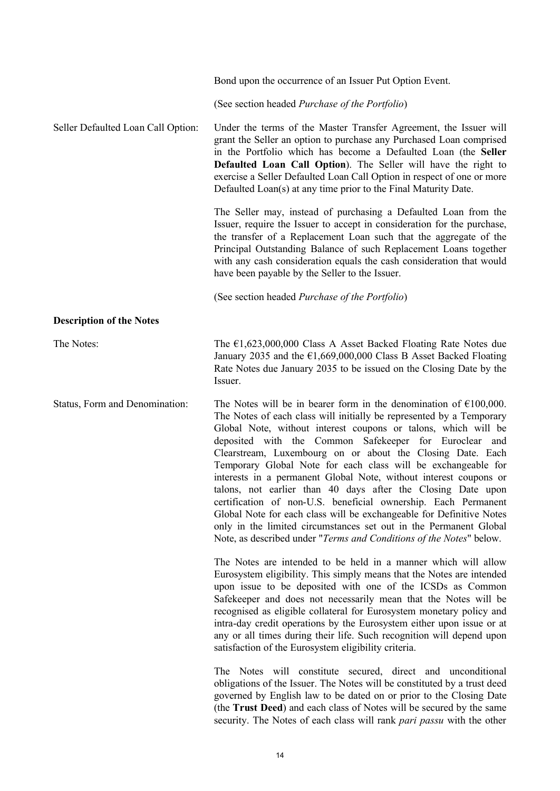|                                    | Bond upon the occurrence of an Issuer Put Option Event.                                                                                                                                                                                                                                                                                                                                                                                                                                                                                                                                                                                                                                                                                                                                                                                                                                                                                                                                                                                                                                                                                                                                                                                                                                                                                                                                                                                                                |
|------------------------------------|------------------------------------------------------------------------------------------------------------------------------------------------------------------------------------------------------------------------------------------------------------------------------------------------------------------------------------------------------------------------------------------------------------------------------------------------------------------------------------------------------------------------------------------------------------------------------------------------------------------------------------------------------------------------------------------------------------------------------------------------------------------------------------------------------------------------------------------------------------------------------------------------------------------------------------------------------------------------------------------------------------------------------------------------------------------------------------------------------------------------------------------------------------------------------------------------------------------------------------------------------------------------------------------------------------------------------------------------------------------------------------------------------------------------------------------------------------------------|
|                                    | (See section headed Purchase of the Portfolio)                                                                                                                                                                                                                                                                                                                                                                                                                                                                                                                                                                                                                                                                                                                                                                                                                                                                                                                                                                                                                                                                                                                                                                                                                                                                                                                                                                                                                         |
| Seller Defaulted Loan Call Option: | Under the terms of the Master Transfer Agreement, the Issuer will<br>grant the Seller an option to purchase any Purchased Loan comprised<br>in the Portfolio which has become a Defaulted Loan (the Seller<br>Defaulted Loan Call Option). The Seller will have the right to<br>exercise a Seller Defaulted Loan Call Option in respect of one or more<br>Defaulted Loan(s) at any time prior to the Final Maturity Date.                                                                                                                                                                                                                                                                                                                                                                                                                                                                                                                                                                                                                                                                                                                                                                                                                                                                                                                                                                                                                                              |
|                                    | The Seller may, instead of purchasing a Defaulted Loan from the<br>Issuer, require the Issuer to accept in consideration for the purchase,<br>the transfer of a Replacement Loan such that the aggregate of the<br>Principal Outstanding Balance of such Replacement Loans together<br>with any cash consideration equals the cash consideration that would<br>have been payable by the Seller to the Issuer.                                                                                                                                                                                                                                                                                                                                                                                                                                                                                                                                                                                                                                                                                                                                                                                                                                                                                                                                                                                                                                                          |
|                                    | (See section headed Purchase of the Portfolio)                                                                                                                                                                                                                                                                                                                                                                                                                                                                                                                                                                                                                                                                                                                                                                                                                                                                                                                                                                                                                                                                                                                                                                                                                                                                                                                                                                                                                         |
| <b>Description of the Notes</b>    |                                                                                                                                                                                                                                                                                                                                                                                                                                                                                                                                                                                                                                                                                                                                                                                                                                                                                                                                                                                                                                                                                                                                                                                                                                                                                                                                                                                                                                                                        |
| The Notes:                         | The $\epsilon$ 1,623,000,000 Class A Asset Backed Floating Rate Notes due<br>January 2035 and the $\epsilon$ 1,669,000,000 Class B Asset Backed Floating<br>Rate Notes due January 2035 to be issued on the Closing Date by the<br>Issuer.                                                                                                                                                                                                                                                                                                                                                                                                                                                                                                                                                                                                                                                                                                                                                                                                                                                                                                                                                                                                                                                                                                                                                                                                                             |
| Status, Form and Denomination:     | The Notes will be in bearer form in the denomination of $\epsilon$ 100,000.<br>The Notes of each class will initially be represented by a Temporary<br>Global Note, without interest coupons or talons, which will be<br>deposited with the Common Safekeeper for Euroclear and<br>Clearstream, Luxembourg on or about the Closing Date. Each<br>Temporary Global Note for each class will be exchangeable for<br>interests in a permanent Global Note, without interest coupons or<br>talons, not earlier than 40 days after the Closing Date upon<br>certification of non-U.S. beneficial ownership. Each Permanent<br>Global Note for each class will be exchangeable for Definitive Notes<br>only in the limited circumstances set out in the Permanent Global<br>Note, as described under "Terms and Conditions of the Notes" below.<br>The Notes are intended to be held in a manner which will allow<br>Eurosystem eligibility. This simply means that the Notes are intended<br>upon issue to be deposited with one of the ICSDs as Common<br>Safekeeper and does not necessarily mean that the Notes will be<br>recognised as eligible collateral for Eurosystem monetary policy and<br>intra-day credit operations by the Eurosystem either upon issue or at<br>any or all times during their life. Such recognition will depend upon<br>satisfaction of the Eurosystem eligibility criteria.<br>The Notes will constitute secured, direct and unconditional |
|                                    | obligations of the Issuer. The Notes will be constituted by a trust deed<br>governed by English law to be dated on or prior to the Closing Date                                                                                                                                                                                                                                                                                                                                                                                                                                                                                                                                                                                                                                                                                                                                                                                                                                                                                                                                                                                                                                                                                                                                                                                                                                                                                                                        |

(the **Trust Deed**) and each class of Notes will be secured by the same security. The Notes of each class will rank *pari passu* with the other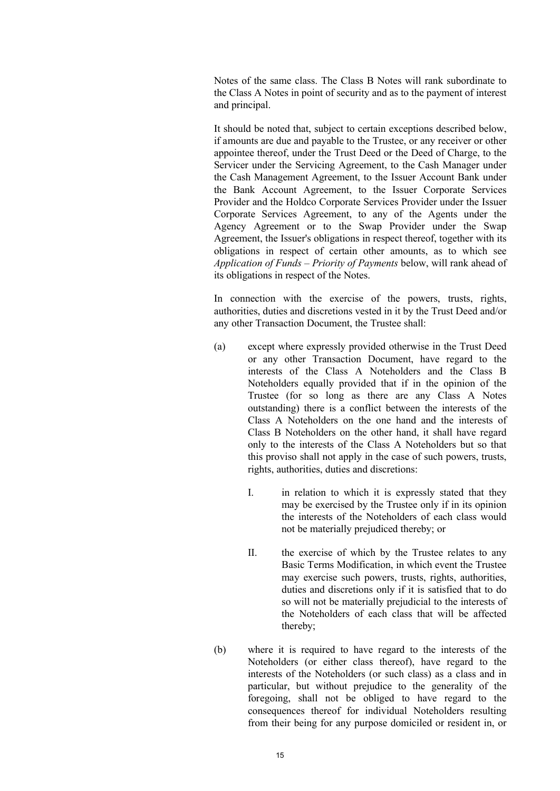Notes of the same class. The Class B Notes will rank subordinate to the Class A Notes in point of security and as to the payment of interest and principal.

It should be noted that, subject to certain exceptions described below, if amounts are due and payable to the Trustee, or any receiver or other appointee thereof, under the Trust Deed or the Deed of Charge, to the Servicer under the Servicing Agreement, to the Cash Manager under the Cash Management Agreement, to the Issuer Account Bank under the Bank Account Agreement, to the Issuer Corporate Services Provider and the Holdco Corporate Services Provider under the Issuer Corporate Services Agreement, to any of the Agents under the Agency Agreement or to the Swap Provider under the Swap Agreement, the Issuer's obligations in respect thereof, together with its obligations in respect of certain other amounts, as to which see *Application of Funds – Priority of Payments* below, will rank ahead of its obligations in respect of the Notes.

In connection with the exercise of the powers, trusts, rights, authorities, duties and discretions vested in it by the Trust Deed and/or any other Transaction Document, the Trustee shall:

- (a) except where expressly provided otherwise in the Trust Deed or any other Transaction Document, have regard to the interests of the Class A Noteholders and the Class B Noteholders equally provided that if in the opinion of the Trustee (for so long as there are any Class A Notes outstanding) there is a conflict between the interests of the Class A Noteholders on the one hand and the interests of Class B Noteholders on the other hand, it shall have regard only to the interests of the Class A Noteholders but so that this proviso shall not apply in the case of such powers, trusts, rights, authorities, duties and discretions:
	- I. in relation to which it is expressly stated that they may be exercised by the Trustee only if in its opinion the interests of the Noteholders of each class would not be materially prejudiced thereby; or
	- II. the exercise of which by the Trustee relates to any Basic Terms Modification, in which event the Trustee may exercise such powers, trusts, rights, authorities, duties and discretions only if it is satisfied that to do so will not be materially prejudicial to the interests of the Noteholders of each class that will be affected thereby;
- (b) where it is required to have regard to the interests of the Noteholders (or either class thereof), have regard to the interests of the Noteholders (or such class) as a class and in particular, but without prejudice to the generality of the foregoing, shall not be obliged to have regard to the consequences thereof for individual Noteholders resulting from their being for any purpose domiciled or resident in, or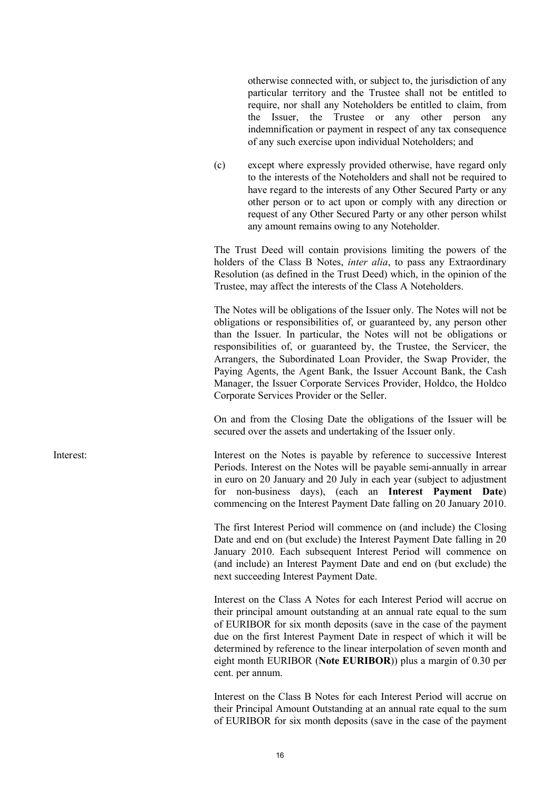otherwise connected with, or subject to, the jurisdiction of any particular territory and the Trustee shall not be entitled to require, nor shall any Noteholders be entitled to claim, from the Issuer, the Trustee or any other person any indemnification or payment in respect of any tax consequence of any such exercise upon individual Noteholders; and

(c) except where expressly provided otherwise, have regard only to the interests of the Noteholders and shall not be required to have regard to the interests of any Other Secured Party or any other person or to act upon or comply with any direction or request of any Other Secured Party or any other person whilst any amount remains owing to any Noteholder.

The Trust Deed will contain provisions limiting the powers of the holders of the Class B Notes, *inter alia*, to pass any Extraordinary Resolution (as defined in the Trust Deed) which, in the opinion of the Trustee, may affect the interests of the Class A Noteholders.

The Notes will be obligations of the Issuer only. The Notes will not be obligations or responsibilities of, or guaranteed by, any person other than the Issuer. In particular, the Notes will not be obligations or responsibilities of, or guaranteed by, the Trustee, the Servicer, the Arrangers, the Subordinated Loan Provider, the Swap Provider, the Paying Agents, the Agent Bank, the Issuer Account Bank, the Cash Manager, the Issuer Corporate Services Provider, Holdco, the Holdco Corporate Services Provider or the Seller.

On and from the Closing Date the obligations of the Issuer will be secured over the assets and undertaking of the Issuer only.

Interest:<br>Interest on the Notes is payable by reference to successive Interest Periods. Interest on the Notes will be payable semi-annually in arrear in euro on 20 January and 20 July in each year (subject to adjustment for non-business days), (each an **Interest Payment Date**) commencing on the Interest Payment Date falling on 20 January 2010.

> The first Interest Period will commence on (and include) the Closing Date and end on (but exclude) the Interest Payment Date falling in 20 January 2010. Each subsequent Interest Period will commence on (and include) an Interest Payment Date and end on (but exclude) the next succeeding Interest Payment Date.

> Interest on the Class A Notes for each Interest Period will accrue on their principal amount outstanding at an annual rate equal to the sum of EURIBOR for six month deposits (save in the case of the payment due on the first Interest Payment Date in respect of which it will be determined by reference to the linear interpolation of seven month and eight month EURIBOR (**Note EURIBOR**)) plus a margin of 0.30 per cent. per annum.

> Interest on the Class B Notes for each Interest Period will accrue on their Principal Amount Outstanding at an annual rate equal to the sum of EURIBOR for six month deposits (save in the case of the payment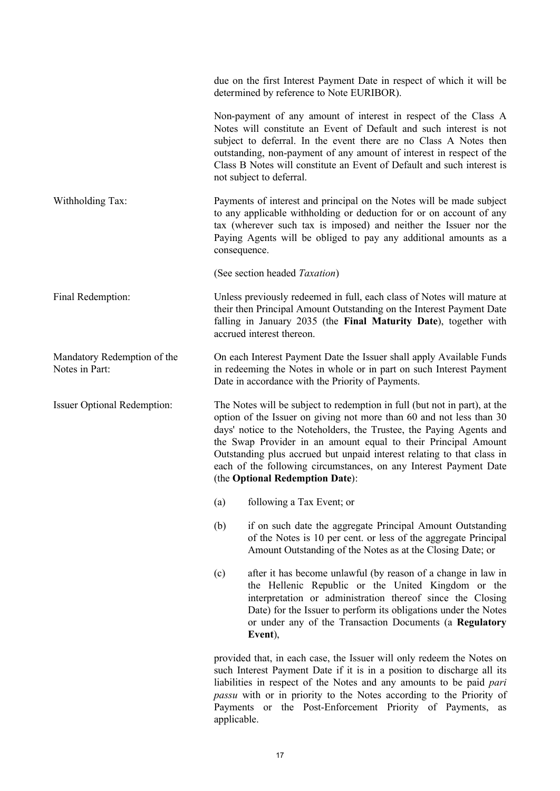|                                               | due on the first Interest Payment Date in respect of which it will be<br>determined by reference to Note EURIBOR).                                                                                                                                                                                                                                                                                                                                                           |  |  |
|-----------------------------------------------|------------------------------------------------------------------------------------------------------------------------------------------------------------------------------------------------------------------------------------------------------------------------------------------------------------------------------------------------------------------------------------------------------------------------------------------------------------------------------|--|--|
|                                               | Non-payment of any amount of interest in respect of the Class A<br>Notes will constitute an Event of Default and such interest is not<br>subject to deferral. In the event there are no Class A Notes then<br>outstanding, non-payment of any amount of interest in respect of the<br>Class B Notes will constitute an Event of Default and such interest is<br>not subject to deferral.                                                                                     |  |  |
| Withholding Tax:                              | Payments of interest and principal on the Notes will be made subject<br>to any applicable withholding or deduction for or on account of any<br>tax (wherever such tax is imposed) and neither the Issuer nor the<br>Paying Agents will be obliged to pay any additional amounts as a<br>consequence.                                                                                                                                                                         |  |  |
|                                               | (See section headed Taxation)                                                                                                                                                                                                                                                                                                                                                                                                                                                |  |  |
| Final Redemption:                             | Unless previously redeemed in full, each class of Notes will mature at<br>their then Principal Amount Outstanding on the Interest Payment Date<br>falling in January 2035 (the Final Maturity Date), together with<br>accrued interest thereon.                                                                                                                                                                                                                              |  |  |
| Mandatory Redemption of the<br>Notes in Part: | On each Interest Payment Date the Issuer shall apply Available Funds<br>in redeeming the Notes in whole or in part on such Interest Payment<br>Date in accordance with the Priority of Payments.                                                                                                                                                                                                                                                                             |  |  |
| <b>Issuer Optional Redemption:</b>            | The Notes will be subject to redemption in full (but not in part), at the<br>option of the Issuer on giving not more than 60 and not less than 30<br>days' notice to the Noteholders, the Trustee, the Paying Agents and<br>the Swap Provider in an amount equal to their Principal Amount<br>Outstanding plus accrued but unpaid interest relating to that class in<br>each of the following circumstances, on any Interest Payment Date<br>(the Optional Redemption Date): |  |  |
|                                               | (a)<br>following a Tax Event; or                                                                                                                                                                                                                                                                                                                                                                                                                                             |  |  |
|                                               | (b)<br>if on such date the aggregate Principal Amount Outstanding<br>of the Notes is 10 per cent. or less of the aggregate Principal<br>Amount Outstanding of the Notes as at the Closing Date; or                                                                                                                                                                                                                                                                           |  |  |
|                                               | after it has become unlawful (by reason of a change in law in<br>(c)<br>the Hellenic Republic or the United Kingdom or the<br>interpretation or administration thereof since the Closing<br>Date) for the Issuer to perform its obligations under the Notes<br>or under any of the Transaction Documents (a Regulatory<br>Event),                                                                                                                                            |  |  |
|                                               | provided that, in each case, the Issuer will only redeem the Notes on<br>such Interest Payment Date if it is in a position to discharge all its<br>liabilities in respect of the Notes and any amounts to be paid pari<br>passu with or in priority to the Notes according to the Priority of                                                                                                                                                                                |  |  |

applicable.

Payments or the Post-Enforcement Priority of Payments, as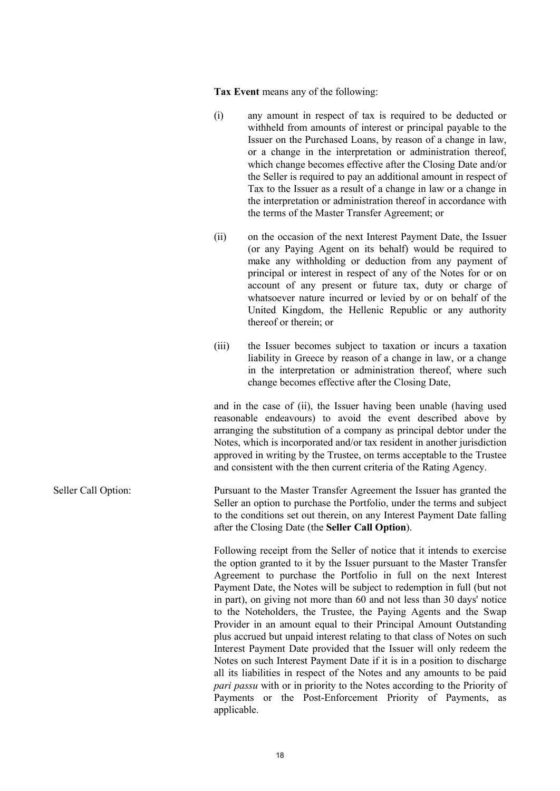**Tax Event** means any of the following:

- (i) any amount in respect of tax is required to be deducted or withheld from amounts of interest or principal payable to the Issuer on the Purchased Loans, by reason of a change in law, or a change in the interpretation or administration thereof, which change becomes effective after the Closing Date and/or the Seller is required to pay an additional amount in respect of Tax to the Issuer as a result of a change in law or a change in the interpretation or administration thereof in accordance with the terms of the Master Transfer Agreement; or
- (ii) on the occasion of the next Interest Payment Date, the Issuer (or any Paying Agent on its behalf) would be required to make any withholding or deduction from any payment of principal or interest in respect of any of the Notes for or on account of any present or future tax, duty or charge of whatsoever nature incurred or levied by or on behalf of the United Kingdom, the Hellenic Republic or any authority thereof or therein; or
- (iii) the Issuer becomes subject to taxation or incurs a taxation liability in Greece by reason of a change in law, or a change in the interpretation or administration thereof, where such change becomes effective after the Closing Date,

and in the case of (ii), the Issuer having been unable (having used reasonable endeavours) to avoid the event described above by arranging the substitution of a company as principal debtor under the Notes, which is incorporated and/or tax resident in another jurisdiction approved in writing by the Trustee, on terms acceptable to the Trustee and consistent with the then current criteria of the Rating Agency.

Seller Call Option: Pursuant to the Master Transfer Agreement the Issuer has granted the Seller an option to purchase the Portfolio, under the terms and subject to the conditions set out therein, on any Interest Payment Date falling after the Closing Date (the **Seller Call Option**).

> Following receipt from the Seller of notice that it intends to exercise the option granted to it by the Issuer pursuant to the Master Transfer Agreement to purchase the Portfolio in full on the next Interest Payment Date, the Notes will be subject to redemption in full (but not in part), on giving not more than 60 and not less than 30 days' notice to the Noteholders, the Trustee, the Paying Agents and the Swap Provider in an amount equal to their Principal Amount Outstanding plus accrued but unpaid interest relating to that class of Notes on such Interest Payment Date provided that the Issuer will only redeem the Notes on such Interest Payment Date if it is in a position to discharge all its liabilities in respect of the Notes and any amounts to be paid *pari passu* with or in priority to the Notes according to the Priority of Payments or the Post-Enforcement Priority of Payments, as applicable.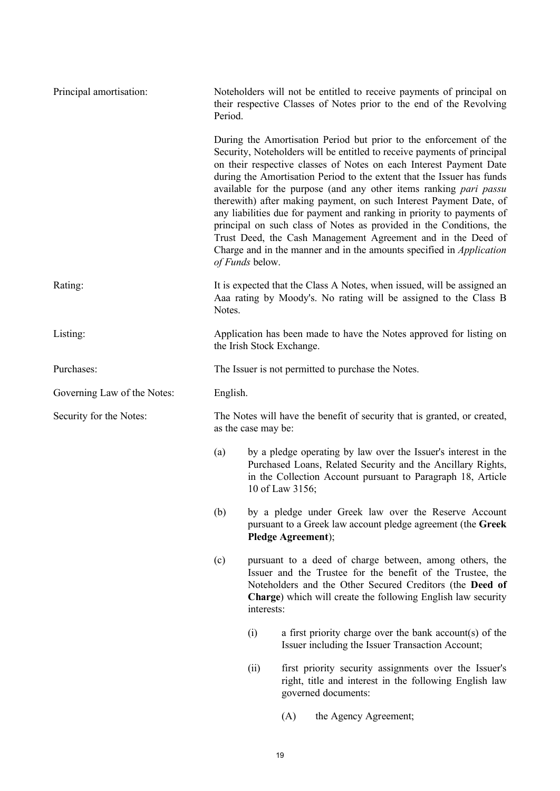| Principal amortisation:     | Noteholders will not be entitled to receive payments of principal on<br>their respective Classes of Notes prior to the end of the Revolving<br>Period. |                                                                                                                                                                                                                                                                         |                                                                                                                                                                                                                 |                                                                                                                                                                                                                                                                                                                                                                                                                                                                                                                                                                                                                                                                                                                                                 |  |
|-----------------------------|--------------------------------------------------------------------------------------------------------------------------------------------------------|-------------------------------------------------------------------------------------------------------------------------------------------------------------------------------------------------------------------------------------------------------------------------|-----------------------------------------------------------------------------------------------------------------------------------------------------------------------------------------------------------------|-------------------------------------------------------------------------------------------------------------------------------------------------------------------------------------------------------------------------------------------------------------------------------------------------------------------------------------------------------------------------------------------------------------------------------------------------------------------------------------------------------------------------------------------------------------------------------------------------------------------------------------------------------------------------------------------------------------------------------------------------|--|
|                             |                                                                                                                                                        | of Funds below.                                                                                                                                                                                                                                                         |                                                                                                                                                                                                                 | During the Amortisation Period but prior to the enforcement of the<br>Security, Noteholders will be entitled to receive payments of principal<br>on their respective classes of Notes on each Interest Payment Date<br>during the Amortisation Period to the extent that the Issuer has funds<br>available for the purpose (and any other items ranking <i>pari passu</i><br>therewith) after making payment, on such Interest Payment Date, of<br>any liabilities due for payment and ranking in priority to payments of<br>principal on such class of Notes as provided in the Conditions, the<br>Trust Deed, the Cash Management Agreement and in the Deed of<br>Charge and in the manner and in the amounts specified in <i>Application</i> |  |
| Rating:                     | It is expected that the Class A Notes, when issued, will be assigned an<br>Aaa rating by Moody's. No rating will be assigned to the Class B<br>Notes.  |                                                                                                                                                                                                                                                                         |                                                                                                                                                                                                                 |                                                                                                                                                                                                                                                                                                                                                                                                                                                                                                                                                                                                                                                                                                                                                 |  |
| Listing:                    | Application has been made to have the Notes approved for listing on<br>the Irish Stock Exchange.                                                       |                                                                                                                                                                                                                                                                         |                                                                                                                                                                                                                 |                                                                                                                                                                                                                                                                                                                                                                                                                                                                                                                                                                                                                                                                                                                                                 |  |
| Purchases:                  | The Issuer is not permitted to purchase the Notes.                                                                                                     |                                                                                                                                                                                                                                                                         |                                                                                                                                                                                                                 |                                                                                                                                                                                                                                                                                                                                                                                                                                                                                                                                                                                                                                                                                                                                                 |  |
| Governing Law of the Notes: | English.                                                                                                                                               |                                                                                                                                                                                                                                                                         |                                                                                                                                                                                                                 |                                                                                                                                                                                                                                                                                                                                                                                                                                                                                                                                                                                                                                                                                                                                                 |  |
| Security for the Notes:     |                                                                                                                                                        | The Notes will have the benefit of security that is granted, or created,<br>as the case may be:                                                                                                                                                                         |                                                                                                                                                                                                                 |                                                                                                                                                                                                                                                                                                                                                                                                                                                                                                                                                                                                                                                                                                                                                 |  |
|                             | (a)                                                                                                                                                    |                                                                                                                                                                                                                                                                         | by a pledge operating by law over the Issuer's interest in the<br>Purchased Loans, Related Security and the Ancillary Rights,<br>in the Collection Account pursuant to Paragraph 18, Article<br>10 of Law 3156; |                                                                                                                                                                                                                                                                                                                                                                                                                                                                                                                                                                                                                                                                                                                                                 |  |
|                             | (b)                                                                                                                                                    |                                                                                                                                                                                                                                                                         | Pledge Agreement);                                                                                                                                                                                              | by a pledge under Greek law over the Reserve Account<br>pursuant to a Greek law account pledge agreement (the Greek                                                                                                                                                                                                                                                                                                                                                                                                                                                                                                                                                                                                                             |  |
|                             | (c)                                                                                                                                                    | pursuant to a deed of charge between, among others, the<br>Issuer and the Trustee for the benefit of the Trustee, the<br>Noteholders and the Other Secured Creditors (the Deed of<br><b>Charge</b> ) which will create the following English law security<br>interests: |                                                                                                                                                                                                                 |                                                                                                                                                                                                                                                                                                                                                                                                                                                                                                                                                                                                                                                                                                                                                 |  |
|                             |                                                                                                                                                        | (i)                                                                                                                                                                                                                                                                     |                                                                                                                                                                                                                 | a first priority charge over the bank account(s) of the<br>Issuer including the Issuer Transaction Account;                                                                                                                                                                                                                                                                                                                                                                                                                                                                                                                                                                                                                                     |  |
|                             |                                                                                                                                                        | (ii)                                                                                                                                                                                                                                                                    |                                                                                                                                                                                                                 | first priority security assignments over the Issuer's<br>right, title and interest in the following English law<br>governed documents:                                                                                                                                                                                                                                                                                                                                                                                                                                                                                                                                                                                                          |  |
|                             |                                                                                                                                                        |                                                                                                                                                                                                                                                                         | (A)                                                                                                                                                                                                             | the Agency Agreement;                                                                                                                                                                                                                                                                                                                                                                                                                                                                                                                                                                                                                                                                                                                           |  |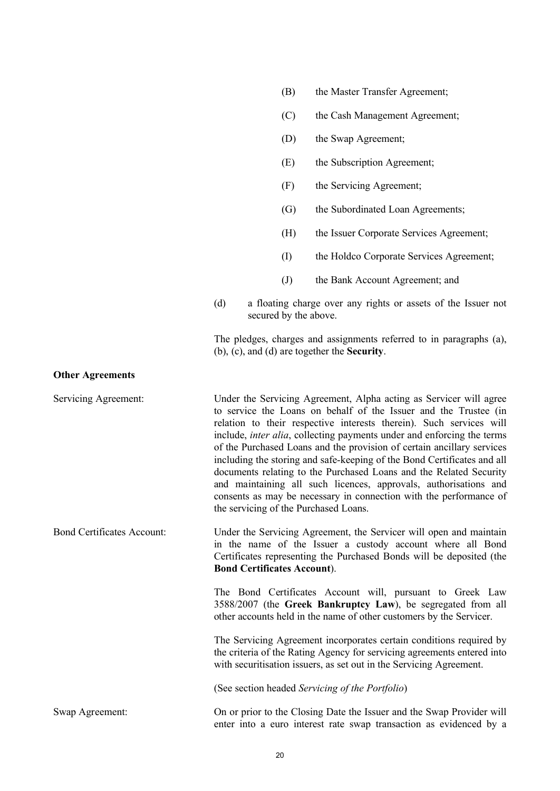|                                   |                                                                                                                                                                                                                                                |  | (F)                   | the Servicing Agreement;                                                                                                                                                                                                                                                                                                                                                                                                                                                                                                                                                                                                                                                                                      |
|-----------------------------------|------------------------------------------------------------------------------------------------------------------------------------------------------------------------------------------------------------------------------------------------|--|-----------------------|---------------------------------------------------------------------------------------------------------------------------------------------------------------------------------------------------------------------------------------------------------------------------------------------------------------------------------------------------------------------------------------------------------------------------------------------------------------------------------------------------------------------------------------------------------------------------------------------------------------------------------------------------------------------------------------------------------------|
|                                   |                                                                                                                                                                                                                                                |  | $\left( G\right)$     | the Subordinated Loan Agreements;                                                                                                                                                                                                                                                                                                                                                                                                                                                                                                                                                                                                                                                                             |
|                                   |                                                                                                                                                                                                                                                |  | (H)                   | the Issuer Corporate Services Agreement;                                                                                                                                                                                                                                                                                                                                                                                                                                                                                                                                                                                                                                                                      |
|                                   |                                                                                                                                                                                                                                                |  | $\rm (I)$             | the Holdco Corporate Services Agreement;                                                                                                                                                                                                                                                                                                                                                                                                                                                                                                                                                                                                                                                                      |
|                                   |                                                                                                                                                                                                                                                |  | (J)                   | the Bank Account Agreement; and                                                                                                                                                                                                                                                                                                                                                                                                                                                                                                                                                                                                                                                                               |
|                                   | (d)                                                                                                                                                                                                                                            |  | secured by the above. | a floating charge over any rights or assets of the Issuer not                                                                                                                                                                                                                                                                                                                                                                                                                                                                                                                                                                                                                                                 |
|                                   |                                                                                                                                                                                                                                                |  |                       | The pledges, charges and assignments referred to in paragraphs (a),<br>$(b)$ , $(c)$ , and $(d)$ are together the <b>Security</b> .                                                                                                                                                                                                                                                                                                                                                                                                                                                                                                                                                                           |
| <b>Other Agreements</b>           |                                                                                                                                                                                                                                                |  |                       |                                                                                                                                                                                                                                                                                                                                                                                                                                                                                                                                                                                                                                                                                                               |
| Servicing Agreement:              |                                                                                                                                                                                                                                                |  |                       | Under the Servicing Agreement, Alpha acting as Servicer will agree<br>to service the Loans on behalf of the Issuer and the Trustee (in<br>relation to their respective interests therein). Such services will<br>include, <i>inter alia</i> , collecting payments under and enforcing the terms<br>of the Purchased Loans and the provision of certain ancillary services<br>including the storing and safe-keeping of the Bond Certificates and all<br>documents relating to the Purchased Loans and the Related Security<br>and maintaining all such licences, approvals, authorisations and<br>consents as may be necessary in connection with the performance of<br>the servicing of the Purchased Loans. |
| <b>Bond Certificates Account:</b> | Under the Servicing Agreement, the Servicer will open and maintain<br>in the name of the Issuer a custody account where all Bond<br>Certificates representing the Purchased Bonds will be deposited (the<br><b>Bond Certificates Account).</b> |  |                       |                                                                                                                                                                                                                                                                                                                                                                                                                                                                                                                                                                                                                                                                                                               |
|                                   |                                                                                                                                                                                                                                                |  |                       | The Bond Certificates Account will, pursuant to Greek Law<br>3588/2007 (the Greek Bankruptcy Law), be segregated from all<br>other accounts held in the name of other customers by the Servicer.                                                                                                                                                                                                                                                                                                                                                                                                                                                                                                              |
|                                   |                                                                                                                                                                                                                                                |  |                       | The Servicing Agreement incorporates certain conditions required by<br>the criteria of the Rating Agency for servicing agreements entered into<br>with securitisation issuers, as set out in the Servicing Agreement.                                                                                                                                                                                                                                                                                                                                                                                                                                                                                         |
|                                   |                                                                                                                                                                                                                                                |  |                       | (See section headed Servicing of the Portfolio)                                                                                                                                                                                                                                                                                                                                                                                                                                                                                                                                                                                                                                                               |
| Swap Agreement:                   |                                                                                                                                                                                                                                                |  |                       | On or prior to the Closing Date the Issuer and the Swap Provider will<br>enter into a euro interest rate swap transaction as evidenced by a                                                                                                                                                                                                                                                                                                                                                                                                                                                                                                                                                                   |

(B) the Master Transfer Agreement;

(D) the Swap Agreement;

(E) the Subscription Agreement;

(C) the Cash Management Agreement;

20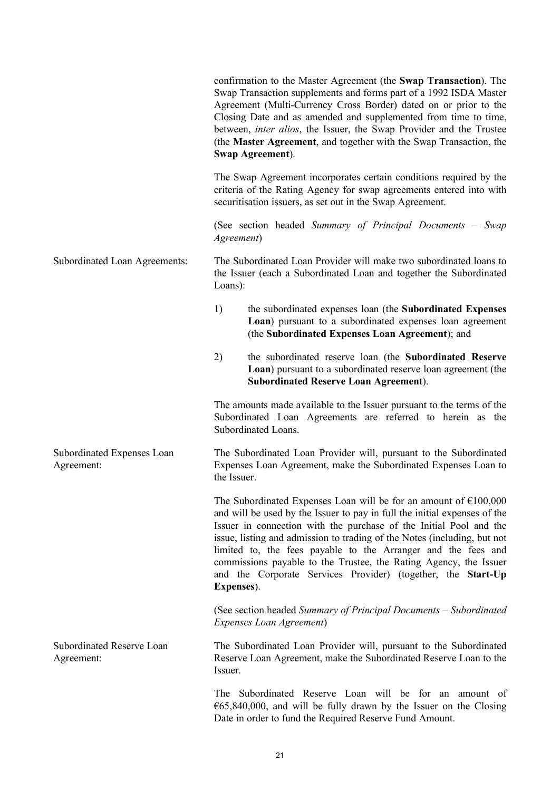confirmation to the Master Agreement (the **Swap Transaction**). The Swap Transaction supplements and forms part of a 1992 ISDA Master Agreement (Multi-Currency Cross Border) dated on or prior to the Closing Date and as amended and supplemented from time to time, between, *inter alios*, the Issuer, the Swap Provider and the Trustee (the **Master Agreement**, and together with the Swap Transaction, the **Swap Agreement**). The Swap Agreement incorporates certain conditions required by the criteria of the Rating Agency for swap agreements entered into with securitisation issuers, as set out in the Swap Agreement. (See section headed *Summary of Principal Documents – Swap Agreement*) Subordinated Loan Agreements: The Subordinated Loan Provider will make two subordinated loans to the Issuer (each a Subordinated Loan and together the Subordinated Loans): 1) the subordinated expenses loan (the **Subordinated Expenses Loan**) pursuant to a subordinated expenses loan agreement (the **Subordinated Expenses Loan Agreement**); and 2) the subordinated reserve loan (the **Subordinated Reserve Loan**) pursuant to a subordinated reserve loan agreement (the **Subordinated Reserve Loan Agreement**). The amounts made available to the Issuer pursuant to the terms of the Subordinated Loan Agreements are referred to herein as the Subordinated Loans. Subordinated Expenses Loan Agreement: The Subordinated Loan Provider will, pursuant to the Subordinated Expenses Loan Agreement, make the Subordinated Expenses Loan to the Issuer. The Subordinated Expenses Loan will be for an amount of  $\epsilon$ 100,000 and will be used by the Issuer to pay in full the initial expenses of the Issuer in connection with the purchase of the Initial Pool and the issue, listing and admission to trading of the Notes (including, but not limited to, the fees payable to the Arranger and the fees and commissions payable to the Trustee, the Rating Agency, the Issuer and the Corporate Services Provider) (together, the **Start-Up Expenses**). (See section headed *Summary of Principal Documents – Subordinated Expenses Loan Agreement*) Subordinated Reserve Loan Agreement: The Subordinated Loan Provider will, pursuant to the Subordinated Reserve Loan Agreement, make the Subordinated Reserve Loan to the Issuer. The Subordinated Reserve Loan will be for an amount of  $665,840,000$ , and will be fully drawn by the Issuer on the Closing Date in order to fund the Required Reserve Fund Amount.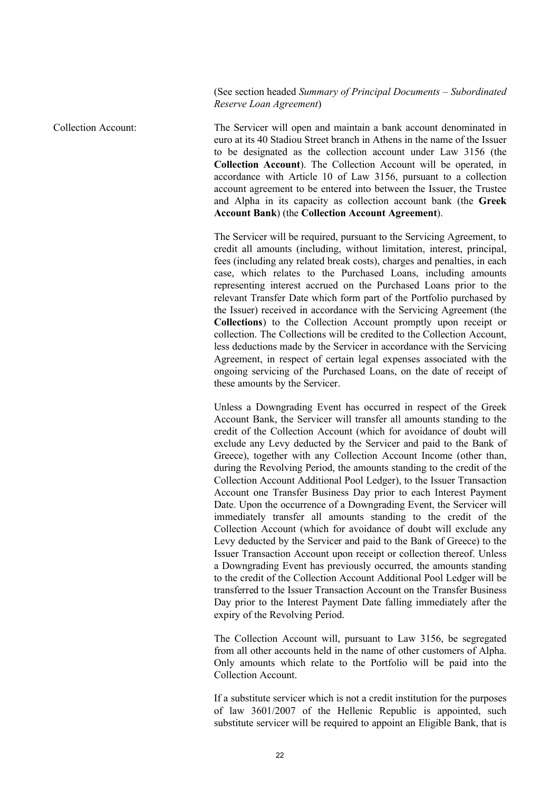## (See section headed *Summary of Principal Documents – Subordinated Reserve Loan Agreement*)

Collection Account: The Servicer will open and maintain a bank account denominated in euro at its 40 Stadiou Street branch in Athens in the name of the Issuer to be designated as the collection account under Law 3156 (the **Collection Account**). The Collection Account will be operated, in accordance with Article 10 of Law 3156, pursuant to a collection account agreement to be entered into between the Issuer, the Trustee and Alpha in its capacity as collection account bank (the **Greek Account Bank**) (the **Collection Account Agreement**).

> The Servicer will be required, pursuant to the Servicing Agreement, to credit all amounts (including, without limitation, interest, principal, fees (including any related break costs), charges and penalties, in each case, which relates to the Purchased Loans, including amounts representing interest accrued on the Purchased Loans prior to the relevant Transfer Date which form part of the Portfolio purchased by the Issuer) received in accordance with the Servicing Agreement (the **Collections**) to the Collection Account promptly upon receipt or collection. The Collections will be credited to the Collection Account, less deductions made by the Servicer in accordance with the Servicing Agreement, in respect of certain legal expenses associated with the ongoing servicing of the Purchased Loans, on the date of receipt of these amounts by the Servicer.

> Unless a Downgrading Event has occurred in respect of the Greek Account Bank, the Servicer will transfer all amounts standing to the credit of the Collection Account (which for avoidance of doubt will exclude any Levy deducted by the Servicer and paid to the Bank of Greece), together with any Collection Account Income (other than, during the Revolving Period, the amounts standing to the credit of the Collection Account Additional Pool Ledger), to the Issuer Transaction Account one Transfer Business Day prior to each Interest Payment Date. Upon the occurrence of a Downgrading Event, the Servicer will immediately transfer all amounts standing to the credit of the Collection Account (which for avoidance of doubt will exclude any Levy deducted by the Servicer and paid to the Bank of Greece) to the Issuer Transaction Account upon receipt or collection thereof. Unless a Downgrading Event has previously occurred, the amounts standing to the credit of the Collection Account Additional Pool Ledger will be transferred to the Issuer Transaction Account on the Transfer Business Day prior to the Interest Payment Date falling immediately after the expiry of the Revolving Period.

> The Collection Account will, pursuant to Law 3156, be segregated from all other accounts held in the name of other customers of Alpha. Only amounts which relate to the Portfolio will be paid into the Collection Account.

> If a substitute servicer which is not a credit institution for the purposes of law 3601/2007 of the Hellenic Republic is appointed, such substitute servicer will be required to appoint an Eligible Bank, that is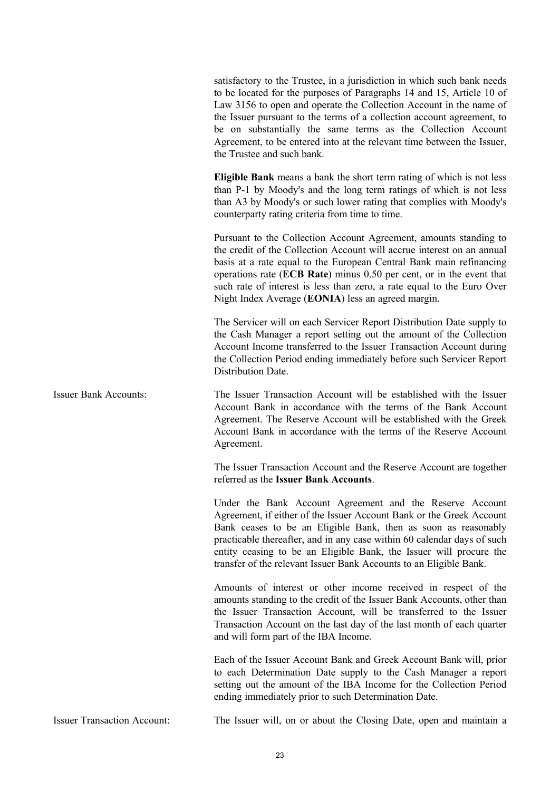satisfactory to the Trustee, in a jurisdiction in which such bank needs to be located for the purposes of Paragraphs 14 and 15, Article 10 of Law 3156 to open and operate the Collection Account in the name of the Issuer pursuant to the terms of a collection account agreement, to be on substantially the same terms as the Collection Account Agreement, to be entered into at the relevant time between the Issuer, the Trustee and such bank.

**Eligible Bank** means a bank the short term rating of which is not less than P-1 by Moody's and the long term ratings of which is not less than A3 by Moody's or such lower rating that complies with Moody's counterparty rating criteria from time to time.

Pursuant to the Collection Account Agreement, amounts standing to the credit of the Collection Account will accrue interest on an annual basis at a rate equal to the European Central Bank main refinancing operations rate (**ECB Rate**) minus 0.50 per cent, or in the event that such rate of interest is less than zero, a rate equal to the Euro Over Night Index Average (**EONIA**) less an agreed margin.

The Servicer will on each Servicer Report Distribution Date supply to the Cash Manager a report setting out the amount of the Collection Account Income transferred to the Issuer Transaction Account during the Collection Period ending immediately before such Servicer Report Distribution Date.

Issuer Bank Accounts: The Issuer Transaction Account will be established with the Issuer Account Bank in accordance with the terms of the Bank Account Agreement. The Reserve Account will be established with the Greek Account Bank in accordance with the terms of the Reserve Account Agreement.

> The Issuer Transaction Account and the Reserve Account are together referred as the **Issuer Bank Accounts**.

> Under the Bank Account Agreement and the Reserve Account Agreement, if either of the Issuer Account Bank or the Greek Account Bank ceases to be an Eligible Bank, then as soon as reasonably practicable thereafter, and in any case within 60 calendar days of such entity ceasing to be an Eligible Bank, the Issuer will procure the transfer of the relevant Issuer Bank Accounts to an Eligible Bank.

> Amounts of interest or other income received in respect of the amounts standing to the credit of the Issuer Bank Accounts, other than the Issuer Transaction Account, will be transferred to the Issuer Transaction Account on the last day of the last month of each quarter and will form part of the IBA Income.

> Each of the Issuer Account Bank and Greek Account Bank will, prior to each Determination Date supply to the Cash Manager a report setting out the amount of the IBA Income for the Collection Period ending immediately prior to such Determination Date.

Issuer Transaction Account: The Issuer will, on or about the Closing Date, open and maintain a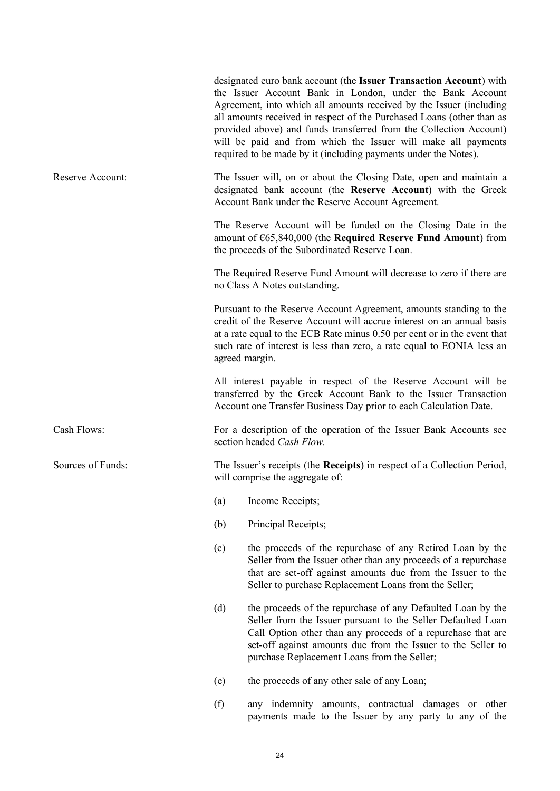|                   |                                                                                                            | designated euro bank account (the Issuer Transaction Account) with<br>the Issuer Account Bank in London, under the Bank Account<br>Agreement, into which all amounts received by the Issuer (including<br>all amounts received in respect of the Purchased Loans (other than as<br>provided above) and funds transferred from the Collection Account)<br>will be paid and from which the Issuer will make all payments<br>required to be made by it (including payments under the Notes). |  |  |  |
|-------------------|------------------------------------------------------------------------------------------------------------|-------------------------------------------------------------------------------------------------------------------------------------------------------------------------------------------------------------------------------------------------------------------------------------------------------------------------------------------------------------------------------------------------------------------------------------------------------------------------------------------|--|--|--|
| Reserve Account:  |                                                                                                            | The Issuer will, on or about the Closing Date, open and maintain a<br>designated bank account (the Reserve Account) with the Greek<br>Account Bank under the Reserve Account Agreement.                                                                                                                                                                                                                                                                                                   |  |  |  |
|                   |                                                                                                            | The Reserve Account will be funded on the Closing Date in the<br>amount of €65,840,000 (the Required Reserve Fund Amount) from<br>the proceeds of the Subordinated Reserve Loan.                                                                                                                                                                                                                                                                                                          |  |  |  |
|                   |                                                                                                            | The Required Reserve Fund Amount will decrease to zero if there are<br>no Class A Notes outstanding.                                                                                                                                                                                                                                                                                                                                                                                      |  |  |  |
|                   |                                                                                                            | Pursuant to the Reserve Account Agreement, amounts standing to the<br>credit of the Reserve Account will accrue interest on an annual basis<br>at a rate equal to the ECB Rate minus 0.50 per cent or in the event that<br>such rate of interest is less than zero, a rate equal to EONIA less an<br>agreed margin.                                                                                                                                                                       |  |  |  |
|                   |                                                                                                            | All interest payable in respect of the Reserve Account will be<br>transferred by the Greek Account Bank to the Issuer Transaction<br>Account one Transfer Business Day prior to each Calculation Date.                                                                                                                                                                                                                                                                                    |  |  |  |
| Cash Flows:       |                                                                                                            | For a description of the operation of the Issuer Bank Accounts see<br>section headed Cash Flow.                                                                                                                                                                                                                                                                                                                                                                                           |  |  |  |
| Sources of Funds: | The Issuer's receipts (the Receipts) in respect of a Collection Period,<br>will comprise the aggregate of: |                                                                                                                                                                                                                                                                                                                                                                                                                                                                                           |  |  |  |
|                   | (a)                                                                                                        | Income Receipts;                                                                                                                                                                                                                                                                                                                                                                                                                                                                          |  |  |  |
|                   | (b)                                                                                                        | Principal Receipts;                                                                                                                                                                                                                                                                                                                                                                                                                                                                       |  |  |  |
|                   | (c)                                                                                                        | the proceeds of the repurchase of any Retired Loan by the<br>Seller from the Issuer other than any proceeds of a repurchase<br>that are set-off against amounts due from the Issuer to the<br>Seller to purchase Replacement Loans from the Seller;                                                                                                                                                                                                                                       |  |  |  |
|                   | (d)                                                                                                        | the proceeds of the repurchase of any Defaulted Loan by the<br>Seller from the Issuer pursuant to the Seller Defaulted Loan<br>Call Option other than any proceeds of a repurchase that are<br>set-off against amounts due from the Issuer to the Seller to<br>purchase Replacement Loans from the Seller;                                                                                                                                                                                |  |  |  |
|                   | (e)                                                                                                        | the proceeds of any other sale of any Loan;                                                                                                                                                                                                                                                                                                                                                                                                                                               |  |  |  |
|                   | (f)                                                                                                        | any indemnity amounts, contractual damages or other<br>payments made to the Issuer by any party to any of the                                                                                                                                                                                                                                                                                                                                                                             |  |  |  |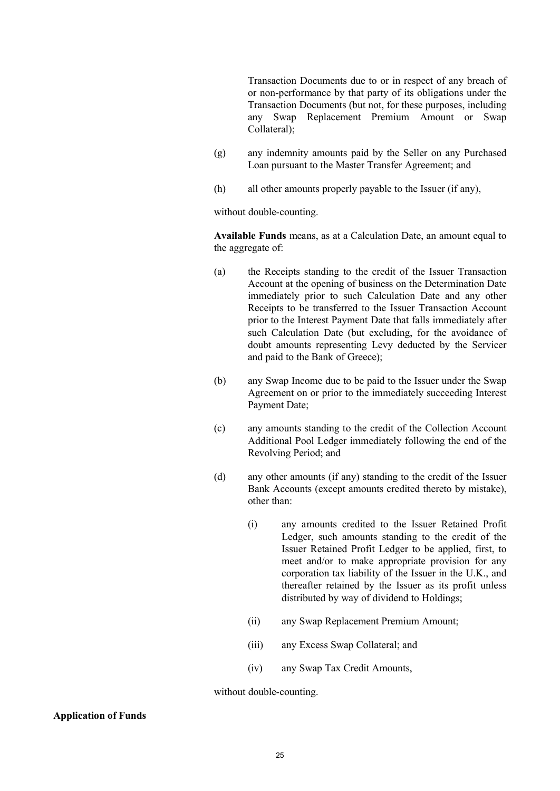Transaction Documents due to or in respect of any breach of or non-performance by that party of its obligations under the Transaction Documents (but not, for these purposes, including any Swap Replacement Premium Amount or Swap Collateral);

- (g) any indemnity amounts paid by the Seller on any Purchased Loan pursuant to the Master Transfer Agreement; and
- (h) all other amounts properly payable to the Issuer (if any),

without double-counting.

**Available Funds** means, as at a Calculation Date, an amount equal to the aggregate of:

- (a) the Receipts standing to the credit of the Issuer Transaction Account at the opening of business on the Determination Date immediately prior to such Calculation Date and any other Receipts to be transferred to the Issuer Transaction Account prior to the Interest Payment Date that falls immediately after such Calculation Date (but excluding, for the avoidance of doubt amounts representing Levy deducted by the Servicer and paid to the Bank of Greece);
- (b) any Swap Income due to be paid to the Issuer under the Swap Agreement on or prior to the immediately succeeding Interest Payment Date;
- (c) any amounts standing to the credit of the Collection Account Additional Pool Ledger immediately following the end of the Revolving Period; and
- (d) any other amounts (if any) standing to the credit of the Issuer Bank Accounts (except amounts credited thereto by mistake), other than:
	- (i) any amounts credited to the Issuer Retained Profit Ledger, such amounts standing to the credit of the Issuer Retained Profit Ledger to be applied, first, to meet and/or to make appropriate provision for any corporation tax liability of the Issuer in the U.K., and thereafter retained by the Issuer as its profit unless distributed by way of dividend to Holdings;
	- (ii) any Swap Replacement Premium Amount;
	- (iii) any Excess Swap Collateral; and
	- (iv) any Swap Tax Credit Amounts,

without double-counting.

### **Application of Funds**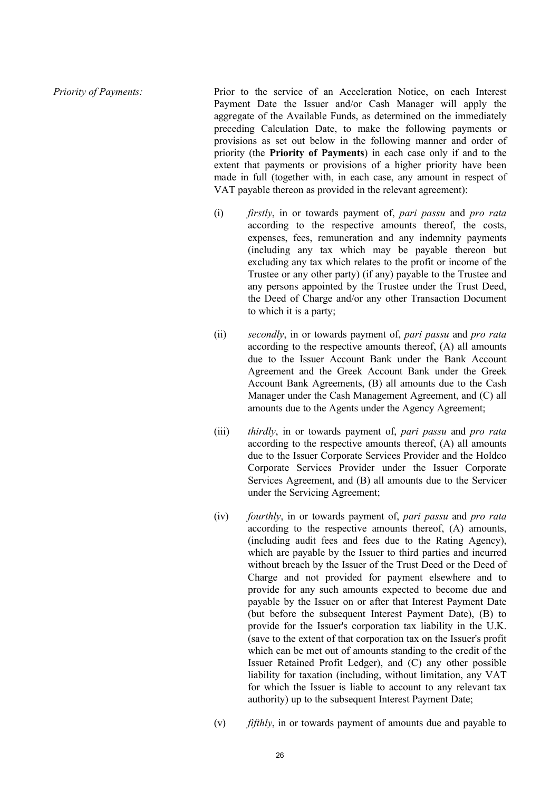*Priority of Payments:* Prior to the service of an Acceleration Notice, on each Interest Payment Date the Issuer and/or Cash Manager will apply the aggregate of the Available Funds, as determined on the immediately preceding Calculation Date, to make the following payments or provisions as set out below in the following manner and order of priority (the **Priority of Payments**) in each case only if and to the extent that payments or provisions of a higher priority have been made in full (together with, in each case, any amount in respect of VAT payable thereon as provided in the relevant agreement):

- (i) *firstly*, in or towards payment of, *pari passu* and *pro rata*  according to the respective amounts thereof, the costs, expenses, fees, remuneration and any indemnity payments (including any tax which may be payable thereon but excluding any tax which relates to the profit or income of the Trustee or any other party) (if any) payable to the Trustee and any persons appointed by the Trustee under the Trust Deed, the Deed of Charge and/or any other Transaction Document to which it is a party;
- (ii) *secondly*, in or towards payment of, *pari passu* and *pro rata*  according to the respective amounts thereof, (A) all amounts due to the Issuer Account Bank under the Bank Account Agreement and the Greek Account Bank under the Greek Account Bank Agreements, (B) all amounts due to the Cash Manager under the Cash Management Agreement, and (C) all amounts due to the Agents under the Agency Agreement;
- (iii) *thirdly*, in or towards payment of, *pari passu* and *pro rata*  according to the respective amounts thereof, (A) all amounts due to the Issuer Corporate Services Provider and the Holdco Corporate Services Provider under the Issuer Corporate Services Agreement, and (B) all amounts due to the Servicer under the Servicing Agreement;
- (iv) *fourthly*, in or towards payment of, *pari passu* and *pro rata*  according to the respective amounts thereof, (A) amounts, (including audit fees and fees due to the Rating Agency), which are payable by the Issuer to third parties and incurred without breach by the Issuer of the Trust Deed or the Deed of Charge and not provided for payment elsewhere and to provide for any such amounts expected to become due and payable by the Issuer on or after that Interest Payment Date (but before the subsequent Interest Payment Date), (B) to provide for the Issuer's corporation tax liability in the U.K. (save to the extent of that corporation tax on the Issuer's profit which can be met out of amounts standing to the credit of the Issuer Retained Profit Ledger), and (C) any other possible liability for taxation (including, without limitation, any VAT for which the Issuer is liable to account to any relevant tax authority) up to the subsequent Interest Payment Date;
- (v) *fifthly*, in or towards payment of amounts due and payable to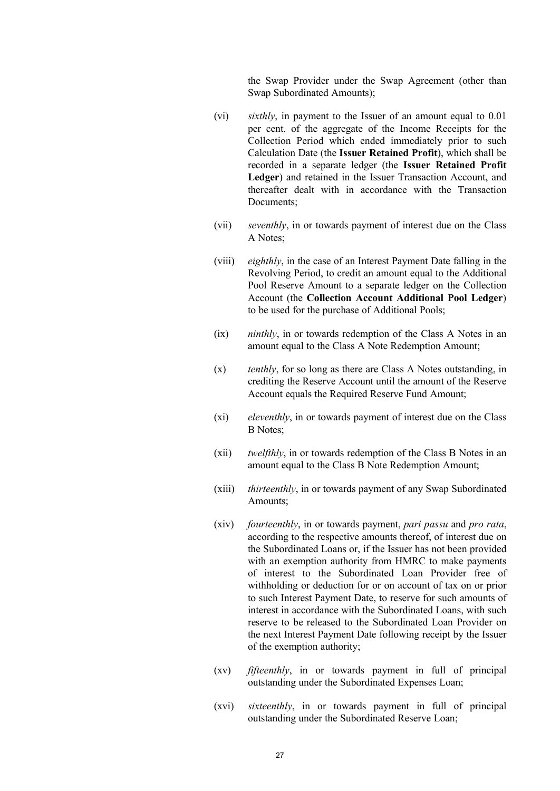the Swap Provider under the Swap Agreement (other than Swap Subordinated Amounts);

- (vi) *sixthly*, in payment to the Issuer of an amount equal to 0.01 per cent. of the aggregate of the Income Receipts for the Collection Period which ended immediately prior to such Calculation Date (the **Issuer Retained Profit**), which shall be recorded in a separate ledger (the **Issuer Retained Profit Ledger**) and retained in the Issuer Transaction Account, and thereafter dealt with in accordance with the Transaction Documents:
- (vii) *seventhly*, in or towards payment of interest due on the Class A Notes;
- (viii) *eighthly*, in the case of an Interest Payment Date falling in the Revolving Period, to credit an amount equal to the Additional Pool Reserve Amount to a separate ledger on the Collection Account (the **Collection Account Additional Pool Ledger**) to be used for the purchase of Additional Pools;
- (ix) *ninthly*, in or towards redemption of the Class A Notes in an amount equal to the Class A Note Redemption Amount;
- (x) *tenthly*, for so long as there are Class A Notes outstanding, in crediting the Reserve Account until the amount of the Reserve Account equals the Required Reserve Fund Amount;
- (xi) *eleventhly*, in or towards payment of interest due on the Class B Notes;
- (xii) *twelfthly*, in or towards redemption of the Class B Notes in an amount equal to the Class B Note Redemption Amount;
- (xiii) *thirteenthly*, in or towards payment of any Swap Subordinated Amounts;
- (xiv) *fourteenthly*, in or towards payment, *pari passu* and *pro rata*, according to the respective amounts thereof, of interest due on the Subordinated Loans or, if the Issuer has not been provided with an exemption authority from HMRC to make payments of interest to the Subordinated Loan Provider free of withholding or deduction for or on account of tax on or prior to such Interest Payment Date, to reserve for such amounts of interest in accordance with the Subordinated Loans, with such reserve to be released to the Subordinated Loan Provider on the next Interest Payment Date following receipt by the Issuer of the exemption authority;
- (xv) *fifteenthly*, in or towards payment in full of principal outstanding under the Subordinated Expenses Loan;
- (xvi) *sixteenthly*, in or towards payment in full of principal outstanding under the Subordinated Reserve Loan;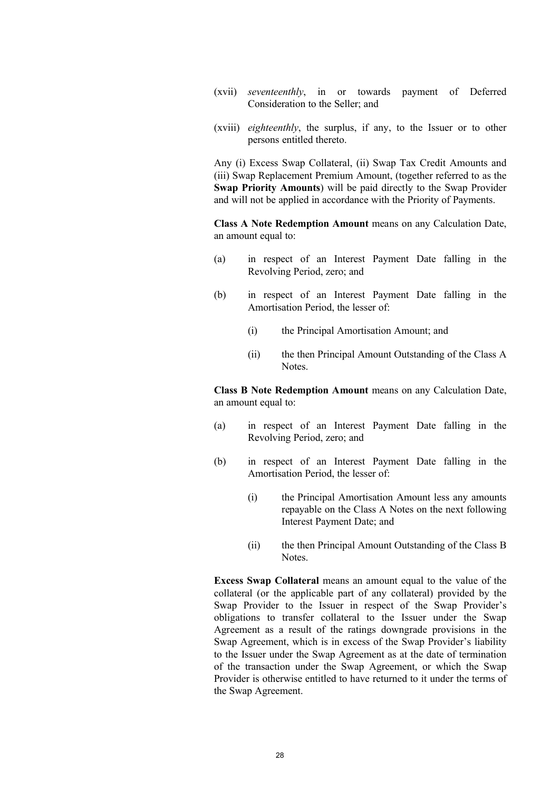- (xvii) *seventeenthly*, in or towards payment of Deferred Consideration to the Seller; and
- (xviii) *eighteenthly*, the surplus, if any, to the Issuer or to other persons entitled thereto.

Any (i) Excess Swap Collateral, (ii) Swap Tax Credit Amounts and (iii) Swap Replacement Premium Amount, (together referred to as the **Swap Priority Amounts**) will be paid directly to the Swap Provider and will not be applied in accordance with the Priority of Payments.

**Class A Note Redemption Amount** means on any Calculation Date, an amount equal to:

- (a) in respect of an Interest Payment Date falling in the Revolving Period, zero; and
- (b) in respect of an Interest Payment Date falling in the Amortisation Period, the lesser of:
	- (i) the Principal Amortisation Amount; and
	- (ii) the then Principal Amount Outstanding of the Class A Notes.

**Class B Note Redemption Amount** means on any Calculation Date, an amount equal to:

- (a) in respect of an Interest Payment Date falling in the Revolving Period, zero; and
- (b) in respect of an Interest Payment Date falling in the Amortisation Period, the lesser of:
	- (i) the Principal Amortisation Amount less any amounts repayable on the Class A Notes on the next following Interest Payment Date; and
	- (ii) the then Principal Amount Outstanding of the Class B Notes.

**Excess Swap Collateral** means an amount equal to the value of the collateral (or the applicable part of any collateral) provided by the Swap Provider to the Issuer in respect of the Swap Provider's obligations to transfer collateral to the Issuer under the Swap Agreement as a result of the ratings downgrade provisions in the Swap Agreement, which is in excess of the Swap Provider's liability to the Issuer under the Swap Agreement as at the date of termination of the transaction under the Swap Agreement, or which the Swap Provider is otherwise entitled to have returned to it under the terms of the Swap Agreement.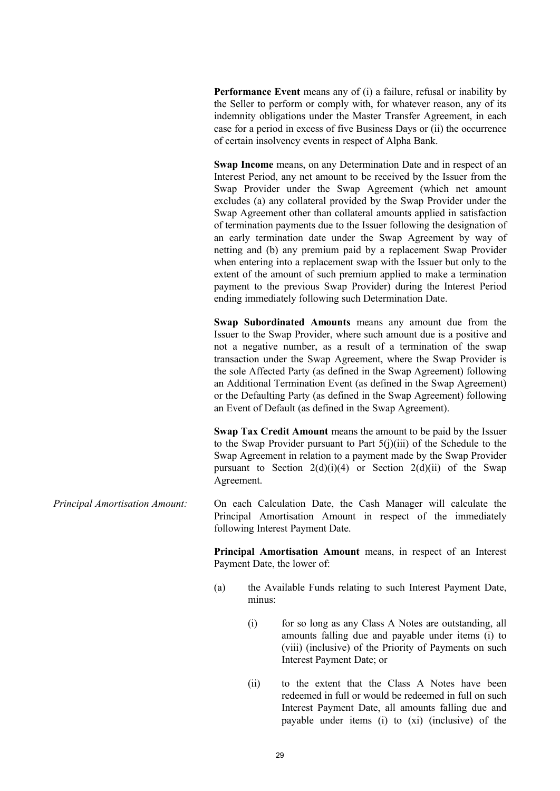**Performance Event** means any of (i) a failure, refusal or inability by the Seller to perform or comply with, for whatever reason, any of its indemnity obligations under the Master Transfer Agreement, in each case for a period in excess of five Business Days or (ii) the occurrence of certain insolvency events in respect of Alpha Bank.

**Swap Income** means, on any Determination Date and in respect of an Interest Period, any net amount to be received by the Issuer from the Swap Provider under the Swap Agreement (which net amount excludes (a) any collateral provided by the Swap Provider under the Swap Agreement other than collateral amounts applied in satisfaction of termination payments due to the Issuer following the designation of an early termination date under the Swap Agreement by way of netting and (b) any premium paid by a replacement Swap Provider when entering into a replacement swap with the Issuer but only to the extent of the amount of such premium applied to make a termination payment to the previous Swap Provider) during the Interest Period ending immediately following such Determination Date.

**Swap Subordinated Amounts** means any amount due from the Issuer to the Swap Provider, where such amount due is a positive and not a negative number, as a result of a termination of the swap transaction under the Swap Agreement, where the Swap Provider is the sole Affected Party (as defined in the Swap Agreement) following an Additional Termination Event (as defined in the Swap Agreement) or the Defaulting Party (as defined in the Swap Agreement) following an Event of Default (as defined in the Swap Agreement).

**Swap Tax Credit Amount** means the amount to be paid by the Issuer to the Swap Provider pursuant to Part  $5(j)(iii)$  of the Schedule to the Swap Agreement in relation to a payment made by the Swap Provider pursuant to Section  $2(d)(i)(4)$  or Section  $2(d)(ii)$  of the Swap Agreement.

*Principal Amortisation Amount:* On each Calculation Date, the Cash Manager will calculate the Principal Amortisation Amount in respect of the immediately following Interest Payment Date.

> **Principal Amortisation Amount** means, in respect of an Interest Payment Date, the lower of:

- (a) the Available Funds relating to such Interest Payment Date, minus:
	- (i) for so long as any Class A Notes are outstanding, all amounts falling due and payable under items (i) to (viii) (inclusive) of the Priority of Payments on such Interest Payment Date; or
	- (ii) to the extent that the Class A Notes have been redeemed in full or would be redeemed in full on such Interest Payment Date, all amounts falling due and payable under items (i) to (xi) (inclusive) of the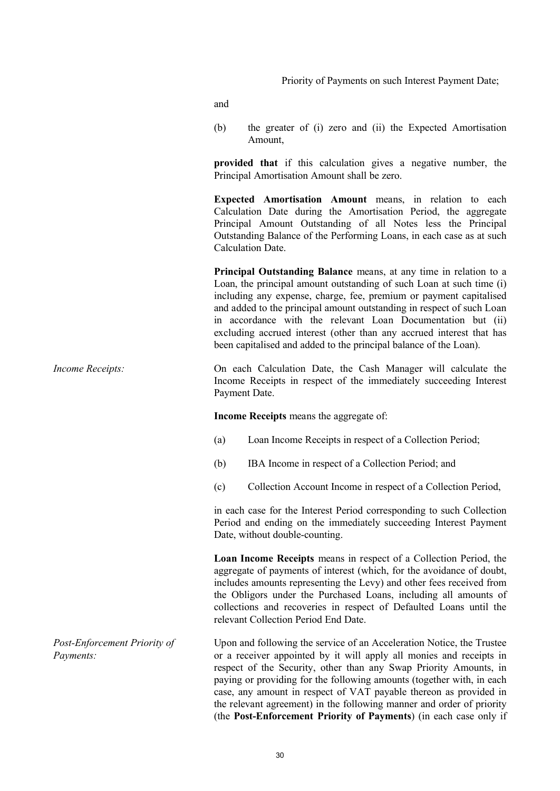Priority of Payments on such Interest Payment Date;

and

(b) the greater of (i) zero and (ii) the Expected Amortisation Amount,

**provided that** if this calculation gives a negative number, the Principal Amortisation Amount shall be zero.

**Expected Amortisation Amount** means, in relation to each Calculation Date during the Amortisation Period, the aggregate Principal Amount Outstanding of all Notes less the Principal Outstanding Balance of the Performing Loans, in each case as at such Calculation Date.

**Principal Outstanding Balance** means, at any time in relation to a Loan, the principal amount outstanding of such Loan at such time (i) including any expense, charge, fee, premium or payment capitalised and added to the principal amount outstanding in respect of such Loan in accordance with the relevant Loan Documentation but (ii) excluding accrued interest (other than any accrued interest that has been capitalised and added to the principal balance of the Loan).

## *Income Receipts:* On each Calculation Date, the Cash Manager will calculate the Income Receipts in respect of the immediately succeeding Interest Payment Date.

**Income Receipts** means the aggregate of:

- (a) Loan Income Receipts in respect of a Collection Period;
- (b) IBA Income in respect of a Collection Period; and
- (c) Collection Account Income in respect of a Collection Period,

in each case for the Interest Period corresponding to such Collection Period and ending on the immediately succeeding Interest Payment Date, without double-counting.

**Loan Income Receipts** means in respect of a Collection Period, the aggregate of payments of interest (which, for the avoidance of doubt, includes amounts representing the Levy) and other fees received from the Obligors under the Purchased Loans, including all amounts of collections and recoveries in respect of Defaulted Loans until the relevant Collection Period End Date.

Upon and following the service of an Acceleration Notice, the Trustee or a receiver appointed by it will apply all monies and receipts in respect of the Security, other than any Swap Priority Amounts, in paying or providing for the following amounts (together with, in each case, any amount in respect of VAT payable thereon as provided in the relevant agreement) in the following manner and order of priority (the **Post-Enforcement Priority of Payments**) (in each case only if

*Post-Enforcement Priority of Payments:*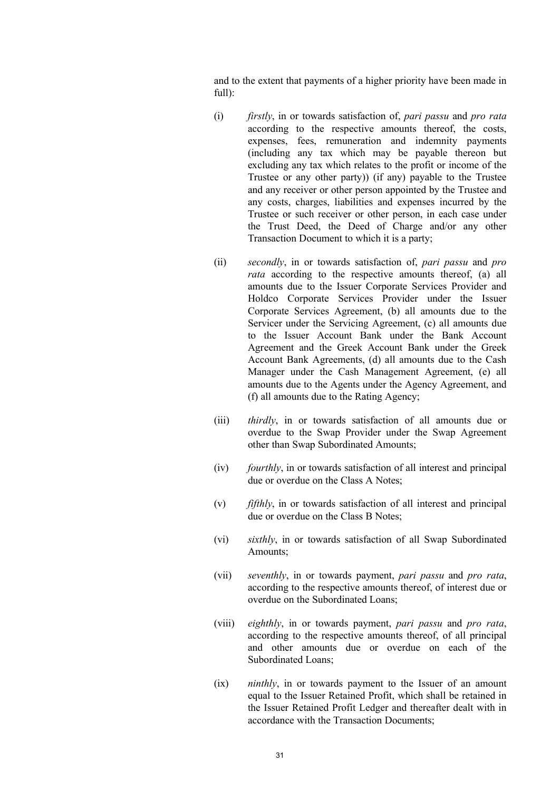and to the extent that payments of a higher priority have been made in full):

- (i) *firstly*, in or towards satisfaction of, *pari passu* and *pro rata* according to the respective amounts thereof, the costs, expenses, fees, remuneration and indemnity payments (including any tax which may be payable thereon but excluding any tax which relates to the profit or income of the Trustee or any other party)) (if any) payable to the Trustee and any receiver or other person appointed by the Trustee and any costs, charges, liabilities and expenses incurred by the Trustee or such receiver or other person, in each case under the Trust Deed, the Deed of Charge and/or any other Transaction Document to which it is a party;
- (ii) *secondly*, in or towards satisfaction of, *pari passu* and *pro rata* according to the respective amounts thereof, (a) all amounts due to the Issuer Corporate Services Provider and Holdco Corporate Services Provider under the Issuer Corporate Services Agreement, (b) all amounts due to the Servicer under the Servicing Agreement, (c) all amounts due to the Issuer Account Bank under the Bank Account Agreement and the Greek Account Bank under the Greek Account Bank Agreements, (d) all amounts due to the Cash Manager under the Cash Management Agreement, (e) all amounts due to the Agents under the Agency Agreement, and (f) all amounts due to the Rating Agency;
- (iii) *thirdly*, in or towards satisfaction of all amounts due or overdue to the Swap Provider under the Swap Agreement other than Swap Subordinated Amounts;
- (iv) *fourthly*, in or towards satisfaction of all interest and principal due or overdue on the Class A Notes;
- (v) *fifthly*, in or towards satisfaction of all interest and principal due or overdue on the Class B Notes;
- (vi) *sixthly*, in or towards satisfaction of all Swap Subordinated Amounts;
- (vii) *seventhly*, in or towards payment, *pari passu* and *pro rata*, according to the respective amounts thereof, of interest due or overdue on the Subordinated Loans;
- (viii) *eighthly*, in or towards payment, *pari passu* and *pro rata*, according to the respective amounts thereof, of all principal and other amounts due or overdue on each of the Subordinated Loans;
- (ix) *ninthly*, in or towards payment to the Issuer of an amount equal to the Issuer Retained Profit, which shall be retained in the Issuer Retained Profit Ledger and thereafter dealt with in accordance with the Transaction Documents;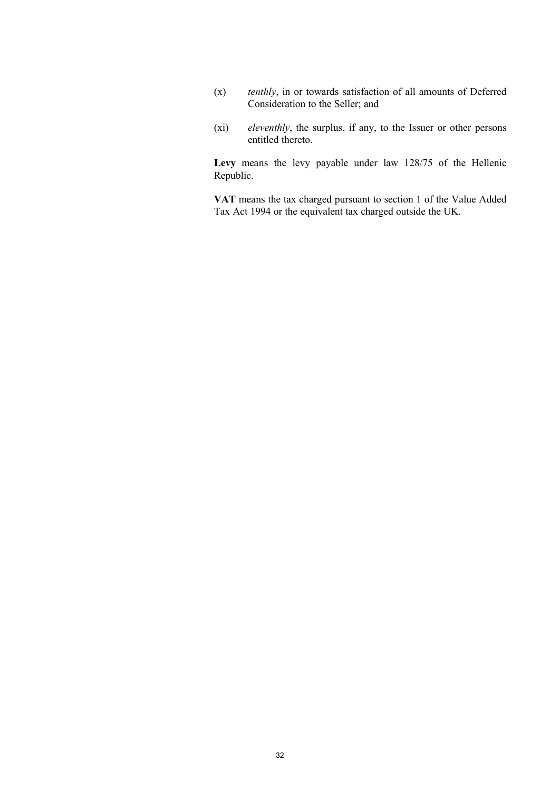- (x) *tenthly*, in or towards satisfaction of all amounts of Deferred Consideration to the Seller; and
- (xi) *eleventhly*, the surplus, if any, to the Issuer or other persons entitled thereto.

**Levy** means the levy payable under law 128/75 of the Hellenic Republic.

**VAT** means the tax charged pursuant to section 1 of the Value Added Tax Act 1994 or the equivalent tax charged outside the UK.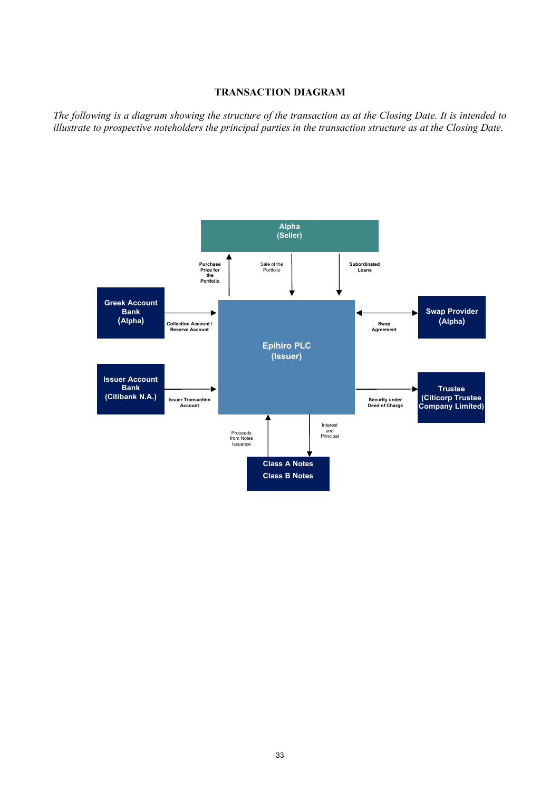## **TRANSACTION DIAGRAM**

*The following is a diagram showing the structure of the transaction as at the Closing Date. It is intended to illustrate to prospective noteholders the principal parties in the transaction structure as at the Closing Date.*

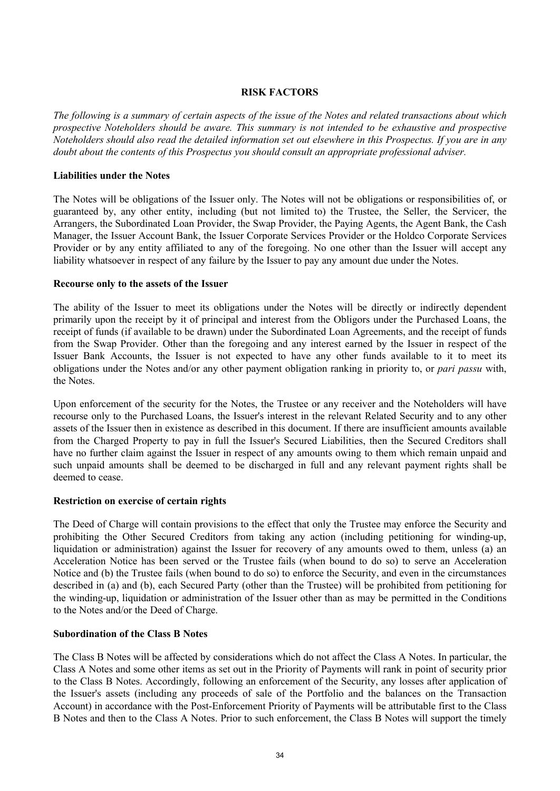## **RISK FACTORS**

*The following is a summary of certain aspects of the issue of the Notes and related transactions about which prospective Noteholders should be aware. This summary is not intended to be exhaustive and prospective Noteholders should also read the detailed information set out elsewhere in this Prospectus. If you are in any doubt about the contents of this Prospectus you should consult an appropriate professional adviser.*

### **Liabilities under the Notes**

The Notes will be obligations of the Issuer only. The Notes will not be obligations or responsibilities of, or guaranteed by, any other entity, including (but not limited to) the Trustee, the Seller, the Servicer, the Arrangers, the Subordinated Loan Provider, the Swap Provider, the Paying Agents, the Agent Bank, the Cash Manager, the Issuer Account Bank, the Issuer Corporate Services Provider or the Holdco Corporate Services Provider or by any entity affiliated to any of the foregoing. No one other than the Issuer will accept any liability whatsoever in respect of any failure by the Issuer to pay any amount due under the Notes.

#### **Recourse only to the assets of the Issuer**

The ability of the Issuer to meet its obligations under the Notes will be directly or indirectly dependent primarily upon the receipt by it of principal and interest from the Obligors under the Purchased Loans, the receipt of funds (if available to be drawn) under the Subordinated Loan Agreements, and the receipt of funds from the Swap Provider. Other than the foregoing and any interest earned by the Issuer in respect of the Issuer Bank Accounts, the Issuer is not expected to have any other funds available to it to meet its obligations under the Notes and/or any other payment obligation ranking in priority to, or *pari passu* with, the Notes.

Upon enforcement of the security for the Notes, the Trustee or any receiver and the Noteholders will have recourse only to the Purchased Loans, the Issuer's interest in the relevant Related Security and to any other assets of the Issuer then in existence as described in this document. If there are insufficient amounts available from the Charged Property to pay in full the Issuer's Secured Liabilities, then the Secured Creditors shall have no further claim against the Issuer in respect of any amounts owing to them which remain unpaid and such unpaid amounts shall be deemed to be discharged in full and any relevant payment rights shall be deemed to cease.

### **Restriction on exercise of certain rights**

The Deed of Charge will contain provisions to the effect that only the Trustee may enforce the Security and prohibiting the Other Secured Creditors from taking any action (including petitioning for winding-up, liquidation or administration) against the Issuer for recovery of any amounts owed to them, unless (a) an Acceleration Notice has been served or the Trustee fails (when bound to do so) to serve an Acceleration Notice and (b) the Trustee fails (when bound to do so) to enforce the Security, and even in the circumstances described in (a) and (b), each Secured Party (other than the Trustee) will be prohibited from petitioning for the winding-up, liquidation or administration of the Issuer other than as may be permitted in the Conditions to the Notes and/or the Deed of Charge.

# **Subordination of the Class B Notes**

The Class B Notes will be affected by considerations which do not affect the Class A Notes. In particular, the Class A Notes and some other items as set out in the Priority of Payments will rank in point of security prior to the Class B Notes. Accordingly, following an enforcement of the Security, any losses after application of the Issuer's assets (including any proceeds of sale of the Portfolio and the balances on the Transaction Account) in accordance with the Post-Enforcement Priority of Payments will be attributable first to the Class B Notes and then to the Class A Notes. Prior to such enforcement, the Class B Notes will support the timely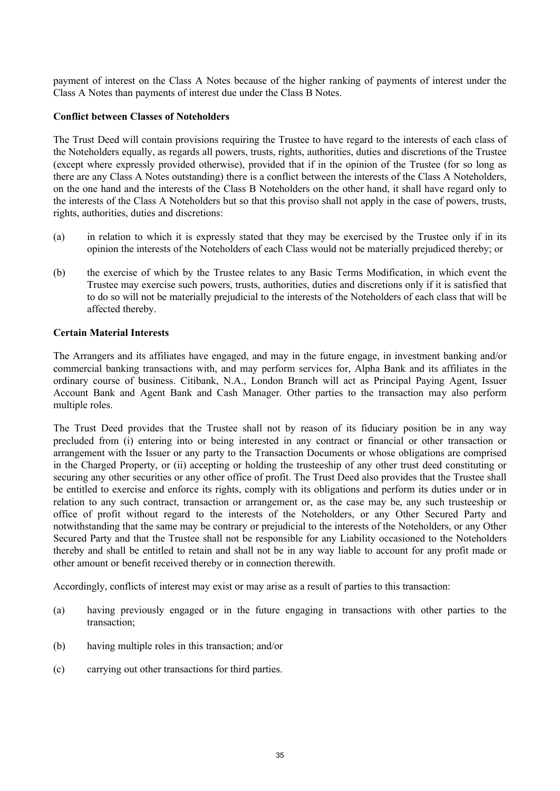payment of interest on the Class A Notes because of the higher ranking of payments of interest under the Class A Notes than payments of interest due under the Class B Notes.

### **Conflict between Classes of Noteholders**

The Trust Deed will contain provisions requiring the Trustee to have regard to the interests of each class of the Noteholders equally, as regards all powers, trusts, rights, authorities, duties and discretions of the Trustee (except where expressly provided otherwise), provided that if in the opinion of the Trustee (for so long as there are any Class A Notes outstanding) there is a conflict between the interests of the Class A Noteholders, on the one hand and the interests of the Class B Noteholders on the other hand, it shall have regard only to the interests of the Class A Noteholders but so that this proviso shall not apply in the case of powers, trusts, rights, authorities, duties and discretions:

- (a) in relation to which it is expressly stated that they may be exercised by the Trustee only if in its opinion the interests of the Noteholders of each Class would not be materially prejudiced thereby; or
- (b) the exercise of which by the Trustee relates to any Basic Terms Modification, in which event the Trustee may exercise such powers, trusts, authorities, duties and discretions only if it is satisfied that to do so will not be materially prejudicial to the interests of the Noteholders of each class that will be affected thereby.

### **Certain Material Interests**

The Arrangers and its affiliates have engaged, and may in the future engage, in investment banking and/or commercial banking transactions with, and may perform services for, Alpha Bank and its affiliates in the ordinary course of business. Citibank, N.A., London Branch will act as Principal Paying Agent, Issuer Account Bank and Agent Bank and Cash Manager. Other parties to the transaction may also perform multiple roles.

The Trust Deed provides that the Trustee shall not by reason of its fiduciary position be in any way precluded from (i) entering into or being interested in any contract or financial or other transaction or arrangement with the Issuer or any party to the Transaction Documents or whose obligations are comprised in the Charged Property, or (ii) accepting or holding the trusteeship of any other trust deed constituting or securing any other securities or any other office of profit. The Trust Deed also provides that the Trustee shall be entitled to exercise and enforce its rights, comply with its obligations and perform its duties under or in relation to any such contract, transaction or arrangement or, as the case may be, any such trusteeship or office of profit without regard to the interests of the Noteholders, or any Other Secured Party and notwithstanding that the same may be contrary or prejudicial to the interests of the Noteholders, or any Other Secured Party and that the Trustee shall not be responsible for any Liability occasioned to the Noteholders thereby and shall be entitled to retain and shall not be in any way liable to account for any profit made or other amount or benefit received thereby or in connection therewith.

Accordingly, conflicts of interest may exist or may arise as a result of parties to this transaction:

- (a) having previously engaged or in the future engaging in transactions with other parties to the transaction;
- (b) having multiple roles in this transaction; and/or
- (c) carrying out other transactions for third parties.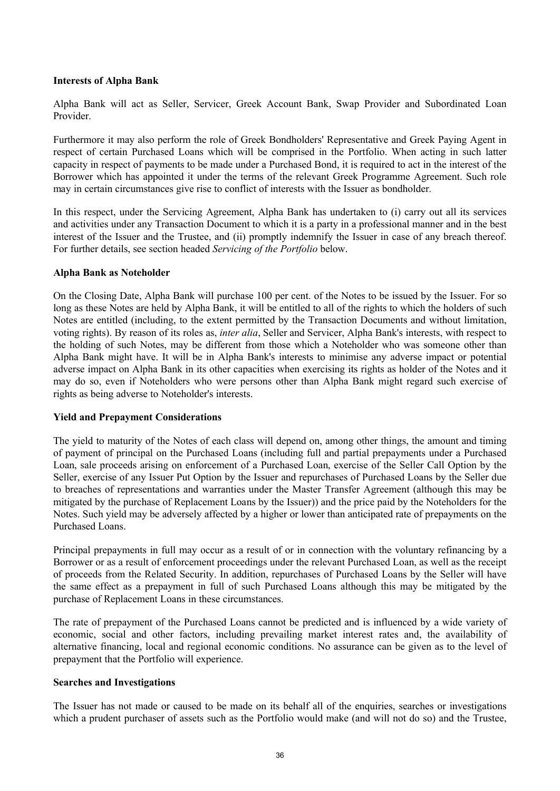## **Interests of Alpha Bank**

Alpha Bank will act as Seller, Servicer, Greek Account Bank, Swap Provider and Subordinated Loan Provider.

Furthermore it may also perform the role of Greek Bondholders' Representative and Greek Paying Agent in respect of certain Purchased Loans which will be comprised in the Portfolio. When acting in such latter capacity in respect of payments to be made under a Purchased Bond, it is required to act in the interest of the Borrower which has appointed it under the terms of the relevant Greek Programme Agreement. Such role may in certain circumstances give rise to conflict of interests with the Issuer as bondholder.

In this respect, under the Servicing Agreement, Alpha Bank has undertaken to (i) carry out all its services and activities under any Transaction Document to which it is a party in a professional manner and in the best interest of the Issuer and the Trustee, and (ii) promptly indemnify the Issuer in case of any breach thereof. For further details, see section headed *Servicing of the Portfolio* below.

### **Alpha Bank as Noteholder**

On the Closing Date, Alpha Bank will purchase 100 per cent. of the Notes to be issued by the Issuer. For so long as these Notes are held by Alpha Bank, it will be entitled to all of the rights to which the holders of such Notes are entitled (including, to the extent permitted by the Transaction Documents and without limitation, voting rights). By reason of its roles as, *inter alia*, Seller and Servicer, Alpha Bank's interests, with respect to the holding of such Notes, may be different from those which a Noteholder who was someone other than Alpha Bank might have. It will be in Alpha Bank's interests to minimise any adverse impact or potential adverse impact on Alpha Bank in its other capacities when exercising its rights as holder of the Notes and it may do so, even if Noteholders who were persons other than Alpha Bank might regard such exercise of rights as being adverse to Noteholder's interests.

# **Yield and Prepayment Considerations**

The yield to maturity of the Notes of each class will depend on, among other things, the amount and timing of payment of principal on the Purchased Loans (including full and partial prepayments under a Purchased Loan, sale proceeds arising on enforcement of a Purchased Loan, exercise of the Seller Call Option by the Seller, exercise of any Issuer Put Option by the Issuer and repurchases of Purchased Loans by the Seller due to breaches of representations and warranties under the Master Transfer Agreement (although this may be mitigated by the purchase of Replacement Loans by the Issuer)) and the price paid by the Noteholders for the Notes. Such yield may be adversely affected by a higher or lower than anticipated rate of prepayments on the Purchased Loans.

Principal prepayments in full may occur as a result of or in connection with the voluntary refinancing by a Borrower or as a result of enforcement proceedings under the relevant Purchased Loan, as well as the receipt of proceeds from the Related Security. In addition, repurchases of Purchased Loans by the Seller will have the same effect as a prepayment in full of such Purchased Loans although this may be mitigated by the purchase of Replacement Loans in these circumstances.

The rate of prepayment of the Purchased Loans cannot be predicted and is influenced by a wide variety of economic, social and other factors, including prevailing market interest rates and, the availability of alternative financing, local and regional economic conditions. No assurance can be given as to the level of prepayment that the Portfolio will experience.

### **Searches and Investigations**

The Issuer has not made or caused to be made on its behalf all of the enquiries, searches or investigations which a prudent purchaser of assets such as the Portfolio would make (and will not do so) and the Trustee,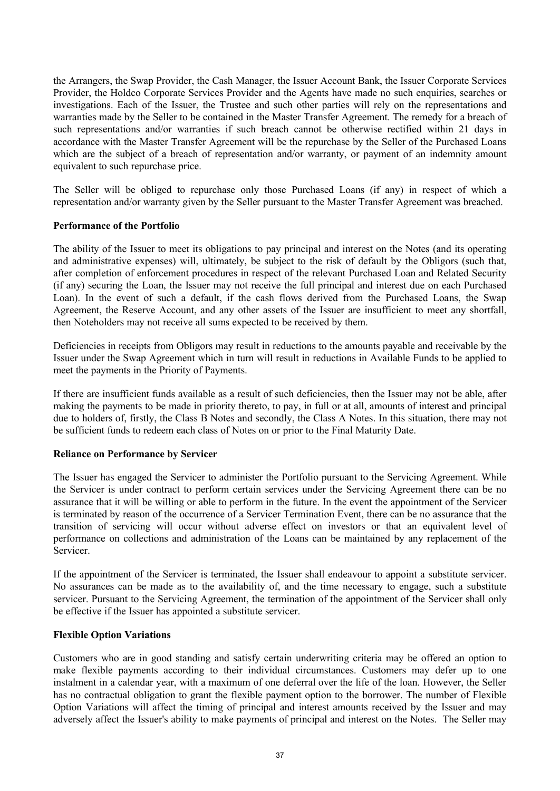the Arrangers, the Swap Provider, the Cash Manager, the Issuer Account Bank, the Issuer Corporate Services Provider, the Holdco Corporate Services Provider and the Agents have made no such enquiries, searches or investigations. Each of the Issuer, the Trustee and such other parties will rely on the representations and warranties made by the Seller to be contained in the Master Transfer Agreement. The remedy for a breach of such representations and/or warranties if such breach cannot be otherwise rectified within 21 days in accordance with the Master Transfer Agreement will be the repurchase by the Seller of the Purchased Loans which are the subject of a breach of representation and/or warranty, or payment of an indemnity amount equivalent to such repurchase price.

The Seller will be obliged to repurchase only those Purchased Loans (if any) in respect of which a representation and/or warranty given by the Seller pursuant to the Master Transfer Agreement was breached.

### **Performance of the Portfolio**

The ability of the Issuer to meet its obligations to pay principal and interest on the Notes (and its operating and administrative expenses) will, ultimately, be subject to the risk of default by the Obligors (such that, after completion of enforcement procedures in respect of the relevant Purchased Loan and Related Security (if any) securing the Loan, the Issuer may not receive the full principal and interest due on each Purchased Loan). In the event of such a default, if the cash flows derived from the Purchased Loans, the Swap Agreement, the Reserve Account, and any other assets of the Issuer are insufficient to meet any shortfall, then Noteholders may not receive all sums expected to be received by them.

Deficiencies in receipts from Obligors may result in reductions to the amounts payable and receivable by the Issuer under the Swap Agreement which in turn will result in reductions in Available Funds to be applied to meet the payments in the Priority of Payments.

If there are insufficient funds available as a result of such deficiencies, then the Issuer may not be able, after making the payments to be made in priority thereto, to pay, in full or at all, amounts of interest and principal due to holders of, firstly, the Class B Notes and secondly, the Class A Notes. In this situation, there may not be sufficient funds to redeem each class of Notes on or prior to the Final Maturity Date.

### **Reliance on Performance by Servicer**

The Issuer has engaged the Servicer to administer the Portfolio pursuant to the Servicing Agreement. While the Servicer is under contract to perform certain services under the Servicing Agreement there can be no assurance that it will be willing or able to perform in the future. In the event the appointment of the Servicer is terminated by reason of the occurrence of a Servicer Termination Event, there can be no assurance that the transition of servicing will occur without adverse effect on investors or that an equivalent level of performance on collections and administration of the Loans can be maintained by any replacement of the Servicer.

If the appointment of the Servicer is terminated, the Issuer shall endeavour to appoint a substitute servicer. No assurances can be made as to the availability of, and the time necessary to engage, such a substitute servicer. Pursuant to the Servicing Agreement, the termination of the appointment of the Servicer shall only be effective if the Issuer has appointed a substitute servicer.

### **Flexible Option Variations**

Customers who are in good standing and satisfy certain underwriting criteria may be offered an option to make flexible payments according to their individual circumstances. Customers may defer up to one instalment in a calendar year, with a maximum of one deferral over the life of the loan. However, the Seller has no contractual obligation to grant the flexible payment option to the borrower. The number of Flexible Option Variations will affect the timing of principal and interest amounts received by the Issuer and may adversely affect the Issuer's ability to make payments of principal and interest on the Notes. The Seller may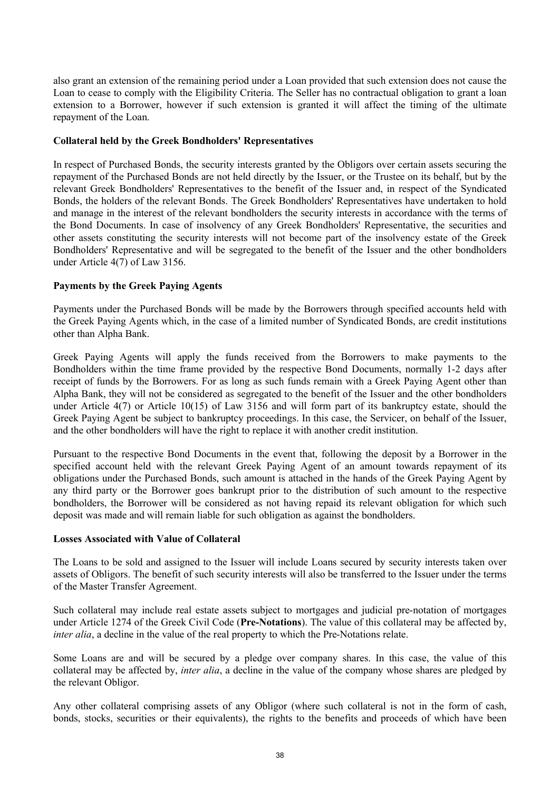also grant an extension of the remaining period under a Loan provided that such extension does not cause the Loan to cease to comply with the Eligibility Criteria. The Seller has no contractual obligation to grant a loan extension to a Borrower, however if such extension is granted it will affect the timing of the ultimate repayment of the Loan.

### **Collateral held by the Greek Bondholders' Representatives**

In respect of Purchased Bonds, the security interests granted by the Obligors over certain assets securing the repayment of the Purchased Bonds are not held directly by the Issuer, or the Trustee on its behalf, but by the relevant Greek Bondholders' Representatives to the benefit of the Issuer and, in respect of the Syndicated Bonds, the holders of the relevant Bonds. The Greek Bondholders' Representatives have undertaken to hold and manage in the interest of the relevant bondholders the security interests in accordance with the terms of the Bond Documents. In case of insolvency of any Greek Bondholders' Representative, the securities and other assets constituting the security interests will not become part of the insolvency estate of the Greek Bondholders' Representative and will be segregated to the benefit of the Issuer and the other bondholders under Article 4(7) of Law 3156.

### **Payments by the Greek Paying Agents**

Payments under the Purchased Bonds will be made by the Borrowers through specified accounts held with the Greek Paying Agents which, in the case of a limited number of Syndicated Bonds, are credit institutions other than Alpha Bank.

Greek Paying Agents will apply the funds received from the Borrowers to make payments to the Bondholders within the time frame provided by the respective Bond Documents, normally 1-2 days after receipt of funds by the Borrowers. For as long as such funds remain with a Greek Paying Agent other than Alpha Bank, they will not be considered as segregated to the benefit of the Issuer and the other bondholders under Article 4(7) or Article 10(15) of Law 3156 and will form part of its bankruptcy estate, should the Greek Paying Agent be subject to bankruptcy proceedings. In this case, the Servicer, on behalf of the Issuer, and the other bondholders will have the right to replace it with another credit institution.

Pursuant to the respective Bond Documents in the event that, following the deposit by a Borrower in the specified account held with the relevant Greek Paying Agent of an amount towards repayment of its obligations under the Purchased Bonds, such amount is attached in the hands of the Greek Paying Agent by any third party or the Borrower goes bankrupt prior to the distribution of such amount to the respective bondholders, the Borrower will be considered as not having repaid its relevant obligation for which such deposit was made and will remain liable for such obligation as against the bondholders.

### **Losses Associated with Value of Collateral**

The Loans to be sold and assigned to the Issuer will include Loans secured by security interests taken over assets of Obligors. The benefit of such security interests will also be transferred to the Issuer under the terms of the Master Transfer Agreement.

Such collateral may include real estate assets subject to mortgages and judicial pre-notation of mortgages under Article 1274 of the Greek Civil Code (**Pre-Notations**). The value of this collateral may be affected by, *inter alia*, a decline in the value of the real property to which the Pre-Notations relate.

Some Loans are and will be secured by a pledge over company shares. In this case, the value of this collateral may be affected by, *inter alia*, a decline in the value of the company whose shares are pledged by the relevant Obligor.

Any other collateral comprising assets of any Obligor (where such collateral is not in the form of cash, bonds, stocks, securities or their equivalents), the rights to the benefits and proceeds of which have been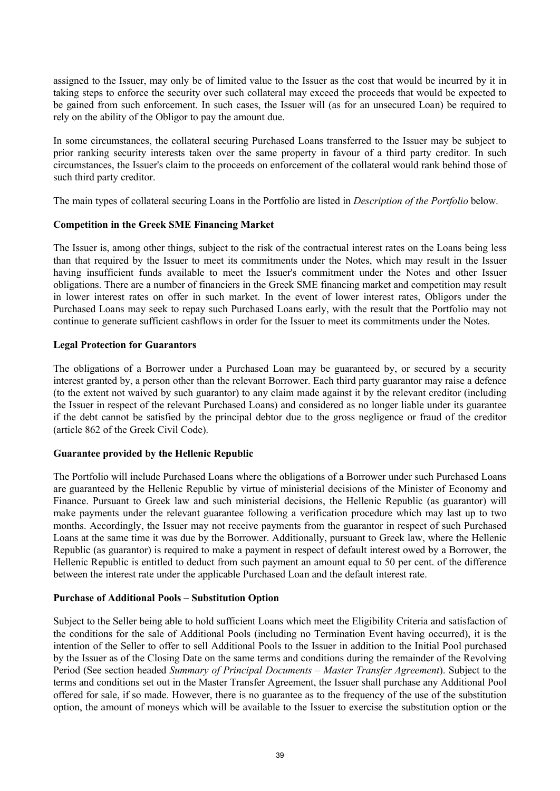assigned to the Issuer, may only be of limited value to the Issuer as the cost that would be incurred by it in taking steps to enforce the security over such collateral may exceed the proceeds that would be expected to be gained from such enforcement. In such cases, the Issuer will (as for an unsecured Loan) be required to rely on the ability of the Obligor to pay the amount due.

In some circumstances, the collateral securing Purchased Loans transferred to the Issuer may be subject to prior ranking security interests taken over the same property in favour of a third party creditor. In such circumstances, the Issuer's claim to the proceeds on enforcement of the collateral would rank behind those of such third party creditor.

The main types of collateral securing Loans in the Portfolio are listed in *Description of the Portfolio* below.

### **Competition in the Greek SME Financing Market**

The Issuer is, among other things, subject to the risk of the contractual interest rates on the Loans being less than that required by the Issuer to meet its commitments under the Notes, which may result in the Issuer having insufficient funds available to meet the Issuer's commitment under the Notes and other Issuer obligations. There are a number of financiers in the Greek SME financing market and competition may result in lower interest rates on offer in such market. In the event of lower interest rates, Obligors under the Purchased Loans may seek to repay such Purchased Loans early, with the result that the Portfolio may not continue to generate sufficient cashflows in order for the Issuer to meet its commitments under the Notes.

### **Legal Protection for Guarantors**

The obligations of a Borrower under a Purchased Loan may be guaranteed by, or secured by a security interest granted by, a person other than the relevant Borrower. Each third party guarantor may raise a defence (to the extent not waived by such guarantor) to any claim made against it by the relevant creditor (including the Issuer in respect of the relevant Purchased Loans) and considered as no longer liable under its guarantee if the debt cannot be satisfied by the principal debtor due to the gross negligence or fraud of the creditor (article 862 of the Greek Civil Code).

### **Guarantee provided by the Hellenic Republic**

The Portfolio will include Purchased Loans where the obligations of a Borrower under such Purchased Loans are guaranteed by the Hellenic Republic by virtue of ministerial decisions of the Minister of Economy and Finance. Pursuant to Greek law and such ministerial decisions, the Hellenic Republic (as guarantor) will make payments under the relevant guarantee following a verification procedure which may last up to two months. Accordingly, the Issuer may not receive payments from the guarantor in respect of such Purchased Loans at the same time it was due by the Borrower. Additionally, pursuant to Greek law, where the Hellenic Republic (as guarantor) is required to make a payment in respect of default interest owed by a Borrower, the Hellenic Republic is entitled to deduct from such payment an amount equal to 50 per cent. of the difference between the interest rate under the applicable Purchased Loan and the default interest rate.

### **Purchase of Additional Pools – Substitution Option**

Subject to the Seller being able to hold sufficient Loans which meet the Eligibility Criteria and satisfaction of the conditions for the sale of Additional Pools (including no Termination Event having occurred), it is the intention of the Seller to offer to sell Additional Pools to the Issuer in addition to the Initial Pool purchased by the Issuer as of the Closing Date on the same terms and conditions during the remainder of the Revolving Period (See section headed *Summary of Principal Documents – Master Transfer Agreement*). Subject to the terms and conditions set out in the Master Transfer Agreement, the Issuer shall purchase any Additional Pool offered for sale, if so made. However, there is no guarantee as to the frequency of the use of the substitution option, the amount of moneys which will be available to the Issuer to exercise the substitution option or the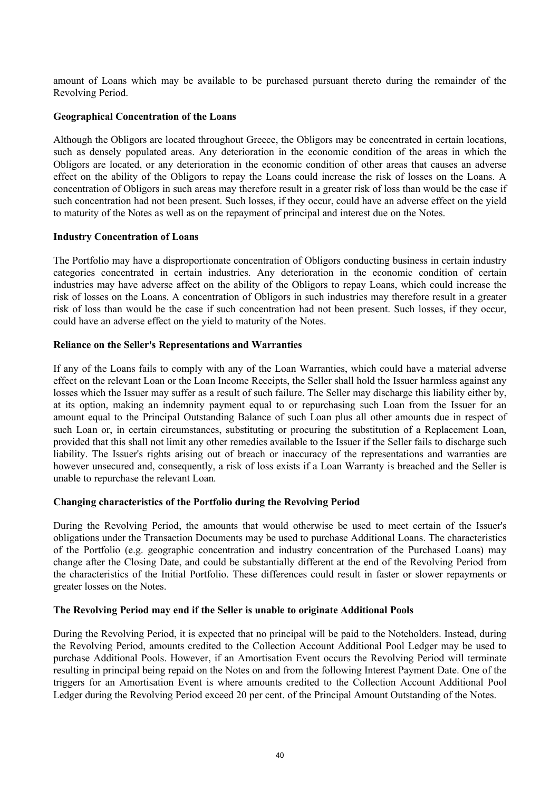amount of Loans which may be available to be purchased pursuant thereto during the remainder of the Revolving Period.

### **Geographical Concentration of the Loans**

Although the Obligors are located throughout Greece, the Obligors may be concentrated in certain locations, such as densely populated areas. Any deterioration in the economic condition of the areas in which the Obligors are located, or any deterioration in the economic condition of other areas that causes an adverse effect on the ability of the Obligors to repay the Loans could increase the risk of losses on the Loans. A concentration of Obligors in such areas may therefore result in a greater risk of loss than would be the case if such concentration had not been present. Such losses, if they occur, could have an adverse effect on the yield to maturity of the Notes as well as on the repayment of principal and interest due on the Notes.

#### **Industry Concentration of Loans**

The Portfolio may have a disproportionate concentration of Obligors conducting business in certain industry categories concentrated in certain industries. Any deterioration in the economic condition of certain industries may have adverse affect on the ability of the Obligors to repay Loans, which could increase the risk of losses on the Loans. A concentration of Obligors in such industries may therefore result in a greater risk of loss than would be the case if such concentration had not been present. Such losses, if they occur, could have an adverse effect on the yield to maturity of the Notes.

### **Reliance on the Seller's Representations and Warranties**

If any of the Loans fails to comply with any of the Loan Warranties, which could have a material adverse effect on the relevant Loan or the Loan Income Receipts, the Seller shall hold the Issuer harmless against any losses which the Issuer may suffer as a result of such failure. The Seller may discharge this liability either by, at its option, making an indemnity payment equal to or repurchasing such Loan from the Issuer for an amount equal to the Principal Outstanding Balance of such Loan plus all other amounts due in respect of such Loan or, in certain circumstances, substituting or procuring the substitution of a Replacement Loan, provided that this shall not limit any other remedies available to the Issuer if the Seller fails to discharge such liability. The Issuer's rights arising out of breach or inaccuracy of the representations and warranties are however unsecured and, consequently, a risk of loss exists if a Loan Warranty is breached and the Seller is unable to repurchase the relevant Loan.

### **Changing characteristics of the Portfolio during the Revolving Period**

During the Revolving Period, the amounts that would otherwise be used to meet certain of the Issuer's obligations under the Transaction Documents may be used to purchase Additional Loans. The characteristics of the Portfolio (e.g. geographic concentration and industry concentration of the Purchased Loans) may change after the Closing Date, and could be substantially different at the end of the Revolving Period from the characteristics of the Initial Portfolio. These differences could result in faster or slower repayments or greater losses on the Notes.

### **The Revolving Period may end if the Seller is unable to originate Additional Pools**

During the Revolving Period, it is expected that no principal will be paid to the Noteholders. Instead, during the Revolving Period, amounts credited to the Collection Account Additional Pool Ledger may be used to purchase Additional Pools. However, if an Amortisation Event occurs the Revolving Period will terminate resulting in principal being repaid on the Notes on and from the following Interest Payment Date. One of the triggers for an Amortisation Event is where amounts credited to the Collection Account Additional Pool Ledger during the Revolving Period exceed 20 per cent. of the Principal Amount Outstanding of the Notes.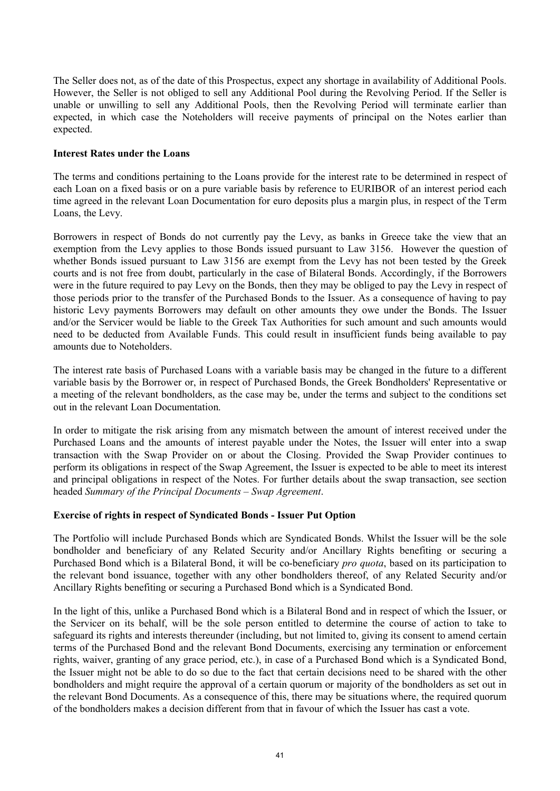The Seller does not, as of the date of this Prospectus, expect any shortage in availability of Additional Pools. However, the Seller is not obliged to sell any Additional Pool during the Revolving Period. If the Seller is unable or unwilling to sell any Additional Pools, then the Revolving Period will terminate earlier than expected, in which case the Noteholders will receive payments of principal on the Notes earlier than expected.

### **Interest Rates under the Loans**

The terms and conditions pertaining to the Loans provide for the interest rate to be determined in respect of each Loan on a fixed basis or on a pure variable basis by reference to EURIBOR of an interest period each time agreed in the relevant Loan Documentation for euro deposits plus a margin plus, in respect of the Term Loans, the Levy.

Borrowers in respect of Bonds do not currently pay the Levy, as banks in Greece take the view that an exemption from the Levy applies to those Bonds issued pursuant to Law 3156. However the question of whether Bonds issued pursuant to Law 3156 are exempt from the Levy has not been tested by the Greek courts and is not free from doubt, particularly in the case of Bilateral Bonds. Accordingly, if the Borrowers were in the future required to pay Levy on the Bonds, then they may be obliged to pay the Levy in respect of those periods prior to the transfer of the Purchased Bonds to the Issuer. As a consequence of having to pay historic Levy payments Borrowers may default on other amounts they owe under the Bonds. The Issuer and/or the Servicer would be liable to the Greek Tax Authorities for such amount and such amounts would need to be deducted from Available Funds. This could result in insufficient funds being available to pay amounts due to Noteholders.

The interest rate basis of Purchased Loans with a variable basis may be changed in the future to a different variable basis by the Borrower or, in respect of Purchased Bonds, the Greek Bondholders' Representative or a meeting of the relevant bondholders, as the case may be, under the terms and subject to the conditions set out in the relevant Loan Documentation.

In order to mitigate the risk arising from any mismatch between the amount of interest received under the Purchased Loans and the amounts of interest payable under the Notes, the Issuer will enter into a swap transaction with the Swap Provider on or about the Closing. Provided the Swap Provider continues to perform its obligations in respect of the Swap Agreement, the Issuer is expected to be able to meet its interest and principal obligations in respect of the Notes. For further details about the swap transaction, see section headed *Summary of the Principal Documents – Swap Agreement*.

### **Exercise of rights in respect of Syndicated Bonds - Issuer Put Option**

The Portfolio will include Purchased Bonds which are Syndicated Bonds. Whilst the Issuer will be the sole bondholder and beneficiary of any Related Security and/or Ancillary Rights benefiting or securing a Purchased Bond which is a Bilateral Bond, it will be co-beneficiary *pro quota*, based on its participation to the relevant bond issuance, together with any other bondholders thereof, of any Related Security and/or Ancillary Rights benefiting or securing a Purchased Bond which is a Syndicated Bond.

In the light of this, unlike a Purchased Bond which is a Bilateral Bond and in respect of which the Issuer, or the Servicer on its behalf, will be the sole person entitled to determine the course of action to take to safeguard its rights and interests thereunder (including, but not limited to, giving its consent to amend certain terms of the Purchased Bond and the relevant Bond Documents, exercising any termination or enforcement rights, waiver, granting of any grace period, etc.), in case of a Purchased Bond which is a Syndicated Bond, the Issuer might not be able to do so due to the fact that certain decisions need to be shared with the other bondholders and might require the approval of a certain quorum or majority of the bondholders as set out in the relevant Bond Documents. As a consequence of this, there may be situations where, the required quorum of the bondholders makes a decision different from that in favour of which the Issuer has cast a vote.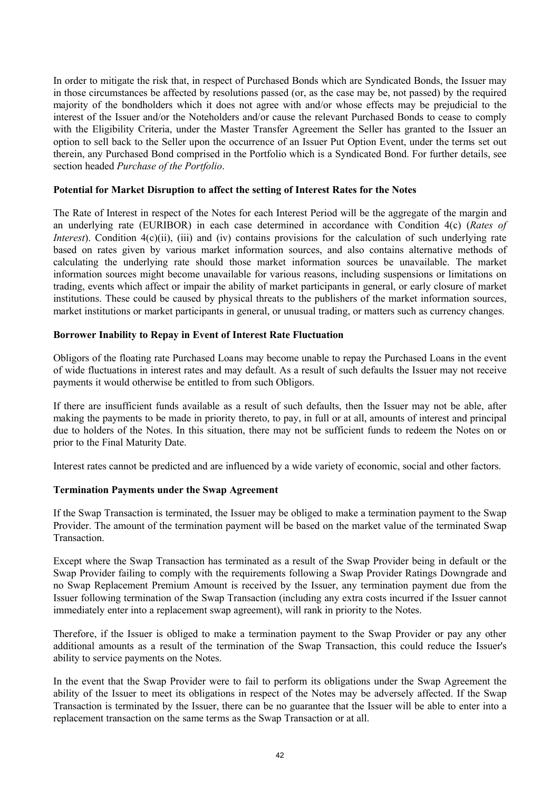In order to mitigate the risk that, in respect of Purchased Bonds which are Syndicated Bonds, the Issuer may in those circumstances be affected by resolutions passed (or, as the case may be, not passed) by the required majority of the bondholders which it does not agree with and/or whose effects may be prejudicial to the interest of the Issuer and/or the Noteholders and/or cause the relevant Purchased Bonds to cease to comply with the Eligibility Criteria, under the Master Transfer Agreement the Seller has granted to the Issuer an option to sell back to the Seller upon the occurrence of an Issuer Put Option Event, under the terms set out therein, any Purchased Bond comprised in the Portfolio which is a Syndicated Bond. For further details, see section headed *Purchase of the Portfolio*.

### **Potential for Market Disruption to affect the setting of Interest Rates for the Notes**

The Rate of Interest in respect of the Notes for each Interest Period will be the aggregate of the margin and an underlying rate (EURIBOR) in each case determined in accordance with Condition 4(c) (*Rates of Interest*). Condition 4(c)(ii), (iii) and (iv) contains provisions for the calculation of such underlying rate based on rates given by various market information sources, and also contains alternative methods of calculating the underlying rate should those market information sources be unavailable. The market information sources might become unavailable for various reasons, including suspensions or limitations on trading, events which affect or impair the ability of market participants in general, or early closure of market institutions. These could be caused by physical threats to the publishers of the market information sources, market institutions or market participants in general, or unusual trading, or matters such as currency changes.

### **Borrower Inability to Repay in Event of Interest Rate Fluctuation**

Obligors of the floating rate Purchased Loans may become unable to repay the Purchased Loans in the event of wide fluctuations in interest rates and may default. As a result of such defaults the Issuer may not receive payments it would otherwise be entitled to from such Obligors.

If there are insufficient funds available as a result of such defaults, then the Issuer may not be able, after making the payments to be made in priority thereto, to pay, in full or at all, amounts of interest and principal due to holders of the Notes. In this situation, there may not be sufficient funds to redeem the Notes on or prior to the Final Maturity Date.

Interest rates cannot be predicted and are influenced by a wide variety of economic, social and other factors.

### **Termination Payments under the Swap Agreement**

If the Swap Transaction is terminated, the Issuer may be obliged to make a termination payment to the Swap Provider. The amount of the termination payment will be based on the market value of the terminated Swap Transaction.

Except where the Swap Transaction has terminated as a result of the Swap Provider being in default or the Swap Provider failing to comply with the requirements following a Swap Provider Ratings Downgrade and no Swap Replacement Premium Amount is received by the Issuer, any termination payment due from the Issuer following termination of the Swap Transaction (including any extra costs incurred if the Issuer cannot immediately enter into a replacement swap agreement), will rank in priority to the Notes.

Therefore, if the Issuer is obliged to make a termination payment to the Swap Provider or pay any other additional amounts as a result of the termination of the Swap Transaction, this could reduce the Issuer's ability to service payments on the Notes.

In the event that the Swap Provider were to fail to perform its obligations under the Swap Agreement the ability of the Issuer to meet its obligations in respect of the Notes may be adversely affected. If the Swap Transaction is terminated by the Issuer, there can be no guarantee that the Issuer will be able to enter into a replacement transaction on the same terms as the Swap Transaction or at all.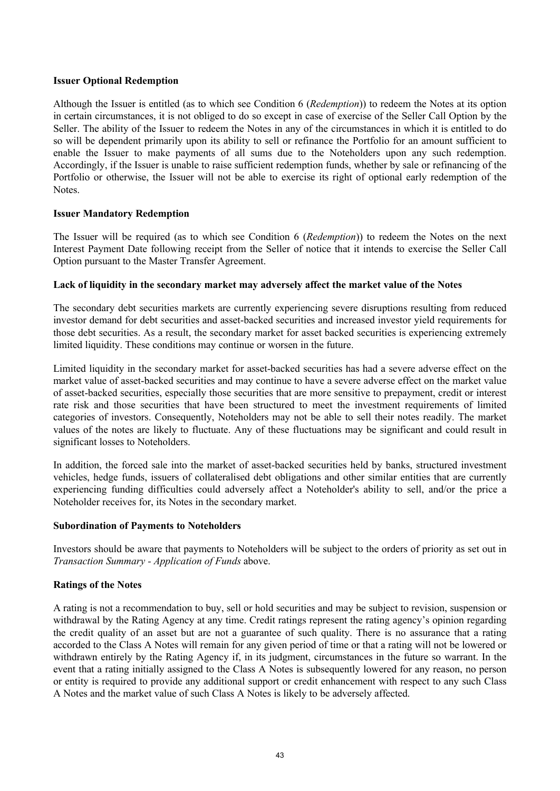### **Issuer Optional Redemption**

Although the Issuer is entitled (as to which see Condition 6 (*Redemption*)) to redeem the Notes at its option in certain circumstances, it is not obliged to do so except in case of exercise of the Seller Call Option by the Seller. The ability of the Issuer to redeem the Notes in any of the circumstances in which it is entitled to do so will be dependent primarily upon its ability to sell or refinance the Portfolio for an amount sufficient to enable the Issuer to make payments of all sums due to the Noteholders upon any such redemption. Accordingly, if the Issuer is unable to raise sufficient redemption funds, whether by sale or refinancing of the Portfolio or otherwise, the Issuer will not be able to exercise its right of optional early redemption of the **Notes**.

### **Issuer Mandatory Redemption**

The Issuer will be required (as to which see Condition 6 (*Redemption*)) to redeem the Notes on the next Interest Payment Date following receipt from the Seller of notice that it intends to exercise the Seller Call Option pursuant to the Master Transfer Agreement.

### **Lack of liquidity in the secondary market may adversely affect the market value of the Notes**

The secondary debt securities markets are currently experiencing severe disruptions resulting from reduced investor demand for debt securities and asset-backed securities and increased investor yield requirements for those debt securities. As a result, the secondary market for asset backed securities is experiencing extremely limited liquidity. These conditions may continue or worsen in the future.

Limited liquidity in the secondary market for asset-backed securities has had a severe adverse effect on the market value of asset-backed securities and may continue to have a severe adverse effect on the market value of asset-backed securities, especially those securities that are more sensitive to prepayment, credit or interest rate risk and those securities that have been structured to meet the investment requirements of limited categories of investors. Consequently, Noteholders may not be able to sell their notes readily. The market values of the notes are likely to fluctuate. Any of these fluctuations may be significant and could result in significant losses to Noteholders.

In addition, the forced sale into the market of asset-backed securities held by banks, structured investment vehicles, hedge funds, issuers of collateralised debt obligations and other similar entities that are currently experiencing funding difficulties could adversely affect a Noteholder's ability to sell, and/or the price a Noteholder receives for, its Notes in the secondary market.

### **Subordination of Payments to Noteholders**

Investors should be aware that payments to Noteholders will be subject to the orders of priority as set out in *Transaction Summary - Application of Funds* above.

### **Ratings of the Notes**

A rating is not a recommendation to buy, sell or hold securities and may be subject to revision, suspension or withdrawal by the Rating Agency at any time. Credit ratings represent the rating agency's opinion regarding the credit quality of an asset but are not a guarantee of such quality. There is no assurance that a rating accorded to the Class A Notes will remain for any given period of time or that a rating will not be lowered or withdrawn entirely by the Rating Agency if, in its judgment, circumstances in the future so warrant. In the event that a rating initially assigned to the Class A Notes is subsequently lowered for any reason, no person or entity is required to provide any additional support or credit enhancement with respect to any such Class A Notes and the market value of such Class A Notes is likely to be adversely affected.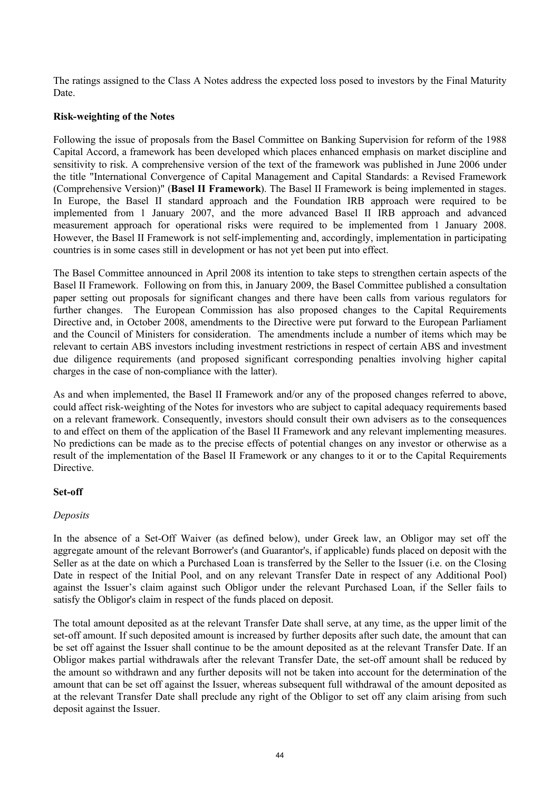The ratings assigned to the Class A Notes address the expected loss posed to investors by the Final Maturity Date.

### **Risk-weighting of the Notes**

Following the issue of proposals from the Basel Committee on Banking Supervision for reform of the 1988 Capital Accord, a framework has been developed which places enhanced emphasis on market discipline and sensitivity to risk. A comprehensive version of the text of the framework was published in June 2006 under the title "International Convergence of Capital Management and Capital Standards: a Revised Framework (Comprehensive Version)" (**Basel II Framework**). The Basel II Framework is being implemented in stages. In Europe, the Basel II standard approach and the Foundation IRB approach were required to be implemented from 1 January 2007, and the more advanced Basel II IRB approach and advanced measurement approach for operational risks were required to be implemented from 1 January 2008. However, the Basel II Framework is not self-implementing and, accordingly, implementation in participating countries is in some cases still in development or has not yet been put into effect.

The Basel Committee announced in April 2008 its intention to take steps to strengthen certain aspects of the Basel II Framework. Following on from this, in January 2009, the Basel Committee published a consultation paper setting out proposals for significant changes and there have been calls from various regulators for further changes. The European Commission has also proposed changes to the Capital Requirements Directive and, in October 2008, amendments to the Directive were put forward to the European Parliament and the Council of Ministers for consideration. The amendments include a number of items which may be relevant to certain ABS investors including investment restrictions in respect of certain ABS and investment due diligence requirements (and proposed significant corresponding penalties involving higher capital charges in the case of non-compliance with the latter).

As and when implemented, the Basel II Framework and/or any of the proposed changes referred to above, could affect risk-weighting of the Notes for investors who are subject to capital adequacy requirements based on a relevant framework. Consequently, investors should consult their own advisers as to the consequences to and effect on them of the application of the Basel II Framework and any relevant implementing measures. No predictions can be made as to the precise effects of potential changes on any investor or otherwise as a result of the implementation of the Basel II Framework or any changes to it or to the Capital Requirements Directive.

### **Set-off**

### *Deposits*

In the absence of a Set-Off Waiver (as defined below), under Greek law, an Obligor may set off the aggregate amount of the relevant Borrower's (and Guarantor's, if applicable) funds placed on deposit with the Seller as at the date on which a Purchased Loan is transferred by the Seller to the Issuer (i.e. on the Closing Date in respect of the Initial Pool, and on any relevant Transfer Date in respect of any Additional Pool) against the Issuer's claim against such Obligor under the relevant Purchased Loan, if the Seller fails to satisfy the Obligor's claim in respect of the funds placed on deposit.

The total amount deposited as at the relevant Transfer Date shall serve, at any time, as the upper limit of the set-off amount. If such deposited amount is increased by further deposits after such date, the amount that can be set off against the Issuer shall continue to be the amount deposited as at the relevant Transfer Date. If an Obligor makes partial withdrawals after the relevant Transfer Date, the set-off amount shall be reduced by the amount so withdrawn and any further deposits will not be taken into account for the determination of the amount that can be set off against the Issuer, whereas subsequent full withdrawal of the amount deposited as at the relevant Transfer Date shall preclude any right of the Obligor to set off any claim arising from such deposit against the Issuer.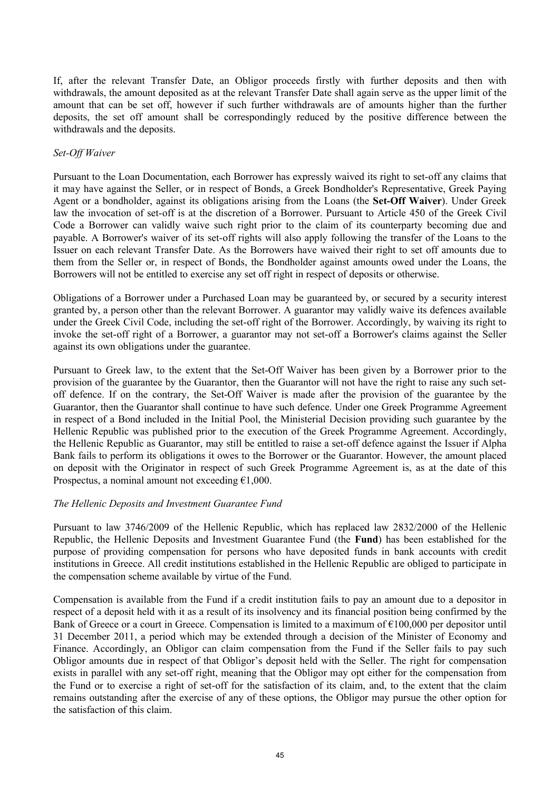If, after the relevant Transfer Date, an Obligor proceeds firstly with further deposits and then with withdrawals, the amount deposited as at the relevant Transfer Date shall again serve as the upper limit of the amount that can be set off, however if such further withdrawals are of amounts higher than the further deposits, the set off amount shall be correspondingly reduced by the positive difference between the withdrawals and the deposits.

### *Set-Off Waiver*

Pursuant to the Loan Documentation, each Borrower has expressly waived its right to set-off any claims that it may have against the Seller, or in respect of Bonds, a Greek Bondholder's Representative, Greek Paying Agent or a bondholder, against its obligations arising from the Loans (the **Set-Off Waiver**). Under Greek law the invocation of set-off is at the discretion of a Borrower. Pursuant to Article 450 of the Greek Civil Code a Borrower can validly waive such right prior to the claim of its counterparty becoming due and payable. A Borrower's waiver of its set-off rights will also apply following the transfer of the Loans to the Issuer on each relevant Transfer Date. As the Borrowers have waived their right to set off amounts due to them from the Seller or, in respect of Bonds, the Bondholder against amounts owed under the Loans, the Borrowers will not be entitled to exercise any set off right in respect of deposits or otherwise.

Obligations of a Borrower under a Purchased Loan may be guaranteed by, or secured by a security interest granted by, a person other than the relevant Borrower. A guarantor may validly waive its defences available under the Greek Civil Code, including the set-off right of the Borrower. Accordingly, by waiving its right to invoke the set-off right of a Borrower, a guarantor may not set-off a Borrower's claims against the Seller against its own obligations under the guarantee.

Pursuant to Greek law, to the extent that the Set-Off Waiver has been given by a Borrower prior to the provision of the guarantee by the Guarantor, then the Guarantor will not have the right to raise any such setoff defence. If on the contrary, the Set-Off Waiver is made after the provision of the guarantee by the Guarantor, then the Guarantor shall continue to have such defence. Under one Greek Programme Agreement in respect of a Bond included in the Initial Pool, the Ministerial Decision providing such guarantee by the Hellenic Republic was published prior to the execution of the Greek Programme Agreement. Accordingly, the Hellenic Republic as Guarantor, may still be entitled to raise a set-off defence against the Issuer if Alpha Bank fails to perform its obligations it owes to the Borrower or the Guarantor. However, the amount placed on deposit with the Originator in respect of such Greek Programme Agreement is, as at the date of this Prospectus, a nominal amount not exceeding  $£1,000$ .

### *The Hellenic Deposits and Investment Guarantee Fund*

Pursuant to law 3746/2009 of the Hellenic Republic, which has replaced law 2832/2000 of the Hellenic Republic, the Hellenic Deposits and Investment Guarantee Fund (the **Fund**) has been established for the purpose of providing compensation for persons who have deposited funds in bank accounts with credit institutions in Greece. All credit institutions established in the Hellenic Republic are obliged to participate in the compensation scheme available by virtue of the Fund.

Compensation is available from the Fund if a credit institution fails to pay an amount due to a depositor in respect of a deposit held with it as a result of its insolvency and its financial position being confirmed by the Bank of Greece or a court in Greece. Compensation is limited to a maximum of  $\epsilon$ 100,000 per depositor until 31 December 2011, a period which may be extended through a decision of the Minister of Economy and Finance. Accordingly, an Obligor can claim compensation from the Fund if the Seller fails to pay such Obligor amounts due in respect of that Obligor's deposit held with the Seller. The right for compensation exists in parallel with any set-off right, meaning that the Obligor may opt either for the compensation from the Fund or to exercise a right of set-off for the satisfaction of its claim, and, to the extent that the claim remains outstanding after the exercise of any of these options, the Obligor may pursue the other option for the satisfaction of this claim.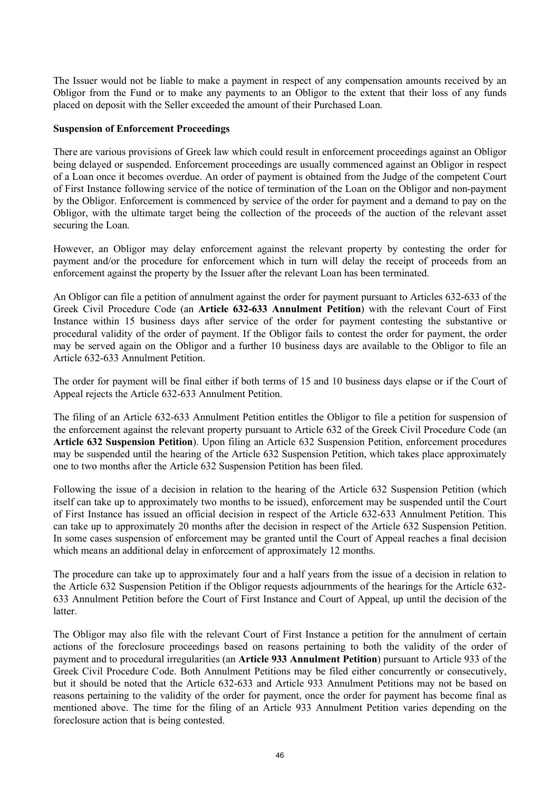The Issuer would not be liable to make a payment in respect of any compensation amounts received by an Obligor from the Fund or to make any payments to an Obligor to the extent that their loss of any funds placed on deposit with the Seller exceeded the amount of their Purchased Loan.

### **Suspension of Enforcement Proceedings**

There are various provisions of Greek law which could result in enforcement proceedings against an Obligor being delayed or suspended. Enforcement proceedings are usually commenced against an Obligor in respect of a Loan once it becomes overdue. An order of payment is obtained from the Judge of the competent Court of First Instance following service of the notice of termination of the Loan on the Obligor and non-payment by the Obligor. Enforcement is commenced by service of the order for payment and a demand to pay on the Obligor, with the ultimate target being the collection of the proceeds of the auction of the relevant asset securing the Loan.

However, an Obligor may delay enforcement against the relevant property by contesting the order for payment and/or the procedure for enforcement which in turn will delay the receipt of proceeds from an enforcement against the property by the Issuer after the relevant Loan has been terminated.

An Obligor can file a petition of annulment against the order for payment pursuant to Articles 632-633 of the Greek Civil Procedure Code (an **Article 632-633 Annulment Petition**) with the relevant Court of First Instance within 15 business days after service of the order for payment contesting the substantive or procedural validity of the order of payment. If the Obligor fails to contest the order for payment, the order may be served again on the Obligor and a further 10 business days are available to the Obligor to file an Article 632-633 Annulment Petition.

The order for payment will be final either if both terms of 15 and 10 business days elapse or if the Court of Appeal rejects the Article 632-633 Annulment Petition.

The filing of an Article 632-633 Annulment Petition entitles the Obligor to file a petition for suspension of the enforcement against the relevant property pursuant to Article 632 of the Greek Civil Procedure Code (an **Article 632 Suspension Petition**). Upon filing an Article 632 Suspension Petition, enforcement procedures may be suspended until the hearing of the Article 632 Suspension Petition, which takes place approximately one to two months after the Article 632 Suspension Petition has been filed.

Following the issue of a decision in relation to the hearing of the Article 632 Suspension Petition (which itself can take up to approximately two months to be issued), enforcement may be suspended until the Court of First Instance has issued an official decision in respect of the Article 632-633 Annulment Petition. This can take up to approximately 20 months after the decision in respect of the Article 632 Suspension Petition. In some cases suspension of enforcement may be granted until the Court of Appeal reaches a final decision which means an additional delay in enforcement of approximately 12 months.

The procedure can take up to approximately four and a half years from the issue of a decision in relation to the Article 632 Suspension Petition if the Obligor requests adjournments of the hearings for the Article 632- 633 Annulment Petition before the Court of First Instance and Court of Appeal, up until the decision of the latter.

The Obligor may also file with the relevant Court of First Instance a petition for the annulment of certain actions of the foreclosure proceedings based on reasons pertaining to both the validity of the order of payment and to procedural irregularities (an **Article 933 Annulment Petition**) pursuant to Article 933 of the Greek Civil Procedure Code. Both Annulment Petitions may be filed either concurrently or consecutively, but it should be noted that the Article 632-633 and Article 933 Annulment Petitions may not be based on reasons pertaining to the validity of the order for payment, once the order for payment has become final as mentioned above. The time for the filing of an Article 933 Annulment Petition varies depending on the foreclosure action that is being contested.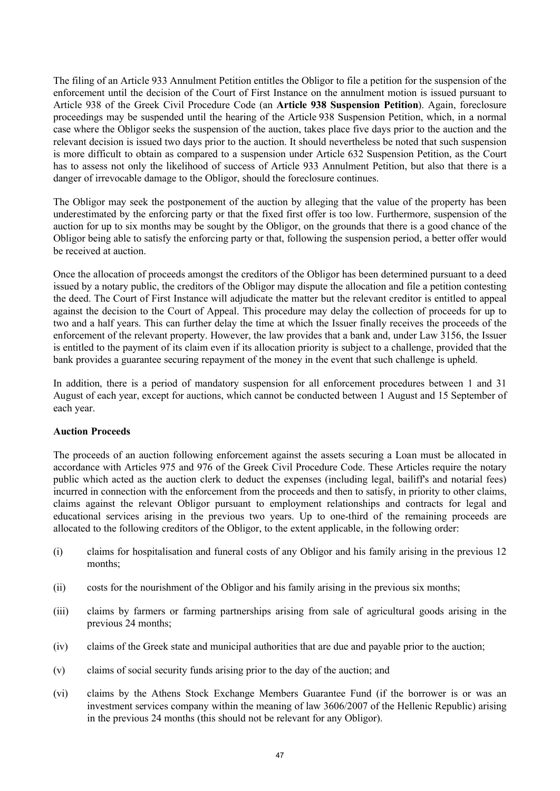The filing of an Article 933 Annulment Petition entitles the Obligor to file a petition for the suspension of the enforcement until the decision of the Court of First Instance on the annulment motion is issued pursuant to Article 938 of the Greek Civil Procedure Code (an **Article 938 Suspension Petition**). Again, foreclosure proceedings may be suspended until the hearing of the Article 938 Suspension Petition, which, in a normal case where the Obligor seeks the suspension of the auction, takes place five days prior to the auction and the relevant decision is issued two days prior to the auction. It should nevertheless be noted that such suspension is more difficult to obtain as compared to a suspension under Article 632 Suspension Petition, as the Court has to assess not only the likelihood of success of Article 933 Annulment Petition, but also that there is a danger of irrevocable damage to the Obligor, should the foreclosure continues.

The Obligor may seek the postponement of the auction by alleging that the value of the property has been underestimated by the enforcing party or that the fixed first offer is too low. Furthermore, suspension of the auction for up to six months may be sought by the Obligor, on the grounds that there is a good chance of the Obligor being able to satisfy the enforcing party or that, following the suspension period, a better offer would be received at auction.

Once the allocation of proceeds amongst the creditors of the Obligor has been determined pursuant to a deed issued by a notary public, the creditors of the Obligor may dispute the allocation and file a petition contesting the deed. The Court of First Instance will adjudicate the matter but the relevant creditor is entitled to appeal against the decision to the Court of Appeal. This procedure may delay the collection of proceeds for up to two and a half years. This can further delay the time at which the Issuer finally receives the proceeds of the enforcement of the relevant property. However, the law provides that a bank and, under Law 3156, the Issuer is entitled to the payment of its claim even if its allocation priority is subject to a challenge, provided that the bank provides a guarantee securing repayment of the money in the event that such challenge is upheld.

In addition, there is a period of mandatory suspension for all enforcement procedures between 1 and 31 August of each year, except for auctions, which cannot be conducted between 1 August and 15 September of each year.

### **Auction Proceeds**

The proceeds of an auction following enforcement against the assets securing a Loan must be allocated in accordance with Articles 975 and 976 of the Greek Civil Procedure Code. These Articles require the notary public which acted as the auction clerk to deduct the expenses (including legal, bailiff's and notarial fees) incurred in connection with the enforcement from the proceeds and then to satisfy, in priority to other claims, claims against the relevant Obligor pursuant to employment relationships and contracts for legal and educational services arising in the previous two years. Up to one-third of the remaining proceeds are allocated to the following creditors of the Obligor, to the extent applicable, in the following order:

- (i) claims for hospitalisation and funeral costs of any Obligor and his family arising in the previous 12 months;
- (ii) costs for the nourishment of the Obligor and his family arising in the previous six months;
- (iii) claims by farmers or farming partnerships arising from sale of agricultural goods arising in the previous 24 months;
- (iv) claims of the Greek state and municipal authorities that are due and payable prior to the auction;
- (v) claims of social security funds arising prior to the day of the auction; and
- (vi) claims by the Athens Stock Exchange Members Guarantee Fund (if the borrower is or was an investment services company within the meaning of law 3606/2007 of the Hellenic Republic) arising in the previous 24 months (this should not be relevant for any Obligor).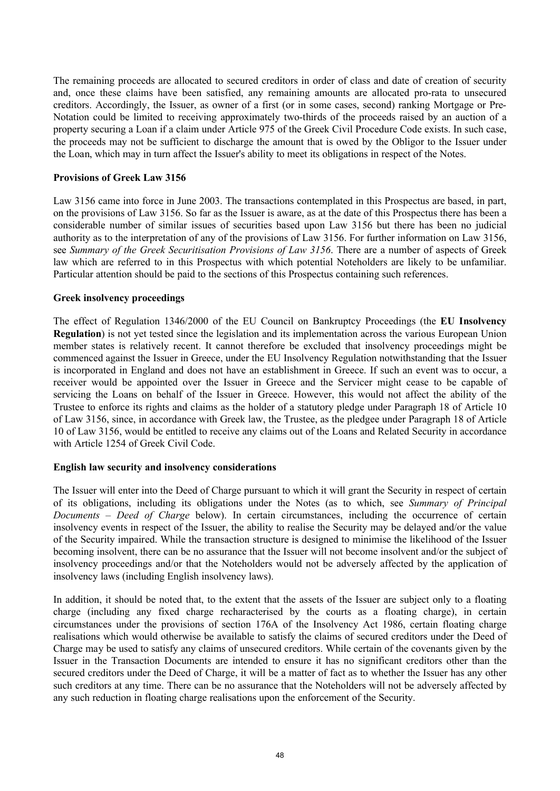The remaining proceeds are allocated to secured creditors in order of class and date of creation of security and, once these claims have been satisfied, any remaining amounts are allocated pro-rata to unsecured creditors. Accordingly, the Issuer, as owner of a first (or in some cases, second) ranking Mortgage or Pre-Notation could be limited to receiving approximately two-thirds of the proceeds raised by an auction of a property securing a Loan if a claim under Article 975 of the Greek Civil Procedure Code exists. In such case, the proceeds may not be sufficient to discharge the amount that is owed by the Obligor to the Issuer under the Loan, which may in turn affect the Issuer's ability to meet its obligations in respect of the Notes.

### **Provisions of Greek Law 3156**

Law 3156 came into force in June 2003. The transactions contemplated in this Prospectus are based, in part, on the provisions of Law 3156. So far as the Issuer is aware, as at the date of this Prospectus there has been a considerable number of similar issues of securities based upon Law 3156 but there has been no judicial authority as to the interpretation of any of the provisions of Law 3156. For further information on Law 3156, see *Summary of the Greek Securitisation Provisions of Law 3156*. There are a number of aspects of Greek law which are referred to in this Prospectus with which potential Noteholders are likely to be unfamiliar. Particular attention should be paid to the sections of this Prospectus containing such references.

### **Greek insolvency proceedings**

The effect of Regulation 1346/2000 of the EU Council on Bankruptcy Proceedings (the **EU Insolvency Regulation**) is not yet tested since the legislation and its implementation across the various European Union member states is relatively recent. It cannot therefore be excluded that insolvency proceedings might be commenced against the Issuer in Greece, under the EU Insolvency Regulation notwithstanding that the Issuer is incorporated in England and does not have an establishment in Greece. If such an event was to occur, a receiver would be appointed over the Issuer in Greece and the Servicer might cease to be capable of servicing the Loans on behalf of the Issuer in Greece. However, this would not affect the ability of the Trustee to enforce its rights and claims as the holder of a statutory pledge under Paragraph 18 of Article 10 of Law 3156, since, in accordance with Greek law, the Trustee, as the pledgee under Paragraph 18 of Article 10 of Law 3156, would be entitled to receive any claims out of the Loans and Related Security in accordance with Article 1254 of Greek Civil Code.

### **English law security and insolvency considerations**

The Issuer will enter into the Deed of Charge pursuant to which it will grant the Security in respect of certain of its obligations, including its obligations under the Notes (as to which, see *Summary of Principal Documents – Deed of Charge* below). In certain circumstances, including the occurrence of certain insolvency events in respect of the Issuer, the ability to realise the Security may be delayed and/or the value of the Security impaired. While the transaction structure is designed to minimise the likelihood of the Issuer becoming insolvent, there can be no assurance that the Issuer will not become insolvent and/or the subject of insolvency proceedings and/or that the Noteholders would not be adversely affected by the application of insolvency laws (including English insolvency laws).

In addition, it should be noted that, to the extent that the assets of the Issuer are subject only to a floating charge (including any fixed charge recharacterised by the courts as a floating charge), in certain circumstances under the provisions of section 176A of the Insolvency Act 1986, certain floating charge realisations which would otherwise be available to satisfy the claims of secured creditors under the Deed of Charge may be used to satisfy any claims of unsecured creditors. While certain of the covenants given by the Issuer in the Transaction Documents are intended to ensure it has no significant creditors other than the secured creditors under the Deed of Charge, it will be a matter of fact as to whether the Issuer has any other such creditors at any time. There can be no assurance that the Noteholders will not be adversely affected by any such reduction in floating charge realisations upon the enforcement of the Security.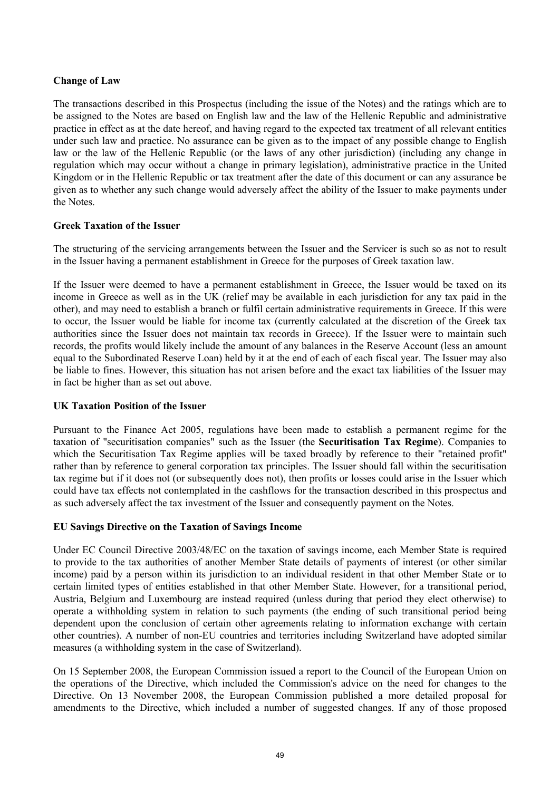### **Change of Law**

The transactions described in this Prospectus (including the issue of the Notes) and the ratings which are to be assigned to the Notes are based on English law and the law of the Hellenic Republic and administrative practice in effect as at the date hereof, and having regard to the expected tax treatment of all relevant entities under such law and practice. No assurance can be given as to the impact of any possible change to English law or the law of the Hellenic Republic (or the laws of any other jurisdiction) (including any change in regulation which may occur without a change in primary legislation), administrative practice in the United Kingdom or in the Hellenic Republic or tax treatment after the date of this document or can any assurance be given as to whether any such change would adversely affect the ability of the Issuer to make payments under the Notes.

### **Greek Taxation of the Issuer**

The structuring of the servicing arrangements between the Issuer and the Servicer is such so as not to result in the Issuer having a permanent establishment in Greece for the purposes of Greek taxation law.

If the Issuer were deemed to have a permanent establishment in Greece, the Issuer would be taxed on its income in Greece as well as in the UK (relief may be available in each jurisdiction for any tax paid in the other), and may need to establish a branch or fulfil certain administrative requirements in Greece. If this were to occur, the Issuer would be liable for income tax (currently calculated at the discretion of the Greek tax authorities since the Issuer does not maintain tax records in Greece). If the Issuer were to maintain such records, the profits would likely include the amount of any balances in the Reserve Account (less an amount equal to the Subordinated Reserve Loan) held by it at the end of each of each fiscal year. The Issuer may also be liable to fines. However, this situation has not arisen before and the exact tax liabilities of the Issuer may in fact be higher than as set out above.

### **UK Taxation Position of the Issuer**

Pursuant to the Finance Act 2005, regulations have been made to establish a permanent regime for the taxation of "securitisation companies" such as the Issuer (the **Securitisation Tax Regime**). Companies to which the Securitisation Tax Regime applies will be taxed broadly by reference to their "retained profit" rather than by reference to general corporation tax principles. The Issuer should fall within the securitisation tax regime but if it does not (or subsequently does not), then profits or losses could arise in the Issuer which could have tax effects not contemplated in the cashflows for the transaction described in this prospectus and as such adversely affect the tax investment of the Issuer and consequently payment on the Notes.

### **EU Savings Directive on the Taxation of Savings Income**

Under EC Council Directive 2003/48/EC on the taxation of savings income, each Member State is required to provide to the tax authorities of another Member State details of payments of interest (or other similar income) paid by a person within its jurisdiction to an individual resident in that other Member State or to certain limited types of entities established in that other Member State. However, for a transitional period, Austria, Belgium and Luxembourg are instead required (unless during that period they elect otherwise) to operate a withholding system in relation to such payments (the ending of such transitional period being dependent upon the conclusion of certain other agreements relating to information exchange with certain other countries). A number of non-EU countries and territories including Switzerland have adopted similar measures (a withholding system in the case of Switzerland).

On 15 September 2008, the European Commission issued a report to the Council of the European Union on the operations of the Directive, which included the Commission's advice on the need for changes to the Directive. On 13 November 2008, the European Commission published a more detailed proposal for amendments to the Directive, which included a number of suggested changes. If any of those proposed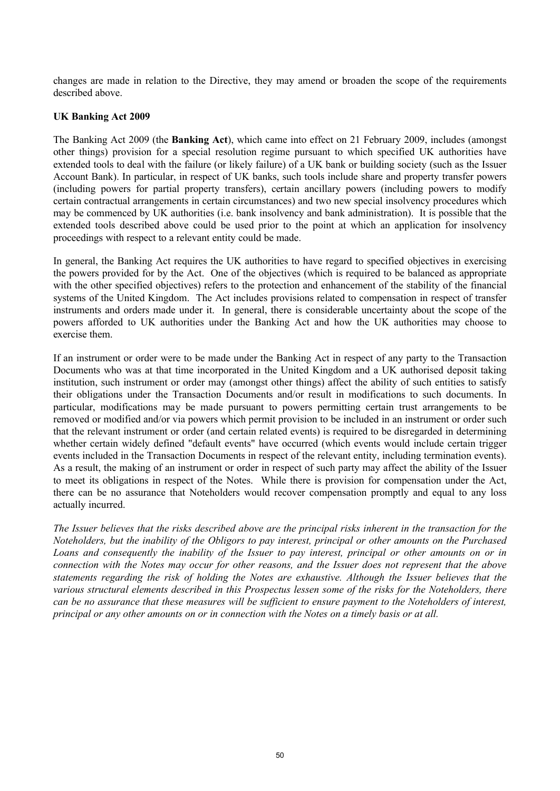changes are made in relation to the Directive, they may amend or broaden the scope of the requirements described above.

### **UK Banking Act 2009**

The Banking Act 2009 (the **Banking Act**), which came into effect on 21 February 2009, includes (amongst other things) provision for a special resolution regime pursuant to which specified UK authorities have extended tools to deal with the failure (or likely failure) of a UK bank or building society (such as the Issuer Account Bank). In particular, in respect of UK banks, such tools include share and property transfer powers (including powers for partial property transfers), certain ancillary powers (including powers to modify certain contractual arrangements in certain circumstances) and two new special insolvency procedures which may be commenced by UK authorities (i.e. bank insolvency and bank administration). It is possible that the extended tools described above could be used prior to the point at which an application for insolvency proceedings with respect to a relevant entity could be made.

In general, the Banking Act requires the UK authorities to have regard to specified objectives in exercising the powers provided for by the Act. One of the objectives (which is required to be balanced as appropriate with the other specified objectives) refers to the protection and enhancement of the stability of the financial systems of the United Kingdom. The Act includes provisions related to compensation in respect of transfer instruments and orders made under it. In general, there is considerable uncertainty about the scope of the powers afforded to UK authorities under the Banking Act and how the UK authorities may choose to exercise them.

If an instrument or order were to be made under the Banking Act in respect of any party to the Transaction Documents who was at that time incorporated in the United Kingdom and a UK authorised deposit taking institution, such instrument or order may (amongst other things) affect the ability of such entities to satisfy their obligations under the Transaction Documents and/or result in modifications to such documents. In particular, modifications may be made pursuant to powers permitting certain trust arrangements to be removed or modified and/or via powers which permit provision to be included in an instrument or order such that the relevant instrument or order (and certain related events) is required to be disregarded in determining whether certain widely defined "default events" have occurred (which events would include certain trigger events included in the Transaction Documents in respect of the relevant entity, including termination events). As a result, the making of an instrument or order in respect of such party may affect the ability of the Issuer to meet its obligations in respect of the Notes. While there is provision for compensation under the Act, there can be no assurance that Noteholders would recover compensation promptly and equal to any loss actually incurred.

*The Issuer believes that the risks described above are the principal risks inherent in the transaction for the Noteholders, but the inability of the Obligors to pay interest, principal or other amounts on the Purchased Loans and consequently the inability of the Issuer to pay interest, principal or other amounts on or in connection with the Notes may occur for other reasons, and the Issuer does not represent that the above statements regarding the risk of holding the Notes are exhaustive. Although the Issuer believes that the various structural elements described in this Prospectus lessen some of the risks for the Noteholders, there can be no assurance that these measures will be sufficient to ensure payment to the Noteholders of interest, principal or any other amounts on or in connection with the Notes on a timely basis or at all.*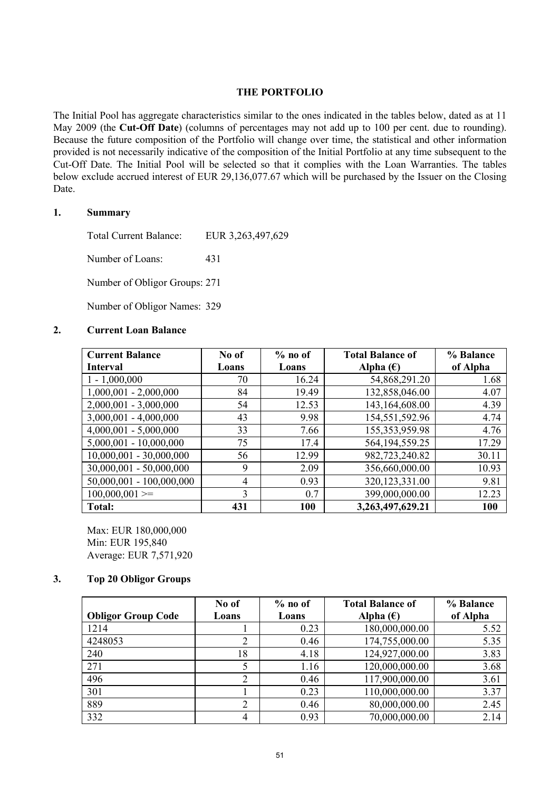### **THE PORTFOLIO**

The Initial Pool has aggregate characteristics similar to the ones indicated in the tables below, dated as at 11 May 2009 (the **Cut-Off Date**) (columns of percentages may not add up to 100 per cent. due to rounding). Because the future composition of the Portfolio will change over time, the statistical and other information provided is not necessarily indicative of the composition of the Initial Portfolio at any time subsequent to the Cut-Off Date. The Initial Pool will be selected so that it complies with the Loan Warranties. The tables below exclude accrued interest of EUR 29,136,077.67 which will be purchased by the Issuer on the Closing Date.

### **1. Summary**

Total Current Balance: EUR 3,263,497,629

Number of Loans: 431

Number of Obligor Groups: 271

Number of Obligor Names: 329

### **2. Current Loan Balance**

| <b>Current Balance</b>     | No of | $%$ no of | <b>Total Balance of</b> | % Balance |
|----------------------------|-------|-----------|-------------------------|-----------|
| <b>Interval</b>            | Loans | Loans     | Alpha $(\epsilon)$      | of Alpha  |
| $1 - 1,000,000$            | 70    | 16.24     | 54,868,291.20           | 1.68      |
| $1,000,001 - 2,000,000$    | 84    | 19.49     | 132,858,046.00          | 4.07      |
| $2,000,001 - 3,000,000$    | 54    | 12.53     | 143,164,608.00          | 4.39      |
| $3,000,001 - 4,000,000$    | 43    | 9.98      | 154,551,592.96          | 4.74      |
| $4,000,001 - 5,000,000$    | 33    | 7.66      | 155, 353, 959. 98       | 4.76      |
| $5,000,001 - 10,000,000$   | 75    | 17.4      | 564, 194, 559. 25       | 17.29     |
| $10,000,001 - 30,000,000$  | 56    | 12.99     | 982,723,240.82          | 30.11     |
| 30,000,001 - 50,000,000    | 9     | 2.09      | 356,660,000.00          | 10.93     |
| $50,000,001 - 100,000,000$ | 4     | 0.93      | 320, 123, 331.00        | 9.81      |
| $100,000,001 \geq 0$       | 3     | 0.7       | 399,000,000.00          | 12.23     |
| <b>Total:</b>              | 431   | 100       | 3,263,497,629.21        | 100       |

Max: EUR 180,000,000 Min: EUR 195,840 Average: EUR 7,571,920

### **3. Top 20 Obligor Groups**

|                           | No of | $%$ no of | <b>Total Balance of</b> | % Balance |
|---------------------------|-------|-----------|-------------------------|-----------|
| <b>Obligor Group Code</b> | Loans | Loans     | Alpha $(\epsilon)$      | of Alpha  |
| 1214                      |       | 0.23      | 180,000,000.00          | 5.52      |
| 4248053                   | 2     | 0.46      | 174,755,000.00          | 5.35      |
| 240                       | 18    | 4.18      | 124,927,000.00          | 3.83      |
| 271                       |       | 1.16      | 120,000,000.00          | 3.68      |
| 496                       | 2     | 0.46      | 117,900,000.00          | 3.61      |
| 301                       |       | 0.23      | 110,000,000.00          | 3.37      |
| 889                       | 2     | 0.46      | 80,000,000.00           | 2.45      |
| 332                       | 4     | 0.93      | 70,000,000.00           | 2.14      |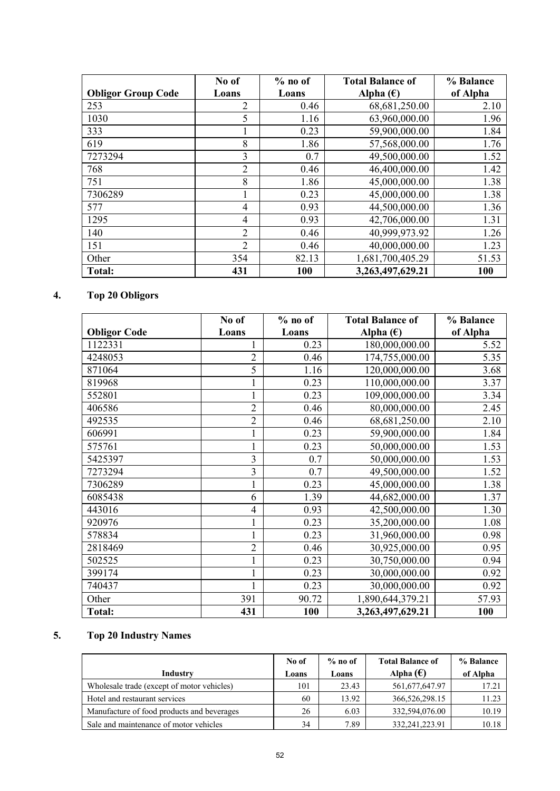|                           | No of          | $%$ no of | <b>Total Balance of</b> | % Balance |
|---------------------------|----------------|-----------|-------------------------|-----------|
| <b>Obligor Group Code</b> | Loans          | Loans     | Alpha $(\epsilon)$      | of Alpha  |
| 253                       | 2              | 0.46      | 68,681,250.00           | 2.10      |
| 1030                      | 5              | 1.16      | 63,960,000.00           | 1.96      |
| 333                       |                | 0.23      | 59,900,000.00           | 1.84      |
| 619                       | 8              | 1.86      | 57,568,000.00           | 1.76      |
| 7273294                   | 3              | 0.7       | 49,500,000.00           | 1.52      |
| 768                       | $\overline{2}$ | 0.46      | 46,400,000.00           | 1.42      |
| 751                       | 8              | 1.86      | 45,000,000.00           | 1.38      |
| 7306289                   |                | 0.23      | 45,000,000.00           | 1.38      |
| 577                       | 4              | 0.93      | 44,500,000.00           | 1.36      |
| 1295                      | 4              | 0.93      | 42,706,000.00           | 1.31      |
| 140                       | 2              | 0.46      | 40,999,973.92           | 1.26      |
| 151                       | $\overline{2}$ | 0.46      | 40,000,000.00           | 1.23      |
| Other                     | 354            | 82.13     | 1,681,700,405.29        | 51.53     |
| Total:                    | 431            | 100       | 3,263,497,629.21        | 100       |

## **4. Top 20 Obligors**

|                     | No of                    | $%$ no of | <b>Total Balance of</b> | % Balance |
|---------------------|--------------------------|-----------|-------------------------|-----------|
| <b>Obligor Code</b> | Loans                    | Loans     | Alpha $(\epsilon)$      | of Alpha  |
| 1122331             |                          | 0.23      | 180,000,000.00          | 5.52      |
| 4248053             | $\overline{2}$           | 0.46      | 174,755,000.00          | 5.35      |
| 871064              | 5                        | 1.16      | 120,000,000.00          | 3.68      |
| 819968              | $\mathbf{1}$             | 0.23      | 110,000,000.00          | 3.37      |
| 552801              | $\mathbf 1$              | 0.23      | 109,000,000.00          | 3.34      |
| 406586              | $\overline{2}$           | 0.46      | 80,000,000.00           | 2.45      |
| 492535              | $\overline{2}$           | 0.46      | 68,681,250.00           | 2.10      |
| 606991              | $\mathbf{1}$             | 0.23      | 59,900,000.00           | 1.84      |
| 575761              | $\mathbf{1}$             | 0.23      | 50,000,000.00           | 1.53      |
| 5425397             | 3                        | 0.7       | 50,000,000.00           | 1.53      |
| 7273294             | 3                        | 0.7       | 49,500,000.00           | 1.52      |
| 7306289             | $\mathbf{1}$             | 0.23      | 45,000,000.00           | 1.38      |
| 6085438             | 6                        | 1.39      | 44,682,000.00           | 1.37      |
| 443016              | $\overline{\mathcal{A}}$ | 0.93      | 42,500,000.00           | 1.30      |
| 920976              | $\mathbf{1}$             | 0.23      | 35,200,000.00           | 1.08      |
| 578834              | $\mathbf{1}$             | 0.23      | 31,960,000.00           | 0.98      |
| 2818469             | $\overline{2}$           | 0.46      | 30,925,000.00           | 0.95      |
| 502525              | $\mathbf{1}$             | 0.23      | 30,750,000.00           | 0.94      |
| 399174              | $\mathbf{1}$             | 0.23      | 30,000,000.00           | 0.92      |
| 740437              | $\mathbf{1}$             | 0.23      | 30,000,000.00           | 0.92      |
| Other               | 391                      | 90.72     | 1,890,644,379.21        | 57.93     |
| <b>Total:</b>       | 431                      | 100       | 3,263,497,629.21        | 100       |

## **5. Top 20 Industry Names**

|                                            | No of | $%$ no of | <b>Total Balance of</b> | % Balance |
|--------------------------------------------|-------|-----------|-------------------------|-----------|
| Industry                                   | Loans | Loans     | Alpha $(\epsilon)$      | of Alpha  |
| Wholesale trade (except of motor vehicles) | 101   | 23.43     | 561,677,647.97          | 17.21     |
| Hotel and restaurant services              | 60    | 13.92     | 366,526,298.15          | 11.23     |
| Manufacture of food products and beverages | 26    | 6.03      | 332.594.076.00          | 10.19     |
| Sale and maintenance of motor vehicles     | 34    | 7.89      | 332,241,223.91          | 10.18     |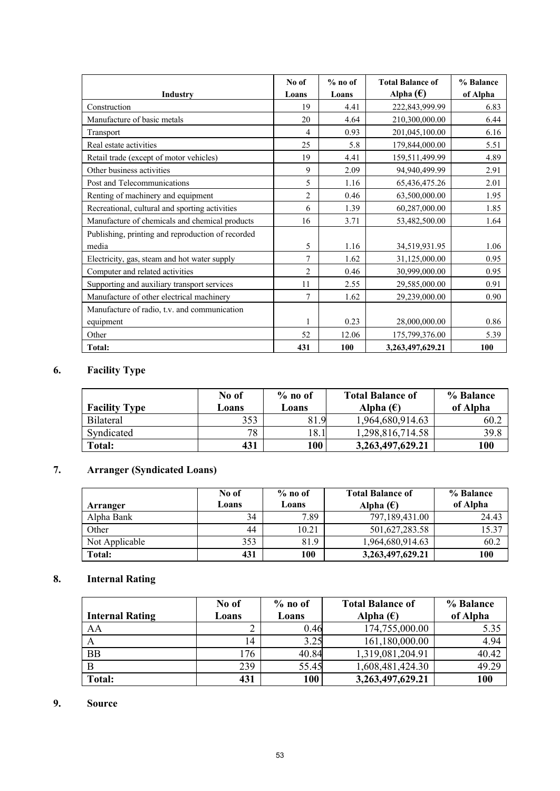|                                                   | No of          | $%$ no of | <b>Total Balance of</b> | % Balance |
|---------------------------------------------------|----------------|-----------|-------------------------|-----------|
| Industry                                          | Loans          | Loans     | Alpha $(\epsilon)$      | of Alpha  |
| Construction                                      | 19             | 4.41      | 222,843,999.99          | 6.83      |
| Manufacture of basic metals                       | 20             | 4.64      | 210,300,000.00          | 6.44      |
| Transport                                         | $\overline{4}$ | 0.93      | 201,045,100.00          | 6.16      |
| Real estate activities                            | 25             | 5.8       | 179,844,000.00          | 5.51      |
| Retail trade (except of motor vehicles)           | 19             | 4.41      | 159,511,499.99          | 4.89      |
| Other business activities                         | 9              | 2.09      | 94,940,499.99           | 2.91      |
| Post and Telecommunications                       | 5              | 1.16      | 65,436,475.26           | 2.01      |
| Renting of machinery and equipment                | $\overline{2}$ | 0.46      | 63,500,000.00           | 1.95      |
| Recreational, cultural and sporting activities    | 6              | 1.39      | 60,287,000.00           | 1.85      |
| Manufacture of chemicals and chemical products    | 16             | 3.71      | 53,482,500.00           | 1.64      |
| Publishing, printing and reproduction of recorded |                |           |                         |           |
| media                                             | 5              | 1.16      | 34,519,931.95           | 1.06      |
| Electricity, gas, steam and hot water supply      | $\overline{7}$ | 1.62      | 31,125,000.00           | 0.95      |
| Computer and related activities                   | $\overline{2}$ | 0.46      | 30,999,000.00           | 0.95      |
| Supporting and auxiliary transport services       | 11             | 2.55      | 29,585,000.00           | 0.91      |
| Manufacture of other electrical machinery         | 7              | 1.62      | 29,239,000.00           | 0.90      |
| Manufacture of radio, t.v. and communication      |                |           |                         |           |
| equipment                                         | 1              | 0.23      | 28,000,000.00           | 0.86      |
| Other                                             | 52             | 12.06     | 175,799,376.00          | 5.39      |
| Total:                                            | 431            | 100       | 3,263,497,629.21        | 100       |

# **6. Facility Type**

| <b>Facility Type</b> | No of<br>Loans | $%$ no of<br>Loans | <b>Total Balance of</b><br>Alpha $(\epsilon)$ | % Balance<br>of Alpha |
|----------------------|----------------|--------------------|-----------------------------------------------|-----------------------|
| Bilateral            | 353            | 81.9<br>- Q        | 1,964,680,914.63                              | 60.2                  |
| Syndicated           | 78             | 18.1               | 1,298,816,714.58                              | 39.8                  |
| <b>Total:</b>        | 431            | 100                | 3,263,497,629.21                              | 100                   |

## **7. Arranger (Syndicated Loans)**

| Arranger       | No of<br>Loans | $%$ no of<br>Loans | <b>Total Balance of</b><br>Alpha $(\epsilon)$ | % Balance<br>of Alpha |
|----------------|----------------|--------------------|-----------------------------------------------|-----------------------|
| Alpha Bank     | 34             | 7.89               | 797,189,431.00                                | 24.43                 |
| Other          | 44             | 10.21              | 501,627,283.58                                | 15.37                 |
| Not Applicable | 353            | 81.9               | 1,964,680,914.63                              | 60.2                  |
| <b>Total:</b>  | 431            | 100                | 3,263,497,629.21                              | 100                   |

## **8. Internal Rating**

|                        | No of | $%$ no of | <b>Total Balance of</b> | % Balance |
|------------------------|-------|-----------|-------------------------|-----------|
| <b>Internal Rating</b> | Loans | Loans     | Alpha $(\epsilon)$      | of Alpha  |
| AA                     |       | 0.46      | 174,755,000.00          | 5.35      |
|                        | 14    | 3.25      | 161,180,000.00          | 4.94      |
| <b>BB</b>              | 176   | 40.84     | 1,319,081,204.91        | 40.42     |
|                        | 239   | 55.45     | 1,608,481,424.30        | 49.29     |
| Total:                 | 431   | 100       | 3,263,497,629.21        | 100       |

## **9. Source**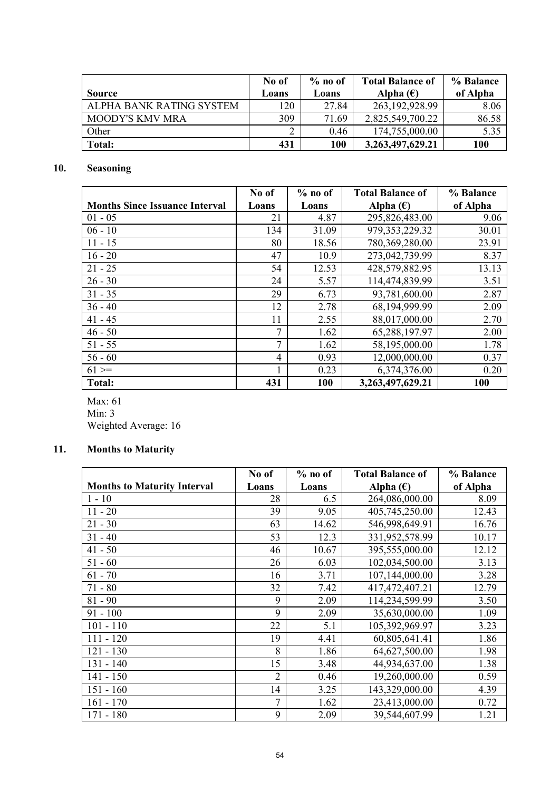|                          | No of | $%$ no of | <b>Total Balance of</b> | % Balance |
|--------------------------|-------|-----------|-------------------------|-----------|
| <b>Source</b>            | Loans | Loans     | Alpha $(\epsilon)$      | of Alpha  |
| ALPHA BANK RATING SYSTEM | 120   | 27.84     | 263, 192, 928. 99       | 8.06      |
| <b>MOODY'S KMV MRA</b>   | 309   | 71.69     | 2,825,549,700.22        | 86.58     |
| Other                    |       | 0.46      | 174,755,000.00          | 5.35      |
| Total:                   | 431   | 100       | 3,263,497,629.21        | 100       |

### **10. Seasoning**

|                                       | No of | $%$ no of | <b>Total Balance of</b> | % Balance |
|---------------------------------------|-------|-----------|-------------------------|-----------|
| <b>Months Since Issuance Interval</b> | Loans | Loans     | Alpha $(\epsilon)$      | of Alpha  |
| $01 - 05$                             | 21    | 4.87      | 295,826,483.00          | 9.06      |
| $06 - 10$                             | 134   | 31.09     | 979, 353, 229. 32       | 30.01     |
| $11 - 15$                             | 80    | 18.56     | 780,369,280.00          | 23.91     |
| $16 - 20$                             | 47    | 10.9      | 273,042,739.99          | 8.37      |
| $21 - 25$                             | 54    | 12.53     | 428,579,882.95          | 13.13     |
| $26 - 30$                             | 24    | 5.57      | 114,474,839.99          | 3.51      |
| $31 - 35$                             | 29    | 6.73      | 93,781,600.00           | 2.87      |
| $36 - 40$                             | 12    | 2.78      | 68,194,999.99           | 2.09      |
| $41 - 45$                             | 11    | 2.55      | 88,017,000.00           | 2.70      |
| $46 - 50$                             | 7     | 1.62      | 65,288,197.97           | 2.00      |
| $51 - 55$                             | 7     | 1.62      | 58,195,000.00           | 1.78      |
| $56 - 60$                             | 4     | 0.93      | 12,000,000.00           | 0.37      |
| $61 =$                                |       | 0.23      | 6,374,376.00            | 0.20      |
| <b>Total:</b>                         | 431   | 100       | 3,263,497,629.21        | 100       |

Max: 61  $Min: 3$ Weighted Average: 16

## **11. Months to Maturity**

|                                    | No of          | $%$ no of | <b>Total Balance of</b> | % Balance |
|------------------------------------|----------------|-----------|-------------------------|-----------|
| <b>Months to Maturity Interval</b> | Loans          | Loans     | Alpha $(\epsilon)$      | of Alpha  |
| $1 - 10$                           | 28             | 6.5       | 264,086,000.00          | 8.09      |
| $11 - 20$                          | 39             | 9.05      | 405,745,250.00          | 12.43     |
| $21 - 30$                          | 63             | 14.62     | 546,998,649.91          | 16.76     |
| $31 - 40$                          | 53             | 12.3      | 331,952,578.99          | 10.17     |
| $41 - 50$                          | 46             | 10.67     | 395,555,000.00          | 12.12     |
| $51 - 60$                          | 26             | 6.03      | 102,034,500.00          | 3.13      |
| $61 - 70$                          | 16             | 3.71      | 107,144,000.00          | 3.28      |
| $71 - 80$                          | 32             | 7.42      | 417,472,407.21          | 12.79     |
| $81 - 90$                          | 9              | 2.09      | 114,234,599.99          | 3.50      |
| $91 - 100$                         | 9              | 2.09      | 35,630,000.00           | 1.09      |
| $101 - 110$                        | 22             | 5.1       | 105,392,969.97          | 3.23      |
| $111 - 120$                        | 19             | 4.41      | 60,805,641.41           | 1.86      |
| $121 - 130$                        | 8              | 1.86      | 64,627,500.00           | 1.98      |
| $131 - 140$                        | 15             | 3.48      | 44,934,637.00           | 1.38      |
| $141 - 150$                        | $\overline{2}$ | 0.46      | 19,260,000.00           | 0.59      |
| $151 - 160$                        | 14             | 3.25      | 143,329,000.00          | 4.39      |
| $161 - 170$                        | $\overline{7}$ | 1.62      | 23,413,000.00           | 0.72      |
| $171 - 180$                        | 9              | 2.09      | 39,544,607.99           | 1.21      |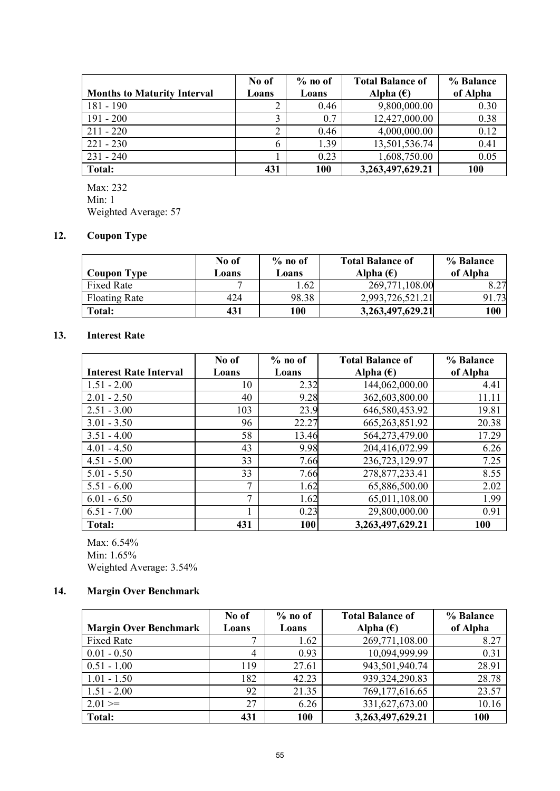|                                    | No of | $%$ no of | <b>Total Balance of</b> | % Balance |
|------------------------------------|-------|-----------|-------------------------|-----------|
| <b>Months to Maturity Interval</b> | Loans | Loans     | Alpha $(\epsilon)$      | of Alpha  |
| $181 - 190$                        | ာ     | 0.46      | 9,800,000.00            | 0.30      |
| $191 - 200$                        | 3     | 0.7       | 12,427,000.00           | 0.38      |
| $211 - 220$                        | າ     | 0.46      | 4,000,000.00            | 0.12      |
| $221 - 230$                        | 6     | 1.39      | 13,501,536.74           | 0.41      |
| $231 - 240$                        |       | 0.23      | 1,608,750.00            | 0.05      |
| <b>Total:</b>                      | 431   | 100       | 3,263,497,629.21        | 100       |

Max: 232 Min: 1 Weighted Average: 57

### **12. Coupon Type**

| <b>Coupon Type</b>   | No of<br>Loans | $%$ no of<br>Loans | <b>Total Balance of</b><br>Alpha $(\epsilon)$ | % Balance<br>of Alpha |
|----------------------|----------------|--------------------|-----------------------------------------------|-----------------------|
| Fixed Rate           |                | .62                | 269,771,108.00                                | 8.27                  |
| <b>Floating Rate</b> | 424            | 98.38              | 2,993,726,521.21                              | 91.73                 |
| Total:               | 431            | 100                | 3,263,497,629.21                              | 100                   |

### **13. Interest Rate**

|                               | No of | $%$ no of | <b>Total Balance of</b> | % Balance |
|-------------------------------|-------|-----------|-------------------------|-----------|
| <b>Interest Rate Interval</b> | Loans | Loans     | Alpha $(\epsilon)$      | of Alpha  |
| $1.51 - 2.00$                 | 10    | 2.32      | 144,062,000.00          | 4.41      |
| $2.01 - 2.50$                 | 40    | 9.28      | 362,603,800.00          | 11.11     |
| $2.51 - 3.00$                 | 103   | 23.9      | 646,580,453.92          | 19.81     |
| $3.01 - 3.50$                 | 96    | 22.27     | 665, 263, 851. 92       | 20.38     |
| $3.51 - 4.00$                 | 58    | 13.46     | 564,273,479.00          | 17.29     |
| $4.01 - 4.50$                 | 43    | 9.98      | 204,416,072.99          | 6.26      |
| $4.51 - 5.00$                 | 33    | 7.66      | 236,723,129.97          | 7.25      |
| $5.01 - 5.50$                 | 33    | 7.66      | 278,877,233.41          | 8.55      |
| $5.51 - 6.00$                 | 7     | 1.62      | 65,886,500.00           | 2.02      |
| $6.01 - 6.50$                 | 7     | 1.62      | 65,011,108.00           | 1.99      |
| $6.51 - 7.00$                 |       | 0.23      | 29,800,000.00           | 0.91      |
| Total:                        | 431   | 100       | 3,263,497,629.21        | 100       |

Max: 6.54% Min: 1.65% Weighted Average: 3.54%

### **14. Margin Over Benchmark**

| <b>Margin Over Benchmark</b> | No of<br>Loans | $%$ no of<br>Loans | <b>Total Balance of</b><br>Alpha $(\epsilon)$ | % Balance<br>of Alpha |
|------------------------------|----------------|--------------------|-----------------------------------------------|-----------------------|
| <b>Fixed Rate</b>            | 7              | 1.62               | 269,771,108.00                                | 8.27                  |
| $0.01 - 0.50$                | 4              | 0.93               | 10,094,999.99                                 | 0.31                  |
| $0.51 - 1.00$                | 119            | 27.61              | 943,501,940.74                                | 28.91                 |
| $1.01 - 1.50$                | 182            | 42.23              | 939,324,290.83                                | 28.78                 |
| $1.51 - 2.00$                | 92             | 21.35              | 769,177,616.65                                | 23.57                 |
| $2.01 ==$                    | 27             | 6.26               | 331,627,673.00                                | 10.16                 |
| <b>Total:</b>                | 431            | 100                | 3,263,497,629.21                              | 100                   |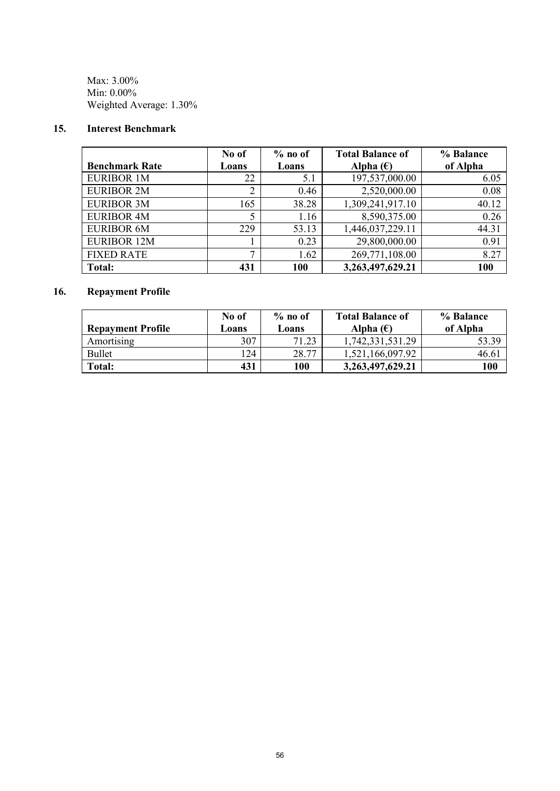Max: 3.00% Min: 0.00% Weighted Average: 1.30%

### **15. Interest Benchmark**

| <b>Benchmark Rate</b> | No of<br>Loans | $%$ no of<br>Loans | <b>Total Balance of</b><br>Alpha $(\epsilon)$ | % Balance<br>of Alpha |
|-----------------------|----------------|--------------------|-----------------------------------------------|-----------------------|
| <b>EURIBOR 1M</b>     | 22             | 5.1                | 197,537,000.00                                | 6.05                  |
| <b>EURIBOR 2M</b>     | ↑<br>∠         | 0.46               | 2,520,000.00                                  | 0.08                  |
| <b>EURIBOR 3M</b>     | 165            | 38.28              | 1,309,241,917.10                              | 40.12                 |
| <b>EURIBOR 4M</b>     | 5              | 1.16               | 8,590,375.00                                  | 0.26                  |
| <b>EURIBOR 6M</b>     | 229            | 53.13              | 1,446,037,229.11                              | 44.31                 |
| <b>EURIBOR 12M</b>    |                | 0.23               | 29,800,000.00                                 | 0.91                  |
| <b>FIXED RATE</b>     | ⇁              | 1.62               | 269,771,108.00                                | 8.27                  |
| <b>Total:</b>         | 431            | 100                | 3,263,497,629.21                              | 100                   |

## **16. Repayment Profile**

|                          | No of | $\%$ no of | <b>Total Balance of</b> | % Balance |
|--------------------------|-------|------------|-------------------------|-----------|
| <b>Repayment Profile</b> | Loans | Loans      | Alpha $(\epsilon)$      | of Alpha  |
| Amortising               | 307   | 71.23      | 1,742,331,531.29        | 53.39     |
| <b>Bullet</b>            | 124   | 28.77      | 1,521,166,097.92        | 46.6      |
| <b>Total:</b>            | 431   | 100        | 3,263,497,629.21        | 100       |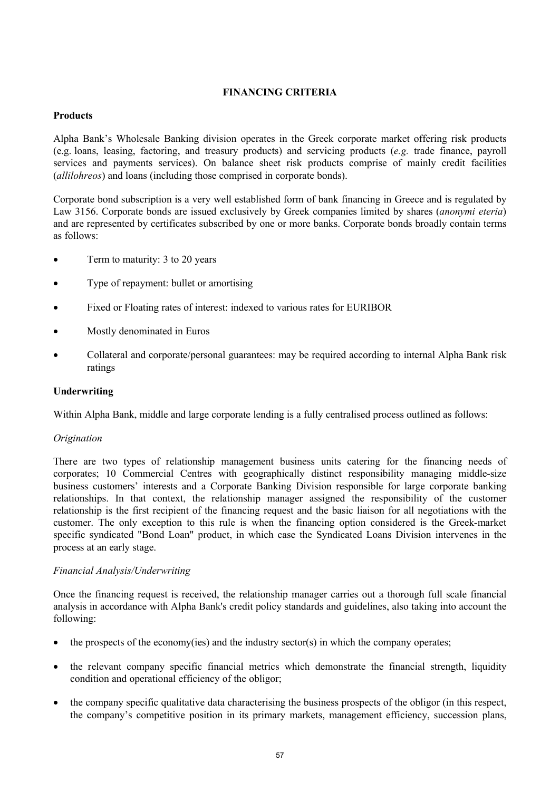### **FINANCING CRITERIA**

### **Products**

Alpha Bank's Wholesale Banking division operates in the Greek corporate market offering risk products (e.g. loans, leasing, factoring, and treasury products) and servicing products (*e.g.* trade finance, payroll services and payments services). On balance sheet risk products comprise of mainly credit facilities (*allilohreos*) and loans (including those comprised in corporate bonds).

Corporate bond subscription is a very well established form of bank financing in Greece and is regulated by Law 3156. Corporate bonds are issued exclusively by Greek companies limited by shares (*anonymi eteria*) and are represented by certificates subscribed by one or more banks. Corporate bonds broadly contain terms as follows:

- Term to maturity: 3 to 20 years
- Type of repayment: bullet or amortising
- Fixed or Floating rates of interest: indexed to various rates for EURIBOR
- Mostly denominated in Euros
- · Collateral and corporate/personal guarantees: may be required according to internal Alpha Bank risk ratings

### **Underwriting**

Within Alpha Bank, middle and large corporate lending is a fully centralised process outlined as follows:

### *Origination*

There are two types of relationship management business units catering for the financing needs of corporates; 10 Commercial Centres with geographically distinct responsibility managing middle-size business customers' interests and a Corporate Banking Division responsible for large corporate banking relationships. In that context, the relationship manager assigned the responsibility of the customer relationship is the first recipient of the financing request and the basic liaison for all negotiations with the customer. The only exception to this rule is when the financing option considered is the Greek-market specific syndicated "Bond Loan" product, in which case the Syndicated Loans Division intervenes in the process at an early stage.

### *Financial Analysis/Underwriting*

Once the financing request is received, the relationship manager carries out a thorough full scale financial analysis in accordance with Alpha Bank's credit policy standards and guidelines, also taking into account the following:

- $\bullet$  the prospects of the economy(ies) and the industry sector(s) in which the company operates;
- the relevant company specific financial metrics which demonstrate the financial strength, liquidity condition and operational efficiency of the obligor;
- · the company specific qualitative data characterising the business prospects of the obligor (in this respect, the company's competitive position in its primary markets, management efficiency, succession plans,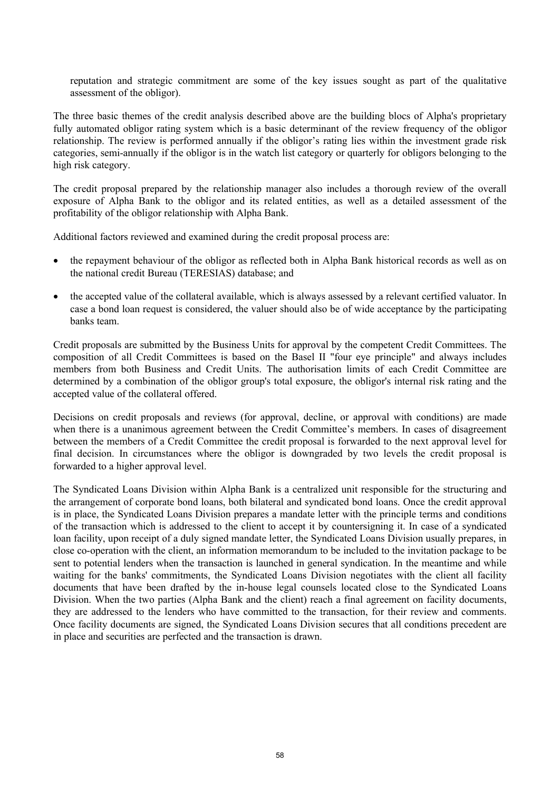reputation and strategic commitment are some of the key issues sought as part of the qualitative assessment of the obligor).

The three basic themes of the credit analysis described above are the building blocs of Alpha's proprietary fully automated obligor rating system which is a basic determinant of the review frequency of the obligor relationship. The review is performed annually if the obligor's rating lies within the investment grade risk categories, semi-annually if the obligor is in the watch list category or quarterly for obligors belonging to the high risk category.

The credit proposal prepared by the relationship manager also includes a thorough review of the overall exposure of Alpha Bank to the obligor and its related entities, as well as a detailed assessment of the profitability of the obligor relationship with Alpha Bank.

Additional factors reviewed and examined during the credit proposal process are:

- the repayment behaviour of the obligor as reflected both in Alpha Bank historical records as well as on the national credit Bureau (TERESIAS) database; and
- the accepted value of the collateral available, which is always assessed by a relevant certified valuator. In case a bond loan request is considered, the valuer should also be of wide acceptance by the participating banks team.

Credit proposals are submitted by the Business Units for approval by the competent Credit Committees. The composition of all Credit Committees is based on the Basel II "four eye principle" and always includes members from both Business and Credit Units. The authorisation limits of each Credit Committee are determined by a combination of the obligor group's total exposure, the obligor's internal risk rating and the accepted value of the collateral offered.

Decisions on credit proposals and reviews (for approval, decline, or approval with conditions) are made when there is a unanimous agreement between the Credit Committee's members. In cases of disagreement between the members of a Credit Committee the credit proposal is forwarded to the next approval level for final decision. In circumstances where the obligor is downgraded by two levels the credit proposal is forwarded to a higher approval level.

The Syndicated Loans Division within Alpha Bank is a centralized unit responsible for the structuring and the arrangement of corporate bond loans, both bilateral and syndicated bond loans. Once the credit approval is in place, the Syndicated Loans Division prepares a mandate letter with the principle terms and conditions of the transaction which is addressed to the client to accept it by countersigning it. In case of a syndicated loan facility, upon receipt of a duly signed mandate letter, the Syndicated Loans Division usually prepares, in close co-operation with the client, an information memorandum to be included to the invitation package to be sent to potential lenders when the transaction is launched in general syndication. In the meantime and while waiting for the banks' commitments, the Syndicated Loans Division negotiates with the client all facility documents that have been drafted by the in-house legal counsels located close to the Syndicated Loans Division. When the two parties (Alpha Bank and the client) reach a final agreement on facility documents, they are addressed to the lenders who have committed to the transaction, for their review and comments. Once facility documents are signed, the Syndicated Loans Division secures that all conditions precedent are in place and securities are perfected and the transaction is drawn.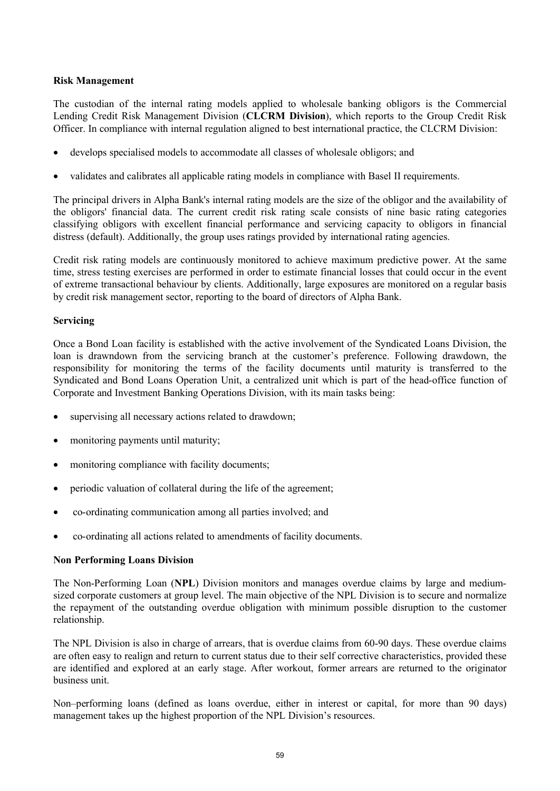### **Risk Management**

The custodian of the internal rating models applied to wholesale banking obligors is the Commercial Lending Credit Risk Management Division (**CLCRM Division**), which reports to the Group Credit Risk Officer. In compliance with internal regulation aligned to best international practice, the CLCRM Division:

- · develops specialised models to accommodate all classes of wholesale obligors; and
- · validates and calibrates all applicable rating models in compliance with Basel II requirements.

The principal drivers in Alpha Bank's internal rating models are the size of the obligor and the availability of the obligors' financial data. The current credit risk rating scale consists of nine basic rating categories classifying obligors with excellent financial performance and servicing capacity to obligors in financial distress (default). Additionally, the group uses ratings provided by international rating agencies.

Credit risk rating models are continuously monitored to achieve maximum predictive power. At the same time, stress testing exercises are performed in order to estimate financial losses that could occur in the event of extreme transactional behaviour by clients. Additionally, large exposures are monitored on a regular basis by credit risk management sector, reporting to the board of directors of Alpha Bank.

### **Servicing**

Once a Bond Loan facility is established with the active involvement of the Syndicated Loans Division, the loan is drawndown from the servicing branch at the customer's preference. Following drawdown, the responsibility for monitoring the terms of the facility documents until maturity is transferred to the Syndicated and Bond Loans Operation Unit, a centralized unit which is part of the head-office function of Corporate and Investment Banking Operations Division, with its main tasks being:

- supervising all necessary actions related to drawdown;
- monitoring payments until maturity;
- monitoring compliance with facility documents;
- periodic valuation of collateral during the life of the agreement;
- · co-ordinating communication among all parties involved; and
- · co-ordinating all actions related to amendments of facility documents.

### **Non Performing Loans Division**

The Non-Performing Loan (**NPL**) Division monitors and manages overdue claims by large and mediumsized corporate customers at group level. The main objective of the NPL Division is to secure and normalize the repayment of the outstanding overdue obligation with minimum possible disruption to the customer relationship.

The NPL Division is also in charge of arrears, that is overdue claims from 60-90 days. These overdue claims are often easy to realign and return to current status due to their self corrective characteristics, provided these are identified and explored at an early stage. After workout, former arrears are returned to the originator business unit.

Non–performing loans (defined as loans overdue, either in interest or capital, for more than 90 days) management takes up the highest proportion of the NPL Division's resources.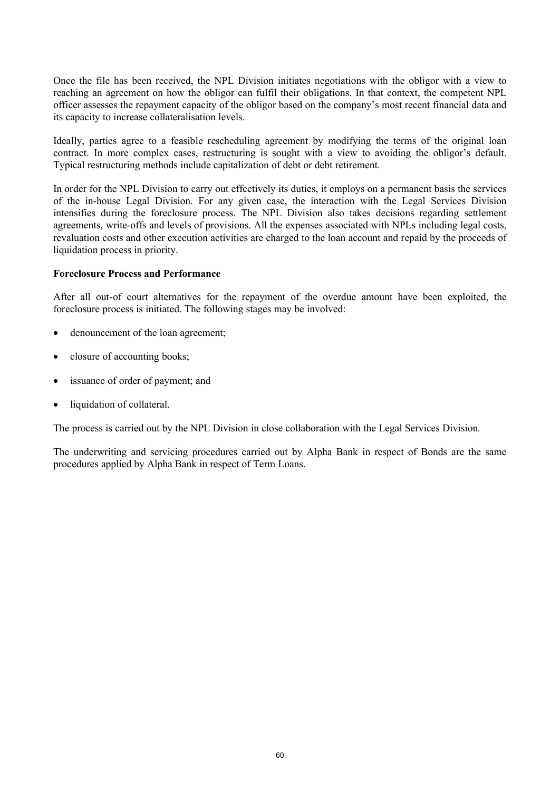Once the file has been received, the NPL Division initiates negotiations with the obligor with a view to reaching an agreement on how the obligor can fulfil their obligations. In that context, the competent NPL officer assesses the repayment capacity of the obligor based on the company's most recent financial data and its capacity to increase collateralisation levels.

Ideally, parties agree to a feasible rescheduling agreement by modifying the terms of the original loan contract. In more complex cases, restructuring is sought with a view to avoiding the obligor's default. Typical restructuring methods include capitalization of debt or debt retirement.

In order for the NPL Division to carry out effectively its duties, it employs on a permanent basis the services of the in-house Legal Division. For any given case, the interaction with the Legal Services Division intensifies during the foreclosure process. The NPL Division also takes decisions regarding settlement agreements, write-offs and levels of provisions. All the expenses associated with NPLs including legal costs, revaluation costs and other execution activities are charged to the loan account and repaid by the proceeds of liquidation process in priority.

### **Foreclosure Process and Performance**

After all out-of court alternatives for the repayment of the overdue amount have been exploited, the foreclosure process is initiated. Τhe following stages may be involved:

- denouncement of the loan agreement;
- closure of accounting books;
- issuance of order of payment; and
- liquidation of collateral.

The process is carried out by the NPL Division in close collaboration with the Legal Services Division.

The underwriting and servicing procedures carried out by Alpha Bank in respect of Bonds are the same procedures applied by Alpha Bank in respect of Term Loans.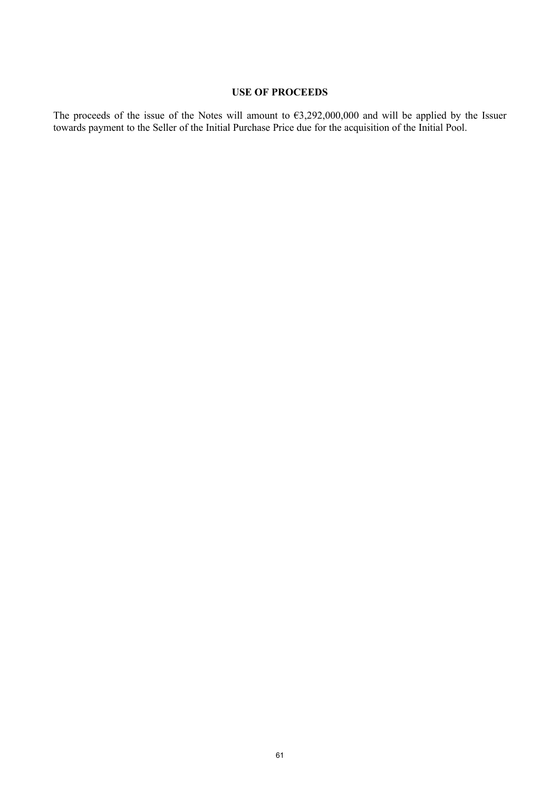### **USE OF PROCEEDS**

The proceeds of the issue of the Notes will amount to  $63,292,000,000$  and will be applied by the Issuer towards payment to the Seller of the Initial Purchase Price due for the acquisition of the Initial Pool.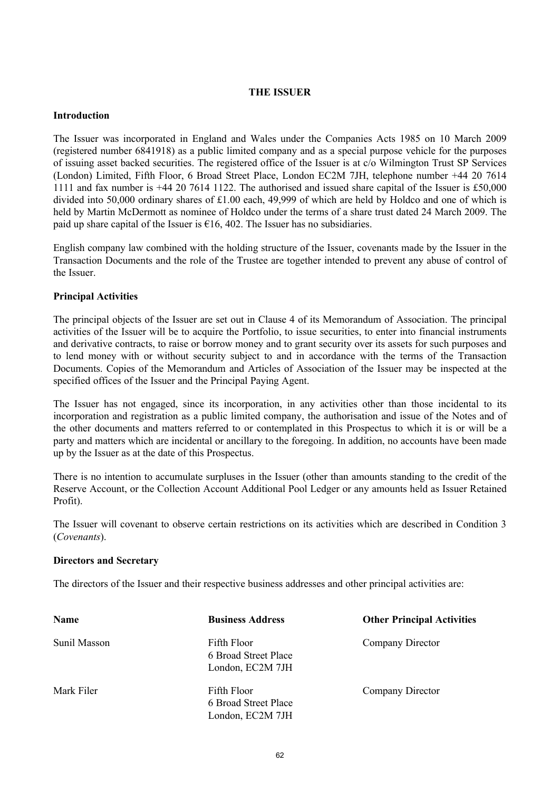### **THE ISSUER**

### **Introduction**

The Issuer was incorporated in England and Wales under the Companies Acts 1985 on 10 March 2009 (registered number 6841918) as a public limited company and as a special purpose vehicle for the purposes of issuing asset backed securities. The registered office of the Issuer is at c/o Wilmington Trust SP Services (London) Limited, Fifth Floor, 6 Broad Street Place, London EC2M 7JH, telephone number +44 20 7614 1111 and fax number is +44 20 7614 1122. The authorised and issued share capital of the Issuer is £50,000 divided into 50,000 ordinary shares of £1.00 each, 49,999 of which are held by Holdco and one of which is held by Martin McDermott as nominee of Holdco under the terms of a share trust dated 24 March 2009. The paid up share capital of the Issuer is  $\epsilon$ 16, 402. The Issuer has no subsidiaries.

English company law combined with the holding structure of the Issuer, covenants made by the Issuer in the Transaction Documents and the role of the Trustee are together intended to prevent any abuse of control of the Issuer.

### **Principal Activities**

The principal objects of the Issuer are set out in Clause 4 of its Memorandum of Association. The principal activities of the Issuer will be to acquire the Portfolio, to issue securities, to enter into financial instruments and derivative contracts, to raise or borrow money and to grant security over its assets for such purposes and to lend money with or without security subject to and in accordance with the terms of the Transaction Documents. Copies of the Memorandum and Articles of Association of the Issuer may be inspected at the specified offices of the Issuer and the Principal Paying Agent.

The Issuer has not engaged, since its incorporation, in any activities other than those incidental to its incorporation and registration as a public limited company, the authorisation and issue of the Notes and of the other documents and matters referred to or contemplated in this Prospectus to which it is or will be a party and matters which are incidental or ancillary to the foregoing. In addition, no accounts have been made up by the Issuer as at the date of this Prospectus.

There is no intention to accumulate surpluses in the Issuer (other than amounts standing to the credit of the Reserve Account, or the Collection Account Additional Pool Ledger or any amounts held as Issuer Retained Profit).

The Issuer will covenant to observe certain restrictions on its activities which are described in Condition 3 (*Covenants*).

### **Directors and Secretary**

The directors of the Issuer and their respective business addresses and other principal activities are:

| Name         | <b>Business Address</b>                                 | <b>Other Principal Activities</b> |
|--------------|---------------------------------------------------------|-----------------------------------|
| Sunil Masson | Fifth Floor<br>6 Broad Street Place<br>London, EC2M 7JH | Company Director                  |
| Mark Filer   | Fifth Floor<br>6 Broad Street Place<br>London, EC2M 7JH | Company Director                  |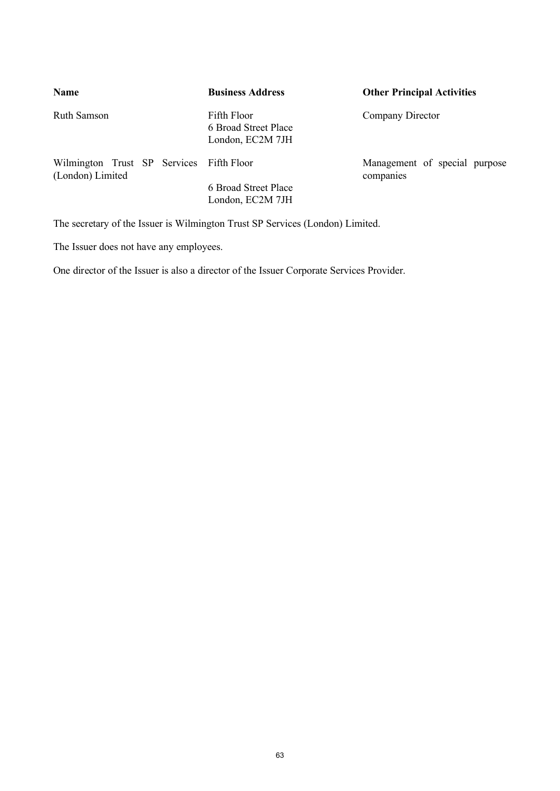| <b>Name</b>                                                  | <b>Business Address</b>                                 | <b>Other Principal Activities</b>          |  |
|--------------------------------------------------------------|---------------------------------------------------------|--------------------------------------------|--|
| Ruth Samson                                                  | Fifth Floor<br>6 Broad Street Place<br>London, EC2M 7JH | Company Director                           |  |
| Wilmington Trust SP Services Fifth Floor<br>(London) Limited |                                                         | Management of special purpose<br>companies |  |
|                                                              | 6 Broad Street Place<br>London, EC2M 7JH                |                                            |  |

The secretary of the Issuer is Wilmington Trust SP Services (London) Limited.

The Issuer does not have any employees.

One director of the Issuer is also a director of the Issuer Corporate Services Provider.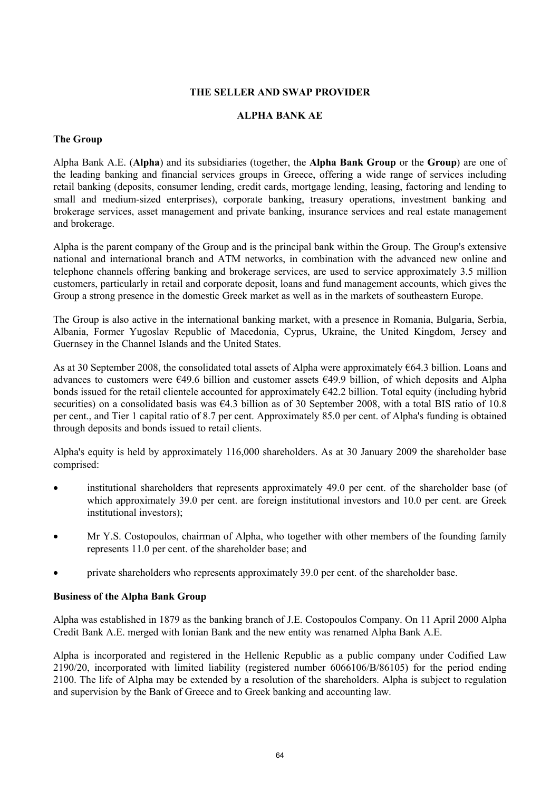### **THE SELLER AND SWAP PROVIDER**

### **ALPHA BANK AE**

### **The Group**

Alpha Bank A.E. (**Alpha**) and its subsidiaries (together, the **Alpha Bank Group** or the **Group**) are one of the leading banking and financial services groups in Greece, offering a wide range of services including retail banking (deposits, consumer lending, credit cards, mortgage lending, leasing, factoring and lending to small and medium-sized enterprises), corporate banking, treasury operations, investment banking and brokerage services, asset management and private banking, insurance services and real estate management and brokerage.

Alpha is the parent company of the Group and is the principal bank within the Group. The Group's extensive national and international branch and ATM networks, in combination with the advanced new online and telephone channels offering banking and brokerage services, are used to service approximately 3.5 million customers, particularly in retail and corporate deposit, loans and fund management accounts, which gives the Group a strong presence in the domestic Greek market as well as in the markets of southeastern Europe.

The Group is also active in the international banking market, with a presence in Romania, Bulgaria, Serbia, Albania, Former Yugoslav Republic of Macedonia, Cyprus, Ukraine, the United Kingdom, Jersey and Guernsey in the Channel Islands and the United States.

As at 30 September 2008, the consolidated total assets of Alpha were approximately €64.3 billion. Loans and advances to customers were €49.6 billion and customer assets €49.9 billion, of which deposits and Alpha bonds issued for the retail clientele accounted for approximately €42.2 billion. Total equity (including hybrid securities) on a consolidated basis was  $64.3$  billion as of 30 September 2008, with a total BIS ratio of 10.8 per cent., and Tier 1 capital ratio of 8.7 per cent. Approximately 85.0 per cent. of Alpha's funding is obtained through deposits and bonds issued to retail clients.

Alpha's equity is held by approximately 116,000 shareholders. As at 30 January 2009 the shareholder base comprised:

- institutional shareholders that represents approximately 49.0 per cent. of the shareholder base (of which approximately 39.0 per cent. are foreign institutional investors and 10.0 per cent. are Greek institutional investors);
- · Mr Y.S. Costopoulos, chairman of Alpha, who together with other members of the founding family represents 11.0 per cent. of the shareholder base; and
- private shareholders who represents approximately 39.0 per cent. of the shareholder base.

### **Business of the Alpha Bank Group**

Alpha was established in 1879 as the banking branch of J.E. Costopoulos Company. On 11 April 2000 Alpha Credit Bank A.E. merged with Ionian Bank and the new entity was renamed Alpha Bank A.E.

Alpha is incorporated and registered in the Hellenic Republic as a public company under Codified Law 2190/20, incorporated with limited liability (registered number 6066106/B/86105) for the period ending 2100. The life of Alpha may be extended by a resolution of the shareholders. Alpha is subject to regulation and supervision by the Bank of Greece and to Greek banking and accounting law.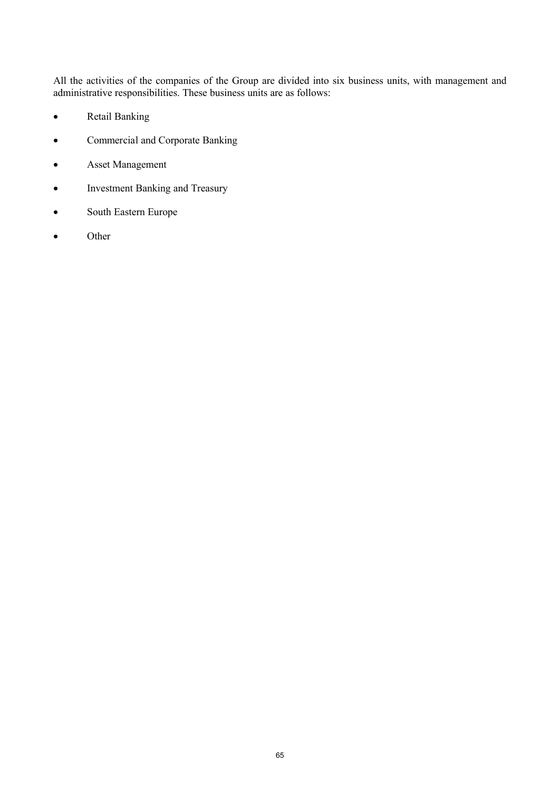All the activities of the companies of the Group are divided into six business units, with management and administrative responsibilities. These business units are as follows:

- · Retail Banking
- · Commercial and Corporate Banking
- · Asset Management
- · Investment Banking and Treasury
- · South Eastern Europe
- · Other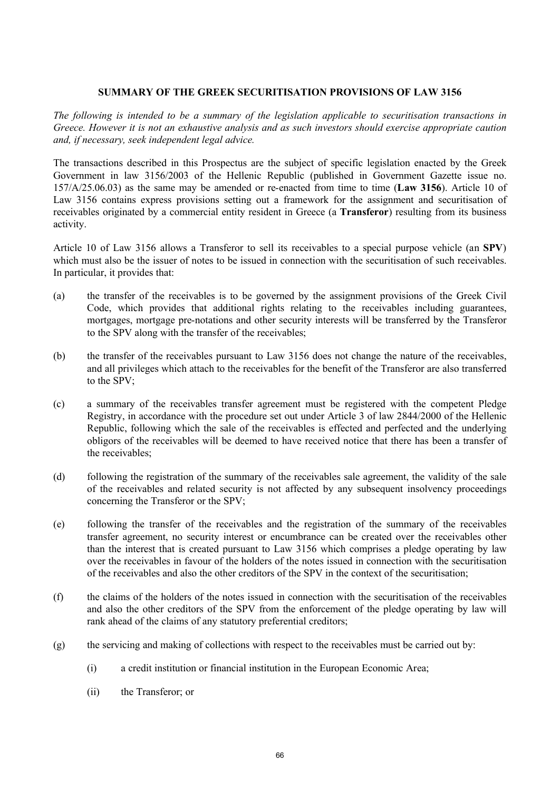### **SUMMARY OF THE GREEK SECURITISATION PROVISIONS OF LAW 3156**

*The following is intended to be a summary of the legislation applicable to securitisation transactions in Greece. However it is not an exhaustive analysis and as such investors should exercise appropriate caution and, if necessary, seek independent legal advice.*

The transactions described in this Prospectus are the subject of specific legislation enacted by the Greek Government in law 3156/2003 of the Hellenic Republic (published in Government Gazette issue no. 157/A/25.06.03) as the same may be amended or re-enacted from time to time (**Law 3156**). Article 10 of Law 3156 contains express provisions setting out a framework for the assignment and securitisation of receivables originated by a commercial entity resident in Greece (a **Transferor**) resulting from its business activity.

Article 10 of Law 3156 allows a Transferor to sell its receivables to a special purpose vehicle (an **SPV**) which must also be the issuer of notes to be issued in connection with the securitisation of such receivables. In particular, it provides that:

- (a) the transfer of the receivables is to be governed by the assignment provisions of the Greek Civil Code, which provides that additional rights relating to the receivables including guarantees, mortgages, mortgage pre-notations and other security interests will be transferred by the Transferor to the SPV along with the transfer of the receivables;
- (b) the transfer of the receivables pursuant to Law 3156 does not change the nature of the receivables, and all privileges which attach to the receivables for the benefit of the Transferor are also transferred to the SPV;
- (c) a summary of the receivables transfer agreement must be registered with the competent Pledge Registry, in accordance with the procedure set out under Article 3 of law 2844/2000 of the Hellenic Republic, following which the sale of the receivables is effected and perfected and the underlying obligors of the receivables will be deemed to have received notice that there has been a transfer of the receivables;
- (d) following the registration of the summary of the receivables sale agreement, the validity of the sale of the receivables and related security is not affected by any subsequent insolvency proceedings concerning the Transferor or the SPV;
- (e) following the transfer of the receivables and the registration of the summary of the receivables transfer agreement, no security interest or encumbrance can be created over the receivables other than the interest that is created pursuant to Law 3156 which comprises a pledge operating by law over the receivables in favour of the holders of the notes issued in connection with the securitisation of the receivables and also the other creditors of the SPV in the context of the securitisation;
- (f) the claims of the holders of the notes issued in connection with the securitisation of the receivables and also the other creditors of the SPV from the enforcement of the pledge operating by law will rank ahead of the claims of any statutory preferential creditors;
- (g) the servicing and making of collections with respect to the receivables must be carried out by:
	- (i) a credit institution or financial institution in the European Economic Area;
	- (ii) the Transferor; or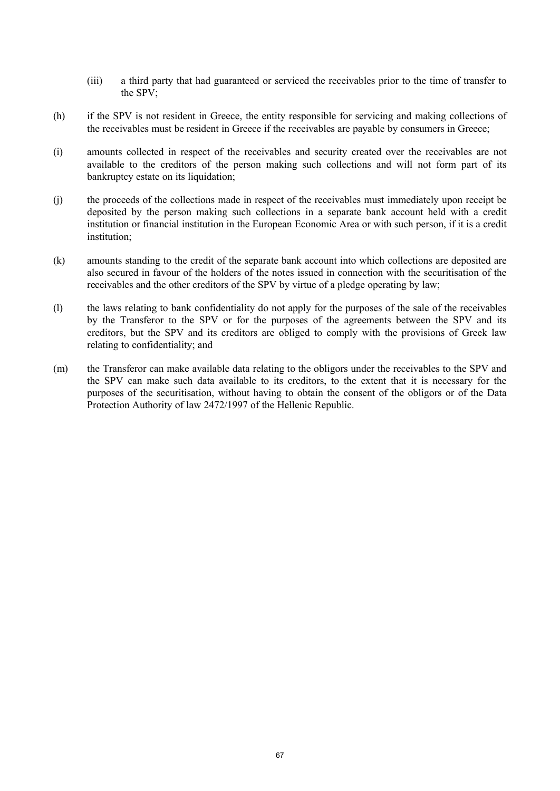- (iii) a third party that had guaranteed or serviced the receivables prior to the time of transfer to the SPV;
- (h) if the SPV is not resident in Greece, the entity responsible for servicing and making collections of the receivables must be resident in Greece if the receivables are payable by consumers in Greece;
- (i) amounts collected in respect of the receivables and security created over the receivables are not available to the creditors of the person making such collections and will not form part of its bankruptcy estate on its liquidation;
- (j) the proceeds of the collections made in respect of the receivables must immediately upon receipt be deposited by the person making such collections in a separate bank account held with a credit institution or financial institution in the European Economic Area or with such person, if it is a credit institution;
- (k) amounts standing to the credit of the separate bank account into which collections are deposited are also secured in favour of the holders of the notes issued in connection with the securitisation of the receivables and the other creditors of the SPV by virtue of a pledge operating by law;
- (l) the laws relating to bank confidentiality do not apply for the purposes of the sale of the receivables by the Transferor to the SPV or for the purposes of the agreements between the SPV and its creditors, but the SPV and its creditors are obliged to comply with the provisions of Greek law relating to confidentiality; and
- (m) the Transferor can make available data relating to the obligors under the receivables to the SPV and the SPV can make such data available to its creditors, to the extent that it is necessary for the purposes of the securitisation, without having to obtain the consent of the obligors or of the Data Protection Authority of law 2472/1997 of the Hellenic Republic.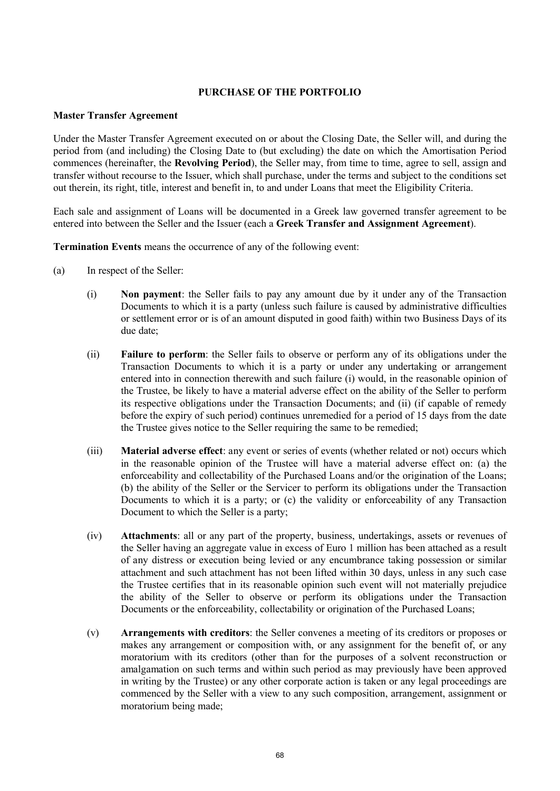### **PURCHASE OF THE PORTFOLIO**

### **Master Transfer Agreement**

Under the Master Transfer Agreement executed on or about the Closing Date, the Seller will, and during the period from (and including) the Closing Date to (but excluding) the date on which the Amortisation Period commences (hereinafter, the **Revolving Period**), the Seller may, from time to time, agree to sell, assign and transfer without recourse to the Issuer, which shall purchase, under the terms and subject to the conditions set out therein, its right, title, interest and benefit in, to and under Loans that meet the Eligibility Criteria.

Each sale and assignment of Loans will be documented in a Greek law governed transfer agreement to be entered into between the Seller and the Issuer (each a **Greek Transfer and Assignment Agreement**).

**Termination Events** means the occurrence of any of the following event:

- (a) In respect of the Seller:
	- (i) **Non payment**: the Seller fails to pay any amount due by it under any of the Transaction Documents to which it is a party (unless such failure is caused by administrative difficulties or settlement error or is of an amount disputed in good faith) within two Business Days of its due date;
	- (ii) **Failure to perform**: the Seller fails to observe or perform any of its obligations under the Transaction Documents to which it is a party or under any undertaking or arrangement entered into in connection therewith and such failure (i) would, in the reasonable opinion of the Trustee, be likely to have a material adverse effect on the ability of the Seller to perform its respective obligations under the Transaction Documents; and (ii) (if capable of remedy before the expiry of such period) continues unremedied for a period of 15 days from the date the Trustee gives notice to the Seller requiring the same to be remedied;
	- (iii) **Material adverse effect**: any event or series of events (whether related or not) occurs which in the reasonable opinion of the Trustee will have a material adverse effect on: (a) the enforceability and collectability of the Purchased Loans and/or the origination of the Loans; (b) the ability of the Seller or the Servicer to perform its obligations under the Transaction Documents to which it is a party; or (c) the validity or enforceability of any Transaction Document to which the Seller is a party;
	- (iv) **Attachments**: all or any part of the property, business, undertakings, assets or revenues of the Seller having an aggregate value in excess of Euro 1 million has been attached as a result of any distress or execution being levied or any encumbrance taking possession or similar attachment and such attachment has not been lifted within 30 days, unless in any such case the Trustee certifies that in its reasonable opinion such event will not materially prejudice the ability of the Seller to observe or perform its obligations under the Transaction Documents or the enforceability, collectability or origination of the Purchased Loans;
	- (v) **Arrangements with creditors**: the Seller convenes a meeting of its creditors or proposes or makes any arrangement or composition with, or any assignment for the benefit of, or any moratorium with its creditors (other than for the purposes of a solvent reconstruction or amalgamation on such terms and within such period as may previously have been approved in writing by the Trustee) or any other corporate action is taken or any legal proceedings are commenced by the Seller with a view to any such composition, arrangement, assignment or moratorium being made;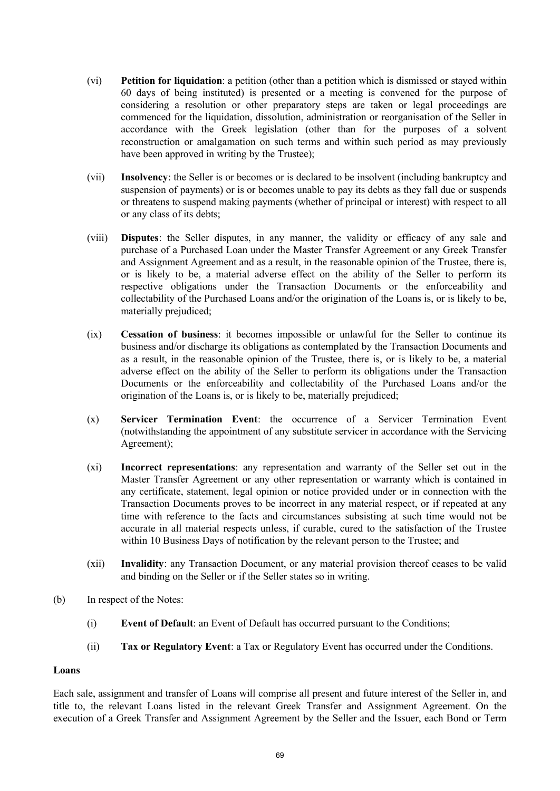- (vi) **Petition for liquidation**: a petition (other than a petition which is dismissed or stayed within 60 days of being instituted) is presented or a meeting is convened for the purpose of considering a resolution or other preparatory steps are taken or legal proceedings are commenced for the liquidation, dissolution, administration or reorganisation of the Seller in accordance with the Greek legislation (other than for the purposes of a solvent reconstruction or amalgamation on such terms and within such period as may previously have been approved in writing by the Trustee);
- (vii) **Insolvency**: the Seller is or becomes or is declared to be insolvent (including bankruptcy and suspension of payments) or is or becomes unable to pay its debts as they fall due or suspends or threatens to suspend making payments (whether of principal or interest) with respect to all or any class of its debts;
- (viii) **Disputes**: the Seller disputes, in any manner, the validity or efficacy of any sale and purchase of a Purchased Loan under the Master Transfer Agreement or any Greek Transfer and Assignment Agreement and as a result, in the reasonable opinion of the Trustee, there is, or is likely to be, a material adverse effect on the ability of the Seller to perform its respective obligations under the Transaction Documents or the enforceability and collectability of the Purchased Loans and/or the origination of the Loans is, or is likely to be, materially prejudiced;
- (ix) **Cessation of business**: it becomes impossible or unlawful for the Seller to continue its business and/or discharge its obligations as contemplated by the Transaction Documents and as a result, in the reasonable opinion of the Trustee, there is, or is likely to be, a material adverse effect on the ability of the Seller to perform its obligations under the Transaction Documents or the enforceability and collectability of the Purchased Loans and/or the origination of the Loans is, or is likely to be, materially prejudiced;
- (x) **Servicer Termination Event**: the occurrence of a Servicer Termination Event (notwithstanding the appointment of any substitute servicer in accordance with the Servicing Agreement);
- (xi) **Incorrect representations**: any representation and warranty of the Seller set out in the Master Transfer Agreement or any other representation or warranty which is contained in any certificate, statement, legal opinion or notice provided under or in connection with the Transaction Documents proves to be incorrect in any material respect, or if repeated at any time with reference to the facts and circumstances subsisting at such time would not be accurate in all material respects unless, if curable, cured to the satisfaction of the Trustee within 10 Business Days of notification by the relevant person to the Trustee; and
- (xii) **Invalidity**: any Transaction Document, or any material provision thereof ceases to be valid and binding on the Seller or if the Seller states so in writing.
- (b) In respect of the Notes:
	- (i) **Event of Default**: an Event of Default has occurred pursuant to the Conditions;
	- (ii) **Tax or Regulatory Event**: a Tax or Regulatory Event has occurred under the Conditions.

### **Loans**

Each sale, assignment and transfer of Loans will comprise all present and future interest of the Seller in, and title to, the relevant Loans listed in the relevant Greek Transfer and Assignment Agreement. On the execution of a Greek Transfer and Assignment Agreement by the Seller and the Issuer, each Bond or Term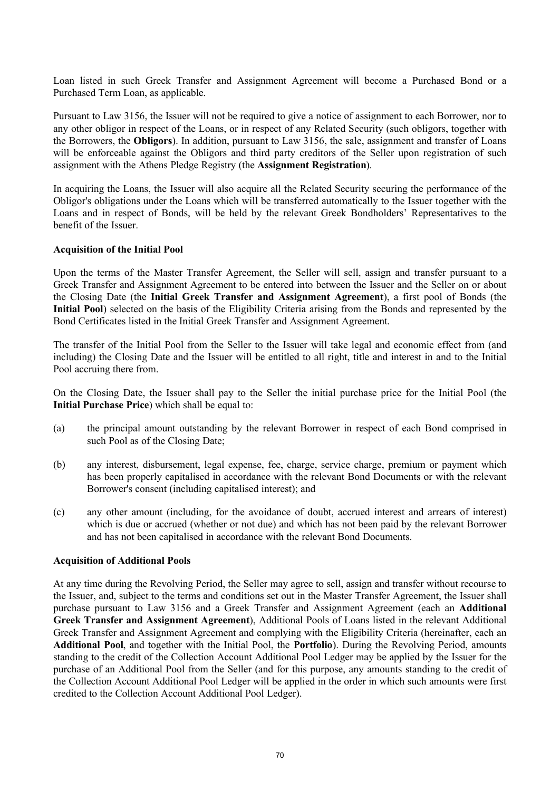Loan listed in such Greek Transfer and Assignment Agreement will become a Purchased Bond or a Purchased Term Loan, as applicable.

Pursuant to Law 3156, the Issuer will not be required to give a notice of assignment to each Borrower, nor to any other obligor in respect of the Loans, or in respect of any Related Security (such obligors, together with the Borrowers, the **Obligors**). In addition, pursuant to Law 3156, the sale, assignment and transfer of Loans will be enforceable against the Obligors and third party creditors of the Seller upon registration of such assignment with the Athens Pledge Registry (the **Assignment Registration**).

In acquiring the Loans, the Issuer will also acquire all the Related Security securing the performance of the Obligor's obligations under the Loans which will be transferred automatically to the Issuer together with the Loans and in respect of Bonds, will be held by the relevant Greek Bondholders' Representatives to the benefit of the Issuer.

### **Acquisition of the Initial Pool**

Upon the terms of the Master Transfer Agreement, the Seller will sell, assign and transfer pursuant to a Greek Transfer and Assignment Agreement to be entered into between the Issuer and the Seller on or about the Closing Date (the **Initial Greek Transfer and Assignment Agreement**), a first pool of Bonds (the **Initial Pool**) selected on the basis of the Eligibility Criteria arising from the Bonds and represented by the Bond Certificates listed in the Initial Greek Transfer and Assignment Agreement.

The transfer of the Initial Pool from the Seller to the Issuer will take legal and economic effect from (and including) the Closing Date and the Issuer will be entitled to all right, title and interest in and to the Initial Pool accruing there from.

On the Closing Date, the Issuer shall pay to the Seller the initial purchase price for the Initial Pool (the **Initial Purchase Price**) which shall be equal to:

- (a) the principal amount outstanding by the relevant Borrower in respect of each Bond comprised in such Pool as of the Closing Date;
- (b) any interest, disbursement, legal expense, fee, charge, service charge, premium or payment which has been properly capitalised in accordance with the relevant Bond Documents or with the relevant Borrower's consent (including capitalised interest); and
- (c) any other amount (including, for the avoidance of doubt, accrued interest and arrears of interest) which is due or accrued (whether or not due) and which has not been paid by the relevant Borrower and has not been capitalised in accordance with the relevant Bond Documents.

#### **Acquisition of Additional Pools**

At any time during the Revolving Period, the Seller may agree to sell, assign and transfer without recourse to the Issuer, and, subject to the terms and conditions set out in the Master Transfer Agreement, the Issuer shall purchase pursuant to Law 3156 and a Greek Transfer and Assignment Agreement (each an **Additional Greek Transfer and Assignment Agreement**), Additional Pools of Loans listed in the relevant Additional Greek Transfer and Assignment Agreement and complying with the Eligibility Criteria (hereinafter, each an **Additional Pool**, and together with the Initial Pool, the **Portfolio**). During the Revolving Period, amounts standing to the credit of the Collection Account Additional Pool Ledger may be applied by the Issuer for the purchase of an Additional Pool from the Seller (and for this purpose, any amounts standing to the credit of the Collection Account Additional Pool Ledger will be applied in the order in which such amounts were first credited to the Collection Account Additional Pool Ledger).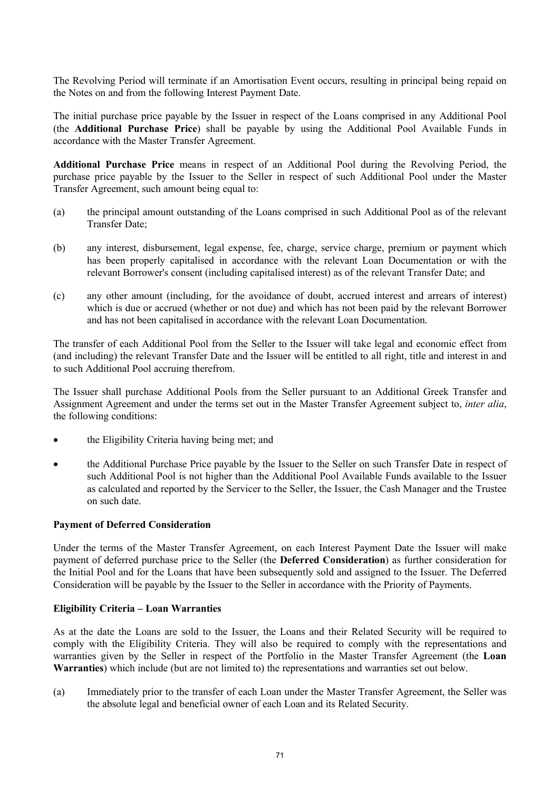The Revolving Period will terminate if an Amortisation Event occurs, resulting in principal being repaid on the Notes on and from the following Interest Payment Date.

The initial purchase price payable by the Issuer in respect of the Loans comprised in any Additional Pool (the **Additional Purchase Price**) shall be payable by using the Additional Pool Available Funds in accordance with the Master Transfer Agreement.

**Additional Purchase Price** means in respect of an Additional Pool during the Revolving Period, the purchase price payable by the Issuer to the Seller in respect of such Additional Pool under the Master Transfer Agreement, such amount being equal to:

- (a) the principal amount outstanding of the Loans comprised in such Additional Pool as of the relevant Transfer Date;
- (b) any interest, disbursement, legal expense, fee, charge, service charge, premium or payment which has been properly capitalised in accordance with the relevant Loan Documentation or with the relevant Borrower's consent (including capitalised interest) as of the relevant Transfer Date; and
- (c) any other amount (including, for the avoidance of doubt, accrued interest and arrears of interest) which is due or accrued (whether or not due) and which has not been paid by the relevant Borrower and has not been capitalised in accordance with the relevant Loan Documentation.

The transfer of each Additional Pool from the Seller to the Issuer will take legal and economic effect from (and including) the relevant Transfer Date and the Issuer will be entitled to all right, title and interest in and to such Additional Pool accruing therefrom.

The Issuer shall purchase Additional Pools from the Seller pursuant to an Additional Greek Transfer and Assignment Agreement and under the terms set out in the Master Transfer Agreement subject to, *inter alia*, the following conditions:

- the Eligibility Criteria having being met; and
- · the Additional Purchase Price payable by the Issuer to the Seller on such Transfer Date in respect of such Additional Pool is not higher than the Additional Pool Available Funds available to the Issuer as calculated and reported by the Servicer to the Seller, the Issuer, the Cash Manager and the Trustee on such date.

### **Payment of Deferred Consideration**

Under the terms of the Master Transfer Agreement, on each Interest Payment Date the Issuer will make payment of deferred purchase price to the Seller (the **Deferred Consideration**) as further consideration for the Initial Pool and for the Loans that have been subsequently sold and assigned to the Issuer. The Deferred Consideration will be payable by the Issuer to the Seller in accordance with the Priority of Payments.

### **Eligibility Criteria – Loan Warranties**

As at the date the Loans are sold to the Issuer, the Loans and their Related Security will be required to comply with the Eligibility Criteria. They will also be required to comply with the representations and warranties given by the Seller in respect of the Portfolio in the Master Transfer Agreement (the **Loan Warranties**) which include (but are not limited to) the representations and warranties set out below.

(a) Immediately prior to the transfer of each Loan under the Master Transfer Agreement, the Seller was the absolute legal and beneficial owner of each Loan and its Related Security.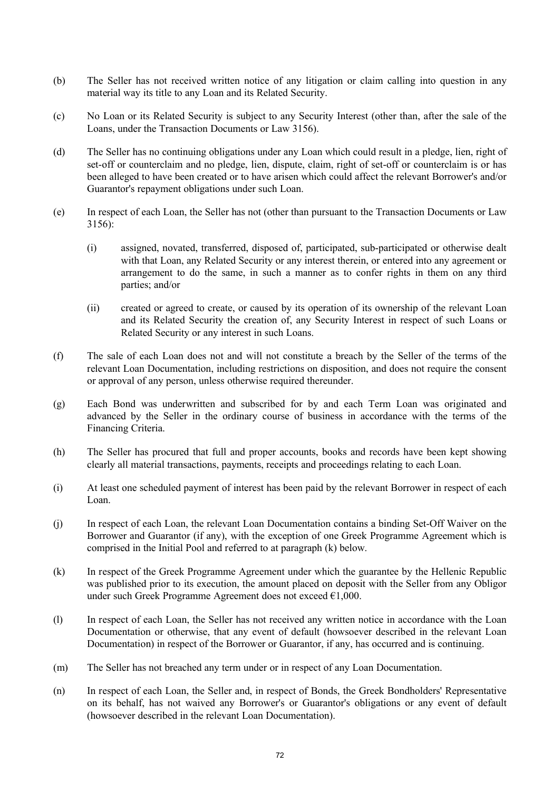- (b) The Seller has not received written notice of any litigation or claim calling into question in any material way its title to any Loan and its Related Security.
- (c) No Loan or its Related Security is subject to any Security Interest (other than, after the sale of the Loans, under the Transaction Documents or Law 3156).
- (d) The Seller has no continuing obligations under any Loan which could result in a pledge, lien, right of set-off or counterclaim and no pledge, lien, dispute, claim, right of set-off or counterclaim is or has been alleged to have been created or to have arisen which could affect the relevant Borrower's and/or Guarantor's repayment obligations under such Loan.
- (e) In respect of each Loan, the Seller has not (other than pursuant to the Transaction Documents or Law 3156):
	- (i) assigned, novated, transferred, disposed of, participated, sub-participated or otherwise dealt with that Loan, any Related Security or any interest therein, or entered into any agreement or arrangement to do the same, in such a manner as to confer rights in them on any third parties; and/or
	- (ii) created or agreed to create, or caused by its operation of its ownership of the relevant Loan and its Related Security the creation of, any Security Interest in respect of such Loans or Related Security or any interest in such Loans.
- (f) The sale of each Loan does not and will not constitute a breach by the Seller of the terms of the relevant Loan Documentation, including restrictions on disposition, and does not require the consent or approval of any person, unless otherwise required thereunder.
- (g) Each Bond was underwritten and subscribed for by and each Term Loan was originated and advanced by the Seller in the ordinary course of business in accordance with the terms of the Financing Criteria.
- (h) The Seller has procured that full and proper accounts, books and records have been kept showing clearly all material transactions, payments, receipts and proceedings relating to each Loan.
- (i) At least one scheduled payment of interest has been paid by the relevant Borrower in respect of each Loan.
- (j) In respect of each Loan, the relevant Loan Documentation contains a binding Set-Off Waiver on the Borrower and Guarantor (if any), with the exception of one Greek Programme Agreement which is comprised in the Initial Pool and referred to at paragraph (k) below.
- (k) In respect of the Greek Programme Agreement under which the guarantee by the Hellenic Republic was published prior to its execution, the amount placed on deposit with the Seller from any Obligor under such Greek Programme Agreement does not exceed €1,000.
- (l) In respect of each Loan, the Seller has not received any written notice in accordance with the Loan Documentation or otherwise, that any event of default (howsoever described in the relevant Loan Documentation) in respect of the Borrower or Guarantor, if any, has occurred and is continuing.
- (m) The Seller has not breached any term under or in respect of any Loan Documentation.
- (n) In respect of each Loan, the Seller and, in respect of Bonds, the Greek Bondholders' Representative on its behalf, has not waived any Borrower's or Guarantor's obligations or any event of default (howsoever described in the relevant Loan Documentation).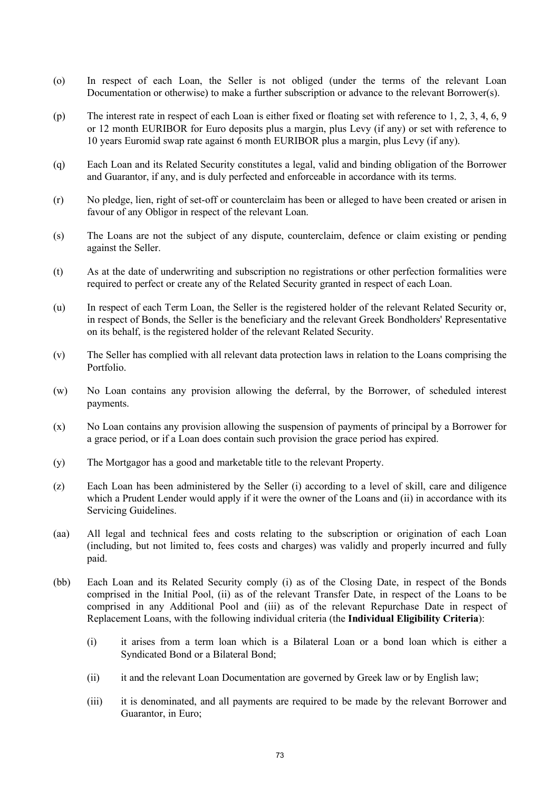- (o) In respect of each Loan, the Seller is not obliged (under the terms of the relevant Loan Documentation or otherwise) to make a further subscription or advance to the relevant Borrower(s).
- (p) The interest rate in respect of each Loan is either fixed or floating set with reference to 1, 2, 3, 4, 6, 9 or 12 month EURIBOR for Euro deposits plus a margin, plus Levy (if any) or set with reference to 10 years Euromid swap rate against 6 month EURIBOR plus a margin, plus Levy (if any).
- (q) Each Loan and its Related Security constitutes a legal, valid and binding obligation of the Borrower and Guarantor, if any, and is duly perfected and enforceable in accordance with its terms.
- (r) No pledge, lien, right of set-off or counterclaim has been or alleged to have been created or arisen in favour of any Obligor in respect of the relevant Loan.
- (s) The Loans are not the subject of any dispute, counterclaim, defence or claim existing or pending against the Seller.
- (t) As at the date of underwriting and subscription no registrations or other perfection formalities were required to perfect or create any of the Related Security granted in respect of each Loan.
- (u) In respect of each Term Loan, the Seller is the registered holder of the relevant Related Security or, in respect of Bonds, the Seller is the beneficiary and the relevant Greek Bondholders' Representative on its behalf, is the registered holder of the relevant Related Security.
- (v) The Seller has complied with all relevant data protection laws in relation to the Loans comprising the Portfolio.
- (w) No Loan contains any provision allowing the deferral, by the Borrower, of scheduled interest payments.
- (x) No Loan contains any provision allowing the suspension of payments of principal by a Borrower for a grace period, or if a Loan does contain such provision the grace period has expired.
- (y) The Mortgagor has a good and marketable title to the relevant Property.
- (z) Each Loan has been administered by the Seller (i) according to a level of skill, care and diligence which a Prudent Lender would apply if it were the owner of the Loans and (ii) in accordance with its Servicing Guidelines.
- (aa) All legal and technical fees and costs relating to the subscription or origination of each Loan (including, but not limited to, fees costs and charges) was validly and properly incurred and fully paid.
- (bb) Each Loan and its Related Security comply (i) as of the Closing Date, in respect of the Bonds comprised in the Initial Pool, (ii) as of the relevant Transfer Date, in respect of the Loans to be comprised in any Additional Pool and (iii) as of the relevant Repurchase Date in respect of Replacement Loans, with the following individual criteria (the **Individual Eligibility Criteria**):
	- (i) it arises from a term loan which is a Bilateral Loan or a bond loan which is either a Syndicated Bond or a Bilateral Bond;
	- (ii) it and the relevant Loan Documentation are governed by Greek law or by English law;
	- (iii) it is denominated, and all payments are required to be made by the relevant Borrower and Guarantor, in Euro;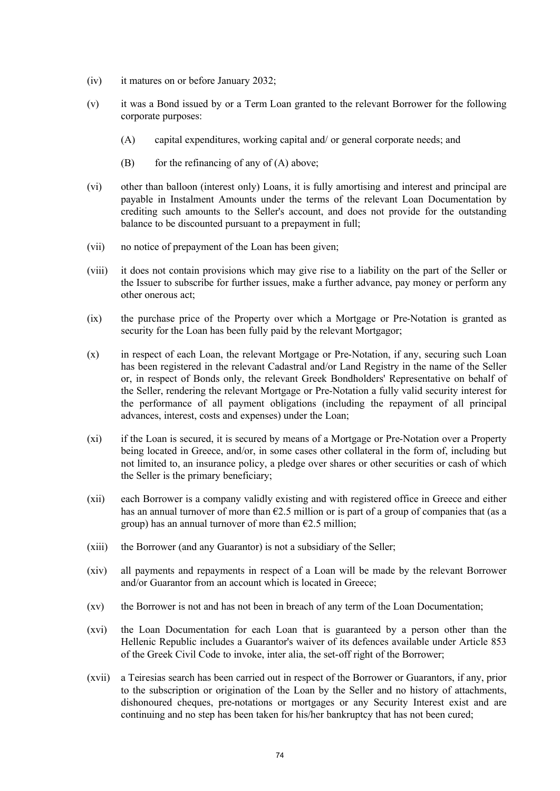- (iv) it matures on or before January 2032;
- (v) it was a Bond issued by or a Term Loan granted to the relevant Borrower for the following corporate purposes:
	- (A) capital expenditures, working capital and/ or general corporate needs; and
	- (B) for the refinancing of any of  $(A)$  above;
- (vi) other than balloon (interest only) Loans, it is fully amortising and interest and principal are payable in Instalment Amounts under the terms of the relevant Loan Documentation by crediting such amounts to the Seller's account, and does not provide for the outstanding balance to be discounted pursuant to a prepayment in full;
- (vii) no notice of prepayment of the Loan has been given;
- (viii) it does not contain provisions which may give rise to a liability on the part of the Seller or the Issuer to subscribe for further issues, make a further advance, pay money or perform any other onerous act;
- (ix) the purchase price of the Property over which a Mortgage or Pre-Notation is granted as security for the Loan has been fully paid by the relevant Mortgagor;
- (x) in respect of each Loan, the relevant Mortgage or Pre-Notation, if any, securing such Loan has been registered in the relevant Cadastral and/or Land Registry in the name of the Seller or, in respect of Bonds only, the relevant Greek Bondholders' Representative on behalf of the Seller, rendering the relevant Mortgage or Pre-Notation a fully valid security interest for the performance of all payment obligations (including the repayment of all principal advances, interest, costs and expenses) under the Loan;
- (xi) if the Loan is secured, it is secured by means of a Mortgage or Pre-Notation over a Property being located in Greece, and/or, in some cases other collateral in the form of, including but not limited to, an insurance policy, a pledge over shares or other securities or cash of which the Seller is the primary beneficiary;
- (xii) each Borrower is a company validly existing and with registered office in Greece and either has an annual turnover of more than  $\epsilon$ 2.5 million or is part of a group of companies that (as a group) has an annual turnover of more than  $E2.5$  million;
- (xiii) the Borrower (and any Guarantor) is not a subsidiary of the Seller;
- (xiv) all payments and repayments in respect of a Loan will be made by the relevant Borrower and/or Guarantor from an account which is located in Greece;
- (xv) the Borrower is not and has not been in breach of any term of the Loan Documentation;
- (xvi) the Loan Documentation for each Loan that is guaranteed by a person other than the Hellenic Republic includes a Guarantor's waiver of its defences available under Article 853 of the Greek Civil Code to invoke, inter alia, the set-off right of the Borrower;
- (xvii) a Teiresias search has been carried out in respect of the Borrower or Guarantors, if any, prior to the subscription or origination of the Loan by the Seller and no history of attachments, dishonoured cheques, pre-notations or mortgages or any Security Interest exist and are continuing and no step has been taken for his/her bankruptcy that has not been cured;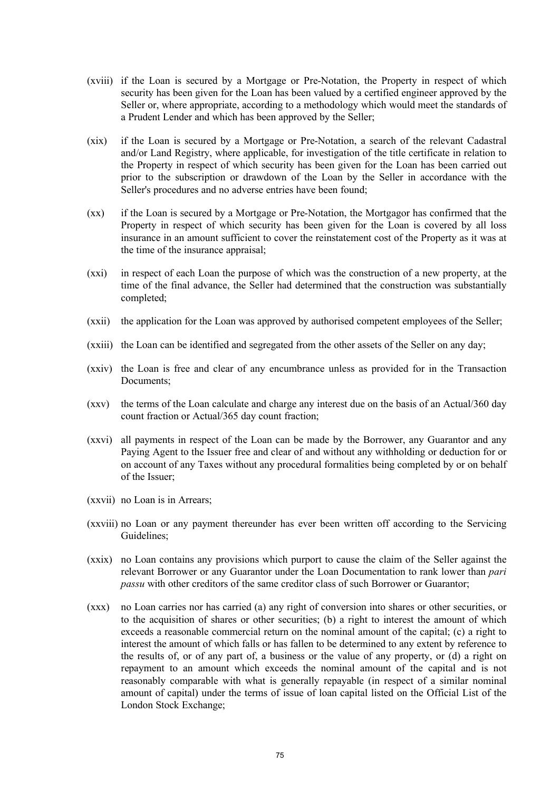- (xviii) if the Loan is secured by a Mortgage or Pre-Notation, the Property in respect of which security has been given for the Loan has been valued by a certified engineer approved by the Seller or, where appropriate, according to a methodology which would meet the standards of a Prudent Lender and which has been approved by the Seller;
- (xix) if the Loan is secured by a Mortgage or Pre-Notation, a search of the relevant Cadastral and/or Land Registry, where applicable, for investigation of the title certificate in relation to the Property in respect of which security has been given for the Loan has been carried out prior to the subscription or drawdown of the Loan by the Seller in accordance with the Seller's procedures and no adverse entries have been found;
- (xx) if the Loan is secured by a Mortgage or Pre-Notation, the Mortgagor has confirmed that the Property in respect of which security has been given for the Loan is covered by all loss insurance in an amount sufficient to cover the reinstatement cost of the Property as it was at the time of the insurance appraisal;
- (xxi) in respect of each Loan the purpose of which was the construction of a new property, at the time of the final advance, the Seller had determined that the construction was substantially completed;
- (xxii) the application for the Loan was approved by authorised competent employees of the Seller;
- (xxiii) the Loan can be identified and segregated from the other assets of the Seller on any day;
- (xxiv) the Loan is free and clear of any encumbrance unless as provided for in the Transaction Documents;
- (xxv) the terms of the Loan calculate and charge any interest due on the basis of an Actual/360 day count fraction or Actual/365 day count fraction;
- (xxvi) all payments in respect of the Loan can be made by the Borrower, any Guarantor and any Paying Agent to the Issuer free and clear of and without any withholding or deduction for or on account of any Taxes without any procedural formalities being completed by or on behalf of the Issuer;
- (xxvii) no Loan is in Arrears;
- (xxviii) no Loan or any payment thereunder has ever been written off according to the Servicing Guidelines;
- (xxix) no Loan contains any provisions which purport to cause the claim of the Seller against the relevant Borrower or any Guarantor under the Loan Documentation to rank lower than *pari passu* with other creditors of the same creditor class of such Borrower or Guarantor;
- (xxx) no Loan carries nor has carried (a) any right of conversion into shares or other securities, or to the acquisition of shares or other securities; (b) a right to interest the amount of which exceeds a reasonable commercial return on the nominal amount of the capital; (c) a right to interest the amount of which falls or has fallen to be determined to any extent by reference to the results of, or of any part of, a business or the value of any property, or (d) a right on repayment to an amount which exceeds the nominal amount of the capital and is not reasonably comparable with what is generally repayable (in respect of a similar nominal amount of capital) under the terms of issue of loan capital listed on the Official List of the London Stock Exchange;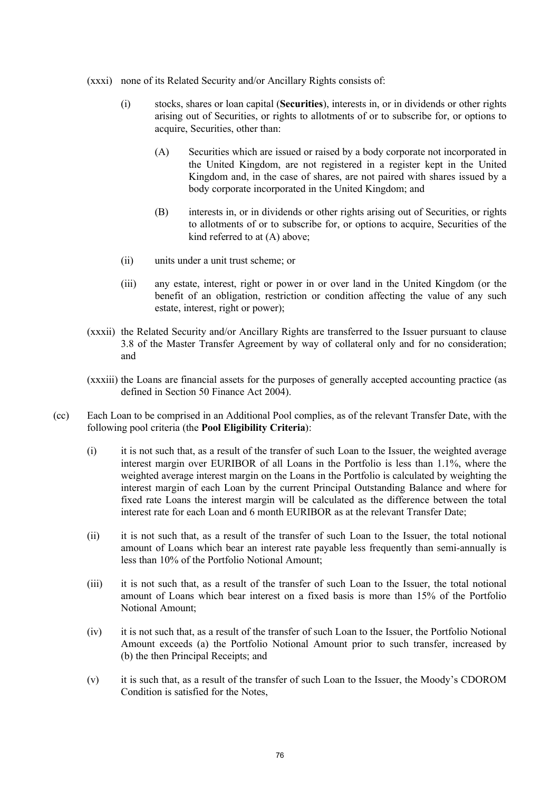- (xxxi) none of its Related Security and/or Ancillary Rights consists of:
	- (i) stocks, shares or loan capital (**Securities**), interests in, or in dividends or other rights arising out of Securities, or rights to allotments of or to subscribe for, or options to acquire, Securities, other than:
		- (A) Securities which are issued or raised by a body corporate not incorporated in the United Kingdom, are not registered in a register kept in the United Kingdom and, in the case of shares, are not paired with shares issued by a body corporate incorporated in the United Kingdom; and
		- (B) interests in, or in dividends or other rights arising out of Securities, or rights to allotments of or to subscribe for, or options to acquire, Securities of the kind referred to at (A) above;
	- (ii) units under a unit trust scheme; or
	- (iii) any estate, interest, right or power in or over land in the United Kingdom (or the benefit of an obligation, restriction or condition affecting the value of any such estate, interest, right or power);
- (xxxii) the Related Security and/or Ancillary Rights are transferred to the Issuer pursuant to clause 3.8 of the Master Transfer Agreement by way of collateral only and for no consideration; and
- (xxxiii) the Loans are financial assets for the purposes of generally accepted accounting practice (as defined in Section 50 Finance Act 2004).
- (cc) Each Loan to be comprised in an Additional Pool complies, as of the relevant Transfer Date, with the following pool criteria (the **Pool Eligibility Criteria**):
	- (i) it is not such that, as a result of the transfer of such Loan to the Issuer, the weighted average interest margin over EURIBOR of all Loans in the Portfolio is less than 1.1%, where the weighted average interest margin on the Loans in the Portfolio is calculated by weighting the interest margin of each Loan by the current Principal Outstanding Balance and where for fixed rate Loans the interest margin will be calculated as the difference between the total interest rate for each Loan and 6 month EURIBOR as at the relevant Transfer Date;
	- (ii) it is not such that, as a result of the transfer of such Loan to the Issuer, the total notional amount of Loans which bear an interest rate payable less frequently than semi-annually is less than 10% of the Portfolio Notional Amount;
	- (iii) it is not such that, as a result of the transfer of such Loan to the Issuer, the total notional amount of Loans which bear interest on a fixed basis is more than 15% of the Portfolio Notional Amount;
	- (iv) it is not such that, as a result of the transfer of such Loan to the Issuer, the Portfolio Notional Amount exceeds (a) the Portfolio Notional Amount prior to such transfer, increased by (b) the then Principal Receipts; and
	- (v) it is such that, as a result of the transfer of such Loan to the Issuer, the Moody's CDOROM Condition is satisfied for the Notes,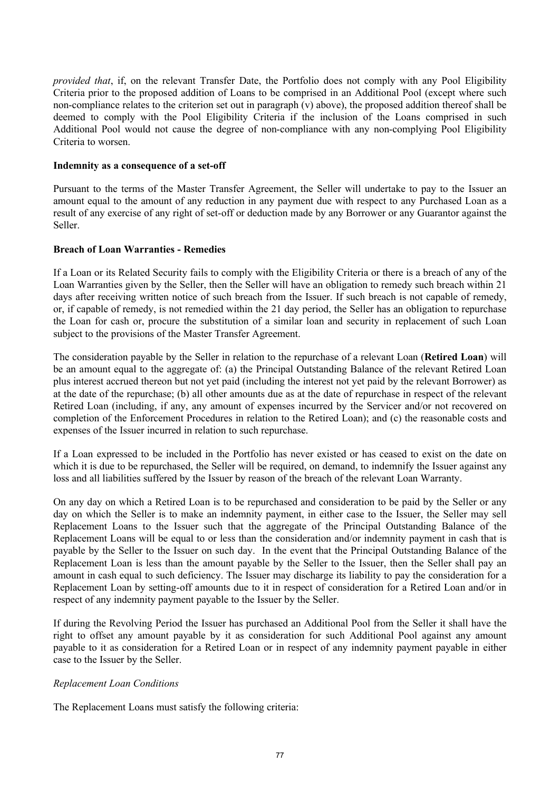*provided that*, if, on the relevant Transfer Date, the Portfolio does not comply with any Pool Eligibility Criteria prior to the proposed addition of Loans to be comprised in an Additional Pool (except where such non-compliance relates to the criterion set out in paragraph (v) above), the proposed addition thereof shall be deemed to comply with the Pool Eligibility Criteria if the inclusion of the Loans comprised in such Additional Pool would not cause the degree of non-compliance with any non-complying Pool Eligibility Criteria to worsen.

#### **Indemnity as a consequence of a set-off**

Pursuant to the terms of the Master Transfer Agreement, the Seller will undertake to pay to the Issuer an amount equal to the amount of any reduction in any payment due with respect to any Purchased Loan as a result of any exercise of any right of set-off or deduction made by any Borrower or any Guarantor against the Seller.

## **Breach of Loan Warranties - Remedies**

If a Loan or its Related Security fails to comply with the Eligibility Criteria or there is a breach of any of the Loan Warranties given by the Seller, then the Seller will have an obligation to remedy such breach within 21 days after receiving written notice of such breach from the Issuer. If such breach is not capable of remedy, or, if capable of remedy, is not remedied within the 21 day period, the Seller has an obligation to repurchase the Loan for cash or, procure the substitution of a similar loan and security in replacement of such Loan subject to the provisions of the Master Transfer Agreement.

The consideration payable by the Seller in relation to the repurchase of a relevant Loan (**Retired Loan**) will be an amount equal to the aggregate of: (a) the Principal Outstanding Balance of the relevant Retired Loan plus interest accrued thereon but not yet paid (including the interest not yet paid by the relevant Borrower) as at the date of the repurchase; (b) all other amounts due as at the date of repurchase in respect of the relevant Retired Loan (including, if any, any amount of expenses incurred by the Servicer and/or not recovered on completion of the Enforcement Procedures in relation to the Retired Loan); and (c) the reasonable costs and expenses of the Issuer incurred in relation to such repurchase.

If a Loan expressed to be included in the Portfolio has never existed or has ceased to exist on the date on which it is due to be repurchased, the Seller will be required, on demand, to indemnify the Issuer against any loss and all liabilities suffered by the Issuer by reason of the breach of the relevant Loan Warranty.

On any day on which a Retired Loan is to be repurchased and consideration to be paid by the Seller or any day on which the Seller is to make an indemnity payment, in either case to the Issuer, the Seller may sell Replacement Loans to the Issuer such that the aggregate of the Principal Outstanding Balance of the Replacement Loans will be equal to or less than the consideration and/or indemnity payment in cash that is payable by the Seller to the Issuer on such day. In the event that the Principal Outstanding Balance of the Replacement Loan is less than the amount payable by the Seller to the Issuer, then the Seller shall pay an amount in cash equal to such deficiency. The Issuer may discharge its liability to pay the consideration for a Replacement Loan by setting-off amounts due to it in respect of consideration for a Retired Loan and/or in respect of any indemnity payment payable to the Issuer by the Seller.

If during the Revolving Period the Issuer has purchased an Additional Pool from the Seller it shall have the right to offset any amount payable by it as consideration for such Additional Pool against any amount payable to it as consideration for a Retired Loan or in respect of any indemnity payment payable in either case to the Issuer by the Seller.

## *Replacement Loan Conditions*

The Replacement Loans must satisfy the following criteria: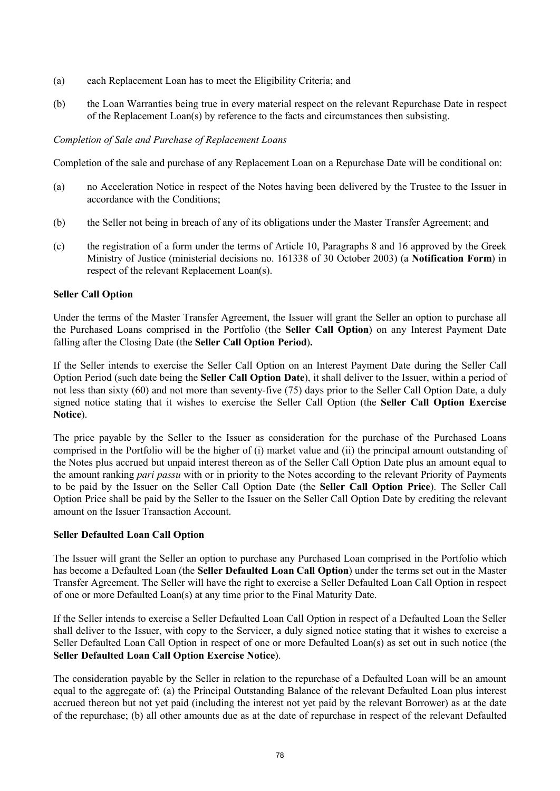- (a) each Replacement Loan has to meet the Eligibility Criteria; and
- (b) the Loan Warranties being true in every material respect on the relevant Repurchase Date in respect of the Replacement Loan(s) by reference to the facts and circumstances then subsisting.

## *Completion of Sale and Purchase of Replacement Loans*

Completion of the sale and purchase of any Replacement Loan on a Repurchase Date will be conditional on:

- (a) no Acceleration Notice in respect of the Notes having been delivered by the Trustee to the Issuer in accordance with the Conditions;
- (b) the Seller not being in breach of any of its obligations under the Master Transfer Agreement; and
- (c) the registration of a form under the terms of Article 10, Paragraphs 8 and 16 approved by the Greek Ministry of Justice (ministerial decisions no. 161338 of 30 October 2003) (a **Notification Form**) in respect of the relevant Replacement Loan(s).

## **Seller Call Option**

Under the terms of the Master Transfer Agreement, the Issuer will grant the Seller an option to purchase all the Purchased Loans comprised in the Portfolio (the **Seller Call Option**) on any Interest Payment Date falling after the Closing Date (the **Seller Call Option Period**)**.**

If the Seller intends to exercise the Seller Call Option on an Interest Payment Date during the Seller Call Option Period (such date being the **Seller Call Option Date**), it shall deliver to the Issuer, within a period of not less than sixty (60) and not more than seventy-five (75) days prior to the Seller Call Option Date, a duly signed notice stating that it wishes to exercise the Seller Call Option (the **Seller Call Option Exercise Notice**).

The price payable by the Seller to the Issuer as consideration for the purchase of the Purchased Loans comprised in the Portfolio will be the higher of (i) market value and (ii) the principal amount outstanding of the Notes plus accrued but unpaid interest thereon as of the Seller Call Option Date plus an amount equal to the amount ranking *pari passu* with or in priority to the Notes according to the relevant Priority of Payments to be paid by the Issuer on the Seller Call Option Date (the **Seller Call Option Price**). The Seller Call Option Price shall be paid by the Seller to the Issuer on the Seller Call Option Date by crediting the relevant amount on the Issuer Transaction Account.

## **Seller Defaulted Loan Call Option**

The Issuer will grant the Seller an option to purchase any Purchased Loan comprised in the Portfolio which has become a Defaulted Loan (the **Seller Defaulted Loan Call Option**) under the terms set out in the Master Transfer Agreement. The Seller will have the right to exercise a Seller Defaulted Loan Call Option in respect of one or more Defaulted Loan(s) at any time prior to the Final Maturity Date.

If the Seller intends to exercise a Seller Defaulted Loan Call Option in respect of a Defaulted Loan the Seller shall deliver to the Issuer, with copy to the Servicer, a duly signed notice stating that it wishes to exercise a Seller Defaulted Loan Call Option in respect of one or more Defaulted Loan(s) as set out in such notice (the **Seller Defaulted Loan Call Option Exercise Notice**).

The consideration payable by the Seller in relation to the repurchase of a Defaulted Loan will be an amount equal to the aggregate of: (a) the Principal Outstanding Balance of the relevant Defaulted Loan plus interest accrued thereon but not yet paid (including the interest not yet paid by the relevant Borrower) as at the date of the repurchase; (b) all other amounts due as at the date of repurchase in respect of the relevant Defaulted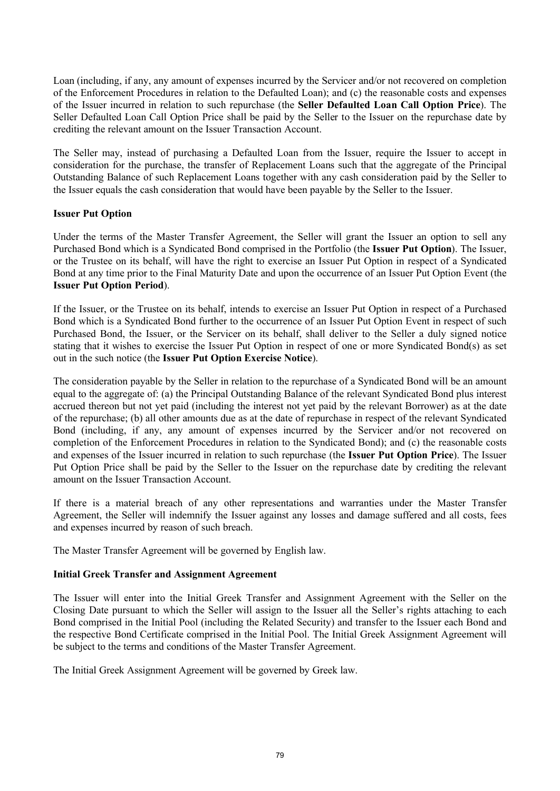Loan (including, if any, any amount of expenses incurred by the Servicer and/or not recovered on completion of the Enforcement Procedures in relation to the Defaulted Loan); and (c) the reasonable costs and expenses of the Issuer incurred in relation to such repurchase (the **Seller Defaulted Loan Call Option Price**). The Seller Defaulted Loan Call Option Price shall be paid by the Seller to the Issuer on the repurchase date by crediting the relevant amount on the Issuer Transaction Account.

The Seller may, instead of purchasing a Defaulted Loan from the Issuer, require the Issuer to accept in consideration for the purchase, the transfer of Replacement Loans such that the aggregate of the Principal Outstanding Balance of such Replacement Loans together with any cash consideration paid by the Seller to the Issuer equals the cash consideration that would have been payable by the Seller to the Issuer.

# **Issuer Put Option**

Under the terms of the Master Transfer Agreement, the Seller will grant the Issuer an option to sell any Purchased Bond which is a Syndicated Bond comprised in the Portfolio (the **Issuer Put Option**). The Issuer, or the Trustee on its behalf, will have the right to exercise an Issuer Put Option in respect of a Syndicated Bond at any time prior to the Final Maturity Date and upon the occurrence of an Issuer Put Option Event (the **Issuer Put Option Period**).

If the Issuer, or the Trustee on its behalf, intends to exercise an Issuer Put Option in respect of a Purchased Bond which is a Syndicated Bond further to the occurrence of an Issuer Put Option Event in respect of such Purchased Bond, the Issuer, or the Servicer on its behalf, shall deliver to the Seller a duly signed notice stating that it wishes to exercise the Issuer Put Option in respect of one or more Syndicated Bond(s) as set out in the such notice (the **Issuer Put Option Exercise Notice**).

The consideration payable by the Seller in relation to the repurchase of a Syndicated Bond will be an amount equal to the aggregate of: (a) the Principal Outstanding Balance of the relevant Syndicated Bond plus interest accrued thereon but not yet paid (including the interest not yet paid by the relevant Borrower) as at the date of the repurchase; (b) all other amounts due as at the date of repurchase in respect of the relevant Syndicated Bond (including, if any, any amount of expenses incurred by the Servicer and/or not recovered on completion of the Enforcement Procedures in relation to the Syndicated Bond); and (c) the reasonable costs and expenses of the Issuer incurred in relation to such repurchase (the **Issuer Put Option Price**). The Issuer Put Option Price shall be paid by the Seller to the Issuer on the repurchase date by crediting the relevant amount on the Issuer Transaction Account.

If there is a material breach of any other representations and warranties under the Master Transfer Agreement, the Seller will indemnify the Issuer against any losses and damage suffered and all costs, fees and expenses incurred by reason of such breach.

The Master Transfer Agreement will be governed by English law.

# **Initial Greek Transfer and Assignment Agreement**

The Issuer will enter into the Initial Greek Transfer and Assignment Agreement with the Seller on the Closing Date pursuant to which the Seller will assign to the Issuer all the Seller's rights attaching to each Bond comprised in the Initial Pool (including the Related Security) and transfer to the Issuer each Bond and the respective Bond Certificate comprised in the Initial Pool. The Initial Greek Assignment Agreement will be subject to the terms and conditions of the Master Transfer Agreement.

The Initial Greek Assignment Agreement will be governed by Greek law.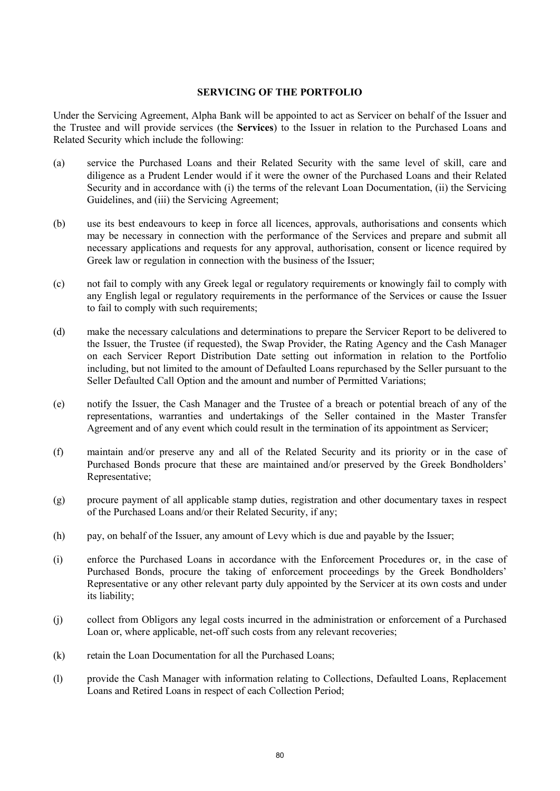#### **SERVICING OF THE PORTFOLIO**

Under the Servicing Agreement, Alpha Bank will be appointed to act as Servicer on behalf of the Issuer and the Trustee and will provide services (the **Services**) to the Issuer in relation to the Purchased Loans and Related Security which include the following:

- (a) service the Purchased Loans and their Related Security with the same level of skill, care and diligence as a Prudent Lender would if it were the owner of the Purchased Loans and their Related Security and in accordance with (i) the terms of the relevant Loan Documentation, (ii) the Servicing Guidelines, and (iii) the Servicing Agreement;
- (b) use its best endeavours to keep in force all licences, approvals, authorisations and consents which may be necessary in connection with the performance of the Services and prepare and submit all necessary applications and requests for any approval, authorisation, consent or licence required by Greek law or regulation in connection with the business of the Issuer;
- (c) not fail to comply with any Greek legal or regulatory requirements or knowingly fail to comply with any English legal or regulatory requirements in the performance of the Services or cause the Issuer to fail to comply with such requirements;
- (d) make the necessary calculations and determinations to prepare the Servicer Report to be delivered to the Issuer, the Trustee (if requested), the Swap Provider, the Rating Agency and the Cash Manager on each Servicer Report Distribution Date setting out information in relation to the Portfolio including, but not limited to the amount of Defaulted Loans repurchased by the Seller pursuant to the Seller Defaulted Call Option and the amount and number of Permitted Variations;
- (e) notify the Issuer, the Cash Manager and the Trustee of a breach or potential breach of any of the representations, warranties and undertakings of the Seller contained in the Master Transfer Agreement and of any event which could result in the termination of its appointment as Servicer;
- (f) maintain and/or preserve any and all of the Related Security and its priority or in the case of Purchased Bonds procure that these are maintained and/or preserved by the Greek Bondholders' Representative;
- (g) procure payment of all applicable stamp duties, registration and other documentary taxes in respect of the Purchased Loans and/or their Related Security, if any;
- (h) pay, on behalf of the Issuer, any amount of Levy which is due and payable by the Issuer;
- (i) enforce the Purchased Loans in accordance with the Enforcement Procedures or, in the case of Purchased Bonds, procure the taking of enforcement proceedings by the Greek Bondholders' Representative or any other relevant party duly appointed by the Servicer at its own costs and under its liability;
- (j) collect from Obligors any legal costs incurred in the administration or enforcement of a Purchased Loan or, where applicable, net-off such costs from any relevant recoveries;
- (k) retain the Loan Documentation for all the Purchased Loans;
- (l) provide the Cash Manager with information relating to Collections, Defaulted Loans, Replacement Loans and Retired Loans in respect of each Collection Period;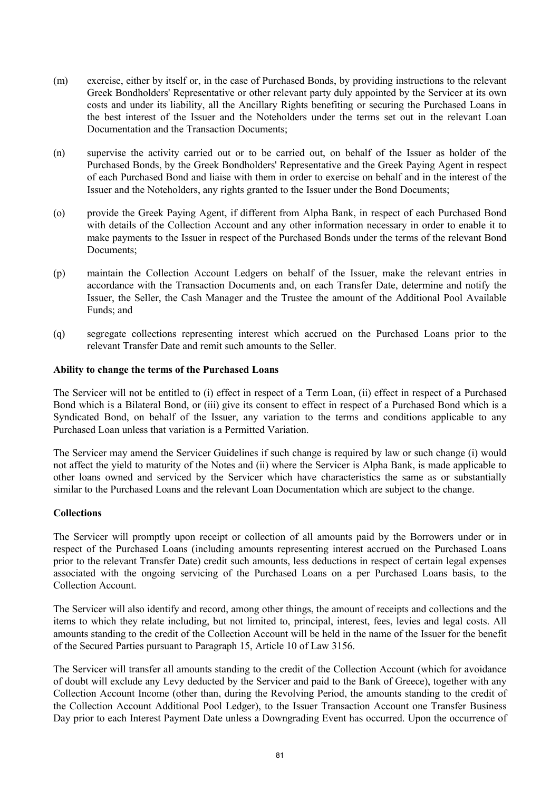- (m) exercise, either by itself or, in the case of Purchased Bonds, by providing instructions to the relevant Greek Bondholders' Representative or other relevant party duly appointed by the Servicer at its own costs and under its liability, all the Ancillary Rights benefiting or securing the Purchased Loans in the best interest of the Issuer and the Noteholders under the terms set out in the relevant Loan Documentation and the Transaction Documents;
- (n) supervise the activity carried out or to be carried out, on behalf of the Issuer as holder of the Purchased Bonds, by the Greek Bondholders' Representative and the Greek Paying Agent in respect of each Purchased Bond and liaise with them in order to exercise on behalf and in the interest of the Issuer and the Noteholders, any rights granted to the Issuer under the Bond Documents;
- (o) provide the Greek Paying Agent, if different from Alpha Bank, in respect of each Purchased Bond with details of the Collection Account and any other information necessary in order to enable it to make payments to the Issuer in respect of the Purchased Bonds under the terms of the relevant Bond Documents;
- (p) maintain the Collection Account Ledgers on behalf of the Issuer, make the relevant entries in accordance with the Transaction Documents and, on each Transfer Date, determine and notify the Issuer, the Seller, the Cash Manager and the Trustee the amount of the Additional Pool Available Funds; and
- (q) segregate collections representing interest which accrued on the Purchased Loans prior to the relevant Transfer Date and remit such amounts to the Seller.

#### **Ability to change the terms of the Purchased Loans**

The Servicer will not be entitled to (i) effect in respect of a Term Loan, (ii) effect in respect of a Purchased Bond which is a Bilateral Bond, or (iii) give its consent to effect in respect of a Purchased Bond which is a Syndicated Bond, on behalf of the Issuer, any variation to the terms and conditions applicable to any Purchased Loan unless that variation is a Permitted Variation.

The Servicer may amend the Servicer Guidelines if such change is required by law or such change (i) would not affect the yield to maturity of the Notes and (ii) where the Servicer is Alpha Bank, is made applicable to other loans owned and serviced by the Servicer which have characteristics the same as or substantially similar to the Purchased Loans and the relevant Loan Documentation which are subject to the change.

#### **Collections**

The Servicer will promptly upon receipt or collection of all amounts paid by the Borrowers under or in respect of the Purchased Loans (including amounts representing interest accrued on the Purchased Loans prior to the relevant Transfer Date) credit such amounts, less deductions in respect of certain legal expenses associated with the ongoing servicing of the Purchased Loans on a per Purchased Loans basis, to the Collection Account.

The Servicer will also identify and record, among other things, the amount of receipts and collections and the items to which they relate including, but not limited to, principal, interest, fees, levies and legal costs. All amounts standing to the credit of the Collection Account will be held in the name of the Issuer for the benefit of the Secured Parties pursuant to Paragraph 15, Article 10 of Law 3156.

The Servicer will transfer all amounts standing to the credit of the Collection Account (which for avoidance of doubt will exclude any Levy deducted by the Servicer and paid to the Bank of Greece), together with any Collection Account Income (other than, during the Revolving Period, the amounts standing to the credit of the Collection Account Additional Pool Ledger), to the Issuer Transaction Account one Transfer Business Day prior to each Interest Payment Date unless a Downgrading Event has occurred. Upon the occurrence of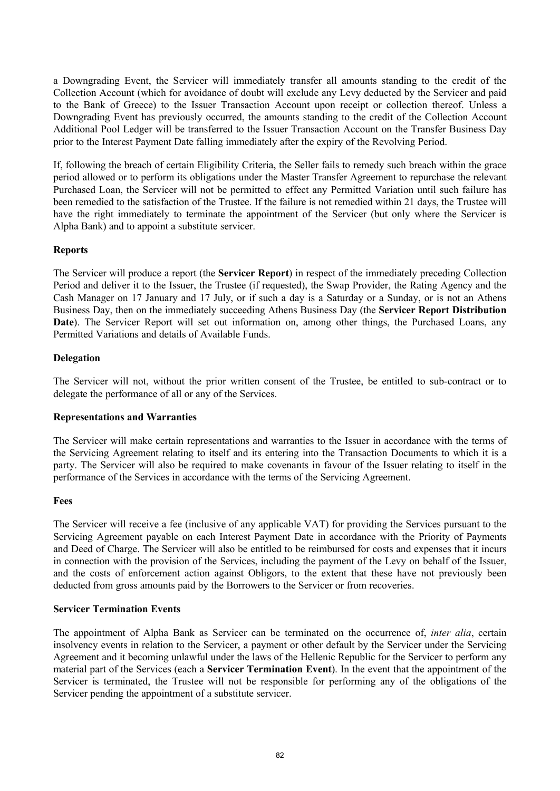a Downgrading Event, the Servicer will immediately transfer all amounts standing to the credit of the Collection Account (which for avoidance of doubt will exclude any Levy deducted by the Servicer and paid to the Bank of Greece) to the Issuer Transaction Account upon receipt or collection thereof. Unless a Downgrading Event has previously occurred, the amounts standing to the credit of the Collection Account Additional Pool Ledger will be transferred to the Issuer Transaction Account on the Transfer Business Day prior to the Interest Payment Date falling immediately after the expiry of the Revolving Period.

If, following the breach of certain Eligibility Criteria, the Seller fails to remedy such breach within the grace period allowed or to perform its obligations under the Master Transfer Agreement to repurchase the relevant Purchased Loan, the Servicer will not be permitted to effect any Permitted Variation until such failure has been remedied to the satisfaction of the Trustee. If the failure is not remedied within 21 days, the Trustee will have the right immediately to terminate the appointment of the Servicer (but only where the Servicer is Alpha Bank) and to appoint a substitute servicer.

# **Reports**

The Servicer will produce a report (the **Servicer Report**) in respect of the immediately preceding Collection Period and deliver it to the Issuer, the Trustee (if requested), the Swap Provider, the Rating Agency and the Cash Manager on 17 January and 17 July, or if such a day is a Saturday or a Sunday, or is not an Athens Business Day, then on the immediately succeeding Athens Business Day (the **Servicer Report Distribution**  Date). The Servicer Report will set out information on, among other things, the Purchased Loans, any Permitted Variations and details of Available Funds.

## **Delegation**

The Servicer will not, without the prior written consent of the Trustee, be entitled to sub-contract or to delegate the performance of all or any of the Services.

## **Representations and Warranties**

The Servicer will make certain representations and warranties to the Issuer in accordance with the terms of the Servicing Agreement relating to itself and its entering into the Transaction Documents to which it is a party. The Servicer will also be required to make covenants in favour of the Issuer relating to itself in the performance of the Services in accordance with the terms of the Servicing Agreement.

## **Fees**

The Servicer will receive a fee (inclusive of any applicable VAT) for providing the Services pursuant to the Servicing Agreement payable on each Interest Payment Date in accordance with the Priority of Payments and Deed of Charge. The Servicer will also be entitled to be reimbursed for costs and expenses that it incurs in connection with the provision of the Services, including the payment of the Levy on behalf of the Issuer, and the costs of enforcement action against Obligors, to the extent that these have not previously been deducted from gross amounts paid by the Borrowers to the Servicer or from recoveries.

## **Servicer Termination Events**

The appointment of Alpha Bank as Servicer can be terminated on the occurrence of, *inter alia*, certain insolvency events in relation to the Servicer, a payment or other default by the Servicer under the Servicing Agreement and it becoming unlawful under the laws of the Hellenic Republic for the Servicer to perform any material part of the Services (each a **Servicer Termination Event**). In the event that the appointment of the Servicer is terminated, the Trustee will not be responsible for performing any of the obligations of the Servicer pending the appointment of a substitute servicer.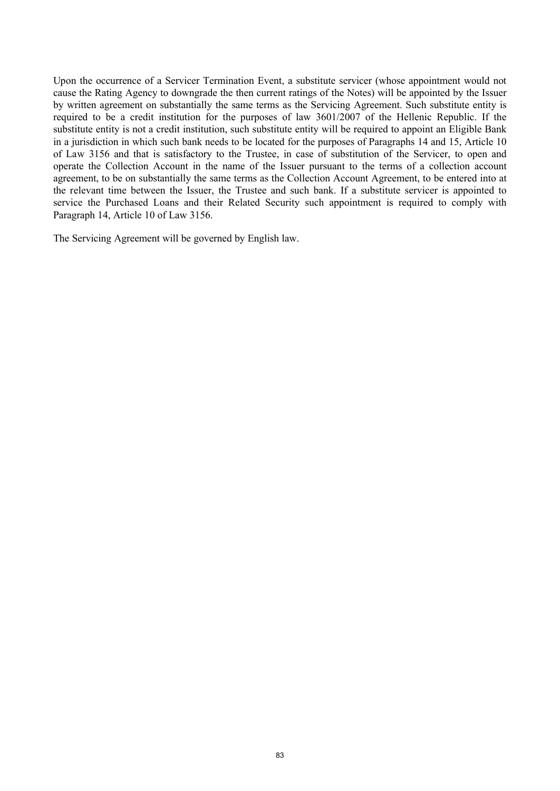Upon the occurrence of a Servicer Termination Event, a substitute servicer (whose appointment would not cause the Rating Agency to downgrade the then current ratings of the Notes) will be appointed by the Issuer by written agreement on substantially the same terms as the Servicing Agreement. Such substitute entity is required to be a credit institution for the purposes of law 3601/2007 of the Hellenic Republic. If the substitute entity is not a credit institution, such substitute entity will be required to appoint an Eligible Bank in a jurisdiction in which such bank needs to be located for the purposes of Paragraphs 14 and 15, Article 10 of Law 3156 and that is satisfactory to the Trustee, in case of substitution of the Servicer, to open and operate the Collection Account in the name of the Issuer pursuant to the terms of a collection account agreement, to be on substantially the same terms as the Collection Account Agreement, to be entered into at the relevant time between the Issuer, the Trustee and such bank. If a substitute servicer is appointed to service the Purchased Loans and their Related Security such appointment is required to comply with Paragraph 14, Article 10 of Law 3156.

The Servicing Agreement will be governed by English law.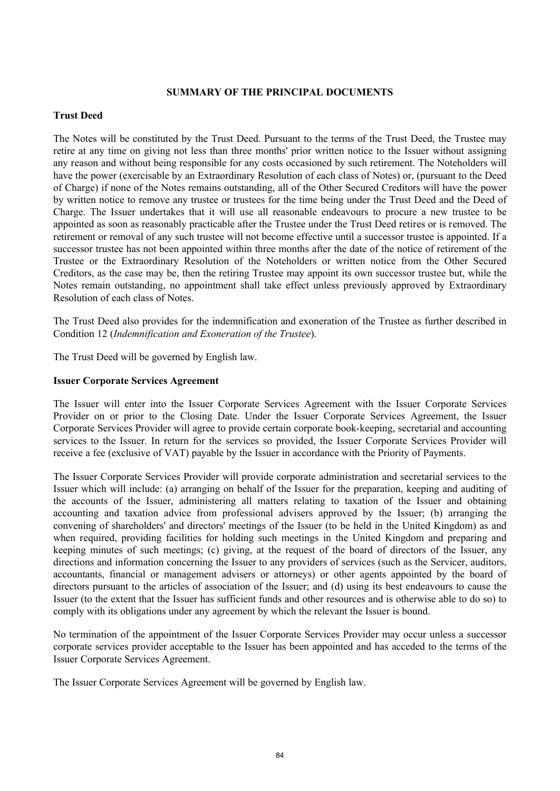## **SUMMARY OF THE PRINCIPAL DOCUMENTS**

## **Trust Deed**

The Notes will be constituted by the Trust Deed. Pursuant to the terms of the Trust Deed, the Trustee may retire at any time on giving not less than three months' prior written notice to the Issuer without assigning any reason and without being responsible for any costs occasioned by such retirement. The Noteholders will have the power (exercisable by an Extraordinary Resolution of each class of Notes) or, (pursuant to the Deed of Charge) if none of the Notes remains outstanding, all of the Other Secured Creditors will have the power by written notice to remove any trustee or trustees for the time being under the Trust Deed and the Deed of Charge. The Issuer undertakes that it will use all reasonable endeavours to procure a new trustee to be appointed as soon as reasonably practicable after the Trustee under the Trust Deed retires or is removed. The retirement or removal of any such trustee will not become effective until a successor trustee is appointed. If a successor trustee has not been appointed within three months after the date of the notice of retirement of the Trustee or the Extraordinary Resolution of the Noteholders or written notice from the Other Secured Creditors, as the case may be, then the retiring Trustee may appoint its own successor trustee but, while the Notes remain outstanding, no appointment shall take effect unless previously approved by Extraordinary Resolution of each class of Notes.

The Trust Deed also provides for the indemnification and exoneration of the Trustee as further described in Condition 12 (*Indemnification and Exoneration of the Trustee*).

The Trust Deed will be governed by English law.

#### **Issuer Corporate Services Agreement**

The Issuer will enter into the Issuer Corporate Services Agreement with the Issuer Corporate Services Provider on or prior to the Closing Date. Under the Issuer Corporate Services Agreement, the Issuer Corporate Services Provider will agree to provide certain corporate book-keeping, secretarial and accounting services to the Issuer. In return for the services so provided, the Issuer Corporate Services Provider will receive a fee (exclusive of VAT) payable by the Issuer in accordance with the Priority of Payments.

The Issuer Corporate Services Provider will provide corporate administration and secretarial services to the Issuer which will include: (a) arranging on behalf of the Issuer for the preparation, keeping and auditing of the accounts of the Issuer, administering all matters relating to taxation of the Issuer and obtaining accounting and taxation advice from professional advisers approved by the Issuer; (b) arranging the convening of shareholders' and directors' meetings of the Issuer (to be held in the United Kingdom) as and when required, providing facilities for holding such meetings in the United Kingdom and preparing and keeping minutes of such meetings; (c) giving, at the request of the board of directors of the Issuer, any directions and information concerning the Issuer to any providers of services (such as the Servicer, auditors, accountants, financial or management advisers or attorneys) or other agents appointed by the board of directors pursuant to the articles of association of the Issuer; and (d) using its best endeavours to cause the Issuer (to the extent that the Issuer has sufficient funds and other resources and is otherwise able to do so) to comply with its obligations under any agreement by which the relevant the Issuer is bound.

No termination of the appointment of the Issuer Corporate Services Provider may occur unless a successor corporate services provider acceptable to the Issuer has been appointed and has acceded to the terms of the Issuer Corporate Services Agreement.

The Issuer Corporate Services Agreement will be governed by English law.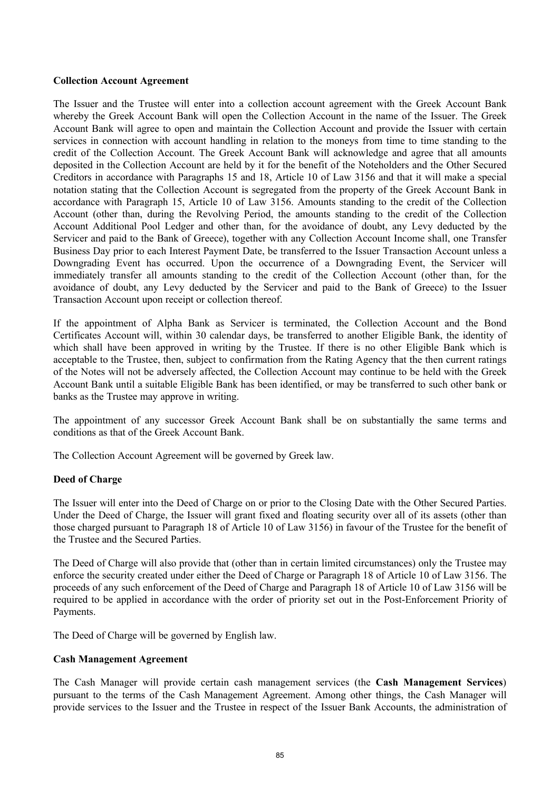#### **Collection Account Agreement**

The Issuer and the Trustee will enter into a collection account agreement with the Greek Account Bank whereby the Greek Account Bank will open the Collection Account in the name of the Issuer. The Greek Account Bank will agree to open and maintain the Collection Account and provide the Issuer with certain services in connection with account handling in relation to the moneys from time to time standing to the credit of the Collection Account. The Greek Account Bank will acknowledge and agree that all amounts deposited in the Collection Account are held by it for the benefit of the Noteholders and the Other Secured Creditors in accordance with Paragraphs 15 and 18, Article 10 of Law 3156 and that it will make a special notation stating that the Collection Account is segregated from the property of the Greek Account Bank in accordance with Paragraph 15, Article 10 of Law 3156. Amounts standing to the credit of the Collection Account (other than, during the Revolving Period, the amounts standing to the credit of the Collection Account Additional Pool Ledger and other than, for the avoidance of doubt, any Levy deducted by the Servicer and paid to the Bank of Greece), together with any Collection Account Income shall, one Transfer Business Day prior to each Interest Payment Date, be transferred to the Issuer Transaction Account unless a Downgrading Event has occurred. Upon the occurrence of a Downgrading Event, the Servicer will immediately transfer all amounts standing to the credit of the Collection Account (other than, for the avoidance of doubt, any Levy deducted by the Servicer and paid to the Bank of Greece) to the Issuer Transaction Account upon receipt or collection thereof.

If the appointment of Alpha Bank as Servicer is terminated, the Collection Account and the Bond Certificates Account will, within 30 calendar days, be transferred to another Eligible Bank, the identity of which shall have been approved in writing by the Trustee. If there is no other Eligible Bank which is acceptable to the Trustee, then, subject to confirmation from the Rating Agency that the then current ratings of the Notes will not be adversely affected, the Collection Account may continue to be held with the Greek Account Bank until a suitable Eligible Bank has been identified, or may be transferred to such other bank or banks as the Trustee may approve in writing.

The appointment of any successor Greek Account Bank shall be on substantially the same terms and conditions as that of the Greek Account Bank.

The Collection Account Agreement will be governed by Greek law.

## **Deed of Charge**

The Issuer will enter into the Deed of Charge on or prior to the Closing Date with the Other Secured Parties. Under the Deed of Charge, the Issuer will grant fixed and floating security over all of its assets (other than those charged pursuant to Paragraph 18 of Article 10 of Law 3156) in favour of the Trustee for the benefit of the Trustee and the Secured Parties.

The Deed of Charge will also provide that (other than in certain limited circumstances) only the Trustee may enforce the security created under either the Deed of Charge or Paragraph 18 of Article 10 of Law 3156. The proceeds of any such enforcement of the Deed of Charge and Paragraph 18 of Article 10 of Law 3156 will be required to be applied in accordance with the order of priority set out in the Post-Enforcement Priority of Payments.

The Deed of Charge will be governed by English law.

## **Cash Management Agreement**

The Cash Manager will provide certain cash management services (the **Cash Management Services**) pursuant to the terms of the Cash Management Agreement. Among other things, the Cash Manager will provide services to the Issuer and the Trustee in respect of the Issuer Bank Accounts, the administration of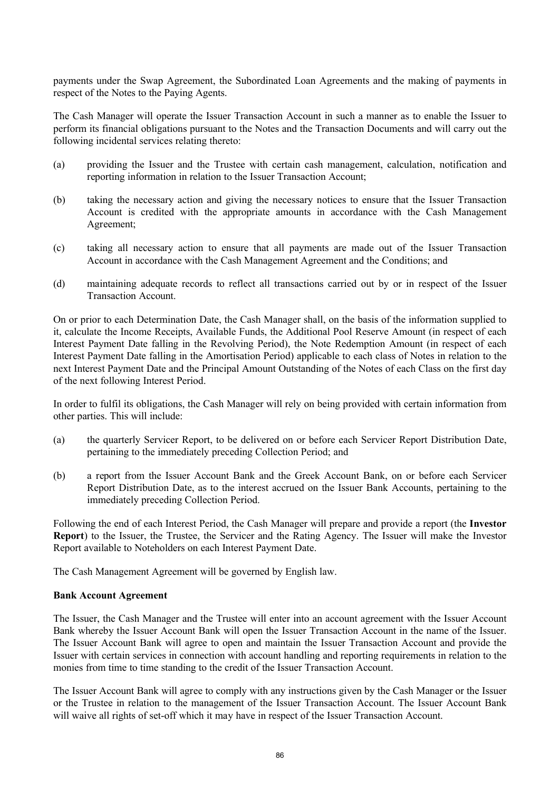payments under the Swap Agreement, the Subordinated Loan Agreements and the making of payments in respect of the Notes to the Paying Agents.

The Cash Manager will operate the Issuer Transaction Account in such a manner as to enable the Issuer to perform its financial obligations pursuant to the Notes and the Transaction Documents and will carry out the following incidental services relating thereto:

- (a) providing the Issuer and the Trustee with certain cash management, calculation, notification and reporting information in relation to the Issuer Transaction Account;
- (b) taking the necessary action and giving the necessary notices to ensure that the Issuer Transaction Account is credited with the appropriate amounts in accordance with the Cash Management Agreement;
- (c) taking all necessary action to ensure that all payments are made out of the Issuer Transaction Account in accordance with the Cash Management Agreement and the Conditions; and
- (d) maintaining adequate records to reflect all transactions carried out by or in respect of the Issuer Transaction Account.

On or prior to each Determination Date, the Cash Manager shall, on the basis of the information supplied to it, calculate the Income Receipts, Available Funds, the Additional Pool Reserve Amount (in respect of each Interest Payment Date falling in the Revolving Period), the Note Redemption Amount (in respect of each Interest Payment Date falling in the Amortisation Period) applicable to each class of Notes in relation to the next Interest Payment Date and the Principal Amount Outstanding of the Notes of each Class on the first day of the next following Interest Period.

In order to fulfil its obligations, the Cash Manager will rely on being provided with certain information from other parties. This will include:

- (a) the quarterly Servicer Report, to be delivered on or before each Servicer Report Distribution Date, pertaining to the immediately preceding Collection Period; and
- (b) a report from the Issuer Account Bank and the Greek Account Bank, on or before each Servicer Report Distribution Date, as to the interest accrued on the Issuer Bank Accounts, pertaining to the immediately preceding Collection Period.

Following the end of each Interest Period, the Cash Manager will prepare and provide a report (the **Investor Report**) to the Issuer, the Trustee, the Servicer and the Rating Agency. The Issuer will make the Investor Report available to Noteholders on each Interest Payment Date.

The Cash Management Agreement will be governed by English law.

#### **Bank Account Agreement**

The Issuer, the Cash Manager and the Trustee will enter into an account agreement with the Issuer Account Bank whereby the Issuer Account Bank will open the Issuer Transaction Account in the name of the Issuer. The Issuer Account Bank will agree to open and maintain the Issuer Transaction Account and provide the Issuer with certain services in connection with account handling and reporting requirements in relation to the monies from time to time standing to the credit of the Issuer Transaction Account.

The Issuer Account Bank will agree to comply with any instructions given by the Cash Manager or the Issuer or the Trustee in relation to the management of the Issuer Transaction Account. The Issuer Account Bank will waive all rights of set-off which it may have in respect of the Issuer Transaction Account.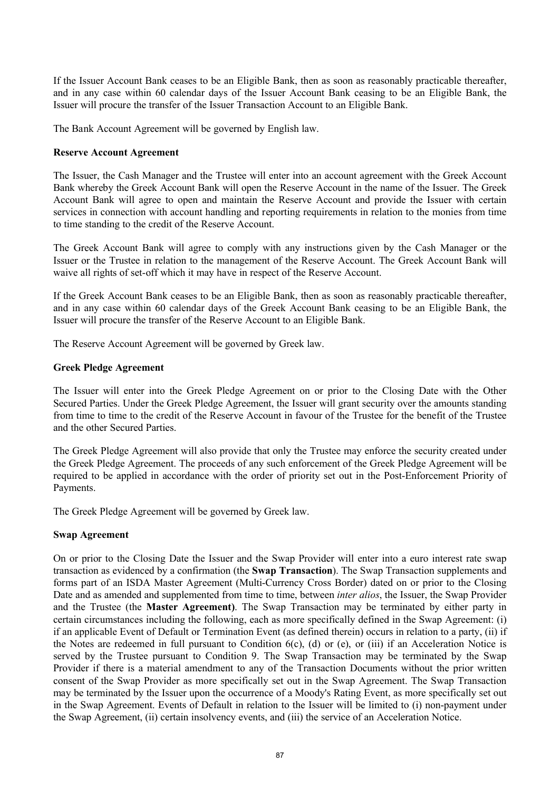If the Issuer Account Bank ceases to be an Eligible Bank, then as soon as reasonably practicable thereafter, and in any case within 60 calendar days of the Issuer Account Bank ceasing to be an Eligible Bank, the Issuer will procure the transfer of the Issuer Transaction Account to an Eligible Bank.

The Bank Account Agreement will be governed by English law.

#### **Reserve Account Agreement**

The Issuer, the Cash Manager and the Trustee will enter into an account agreement with the Greek Account Bank whereby the Greek Account Bank will open the Reserve Account in the name of the Issuer. The Greek Account Bank will agree to open and maintain the Reserve Account and provide the Issuer with certain services in connection with account handling and reporting requirements in relation to the monies from time to time standing to the credit of the Reserve Account.

The Greek Account Bank will agree to comply with any instructions given by the Cash Manager or the Issuer or the Trustee in relation to the management of the Reserve Account. The Greek Account Bank will waive all rights of set-off which it may have in respect of the Reserve Account.

If the Greek Account Bank ceases to be an Eligible Bank, then as soon as reasonably practicable thereafter, and in any case within 60 calendar days of the Greek Account Bank ceasing to be an Eligible Bank, the Issuer will procure the transfer of the Reserve Account to an Eligible Bank.

The Reserve Account Agreement will be governed by Greek law.

#### **Greek Pledge Agreement**

The Issuer will enter into the Greek Pledge Agreement on or prior to the Closing Date with the Other Secured Parties. Under the Greek Pledge Agreement, the Issuer will grant security over the amounts standing from time to time to the credit of the Reserve Account in favour of the Trustee for the benefit of the Trustee and the other Secured Parties.

The Greek Pledge Agreement will also provide that only the Trustee may enforce the security created under the Greek Pledge Agreement. The proceeds of any such enforcement of the Greek Pledge Agreement will be required to be applied in accordance with the order of priority set out in the Post-Enforcement Priority of Payments.

The Greek Pledge Agreement will be governed by Greek law.

## **Swap Agreement**

On or prior to the Closing Date the Issuer and the Swap Provider will enter into a euro interest rate swap transaction as evidenced by a confirmation (the **Swap Transaction**). The Swap Transaction supplements and forms part of an ISDA Master Agreement (Multi-Currency Cross Border) dated on or prior to the Closing Date and as amended and supplemented from time to time, between *inter alios*, the Issuer, the Swap Provider and the Trustee (the **Master Agreement)**. The Swap Transaction may be terminated by either party in certain circumstances including the following, each as more specifically defined in the Swap Agreement: (i) if an applicable Event of Default or Termination Event (as defined therein) occurs in relation to a party, (ii) if the Notes are redeemed in full pursuant to Condition 6(c), (d) or (e), or (iii) if an Acceleration Notice is served by the Trustee pursuant to Condition 9. The Swap Transaction may be terminated by the Swap Provider if there is a material amendment to any of the Transaction Documents without the prior written consent of the Swap Provider as more specifically set out in the Swap Agreement. The Swap Transaction may be terminated by the Issuer upon the occurrence of a Moody's Rating Event, as more specifically set out in the Swap Agreement. Events of Default in relation to the Issuer will be limited to (i) non-payment under the Swap Agreement, (ii) certain insolvency events, and (iii) the service of an Acceleration Notice.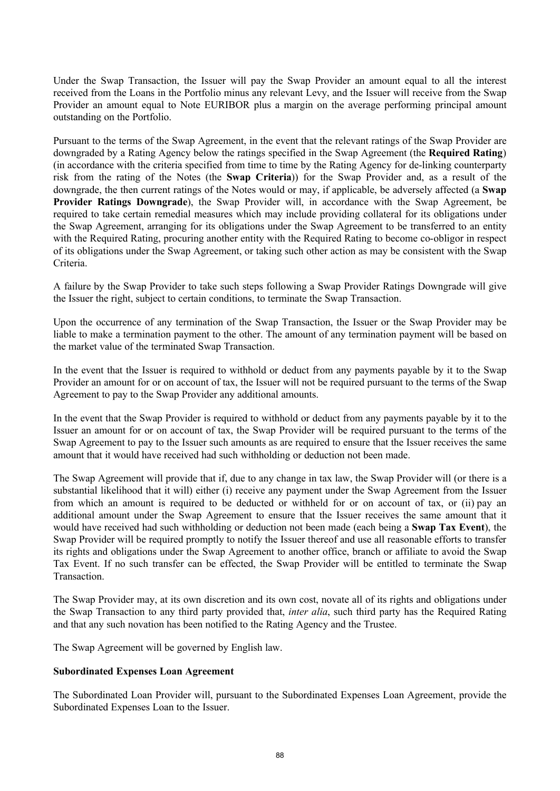Under the Swap Transaction, the Issuer will pay the Swap Provider an amount equal to all the interest received from the Loans in the Portfolio minus any relevant Levy, and the Issuer will receive from the Swap Provider an amount equal to Note EURIBOR plus a margin on the average performing principal amount outstanding on the Portfolio.

Pursuant to the terms of the Swap Agreement, in the event that the relevant ratings of the Swap Provider are downgraded by a Rating Agency below the ratings specified in the Swap Agreement (the **Required Rating**) (in accordance with the criteria specified from time to time by the Rating Agency for de-linking counterparty risk from the rating of the Notes (the **Swap Criteria**)) for the Swap Provider and, as a result of the downgrade, the then current ratings of the Notes would or may, if applicable, be adversely affected (a **Swap Provider Ratings Downgrade**), the Swap Provider will, in accordance with the Swap Agreement, be required to take certain remedial measures which may include providing collateral for its obligations under the Swap Agreement, arranging for its obligations under the Swap Agreement to be transferred to an entity with the Required Rating, procuring another entity with the Required Rating to become co-obligor in respect of its obligations under the Swap Agreement, or taking such other action as may be consistent with the Swap Criteria.

A failure by the Swap Provider to take such steps following a Swap Provider Ratings Downgrade will give the Issuer the right, subject to certain conditions, to terminate the Swap Transaction.

Upon the occurrence of any termination of the Swap Transaction, the Issuer or the Swap Provider may be liable to make a termination payment to the other. The amount of any termination payment will be based on the market value of the terminated Swap Transaction.

In the event that the Issuer is required to withhold or deduct from any payments payable by it to the Swap Provider an amount for or on account of tax, the Issuer will not be required pursuant to the terms of the Swap Agreement to pay to the Swap Provider any additional amounts.

In the event that the Swap Provider is required to withhold or deduct from any payments payable by it to the Issuer an amount for or on account of tax, the Swap Provider will be required pursuant to the terms of the Swap Agreement to pay to the Issuer such amounts as are required to ensure that the Issuer receives the same amount that it would have received had such withholding or deduction not been made.

The Swap Agreement will provide that if, due to any change in tax law, the Swap Provider will (or there is a substantial likelihood that it will) either (i) receive any payment under the Swap Agreement from the Issuer from which an amount is required to be deducted or withheld for or on account of tax, or (ii) pay an additional amount under the Swap Agreement to ensure that the Issuer receives the same amount that it would have received had such withholding or deduction not been made (each being a **Swap Tax Event**), the Swap Provider will be required promptly to notify the Issuer thereof and use all reasonable efforts to transfer its rights and obligations under the Swap Agreement to another office, branch or affiliate to avoid the Swap Tax Event. If no such transfer can be effected, the Swap Provider will be entitled to terminate the Swap **Transaction** 

The Swap Provider may, at its own discretion and its own cost, novate all of its rights and obligations under the Swap Transaction to any third party provided that, *inter alia*, such third party has the Required Rating and that any such novation has been notified to the Rating Agency and the Trustee.

The Swap Agreement will be governed by English law.

## **Subordinated Expenses Loan Agreement**

The Subordinated Loan Provider will, pursuant to the Subordinated Expenses Loan Agreement, provide the Subordinated Expenses Loan to the Issuer.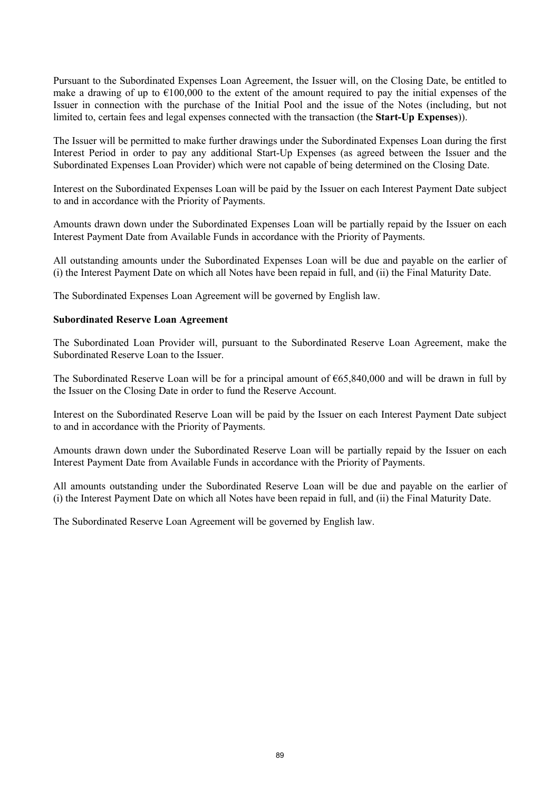Pursuant to the Subordinated Expenses Loan Agreement, the Issuer will, on the Closing Date, be entitled to make a drawing of up to  $\epsilon$ 100,000 to the extent of the amount required to pay the initial expenses of the Issuer in connection with the purchase of the Initial Pool and the issue of the Notes (including, but not limited to, certain fees and legal expenses connected with the transaction (the **Start-Up Expenses**)).

The Issuer will be permitted to make further drawings under the Subordinated Expenses Loan during the first Interest Period in order to pay any additional Start-Up Expenses (as agreed between the Issuer and the Subordinated Expenses Loan Provider) which were not capable of being determined on the Closing Date.

Interest on the Subordinated Expenses Loan will be paid by the Issuer on each Interest Payment Date subject to and in accordance with the Priority of Payments.

Amounts drawn down under the Subordinated Expenses Loan will be partially repaid by the Issuer on each Interest Payment Date from Available Funds in accordance with the Priority of Payments.

All outstanding amounts under the Subordinated Expenses Loan will be due and payable on the earlier of (i) the Interest Payment Date on which all Notes have been repaid in full, and (ii) the Final Maturity Date.

The Subordinated Expenses Loan Agreement will be governed by English law.

#### **Subordinated Reserve Loan Agreement**

The Subordinated Loan Provider will, pursuant to the Subordinated Reserve Loan Agreement, make the Subordinated Reserve Loan to the Issuer.

The Subordinated Reserve Loan will be for a principal amount of €65,840,000 and will be drawn in full by the Issuer on the Closing Date in order to fund the Reserve Account.

Interest on the Subordinated Reserve Loan will be paid by the Issuer on each Interest Payment Date subject to and in accordance with the Priority of Payments.

Amounts drawn down under the Subordinated Reserve Loan will be partially repaid by the Issuer on each Interest Payment Date from Available Funds in accordance with the Priority of Payments.

All amounts outstanding under the Subordinated Reserve Loan will be due and payable on the earlier of (i) the Interest Payment Date on which all Notes have been repaid in full, and (ii) the Final Maturity Date.

The Subordinated Reserve Loan Agreement will be governed by English law.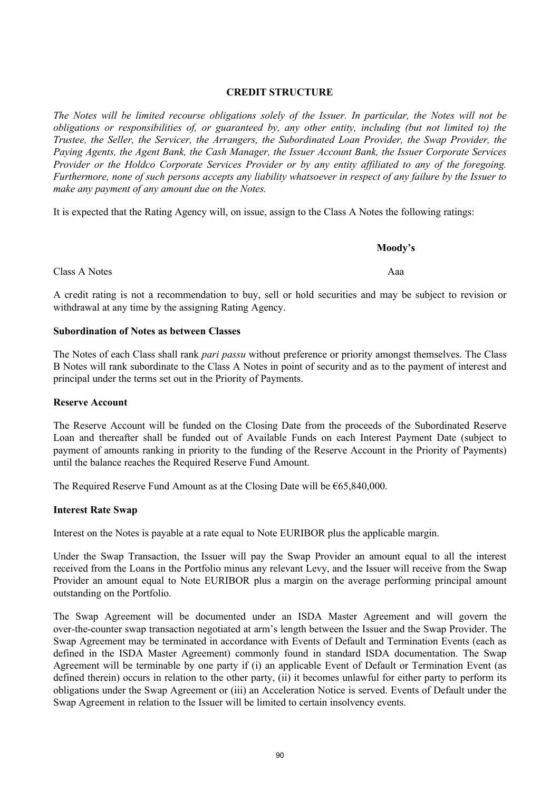# **CREDIT STRUCTURE**

*The Notes will be limited recourse obligations solely of the Issuer. In particular, the Notes will not be obligations or responsibilities of, or guaranteed by, any other entity, including (but not limited to) the Trustee, the Seller, the Servicer, the Arrangers, the Subordinated Loan Provider, the Swap Provider, the Paying Agents, the Agent Bank, the Cash Manager, the Issuer Account Bank, the Issuer Corporate Services Provider or the Holdco Corporate Services Provider or by any entity affiliated to any of the foregoing. Furthermore, none of such persons accepts any liability whatsoever in respect of any failure by the Issuer to make any payment of any amount due on the Notes.*

It is expected that the Rating Agency will, on issue, assign to the Class A Notes the following ratings:

# Class A Notes **Aaa**

A credit rating is not a recommendation to buy, sell or hold securities and may be subject to revision or withdrawal at any time by the assigning Rating Agency.

# **Subordination of Notes as between Classes**

The Notes of each Class shall rank *pari passu* without preference or priority amongst themselves. The Class B Notes will rank subordinate to the Class A Notes in point of security and as to the payment of interest and principal under the terms set out in the Priority of Payments.

# **Reserve Account**

The Reserve Account will be funded on the Closing Date from the proceeds of the Subordinated Reserve Loan and thereafter shall be funded out of Available Funds on each Interest Payment Date (subject to payment of amounts ranking in priority to the funding of the Reserve Account in the Priority of Payments) until the balance reaches the Required Reserve Fund Amount.

The Required Reserve Fund Amount as at the Closing Date will be  $\epsilon$ 65,840,000.

# **Interest Rate Swap**

Interest on the Notes is payable at a rate equal to Note EURIBOR plus the applicable margin.

Under the Swap Transaction, the Issuer will pay the Swap Provider an amount equal to all the interest received from the Loans in the Portfolio minus any relevant Levy, and the Issuer will receive from the Swap Provider an amount equal to Note EURIBOR plus a margin on the average performing principal amount outstanding on the Portfolio.

The Swap Agreement will be documented under an ISDA Master Agreement and will govern the over-the-counter swap transaction negotiated at arm's length between the Issuer and the Swap Provider. The Swap Agreement may be terminated in accordance with Events of Default and Termination Events (each as defined in the ISDA Master Agreement) commonly found in standard ISDA documentation. The Swap Agreement will be terminable by one party if (i) an applicable Event of Default or Termination Event (as defined therein) occurs in relation to the other party, (ii) it becomes unlawful for either party to perform its obligations under the Swap Agreement or (iii) an Acceleration Notice is served. Events of Default under the Swap Agreement in relation to the Issuer will be limited to certain insolvency events.

**Moody's**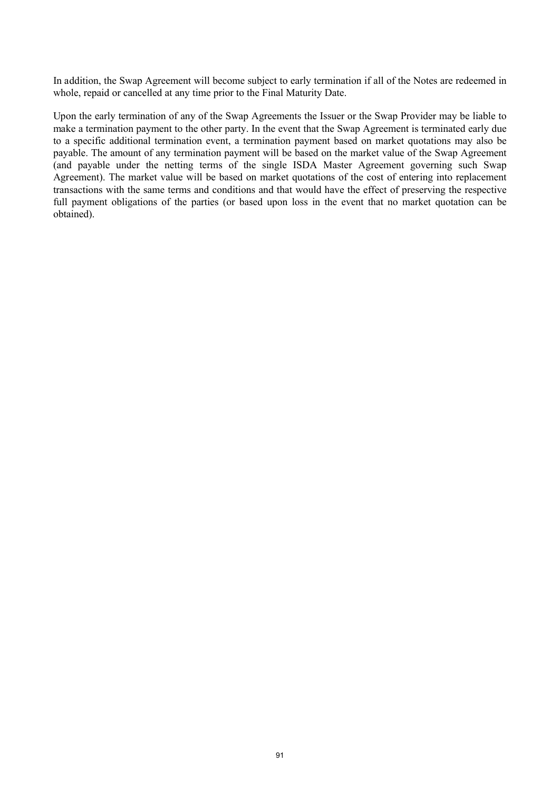In addition, the Swap Agreement will become subject to early termination if all of the Notes are redeemed in whole, repaid or cancelled at any time prior to the Final Maturity Date.

Upon the early termination of any of the Swap Agreements the Issuer or the Swap Provider may be liable to make a termination payment to the other party. In the event that the Swap Agreement is terminated early due to a specific additional termination event, a termination payment based on market quotations may also be payable. The amount of any termination payment will be based on the market value of the Swap Agreement (and payable under the netting terms of the single ISDA Master Agreement governing such Swap Agreement). The market value will be based on market quotations of the cost of entering into replacement transactions with the same terms and conditions and that would have the effect of preserving the respective full payment obligations of the parties (or based upon loss in the event that no market quotation can be obtained).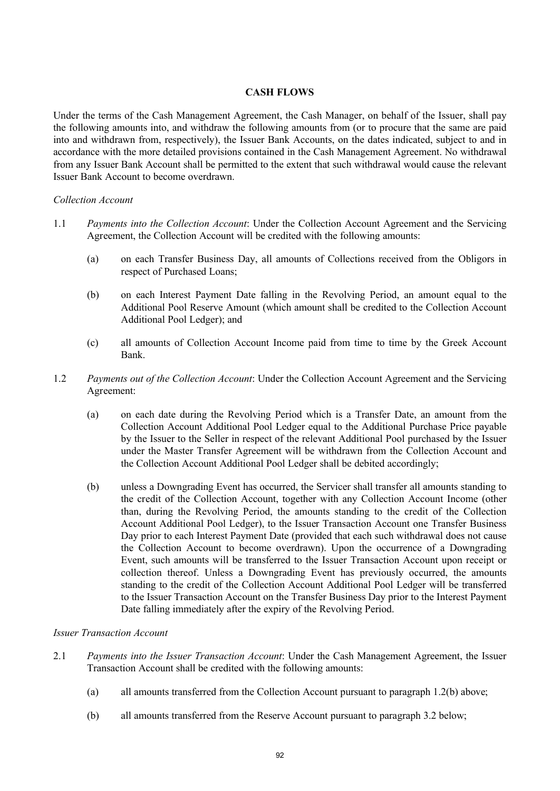# **CASH FLOWS**

Under the terms of the Cash Management Agreement, the Cash Manager, on behalf of the Issuer, shall pay the following amounts into, and withdraw the following amounts from (or to procure that the same are paid into and withdrawn from, respectively), the Issuer Bank Accounts, on the dates indicated, subject to and in accordance with the more detailed provisions contained in the Cash Management Agreement. No withdrawal from any Issuer Bank Account shall be permitted to the extent that such withdrawal would cause the relevant Issuer Bank Account to become overdrawn.

## *Collection Account*

- 1.1 *Payments into the Collection Account*: Under the Collection Account Agreement and the Servicing Agreement, the Collection Account will be credited with the following amounts:
	- (a) on each Transfer Business Day, all amounts of Collections received from the Obligors in respect of Purchased Loans;
	- (b) on each Interest Payment Date falling in the Revolving Period, an amount equal to the Additional Pool Reserve Amount (which amount shall be credited to the Collection Account Additional Pool Ledger); and
	- (c) all amounts of Collection Account Income paid from time to time by the Greek Account Bank.
- 1.2 *Payments out of the Collection Account*: Under the Collection Account Agreement and the Servicing Agreement:
	- (a) on each date during the Revolving Period which is a Transfer Date, an amount from the Collection Account Additional Pool Ledger equal to the Additional Purchase Price payable by the Issuer to the Seller in respect of the relevant Additional Pool purchased by the Issuer under the Master Transfer Agreement will be withdrawn from the Collection Account and the Collection Account Additional Pool Ledger shall be debited accordingly;
	- (b) unless a Downgrading Event has occurred, the Servicer shall transfer all amounts standing to the credit of the Collection Account, together with any Collection Account Income (other than, during the Revolving Period, the amounts standing to the credit of the Collection Account Additional Pool Ledger), to the Issuer Transaction Account one Transfer Business Day prior to each Interest Payment Date (provided that each such withdrawal does not cause the Collection Account to become overdrawn). Upon the occurrence of a Downgrading Event, such amounts will be transferred to the Issuer Transaction Account upon receipt or collection thereof. Unless a Downgrading Event has previously occurred, the amounts standing to the credit of the Collection Account Additional Pool Ledger will be transferred to the Issuer Transaction Account on the Transfer Business Day prior to the Interest Payment Date falling immediately after the expiry of the Revolving Period.

## *Issuer Transaction Account*

- 2.1 *Payments into the Issuer Transaction Account*: Under the Cash Management Agreement, the Issuer Transaction Account shall be credited with the following amounts:
	- (a) all amounts transferred from the Collection Account pursuant to paragraph 1.2(b) above;
	- (b) all amounts transferred from the Reserve Account pursuant to paragraph 3.2 below;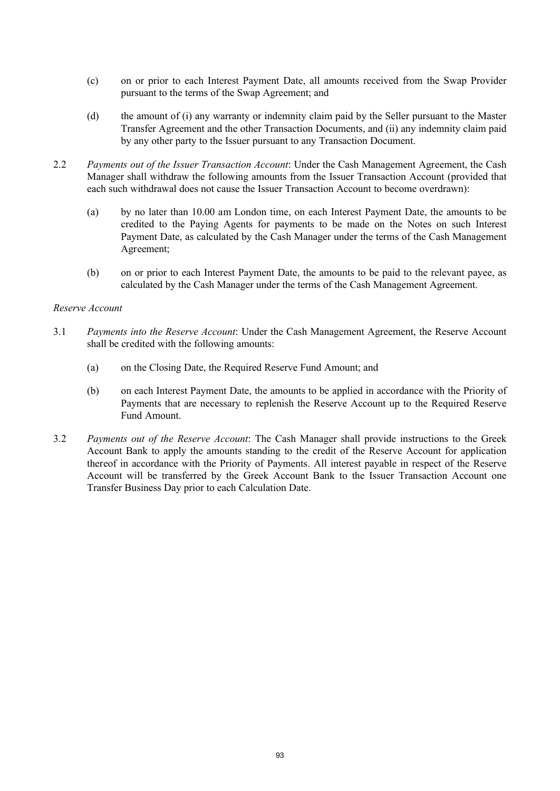- (c) on or prior to each Interest Payment Date, all amounts received from the Swap Provider pursuant to the terms of the Swap Agreement; and
- (d) the amount of (i) any warranty or indemnity claim paid by the Seller pursuant to the Master Transfer Agreement and the other Transaction Documents, and (ii) any indemnity claim paid by any other party to the Issuer pursuant to any Transaction Document.
- 2.2 *Payments out of the Issuer Transaction Account*: Under the Cash Management Agreement, the Cash Manager shall withdraw the following amounts from the Issuer Transaction Account (provided that each such withdrawal does not cause the Issuer Transaction Account to become overdrawn):
	- (a) by no later than 10.00 am London time, on each Interest Payment Date, the amounts to be credited to the Paying Agents for payments to be made on the Notes on such Interest Payment Date, as calculated by the Cash Manager under the terms of the Cash Management Agreement;
	- (b) on or prior to each Interest Payment Date, the amounts to be paid to the relevant payee, as calculated by the Cash Manager under the terms of the Cash Management Agreement.

## *Reserve Account*

- 3.1 *Payments into the Reserve Account*: Under the Cash Management Agreement, the Reserve Account shall be credited with the following amounts:
	- (a) on the Closing Date, the Required Reserve Fund Amount; and
	- (b) on each Interest Payment Date, the amounts to be applied in accordance with the Priority of Payments that are necessary to replenish the Reserve Account up to the Required Reserve Fund Amount.
- 3.2 *Payments out of the Reserve Account*: The Cash Manager shall provide instructions to the Greek Account Bank to apply the amounts standing to the credit of the Reserve Account for application thereof in accordance with the Priority of Payments. All interest payable in respect of the Reserve Account will be transferred by the Greek Account Bank to the Issuer Transaction Account one Transfer Business Day prior to each Calculation Date.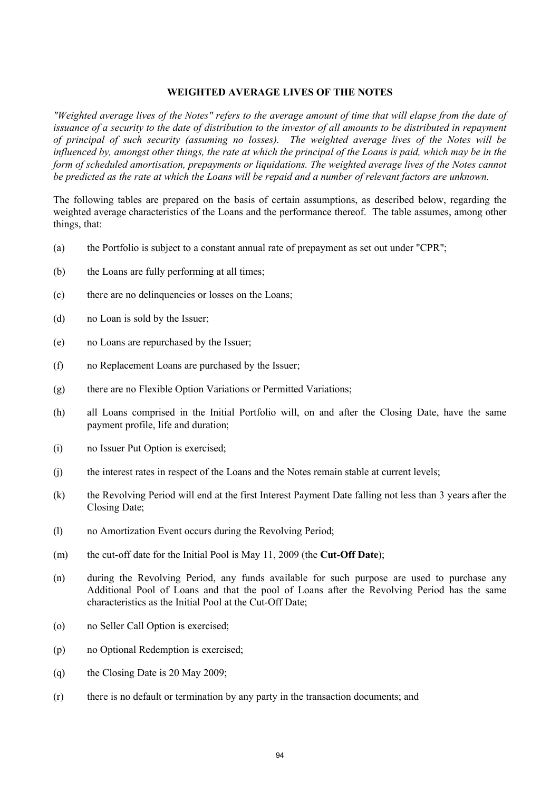#### **WEIGHTED AVERAGE LIVES OF THE NOTES**

*"Weighted average lives of the Notes" refers to the average amount of time that will elapse from the date of issuance of a security to the date of distribution to the investor of all amounts to be distributed in repayment of principal of such security (assuming no losses). The weighted average lives of the Notes will be*  influenced by, amongst other things, the rate at which the principal of the Loans is paid, which may be in the *form of scheduled amortisation, prepayments or liquidations. The weighted average lives of the Notes cannot be predicted as the rate at which the Loans will be repaid and a number of relevant factors are unknown.*

The following tables are prepared on the basis of certain assumptions, as described below, regarding the weighted average characteristics of the Loans and the performance thereof. The table assumes, among other things, that:

- (a) the Portfolio is subject to a constant annual rate of prepayment as set out under "CPR";
- (b) the Loans are fully performing at all times;
- (c) there are no delinquencies or losses on the Loans;
- (d) no Loan is sold by the Issuer;
- (e) no Loans are repurchased by the Issuer;
- (f) no Replacement Loans are purchased by the Issuer;
- (g) there are no Flexible Option Variations or Permitted Variations;
- (h) all Loans comprised in the Initial Portfolio will, on and after the Closing Date, have the same payment profile, life and duration;
- (i) no Issuer Put Option is exercised;
- (j) the interest rates in respect of the Loans and the Notes remain stable at current levels;
- (k) the Revolving Period will end at the first Interest Payment Date falling not less than 3 years after the Closing Date;
- (l) no Amortization Event occurs during the Revolving Period;
- (m) the cut-off date for the Initial Pool is May 11, 2009 (the **Cut-Off Date**);
- (n) during the Revolving Period, any funds available for such purpose are used to purchase any Additional Pool of Loans and that the pool of Loans after the Revolving Period has the same characteristics as the Initial Pool at the Cut-Off Date;
- (o) no Seller Call Option is exercised;
- (p) no Optional Redemption is exercised;
- (q) the Closing Date is 20 May 2009;
- (r) there is no default or termination by any party in the transaction documents; and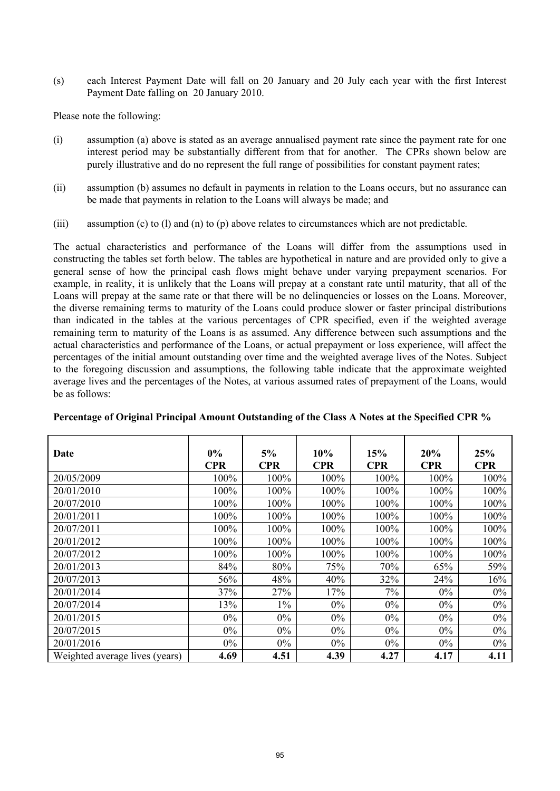(s) each Interest Payment Date will fall on 20 January and 20 July each year with the first Interest Payment Date falling on 20 January 2010.

Please note the following:

- (i) assumption (a) above is stated as an average annualised payment rate since the payment rate for one interest period may be substantially different from that for another. The CPRs shown below are purely illustrative and do no represent the full range of possibilities for constant payment rates;
- (ii) assumption (b) assumes no default in payments in relation to the Loans occurs, but no assurance can be made that payments in relation to the Loans will always be made; and
- (iii) assumption (c) to (l) and (n) to (p) above relates to circumstances which are not predictable.

The actual characteristics and performance of the Loans will differ from the assumptions used in constructing the tables set forth below. The tables are hypothetical in nature and are provided only to give a general sense of how the principal cash flows might behave under varying prepayment scenarios. For example, in reality, it is unlikely that the Loans will prepay at a constant rate until maturity, that all of the Loans will prepay at the same rate or that there will be no delinquencies or losses on the Loans. Moreover, the diverse remaining terms to maturity of the Loans could produce slower or faster principal distributions than indicated in the tables at the various percentages of CPR specified, even if the weighted average remaining term to maturity of the Loans is as assumed. Any difference between such assumptions and the actual characteristics and performance of the Loans, or actual prepayment or loss experience, will affect the percentages of the initial amount outstanding over time and the weighted average lives of the Notes. Subject to the foregoing discussion and assumptions, the following table indicate that the approximate weighted average lives and the percentages of the Notes, at various assumed rates of prepayment of the Loans, would be as follows:

| Date                           | $0\%$<br><b>CPR</b> | 5%<br><b>CPR</b> | 10%<br><b>CPR</b> | 15%<br><b>CPR</b> | 20%<br><b>CPR</b> | 25%<br><b>CPR</b> |
|--------------------------------|---------------------|------------------|-------------------|-------------------|-------------------|-------------------|
| 20/05/2009                     | 100%                | 100%             | 100%              | $100\%$           | 100%              | 100%              |
| 20/01/2010                     | 100%                | 100%             | 100%              | 100%              | 100%              | 100%              |
| 20/07/2010                     | 100%                | 100%             | 100%              | 100%              | 100%              | 100%              |
| 20/01/2011                     | 100%                | 100%             | 100%              | 100%              | 100%              | 100%              |
| 20/07/2011                     | 100%                | 100%             | 100%              | 100%              | 100%              | 100%              |
| 20/01/2012                     | 100%                | 100%             | 100%              | 100%              | 100%              | 100%              |
| 20/07/2012                     | $100\%$             | 100%             | 100%              | 100%              | 100%              | 100%              |
| 20/01/2013                     | 84%                 | 80%              | 75%               | 70%               | 65%               | 59%               |
| 20/07/2013                     | 56%                 | 48%              | 40%               | 32%               | 24%               | 16%               |
| 20/01/2014                     | 37%                 | 27%              | 17%               | 7%                | $0\%$             | $0\%$             |
| 20/07/2014                     | 13%                 | $1\%$            | $0\%$             | $0\%$             | $0\%$             | $0\%$             |
| 20/01/2015                     | $0\%$               | $0\%$            | $0\%$             | $0\%$             | $0\%$             | $0\%$             |
| 20/07/2015                     | $0\%$               | $0\%$            | $0\%$             | $0\%$             | $0\%$             | $0\%$             |
| 20/01/2016                     | $0\%$               | $0\%$            | $0\%$             | $0\%$             | $0\%$             | $0\%$             |
| Weighted average lives (years) | 4.69                | 4.51             | 4.39              | 4.27              | 4.17              | 4.11              |

**Percentage of Original Principal Amount Outstanding of the Class A Notes at the Specified CPR %**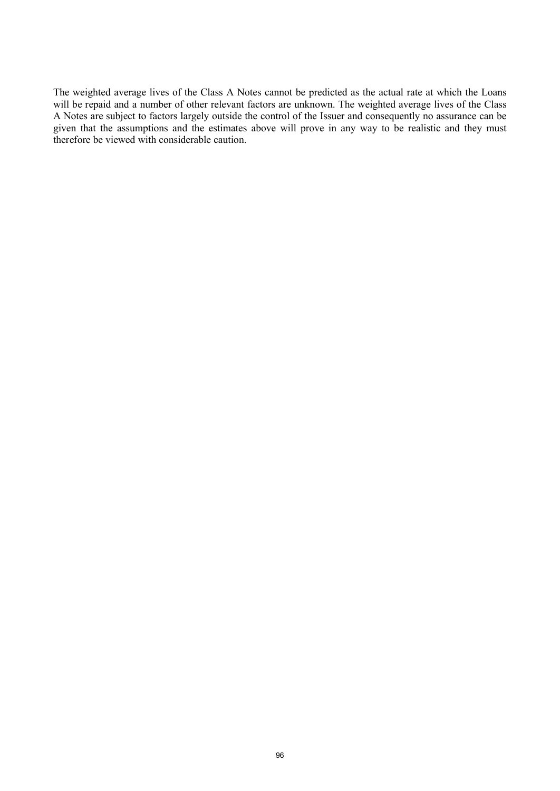The weighted average lives of the Class A Notes cannot be predicted as the actual rate at which the Loans will be repaid and a number of other relevant factors are unknown. The weighted average lives of the Class A Notes are subject to factors largely outside the control of the Issuer and consequently no assurance can be given that the assumptions and the estimates above will prove in any way to be realistic and they must therefore be viewed with considerable caution.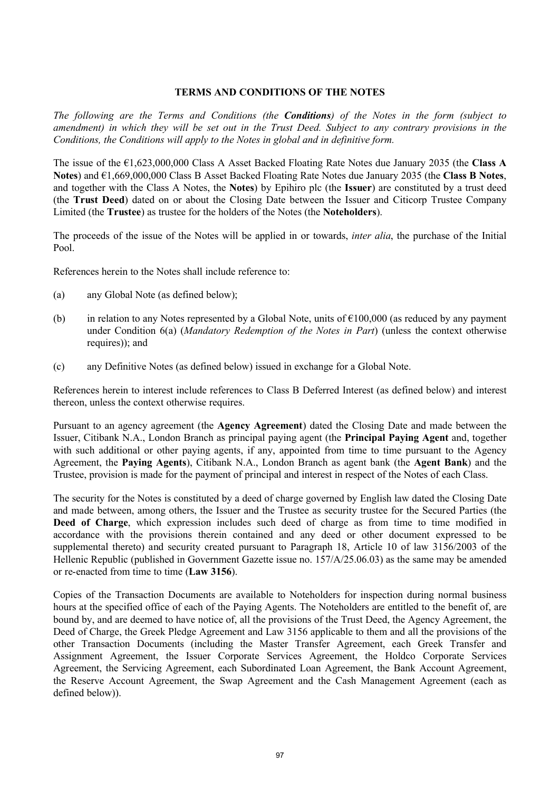## **TERMS AND CONDITIONS OF THE NOTES**

*The following are the Terms and Conditions (the Conditions) of the Notes in the form (subject to amendment) in which they will be set out in the Trust Deed. Subject to any contrary provisions in the Conditions, the Conditions will apply to the Notes in global and in definitive form.*

The issue of the €1,623,000,000 Class A Asset Backed Floating Rate Notes due January 2035 (the **Class A Notes**) and €1,669,000,000 Class B Asset Backed Floating Rate Notes due January 2035 (the **Class B Notes**, and together with the Class A Notes, the **Notes**) by Epihiro plc (the **Issuer**) are constituted by a trust deed (the **Trust Deed**) dated on or about the Closing Date between the Issuer and Citicorp Trustee Company Limited (the **Trustee**) as trustee for the holders of the Notes (the **Noteholders**).

The proceeds of the issue of the Notes will be applied in or towards, *inter alia*, the purchase of the Initial Pool.

References herein to the Notes shall include reference to:

- (a) any Global Note (as defined below);
- (b) in relation to any Notes represented by a Global Note, units of  $\epsilon$ 100,000 (as reduced by any payment under Condition 6(a) (*Mandatory Redemption of the Notes in Part*) (unless the context otherwise requires)); and
- (c) any Definitive Notes (as defined below) issued in exchange for a Global Note.

References herein to interest include references to Class B Deferred Interest (as defined below) and interest thereon, unless the context otherwise requires.

Pursuant to an agency agreement (the **Agency Agreement**) dated the Closing Date and made between the Issuer, Citibank N.A., London Branch as principal paying agent (the **Principal Paying Agent** and, together with such additional or other paying agents, if any, appointed from time to time pursuant to the Agency Agreement, the **Paying Agents**), Citibank N.A., London Branch as agent bank (the **Agent Bank**) and the Trustee, provision is made for the payment of principal and interest in respect of the Notes of each Class.

The security for the Notes is constituted by a deed of charge governed by English law dated the Closing Date and made between, among others, the Issuer and the Trustee as security trustee for the Secured Parties (the **Deed of Charge**, which expression includes such deed of charge as from time to time modified in accordance with the provisions therein contained and any deed or other document expressed to be supplemental thereto) and security created pursuant to Paragraph 18, Article 10 of law 3156/2003 of the Hellenic Republic (published in Government Gazette issue no. 157/A/25.06.03) as the same may be amended or re-enacted from time to time (**Law 3156**).

Copies of the Transaction Documents are available to Noteholders for inspection during normal business hours at the specified office of each of the Paying Agents. The Noteholders are entitled to the benefit of, are bound by, and are deemed to have notice of, all the provisions of the Trust Deed, the Agency Agreement, the Deed of Charge, the Greek Pledge Agreement and Law 3156 applicable to them and all the provisions of the other Transaction Documents (including the Master Transfer Agreement, each Greek Transfer and Assignment Agreement, the Issuer Corporate Services Agreement, the Holdco Corporate Services Agreement, the Servicing Agreement, each Subordinated Loan Agreement, the Bank Account Agreement, the Reserve Account Agreement, the Swap Agreement and the Cash Management Agreement (each as defined below)).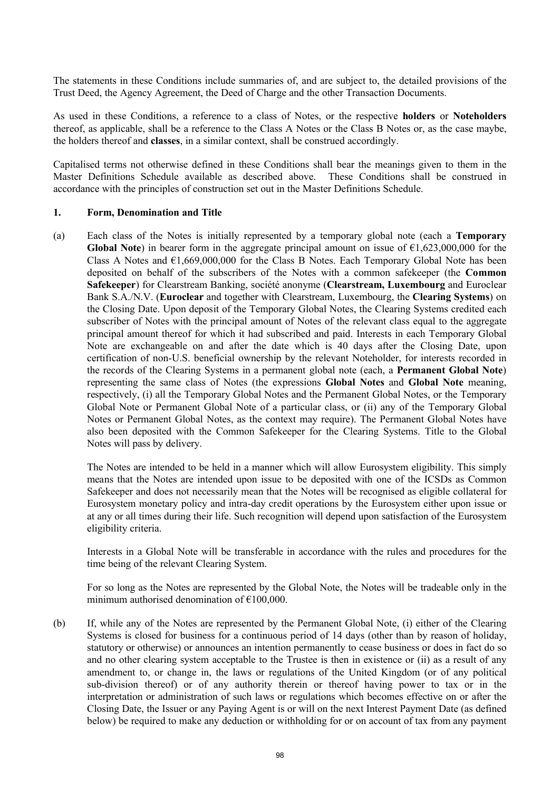The statements in these Conditions include summaries of, and are subject to, the detailed provisions of the Trust Deed, the Agency Agreement, the Deed of Charge and the other Transaction Documents.

As used in these Conditions, a reference to a class of Notes, or the respective **holders** or **Noteholders**  thereof, as applicable, shall be a reference to the Class A Notes or the Class B Notes or, as the case maybe, the holders thereof and **classes**, in a similar context, shall be construed accordingly.

Capitalised terms not otherwise defined in these Conditions shall bear the meanings given to them in the Master Definitions Schedule available as described above. These Conditions shall be construed in accordance with the principles of construction set out in the Master Definitions Schedule.

#### **1. Form, Denomination and Title**

(a) Each class of the Notes is initially represented by a temporary global note (each a **Temporary Global Note**) in bearer form in the aggregate principal amount on issue of €1,623,000,000 for the Class A Notes and  $\epsilon$ 1,669,000,000 for the Class B Notes. Each Temporary Global Note has been deposited on behalf of the subscribers of the Notes with a common safekeeper (the **Common Safekeeper**) for Clearstream Banking, société anonyme (**Clearstream, Luxembourg** and Euroclear Bank S.A./N.V. (**Euroclear** and together with Clearstream, Luxembourg, the **Clearing Systems**) on the Closing Date. Upon deposit of the Temporary Global Notes, the Clearing Systems credited each subscriber of Notes with the principal amount of Notes of the relevant class equal to the aggregate principal amount thereof for which it had subscribed and paid. Interests in each Temporary Global Note are exchangeable on and after the date which is 40 days after the Closing Date, upon certification of non-U.S. beneficial ownership by the relevant Noteholder, for interests recorded in the records of the Clearing Systems in a permanent global note (each, a **Permanent Global Note**) representing the same class of Notes (the expressions **Global Notes** and **Global Note** meaning, respectively, (i) all the Temporary Global Notes and the Permanent Global Notes, or the Temporary Global Note or Permanent Global Note of a particular class, or (ii) any of the Temporary Global Notes or Permanent Global Notes, as the context may require). The Permanent Global Notes have also been deposited with the Common Safekeeper for the Clearing Systems. Title to the Global Notes will pass by delivery.

The Notes are intended to be held in a manner which will allow Eurosystem eligibility. This simply means that the Notes are intended upon issue to be deposited with one of the ICSDs as Common Safekeeper and does not necessarily mean that the Notes will be recognised as eligible collateral for Eurosystem monetary policy and intra-day credit operations by the Eurosystem either upon issue or at any or all times during their life. Such recognition will depend upon satisfaction of the Eurosystem eligibility criteria.

Interests in a Global Note will be transferable in accordance with the rules and procedures for the time being of the relevant Clearing System.

For so long as the Notes are represented by the Global Note, the Notes will be tradeable only in the minimum authorised denomination of €100,000.

(b) If, while any of the Notes are represented by the Permanent Global Note, (i) either of the Clearing Systems is closed for business for a continuous period of 14 days (other than by reason of holiday, statutory or otherwise) or announces an intention permanently to cease business or does in fact do so and no other clearing system acceptable to the Trustee is then in existence or (ii) as a result of any amendment to, or change in, the laws or regulations of the United Kingdom (or of any political sub-division thereof) or of any authority therein or thereof having power to tax or in the interpretation or administration of such laws or regulations which becomes effective on or after the Closing Date, the Issuer or any Paying Agent is or will on the next Interest Payment Date (as defined below) be required to make any deduction or withholding for or on account of tax from any payment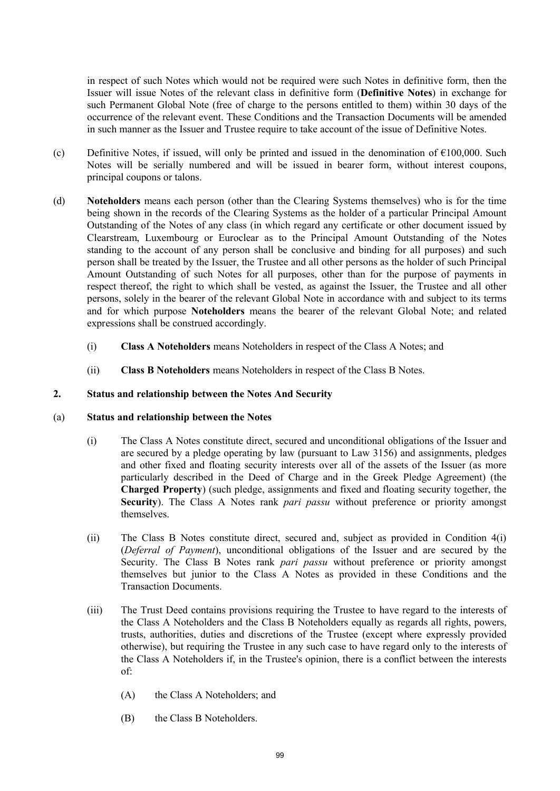in respect of such Notes which would not be required were such Notes in definitive form, then the Issuer will issue Notes of the relevant class in definitive form (**Definitive Notes**) in exchange for such Permanent Global Note (free of charge to the persons entitled to them) within 30 days of the occurrence of the relevant event. These Conditions and the Transaction Documents will be amended in such manner as the Issuer and Trustee require to take account of the issue of Definitive Notes.

- (c) Definitive Notes, if issued, will only be printed and issued in the denomination of  $\epsilon$ 100,000. Such Notes will be serially numbered and will be issued in bearer form, without interest coupons, principal coupons or talons.
- (d) **Noteholders** means each person (other than the Clearing Systems themselves) who is for the time being shown in the records of the Clearing Systems as the holder of a particular Principal Amount Outstanding of the Notes of any class (in which regard any certificate or other document issued by Clearstream, Luxembourg or Euroclear as to the Principal Amount Outstanding of the Notes standing to the account of any person shall be conclusive and binding for all purposes) and such person shall be treated by the Issuer, the Trustee and all other persons as the holder of such Principal Amount Outstanding of such Notes for all purposes, other than for the purpose of payments in respect thereof, the right to which shall be vested, as against the Issuer, the Trustee and all other persons, solely in the bearer of the relevant Global Note in accordance with and subject to its terms and for which purpose **Noteholders** means the bearer of the relevant Global Note; and related expressions shall be construed accordingly.
	- (i) **Class A Noteholders** means Noteholders in respect of the Class A Notes; and
	- (ii) **Class B Noteholders** means Noteholders in respect of the Class B Notes.

# **2. Status and relationship between the Notes And Security**

## (a) **Status and relationship between the Notes**

- (i) The Class A Notes constitute direct, secured and unconditional obligations of the Issuer and are secured by a pledge operating by law (pursuant to Law 3156) and assignments, pledges and other fixed and floating security interests over all of the assets of the Issuer (as more particularly described in the Deed of Charge and in the Greek Pledge Agreement) (the **Charged Property**) (such pledge, assignments and fixed and floating security together, the **Security**). The Class A Notes rank *pari passu* without preference or priority amongst themselves.
- (ii) The Class B Notes constitute direct, secured and, subject as provided in Condition 4(i) (*Deferral of Payment*), unconditional obligations of the Issuer and are secured by the Security. The Class B Notes rank *pari passu* without preference or priority amongst themselves but junior to the Class A Notes as provided in these Conditions and the Transaction Documents.
- (iii) The Trust Deed contains provisions requiring the Trustee to have regard to the interests of the Class A Noteholders and the Class B Noteholders equally as regards all rights, powers, trusts, authorities, duties and discretions of the Trustee (except where expressly provided otherwise), but requiring the Trustee in any such case to have regard only to the interests of the Class A Noteholders if, in the Trustee's opinion, there is a conflict between the interests of:
	- (A) the Class A Noteholders; and
	- (B) the Class B Noteholders.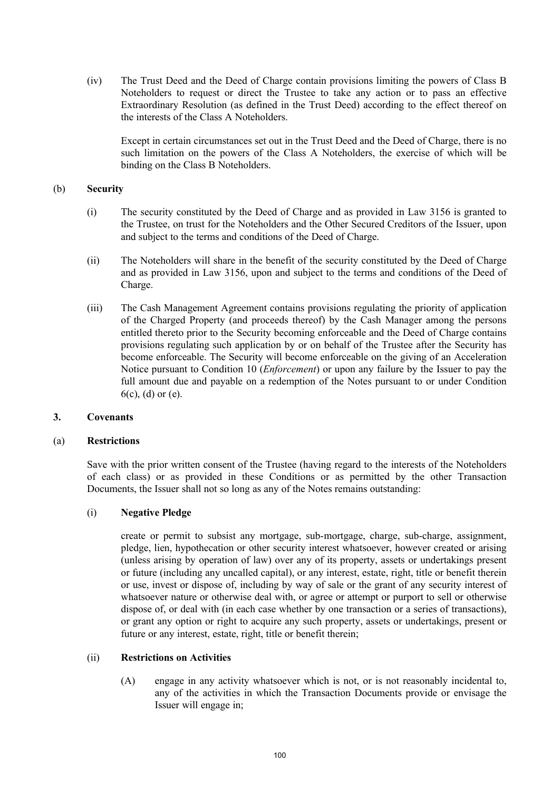(iv) The Trust Deed and the Deed of Charge contain provisions limiting the powers of Class B Noteholders to request or direct the Trustee to take any action or to pass an effective Extraordinary Resolution (as defined in the Trust Deed) according to the effect thereof on the interests of the Class A Noteholders.

Except in certain circumstances set out in the Trust Deed and the Deed of Charge, there is no such limitation on the powers of the Class A Noteholders, the exercise of which will be binding on the Class B Noteholders.

## (b) **Security**

- (i) The security constituted by the Deed of Charge and as provided in Law 3156 is granted to the Trustee, on trust for the Noteholders and the Other Secured Creditors of the Issuer, upon and subject to the terms and conditions of the Deed of Charge.
- (ii) The Noteholders will share in the benefit of the security constituted by the Deed of Charge and as provided in Law 3156, upon and subject to the terms and conditions of the Deed of Charge.
- (iii) The Cash Management Agreement contains provisions regulating the priority of application of the Charged Property (and proceeds thereof) by the Cash Manager among the persons entitled thereto prior to the Security becoming enforceable and the Deed of Charge contains provisions regulating such application by or on behalf of the Trustee after the Security has become enforceable. The Security will become enforceable on the giving of an Acceleration Notice pursuant to Condition 10 (*Enforcement*) or upon any failure by the Issuer to pay the full amount due and payable on a redemption of the Notes pursuant to or under Condition 6(c), (d) or (e).

## **3. Covenants**

## (a) **Restrictions**

Save with the prior written consent of the Trustee (having regard to the interests of the Noteholders of each class) or as provided in these Conditions or as permitted by the other Transaction Documents, the Issuer shall not so long as any of the Notes remains outstanding:

## (i) **Negative Pledge**

create or permit to subsist any mortgage, sub-mortgage, charge, sub-charge, assignment, pledge, lien, hypothecation or other security interest whatsoever, however created or arising (unless arising by operation of law) over any of its property, assets or undertakings present or future (including any uncalled capital), or any interest, estate, right, title or benefit therein or use, invest or dispose of, including by way of sale or the grant of any security interest of whatsoever nature or otherwise deal with, or agree or attempt or purport to sell or otherwise dispose of, or deal with (in each case whether by one transaction or a series of transactions), or grant any option or right to acquire any such property, assets or undertakings, present or future or any interest, estate, right, title or benefit therein;

## (ii) **Restrictions on Activities**

(A) engage in any activity whatsoever which is not, or is not reasonably incidental to, any of the activities in which the Transaction Documents provide or envisage the Issuer will engage in;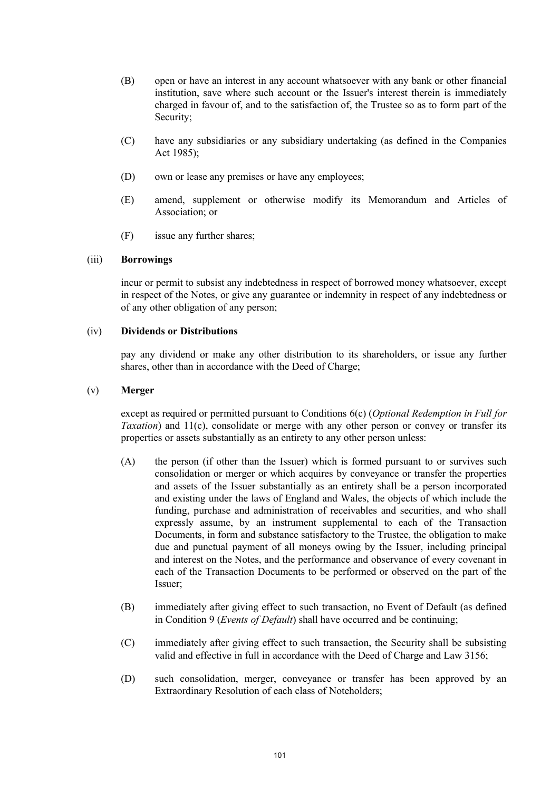- (B) open or have an interest in any account whatsoever with any bank or other financial institution, save where such account or the Issuer's interest therein is immediately charged in favour of, and to the satisfaction of, the Trustee so as to form part of the Security;
- (C) have any subsidiaries or any subsidiary undertaking (as defined in the Companies Act 1985);
- (D) own or lease any premises or have any employees;
- (E) amend, supplement or otherwise modify its Memorandum and Articles of Association; or
- (F) issue any further shares;

## (iii) **Borrowings**

incur or permit to subsist any indebtedness in respect of borrowed money whatsoever, except in respect of the Notes, or give any guarantee or indemnity in respect of any indebtedness or of any other obligation of any person;

## (iv) **Dividends or Distributions**

pay any dividend or make any other distribution to its shareholders, or issue any further shares, other than in accordance with the Deed of Charge;

## (v) **Merger**

except as required or permitted pursuant to Conditions 6(c) (*Optional Redemption in Full for Taxation*) and 11(c), consolidate or merge with any other person or convey or transfer its properties or assets substantially as an entirety to any other person unless:

- (A) the person (if other than the Issuer) which is formed pursuant to or survives such consolidation or merger or which acquires by conveyance or transfer the properties and assets of the Issuer substantially as an entirety shall be a person incorporated and existing under the laws of England and Wales, the objects of which include the funding, purchase and administration of receivables and securities, and who shall expressly assume, by an instrument supplemental to each of the Transaction Documents, in form and substance satisfactory to the Trustee, the obligation to make due and punctual payment of all moneys owing by the Issuer, including principal and interest on the Notes, and the performance and observance of every covenant in each of the Transaction Documents to be performed or observed on the part of the Issuer;
- (B) immediately after giving effect to such transaction, no Event of Default (as defined in Condition 9 (*Events of Default*) shall have occurred and be continuing;
- (C) immediately after giving effect to such transaction, the Security shall be subsisting valid and effective in full in accordance with the Deed of Charge and Law 3156;
- (D) such consolidation, merger, conveyance or transfer has been approved by an Extraordinary Resolution of each class of Noteholders;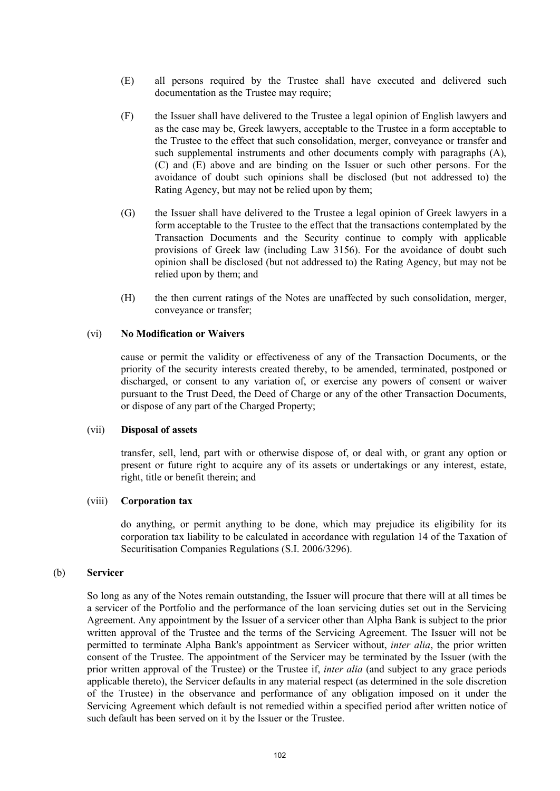- (E) all persons required by the Trustee shall have executed and delivered such documentation as the Trustee may require;
- (F) the Issuer shall have delivered to the Trustee a legal opinion of English lawyers and as the case may be, Greek lawyers, acceptable to the Trustee in a form acceptable to the Trustee to the effect that such consolidation, merger, conveyance or transfer and such supplemental instruments and other documents comply with paragraphs (A), (C) and (E) above and are binding on the Issuer or such other persons. For the avoidance of doubt such opinions shall be disclosed (but not addressed to) the Rating Agency, but may not be relied upon by them;
- (G) the Issuer shall have delivered to the Trustee a legal opinion of Greek lawyers in a form acceptable to the Trustee to the effect that the transactions contemplated by the Transaction Documents and the Security continue to comply with applicable provisions of Greek law (including Law 3156). For the avoidance of doubt such opinion shall be disclosed (but not addressed to) the Rating Agency, but may not be relied upon by them; and
- (H) the then current ratings of the Notes are unaffected by such consolidation, merger, conveyance or transfer;

### (vi) **No Modification or Waivers**

cause or permit the validity or effectiveness of any of the Transaction Documents, or the priority of the security interests created thereby, to be amended, terminated, postponed or discharged, or consent to any variation of, or exercise any powers of consent or waiver pursuant to the Trust Deed, the Deed of Charge or any of the other Transaction Documents, or dispose of any part of the Charged Property;

#### (vii) **Disposal of assets**

transfer, sell, lend, part with or otherwise dispose of, or deal with, or grant any option or present or future right to acquire any of its assets or undertakings or any interest, estate, right, title or benefit therein; and

## (viii) **Corporation tax**

do anything, or permit anything to be done, which may prejudice its eligibility for its corporation tax liability to be calculated in accordance with regulation 14 of the Taxation of Securitisation Companies Regulations (S.I. 2006/3296).

## (b) **Servicer**

So long as any of the Notes remain outstanding, the Issuer will procure that there will at all times be a servicer of the Portfolio and the performance of the loan servicing duties set out in the Servicing Agreement. Any appointment by the Issuer of a servicer other than Alpha Bank is subject to the prior written approval of the Trustee and the terms of the Servicing Agreement. The Issuer will not be permitted to terminate Alpha Bank's appointment as Servicer without, *inter alia*, the prior written consent of the Trustee. The appointment of the Servicer may be terminated by the Issuer (with the prior written approval of the Trustee) or the Trustee if, *inter alia* (and subject to any grace periods applicable thereto), the Servicer defaults in any material respect (as determined in the sole discretion of the Trustee) in the observance and performance of any obligation imposed on it under the Servicing Agreement which default is not remedied within a specified period after written notice of such default has been served on it by the Issuer or the Trustee.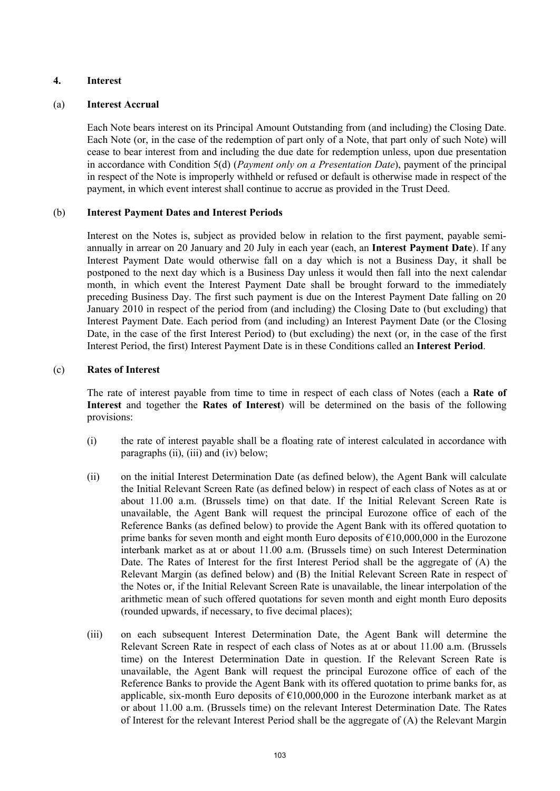# **4. Interest**

## (a) **Interest Accrual**

Each Note bears interest on its Principal Amount Outstanding from (and including) the Closing Date. Each Note (or, in the case of the redemption of part only of a Note, that part only of such Note) will cease to bear interest from and including the due date for redemption unless, upon due presentation in accordance with Condition 5(d) (*Payment only on a Presentation Date*), payment of the principal in respect of the Note is improperly withheld or refused or default is otherwise made in respect of the payment, in which event interest shall continue to accrue as provided in the Trust Deed.

# (b) **Interest Payment Dates and Interest Periods**

Interest on the Notes is, subject as provided below in relation to the first payment, payable semiannually in arrear on 20 January and 20 July in each year (each, an **Interest Payment Date**). If any Interest Payment Date would otherwise fall on a day which is not a Business Day, it shall be postponed to the next day which is a Business Day unless it would then fall into the next calendar month, in which event the Interest Payment Date shall be brought forward to the immediately preceding Business Day. The first such payment is due on the Interest Payment Date falling on 20 January 2010 in respect of the period from (and including) the Closing Date to (but excluding) that Interest Payment Date. Each period from (and including) an Interest Payment Date (or the Closing Date, in the case of the first Interest Period) to (but excluding) the next (or, in the case of the first Interest Period, the first) Interest Payment Date is in these Conditions called an **Interest Period**.

# (c) **Rates of Interest**

The rate of interest payable from time to time in respect of each class of Notes (each a **Rate of Interest** and together the **Rates of Interest**) will be determined on the basis of the following provisions:

- (i) the rate of interest payable shall be a floating rate of interest calculated in accordance with paragraphs (ii), (iii) and (iv) below;
- (ii) on the initial Interest Determination Date (as defined below), the Agent Bank will calculate the Initial Relevant Screen Rate (as defined below) in respect of each class of Notes as at or about 11.00 a.m. (Brussels time) on that date. If the Initial Relevant Screen Rate is unavailable, the Agent Bank will request the principal Eurozone office of each of the Reference Banks (as defined below) to provide the Agent Bank with its offered quotation to prime banks for seven month and eight month Euro deposits of  $\epsilon$ 10,000,000 in the Eurozone interbank market as at or about 11.00 a.m. (Brussels time) on such Interest Determination Date. The Rates of Interest for the first Interest Period shall be the aggregate of (A) the Relevant Margin (as defined below) and (B) the Initial Relevant Screen Rate in respect of the Notes or, if the Initial Relevant Screen Rate is unavailable, the linear interpolation of the arithmetic mean of such offered quotations for seven month and eight month Euro deposits (rounded upwards, if necessary, to five decimal places);
- (iii) on each subsequent Interest Determination Date, the Agent Bank will determine the Relevant Screen Rate in respect of each class of Notes as at or about 11.00 a.m. (Brussels time) on the Interest Determination Date in question. If the Relevant Screen Rate is unavailable, the Agent Bank will request the principal Eurozone office of each of the Reference Banks to provide the Agent Bank with its offered quotation to prime banks for, as applicable, six-month Euro deposits of  $\epsilon$ 10,000,000 in the Eurozone interbank market as at or about 11.00 a.m. (Brussels time) on the relevant Interest Determination Date. The Rates of Interest for the relevant Interest Period shall be the aggregate of (A) the Relevant Margin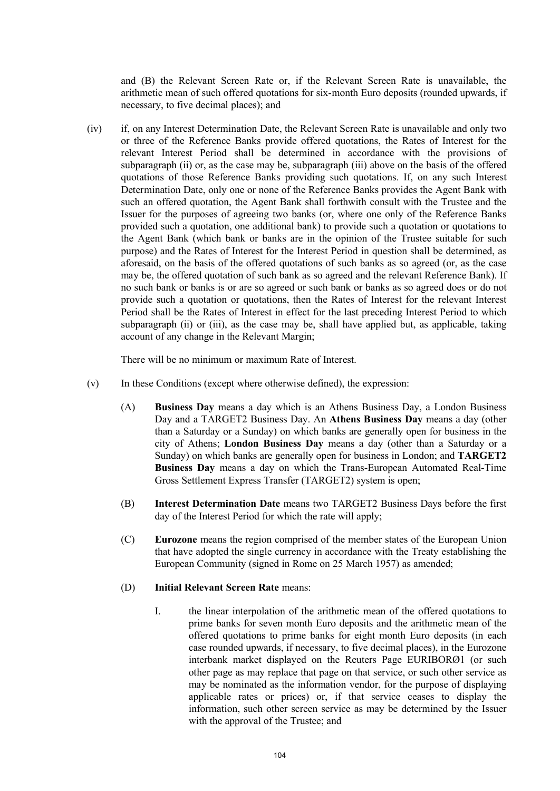and (B) the Relevant Screen Rate or, if the Relevant Screen Rate is unavailable, the arithmetic mean of such offered quotations for six-month Euro deposits (rounded upwards, if necessary, to five decimal places); and

(iv) if, on any Interest Determination Date, the Relevant Screen Rate is unavailable and only two or three of the Reference Banks provide offered quotations, the Rates of Interest for the relevant Interest Period shall be determined in accordance with the provisions of subparagraph (ii) or, as the case may be, subparagraph (iii) above on the basis of the offered quotations of those Reference Banks providing such quotations. If, on any such Interest Determination Date, only one or none of the Reference Banks provides the Agent Bank with such an offered quotation, the Agent Bank shall forthwith consult with the Trustee and the Issuer for the purposes of agreeing two banks (or, where one only of the Reference Banks provided such a quotation, one additional bank) to provide such a quotation or quotations to the Agent Bank (which bank or banks are in the opinion of the Trustee suitable for such purpose) and the Rates of Interest for the Interest Period in question shall be determined, as aforesaid, on the basis of the offered quotations of such banks as so agreed (or, as the case may be, the offered quotation of such bank as so agreed and the relevant Reference Bank). If no such bank or banks is or are so agreed or such bank or banks as so agreed does or do not provide such a quotation or quotations, then the Rates of Interest for the relevant Interest Period shall be the Rates of Interest in effect for the last preceding Interest Period to which subparagraph (ii) or (iii), as the case may be, shall have applied but, as applicable, taking account of any change in the Relevant Margin;

There will be no minimum or maximum Rate of Interest.

- (v) In these Conditions (except where otherwise defined), the expression:
	- (A) **Business Day** means a day which is an Athens Business Day, a London Business Day and a TARGET2 Business Day. An **Athens Business Day** means a day (other than a Saturday or a Sunday) on which banks are generally open for business in the city of Athens; **London Business Day** means a day (other than a Saturday or a Sunday) on which banks are generally open for business in London; and **TARGET2 Business Day** means a day on which the Trans-European Automated Real-Time Gross Settlement Express Transfer (TARGET2) system is open;
	- (B) **Interest Determination Date** means two TARGET2 Business Days before the first day of the Interest Period for which the rate will apply;
	- (C) **Eurozone** means the region comprised of the member states of the European Union that have adopted the single currency in accordance with the Treaty establishing the European Community (signed in Rome on 25 March 1957) as amended;

#### (D) **Initial Relevant Screen Rate** means:

I. the linear interpolation of the arithmetic mean of the offered quotations to prime banks for seven month Euro deposits and the arithmetic mean of the offered quotations to prime banks for eight month Euro deposits (in each case rounded upwards, if necessary, to five decimal places), in the Eurozone interbank market displayed on the Reuters Page EURIBORØ1 (or such other page as may replace that page on that service, or such other service as may be nominated as the information vendor, for the purpose of displaying applicable rates or prices) or, if that service ceases to display the information, such other screen service as may be determined by the Issuer with the approval of the Trustee; and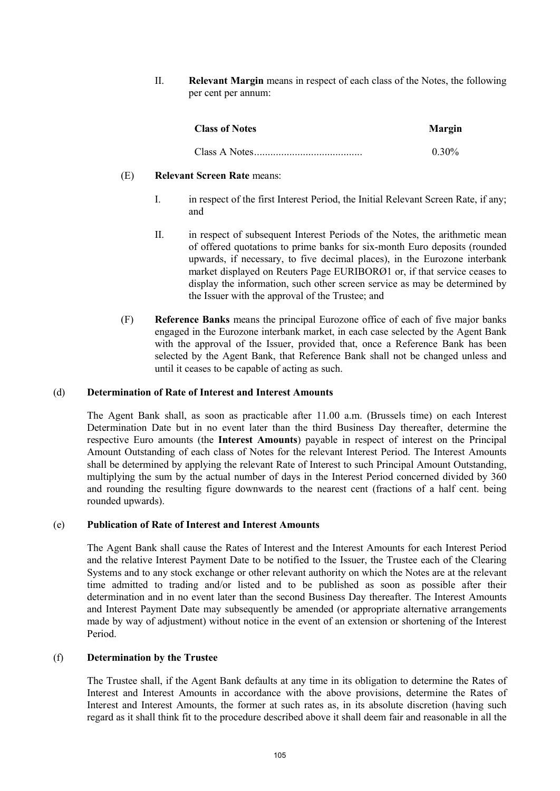II. **Relevant Margin** means in respect of each class of the Notes, the following per cent per annum:

| <b>Class of Notes</b> | <b>Margin</b> |
|-----------------------|---------------|
|                       | $0.30\%$      |

#### (E) **Relevant Screen Rate** means:

- I. in respect of the first Interest Period, the Initial Relevant Screen Rate, if any; and
- II. in respect of subsequent Interest Periods of the Notes, the arithmetic mean of offered quotations to prime banks for six-month Euro deposits (rounded upwards, if necessary, to five decimal places), in the Eurozone interbank market displayed on Reuters Page EURIBORØ1 or, if that service ceases to display the information, such other screen service as may be determined by the Issuer with the approval of the Trustee; and
- (F) **Reference Banks** means the principal Eurozone office of each of five major banks engaged in the Eurozone interbank market, in each case selected by the Agent Bank with the approval of the Issuer, provided that, once a Reference Bank has been selected by the Agent Bank, that Reference Bank shall not be changed unless and until it ceases to be capable of acting as such.

### (d) **Determination of Rate of Interest and Interest Amounts**

The Agent Bank shall, as soon as practicable after 11.00 a.m. (Brussels time) on each Interest Determination Date but in no event later than the third Business Day thereafter, determine the respective Euro amounts (the **Interest Amounts**) payable in respect of interest on the Principal Amount Outstanding of each class of Notes for the relevant Interest Period. The Interest Amounts shall be determined by applying the relevant Rate of Interest to such Principal Amount Outstanding, multiplying the sum by the actual number of days in the Interest Period concerned divided by 360 and rounding the resulting figure downwards to the nearest cent (fractions of a half cent. being rounded upwards).

#### (e) **Publication of Rate of Interest and Interest Amounts**

The Agent Bank shall cause the Rates of Interest and the Interest Amounts for each Interest Period and the relative Interest Payment Date to be notified to the Issuer, the Trustee each of the Clearing Systems and to any stock exchange or other relevant authority on which the Notes are at the relevant time admitted to trading and/or listed and to be published as soon as possible after their determination and in no event later than the second Business Day thereafter. The Interest Amounts and Interest Payment Date may subsequently be amended (or appropriate alternative arrangements made by way of adjustment) without notice in the event of an extension or shortening of the Interest Period.

#### (f) **Determination by the Trustee**

The Trustee shall, if the Agent Bank defaults at any time in its obligation to determine the Rates of Interest and Interest Amounts in accordance with the above provisions, determine the Rates of Interest and Interest Amounts, the former at such rates as, in its absolute discretion (having such regard as it shall think fit to the procedure described above it shall deem fair and reasonable in all the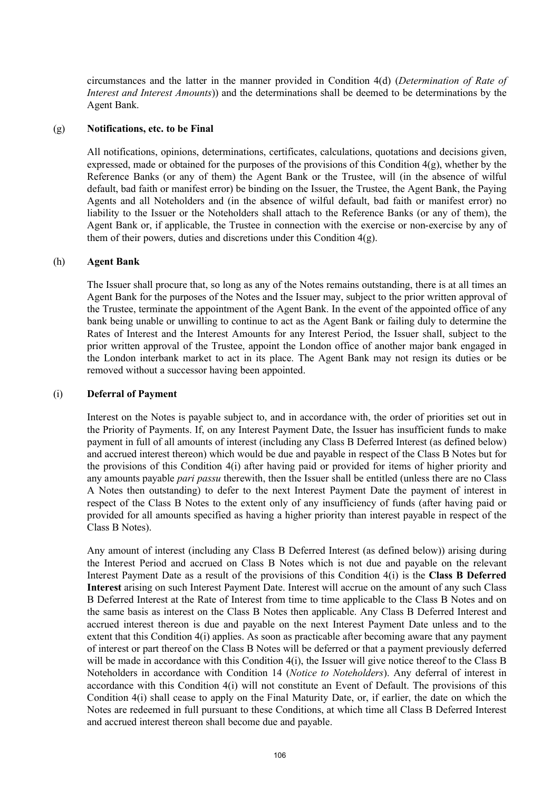circumstances and the latter in the manner provided in Condition 4(d) (*Determination of Rate of Interest and Interest Amounts*)) and the determinations shall be deemed to be determinations by the Agent Bank.

#### (g) **Notifications, etc. to be Final**

All notifications, opinions, determinations, certificates, calculations, quotations and decisions given, expressed, made or obtained for the purposes of the provisions of this Condition 4(g), whether by the Reference Banks (or any of them) the Agent Bank or the Trustee, will (in the absence of wilful default, bad faith or manifest error) be binding on the Issuer, the Trustee, the Agent Bank, the Paying Agents and all Noteholders and (in the absence of wilful default, bad faith or manifest error) no liability to the Issuer or the Noteholders shall attach to the Reference Banks (or any of them), the Agent Bank or, if applicable, the Trustee in connection with the exercise or non-exercise by any of them of their powers, duties and discretions under this Condition  $4(g)$ .

## (h) **Agent Bank**

The Issuer shall procure that, so long as any of the Notes remains outstanding, there is at all times an Agent Bank for the purposes of the Notes and the Issuer may, subject to the prior written approval of the Trustee, terminate the appointment of the Agent Bank. In the event of the appointed office of any bank being unable or unwilling to continue to act as the Agent Bank or failing duly to determine the Rates of Interest and the Interest Amounts for any Interest Period, the Issuer shall, subject to the prior written approval of the Trustee, appoint the London office of another major bank engaged in the London interbank market to act in its place. The Agent Bank may not resign its duties or be removed without a successor having been appointed.

#### (i) **Deferral of Payment**

Interest on the Notes is payable subject to, and in accordance with, the order of priorities set out in the Priority of Payments. If, on any Interest Payment Date, the Issuer has insufficient funds to make payment in full of all amounts of interest (including any Class B Deferred Interest (as defined below) and accrued interest thereon) which would be due and payable in respect of the Class B Notes but for the provisions of this Condition 4(i) after having paid or provided for items of higher priority and any amounts payable *pari passu* therewith, then the Issuer shall be entitled (unless there are no Class A Notes then outstanding) to defer to the next Interest Payment Date the payment of interest in respect of the Class B Notes to the extent only of any insufficiency of funds (after having paid or provided for all amounts specified as having a higher priority than interest payable in respect of the Class B Notes).

Any amount of interest (including any Class B Deferred Interest (as defined below)) arising during the Interest Period and accrued on Class B Notes which is not due and payable on the relevant Interest Payment Date as a result of the provisions of this Condition 4(i) is the **Class B Deferred Interest** arising on such Interest Payment Date. Interest will accrue on the amount of any such Class B Deferred Interest at the Rate of Interest from time to time applicable to the Class B Notes and on the same basis as interest on the Class B Notes then applicable. Any Class B Deferred Interest and accrued interest thereon is due and payable on the next Interest Payment Date unless and to the extent that this Condition 4(i) applies. As soon as practicable after becoming aware that any payment of interest or part thereof on the Class B Notes will be deferred or that a payment previously deferred will be made in accordance with this Condition 4(i), the Issuer will give notice thereof to the Class B Noteholders in accordance with Condition 14 (*Notice to Noteholders*). Any deferral of interest in accordance with this Condition 4(i) will not constitute an Event of Default. The provisions of this Condition 4(i) shall cease to apply on the Final Maturity Date, or, if earlier, the date on which the Notes are redeemed in full pursuant to these Conditions, at which time all Class B Deferred Interest and accrued interest thereon shall become due and payable.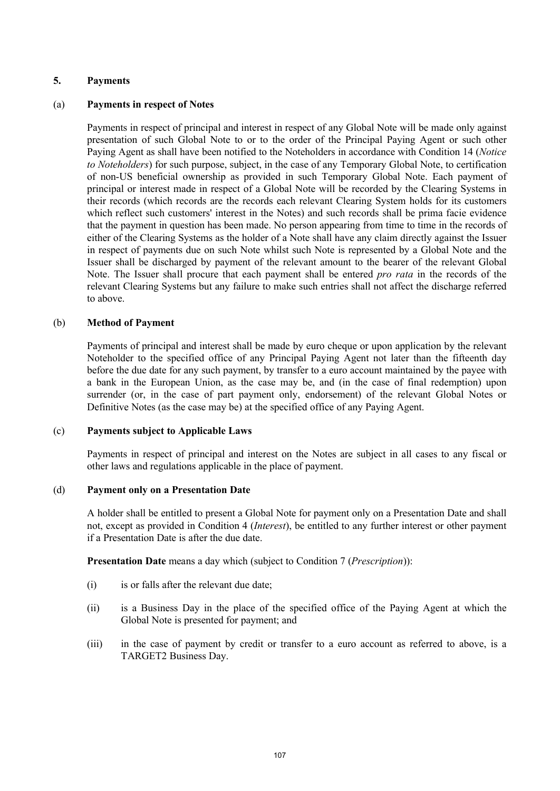## **5. Payments**

## (a) **Payments in respect of Notes**

Payments in respect of principal and interest in respect of any Global Note will be made only against presentation of such Global Note to or to the order of the Principal Paying Agent or such other Paying Agent as shall have been notified to the Noteholders in accordance with Condition 14 (*Notice to Noteholders*) for such purpose, subject, in the case of any Temporary Global Note, to certification of non-US beneficial ownership as provided in such Temporary Global Note. Each payment of principal or interest made in respect of a Global Note will be recorded by the Clearing Systems in their records (which records are the records each relevant Clearing System holds for its customers which reflect such customers' interest in the Notes) and such records shall be prima facie evidence that the payment in question has been made. No person appearing from time to time in the records of either of the Clearing Systems as the holder of a Note shall have any claim directly against the Issuer in respect of payments due on such Note whilst such Note is represented by a Global Note and the Issuer shall be discharged by payment of the relevant amount to the bearer of the relevant Global Note. The Issuer shall procure that each payment shall be entered *pro rata* in the records of the relevant Clearing Systems but any failure to make such entries shall not affect the discharge referred to above.

## (b) **Method of Payment**

Payments of principal and interest shall be made by euro cheque or upon application by the relevant Noteholder to the specified office of any Principal Paying Agent not later than the fifteenth day before the due date for any such payment, by transfer to a euro account maintained by the payee with a bank in the European Union, as the case may be, and (in the case of final redemption) upon surrender (or, in the case of part payment only, endorsement) of the relevant Global Notes or Definitive Notes (as the case may be) at the specified office of any Paying Agent.

## (c) **Payments subject to Applicable Laws**

Payments in respect of principal and interest on the Notes are subject in all cases to any fiscal or other laws and regulations applicable in the place of payment.

## (d) **Payment only on a Presentation Date**

A holder shall be entitled to present a Global Note for payment only on a Presentation Date and shall not, except as provided in Condition 4 (*Interest*), be entitled to any further interest or other payment if a Presentation Date is after the due date.

**Presentation Date** means a day which (subject to Condition 7 (*Prescription*)):

- (i) is or falls after the relevant due date;
- (ii) is a Business Day in the place of the specified office of the Paying Agent at which the Global Note is presented for payment; and
- (iii) in the case of payment by credit or transfer to a euro account as referred to above, is a TARGET2 Business Day.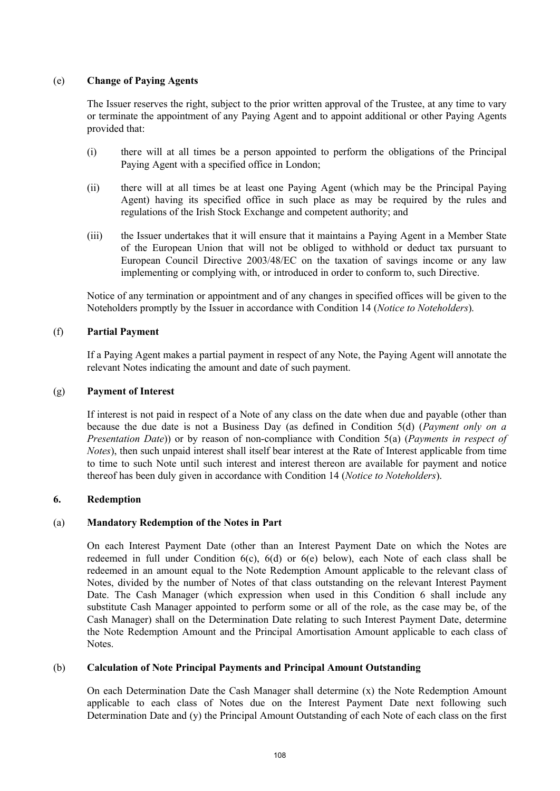# (e) **Change of Paying Agents**

The Issuer reserves the right, subject to the prior written approval of the Trustee, at any time to vary or terminate the appointment of any Paying Agent and to appoint additional or other Paying Agents provided that:

- (i) there will at all times be a person appointed to perform the obligations of the Principal Paying Agent with a specified office in London;
- (ii) there will at all times be at least one Paying Agent (which may be the Principal Paying Agent) having its specified office in such place as may be required by the rules and regulations of the Irish Stock Exchange and competent authority; and
- (iii) the Issuer undertakes that it will ensure that it maintains a Paying Agent in a Member State of the European Union that will not be obliged to withhold or deduct tax pursuant to European Council Directive 2003/48/EC on the taxation of savings income or any law implementing or complying with, or introduced in order to conform to, such Directive.

Notice of any termination or appointment and of any changes in specified offices will be given to the Noteholders promptly by the Issuer in accordance with Condition 14 (*Notice to Noteholders*).

# (f) **Partial Payment**

If a Paying Agent makes a partial payment in respect of any Note, the Paying Agent will annotate the relevant Notes indicating the amount and date of such payment.

## (g) **Payment of Interest**

If interest is not paid in respect of a Note of any class on the date when due and payable (other than because the due date is not a Business Day (as defined in Condition 5(d) (*Payment only on a Presentation Date*)) or by reason of non-compliance with Condition 5(a) (*Payments in respect of Notes*), then such unpaid interest shall itself bear interest at the Rate of Interest applicable from time to time to such Note until such interest and interest thereon are available for payment and notice thereof has been duly given in accordance with Condition 14 (*Notice to Noteholders*).

## **6. Redemption**

# (a) **Mandatory Redemption of the Notes in Part**

On each Interest Payment Date (other than an Interest Payment Date on which the Notes are redeemed in full under Condition 6(c), 6(d) or 6(e) below), each Note of each class shall be redeemed in an amount equal to the Note Redemption Amount applicable to the relevant class of Notes, divided by the number of Notes of that class outstanding on the relevant Interest Payment Date. The Cash Manager (which expression when used in this Condition 6 shall include any substitute Cash Manager appointed to perform some or all of the role, as the case may be, of the Cash Manager) shall on the Determination Date relating to such Interest Payment Date, determine the Note Redemption Amount and the Principal Amortisation Amount applicable to each class of Notes.

## (b) **Calculation of Note Principal Payments and Principal Amount Outstanding**

On each Determination Date the Cash Manager shall determine (x) the Note Redemption Amount applicable to each class of Notes due on the Interest Payment Date next following such Determination Date and (y) the Principal Amount Outstanding of each Note of each class on the first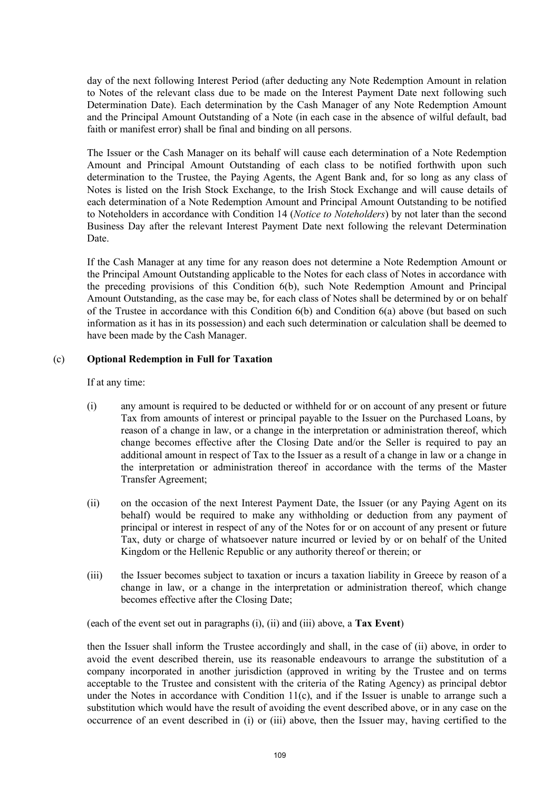day of the next following Interest Period (after deducting any Note Redemption Amount in relation to Notes of the relevant class due to be made on the Interest Payment Date next following such Determination Date). Each determination by the Cash Manager of any Note Redemption Amount and the Principal Amount Outstanding of a Note (in each case in the absence of wilful default, bad faith or manifest error) shall be final and binding on all persons.

The Issuer or the Cash Manager on its behalf will cause each determination of a Note Redemption Amount and Principal Amount Outstanding of each class to be notified forthwith upon such determination to the Trustee, the Paying Agents, the Agent Bank and, for so long as any class of Notes is listed on the Irish Stock Exchange, to the Irish Stock Exchange and will cause details of each determination of a Note Redemption Amount and Principal Amount Outstanding to be notified to Noteholders in accordance with Condition 14 (*Notice to Noteholders*) by not later than the second Business Day after the relevant Interest Payment Date next following the relevant Determination Date.

If the Cash Manager at any time for any reason does not determine a Note Redemption Amount or the Principal Amount Outstanding applicable to the Notes for each class of Notes in accordance with the preceding provisions of this Condition 6(b), such Note Redemption Amount and Principal Amount Outstanding, as the case may be, for each class of Notes shall be determined by or on behalf of the Trustee in accordance with this Condition  $6(b)$  and Condition  $6(a)$  above (but based on such information as it has in its possession) and each such determination or calculation shall be deemed to have been made by the Cash Manager.

## (c) **Optional Redemption in Full for Taxation**

If at any time:

- (i) any amount is required to be deducted or withheld for or on account of any present or future Tax from amounts of interest or principal payable to the Issuer on the Purchased Loans, by reason of a change in law, or a change in the interpretation or administration thereof, which change becomes effective after the Closing Date and/or the Seller is required to pay an additional amount in respect of Tax to the Issuer as a result of a change in law or a change in the interpretation or administration thereof in accordance with the terms of the Master Transfer Agreement;
- (ii) on the occasion of the next Interest Payment Date, the Issuer (or any Paying Agent on its behalf) would be required to make any withholding or deduction from any payment of principal or interest in respect of any of the Notes for or on account of any present or future Tax, duty or charge of whatsoever nature incurred or levied by or on behalf of the United Kingdom or the Hellenic Republic or any authority thereof or therein; or
- (iii) the Issuer becomes subject to taxation or incurs a taxation liability in Greece by reason of a change in law, or a change in the interpretation or administration thereof, which change becomes effective after the Closing Date;

(each of the event set out in paragraphs (i), (ii) and (iii) above, a **Tax Event**)

then the Issuer shall inform the Trustee accordingly and shall, in the case of (ii) above, in order to avoid the event described therein, use its reasonable endeavours to arrange the substitution of a company incorporated in another jurisdiction (approved in writing by the Trustee and on terms acceptable to the Trustee and consistent with the criteria of the Rating Agency) as principal debtor under the Notes in accordance with Condition  $11(c)$ , and if the Issuer is unable to arrange such a substitution which would have the result of avoiding the event described above, or in any case on the occurrence of an event described in (i) or (iii) above, then the Issuer may, having certified to the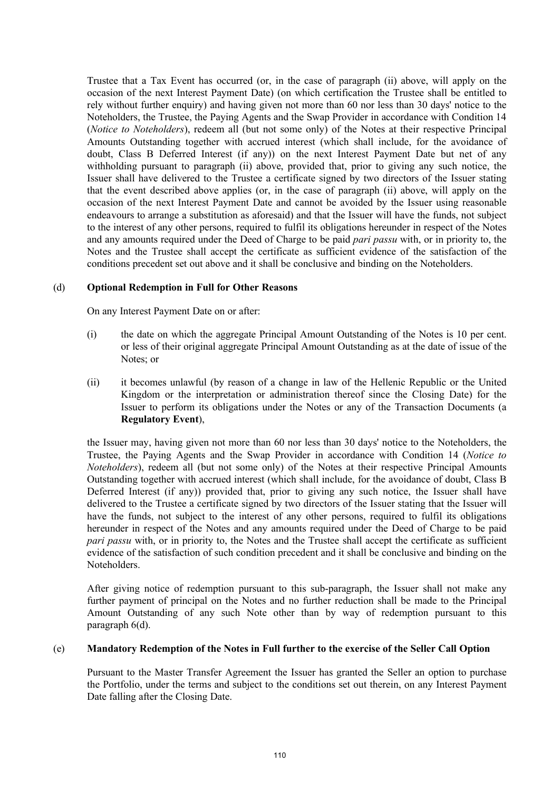Trustee that a Tax Event has occurred (or, in the case of paragraph (ii) above, will apply on the occasion of the next Interest Payment Date) (on which certification the Trustee shall be entitled to rely without further enquiry) and having given not more than 60 nor less than 30 days' notice to the Noteholders, the Trustee, the Paying Agents and the Swap Provider in accordance with Condition 14 (*Notice to Noteholders*), redeem all (but not some only) of the Notes at their respective Principal Amounts Outstanding together with accrued interest (which shall include, for the avoidance of doubt, Class B Deferred Interest (if any)) on the next Interest Payment Date but net of any withholding pursuant to paragraph (ii) above, provided that, prior to giving any such notice, the Issuer shall have delivered to the Trustee a certificate signed by two directors of the Issuer stating that the event described above applies (or, in the case of paragraph (ii) above, will apply on the occasion of the next Interest Payment Date and cannot be avoided by the Issuer using reasonable endeavours to arrange a substitution as aforesaid) and that the Issuer will have the funds, not subject to the interest of any other persons, required to fulfil its obligations hereunder in respect of the Notes and any amounts required under the Deed of Charge to be paid *pari passu* with, or in priority to, the Notes and the Trustee shall accept the certificate as sufficient evidence of the satisfaction of the conditions precedent set out above and it shall be conclusive and binding on the Noteholders.

# (d) **Optional Redemption in Full for Other Reasons**

On any Interest Payment Date on or after:

- (i) the date on which the aggregate Principal Amount Outstanding of the Notes is 10 per cent. or less of their original aggregate Principal Amount Outstanding as at the date of issue of the Notes; or
- (ii) it becomes unlawful (by reason of a change in law of the Hellenic Republic or the United Kingdom or the interpretation or administration thereof since the Closing Date) for the Issuer to perform its obligations under the Notes or any of the Transaction Documents (a **Regulatory Event**),

the Issuer may, having given not more than 60 nor less than 30 days' notice to the Noteholders, the Trustee, the Paying Agents and the Swap Provider in accordance with Condition 14 (*Notice to Noteholders*), redeem all (but not some only) of the Notes at their respective Principal Amounts Outstanding together with accrued interest (which shall include, for the avoidance of doubt, Class B Deferred Interest (if any)) provided that, prior to giving any such notice, the Issuer shall have delivered to the Trustee a certificate signed by two directors of the Issuer stating that the Issuer will have the funds, not subject to the interest of any other persons, required to fulfil its obligations hereunder in respect of the Notes and any amounts required under the Deed of Charge to be paid *pari passu* with, or in priority to, the Notes and the Trustee shall accept the certificate as sufficient evidence of the satisfaction of such condition precedent and it shall be conclusive and binding on the Noteholders.

After giving notice of redemption pursuant to this sub-paragraph, the Issuer shall not make any further payment of principal on the Notes and no further reduction shall be made to the Principal Amount Outstanding of any such Note other than by way of redemption pursuant to this paragraph 6(d).

## (e) **Mandatory Redemption of the Notes in Full further to the exercise of the Seller Call Option**

Pursuant to the Master Transfer Agreement the Issuer has granted the Seller an option to purchase the Portfolio, under the terms and subject to the conditions set out therein, on any Interest Payment Date falling after the Closing Date.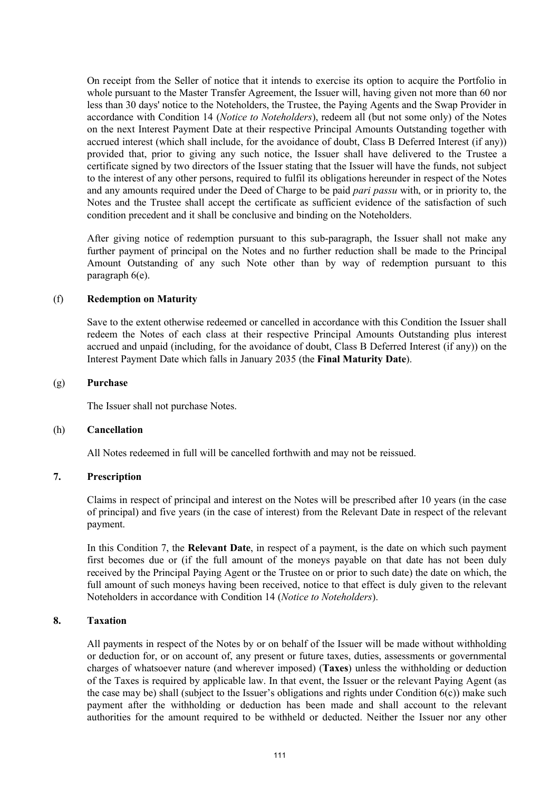On receipt from the Seller of notice that it intends to exercise its option to acquire the Portfolio in whole pursuant to the Master Transfer Agreement, the Issuer will, having given not more than 60 nor less than 30 days' notice to the Noteholders, the Trustee, the Paying Agents and the Swap Provider in accordance with Condition 14 (*Notice to Noteholders*), redeem all (but not some only) of the Notes on the next Interest Payment Date at their respective Principal Amounts Outstanding together with accrued interest (which shall include, for the avoidance of doubt, Class B Deferred Interest (if any)) provided that, prior to giving any such notice, the Issuer shall have delivered to the Trustee a certificate signed by two directors of the Issuer stating that the Issuer will have the funds, not subject to the interest of any other persons, required to fulfil its obligations hereunder in respect of the Notes and any amounts required under the Deed of Charge to be paid *pari passu* with, or in priority to, the Notes and the Trustee shall accept the certificate as sufficient evidence of the satisfaction of such condition precedent and it shall be conclusive and binding on the Noteholders.

After giving notice of redemption pursuant to this sub-paragraph, the Issuer shall not make any further payment of principal on the Notes and no further reduction shall be made to the Principal Amount Outstanding of any such Note other than by way of redemption pursuant to this paragraph 6(e).

## (f) **Redemption on Maturity**

Save to the extent otherwise redeemed or cancelled in accordance with this Condition the Issuer shall redeem the Notes of each class at their respective Principal Amounts Outstanding plus interest accrued and unpaid (including, for the avoidance of doubt, Class B Deferred Interest (if any)) on the Interest Payment Date which falls in January 2035 (the **Final Maturity Date**).

## (g) **Purchase**

The Issuer shall not purchase Notes.

#### (h) **Cancellation**

All Notes redeemed in full will be cancelled forthwith and may not be reissued.

## **7. Prescription**

Claims in respect of principal and interest on the Notes will be prescribed after 10 years (in the case of principal) and five years (in the case of interest) from the Relevant Date in respect of the relevant payment.

In this Condition 7, the **Relevant Date**, in respect of a payment, is the date on which such payment first becomes due or (if the full amount of the moneys payable on that date has not been duly received by the Principal Paying Agent or the Trustee on or prior to such date) the date on which, the full amount of such moneys having been received, notice to that effect is duly given to the relevant Noteholders in accordance with Condition 14 (*Notice to Noteholders*).

## **8. Taxation**

All payments in respect of the Notes by or on behalf of the Issuer will be made without withholding or deduction for, or on account of, any present or future taxes, duties, assessments or governmental charges of whatsoever nature (and wherever imposed) (**Taxes**) unless the withholding or deduction of the Taxes is required by applicable law. In that event, the Issuer or the relevant Paying Agent (as the case may be) shall (subject to the Issuer's obligations and rights under Condition  $6(c)$ ) make such payment after the withholding or deduction has been made and shall account to the relevant authorities for the amount required to be withheld or deducted. Neither the Issuer nor any other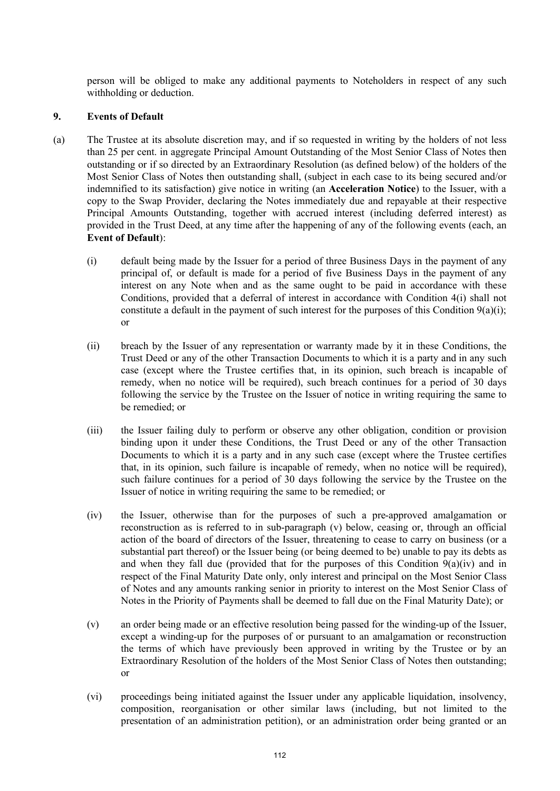person will be obliged to make any additional payments to Noteholders in respect of any such withholding or deduction.

## **9. Events of Default**

- (a) The Trustee at its absolute discretion may, and if so requested in writing by the holders of not less than 25 per cent. in aggregate Principal Amount Outstanding of the Most Senior Class of Notes then outstanding or if so directed by an Extraordinary Resolution (as defined below) of the holders of the Most Senior Class of Notes then outstanding shall, (subject in each case to its being secured and/or indemnified to its satisfaction) give notice in writing (an **Acceleration Notice**) to the Issuer, with a copy to the Swap Provider, declaring the Notes immediately due and repayable at their respective Principal Amounts Outstanding, together with accrued interest (including deferred interest) as provided in the Trust Deed, at any time after the happening of any of the following events (each, an **Event of Default**):
	- (i) default being made by the Issuer for a period of three Business Days in the payment of any principal of, or default is made for a period of five Business Days in the payment of any interest on any Note when and as the same ought to be paid in accordance with these Conditions, provided that a deferral of interest in accordance with Condition 4(i) shall not constitute a default in the payment of such interest for the purposes of this Condition 9(a)(i); or
	- (ii) breach by the Issuer of any representation or warranty made by it in these Conditions, the Trust Deed or any of the other Transaction Documents to which it is a party and in any such case (except where the Trustee certifies that, in its opinion, such breach is incapable of remedy, when no notice will be required), such breach continues for a period of 30 days following the service by the Trustee on the Issuer of notice in writing requiring the same to be remedied; or
	- (iii) the Issuer failing duly to perform or observe any other obligation, condition or provision binding upon it under these Conditions, the Trust Deed or any of the other Transaction Documents to which it is a party and in any such case (except where the Trustee certifies that, in its opinion, such failure is incapable of remedy, when no notice will be required), such failure continues for a period of 30 days following the service by the Trustee on the Issuer of notice in writing requiring the same to be remedied; or
	- (iv) the Issuer, otherwise than for the purposes of such a pre-approved amalgamation or reconstruction as is referred to in sub-paragraph (v) below, ceasing or, through an official action of the board of directors of the Issuer, threatening to cease to carry on business (or a substantial part thereof) or the Issuer being (or being deemed to be) unable to pay its debts as and when they fall due (provided that for the purposes of this Condition  $9(a)(iv)$  and in respect of the Final Maturity Date only, only interest and principal on the Most Senior Class of Notes and any amounts ranking senior in priority to interest on the Most Senior Class of Notes in the Priority of Payments shall be deemed to fall due on the Final Maturity Date); or
	- (v) an order being made or an effective resolution being passed for the winding-up of the Issuer, except a winding-up for the purposes of or pursuant to an amalgamation or reconstruction the terms of which have previously been approved in writing by the Trustee or by an Extraordinary Resolution of the holders of the Most Senior Class of Notes then outstanding; or
	- (vi) proceedings being initiated against the Issuer under any applicable liquidation, insolvency, composition, reorganisation or other similar laws (including, but not limited to the presentation of an administration petition), or an administration order being granted or an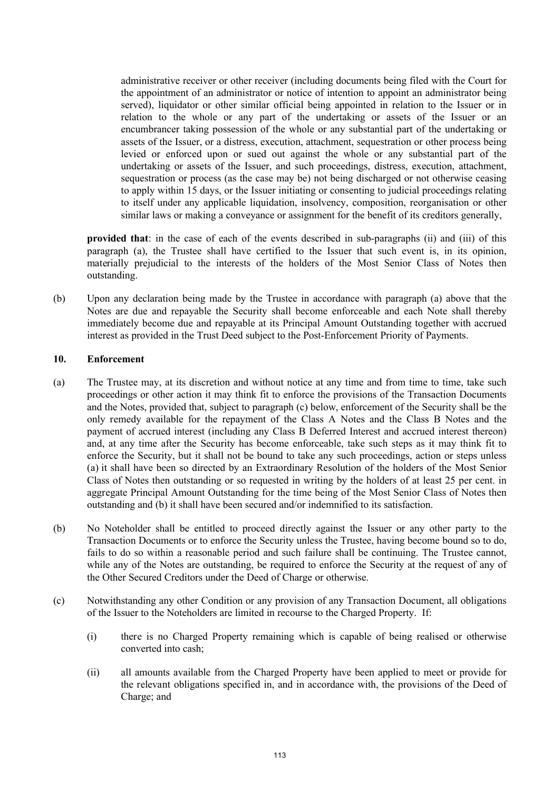administrative receiver or other receiver (including documents being filed with the Court for the appointment of an administrator or notice of intention to appoint an administrator being served), liquidator or other similar official being appointed in relation to the Issuer or in relation to the whole or any part of the undertaking or assets of the Issuer or an encumbrancer taking possession of the whole or any substantial part of the undertaking or assets of the Issuer, or a distress, execution, attachment, sequestration or other process being levied or enforced upon or sued out against the whole or any substantial part of the undertaking or assets of the Issuer, and such proceedings, distress, execution, attachment, sequestration or process (as the case may be) not being discharged or not otherwise ceasing to apply within 15 days, or the Issuer initiating or consenting to judicial proceedings relating to itself under any applicable liquidation, insolvency, composition, reorganisation or other similar laws or making a conveyance or assignment for the benefit of its creditors generally,

**provided that**: in the case of each of the events described in sub-paragraphs (ii) and (iii) of this paragraph (a), the Trustee shall have certified to the Issuer that such event is, in its opinion, materially prejudicial to the interests of the holders of the Most Senior Class of Notes then outstanding.

(b) Upon any declaration being made by the Trustee in accordance with paragraph (a) above that the Notes are due and repayable the Security shall become enforceable and each Note shall thereby immediately become due and repayable at its Principal Amount Outstanding together with accrued interest as provided in the Trust Deed subject to the Post-Enforcement Priority of Payments.

## **10. Enforcement**

- (a) The Trustee may, at its discretion and without notice at any time and from time to time, take such proceedings or other action it may think fit to enforce the provisions of the Transaction Documents and the Notes, provided that, subject to paragraph (c) below, enforcement of the Security shall be the only remedy available for the repayment of the Class A Notes and the Class B Notes and the payment of accrued interest (including any Class B Deferred Interest and accrued interest thereon) and, at any time after the Security has become enforceable, take such steps as it may think fit to enforce the Security, but it shall not be bound to take any such proceedings, action or steps unless (a) it shall have been so directed by an Extraordinary Resolution of the holders of the Most Senior Class of Notes then outstanding or so requested in writing by the holders of at least 25 per cent. in aggregate Principal Amount Outstanding for the time being of the Most Senior Class of Notes then outstanding and (b) it shall have been secured and/or indemnified to its satisfaction.
- (b) No Noteholder shall be entitled to proceed directly against the Issuer or any other party to the Transaction Documents or to enforce the Security unless the Trustee, having become bound so to do, fails to do so within a reasonable period and such failure shall be continuing. The Trustee cannot, while any of the Notes are outstanding, be required to enforce the Security at the request of any of the Other Secured Creditors under the Deed of Charge or otherwise.
- (c) Notwithstanding any other Condition or any provision of any Transaction Document, all obligations of the Issuer to the Noteholders are limited in recourse to the Charged Property. If:
	- (i) there is no Charged Property remaining which is capable of being realised or otherwise converted into cash;
	- (ii) all amounts available from the Charged Property have been applied to meet or provide for the relevant obligations specified in, and in accordance with, the provisions of the Deed of Charge; and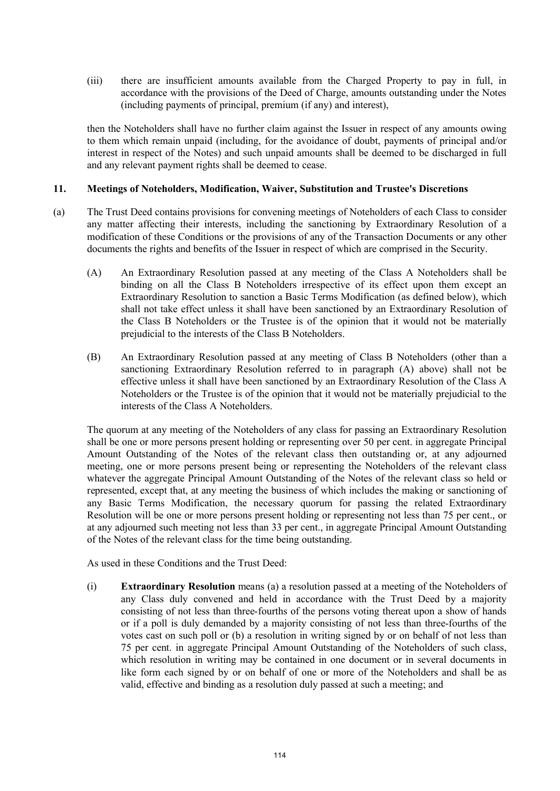(iii) there are insufficient amounts available from the Charged Property to pay in full, in accordance with the provisions of the Deed of Charge, amounts outstanding under the Notes (including payments of principal, premium (if any) and interest),

then the Noteholders shall have no further claim against the Issuer in respect of any amounts owing to them which remain unpaid (including, for the avoidance of doubt, payments of principal and/or interest in respect of the Notes) and such unpaid amounts shall be deemed to be discharged in full and any relevant payment rights shall be deemed to cease.

# **11. Meetings of Noteholders, Modification, Waiver, Substitution and Trustee's Discretions**

- (a) The Trust Deed contains provisions for convening meetings of Noteholders of each Class to consider any matter affecting their interests, including the sanctioning by Extraordinary Resolution of a modification of these Conditions or the provisions of any of the Transaction Documents or any other documents the rights and benefits of the Issuer in respect of which are comprised in the Security.
	- (A) An Extraordinary Resolution passed at any meeting of the Class A Noteholders shall be binding on all the Class B Noteholders irrespective of its effect upon them except an Extraordinary Resolution to sanction a Basic Terms Modification (as defined below), which shall not take effect unless it shall have been sanctioned by an Extraordinary Resolution of the Class B Noteholders or the Trustee is of the opinion that it would not be materially prejudicial to the interests of the Class B Noteholders.
	- (B) An Extraordinary Resolution passed at any meeting of Class B Noteholders (other than a sanctioning Extraordinary Resolution referred to in paragraph (A) above) shall not be effective unless it shall have been sanctioned by an Extraordinary Resolution of the Class A Noteholders or the Trustee is of the opinion that it would not be materially prejudicial to the interests of the Class A Noteholders.

The quorum at any meeting of the Noteholders of any class for passing an Extraordinary Resolution shall be one or more persons present holding or representing over 50 per cent. in aggregate Principal Amount Outstanding of the Notes of the relevant class then outstanding or, at any adjourned meeting, one or more persons present being or representing the Noteholders of the relevant class whatever the aggregate Principal Amount Outstanding of the Notes of the relevant class so held or represented, except that, at any meeting the business of which includes the making or sanctioning of any Basic Terms Modification, the necessary quorum for passing the related Extraordinary Resolution will be one or more persons present holding or representing not less than 75 per cent., or at any adjourned such meeting not less than 33 per cent., in aggregate Principal Amount Outstanding of the Notes of the relevant class for the time being outstanding.

As used in these Conditions and the Trust Deed:

(i) **Extraordinary Resolution** means (a) a resolution passed at a meeting of the Noteholders of any Class duly convened and held in accordance with the Trust Deed by a majority consisting of not less than three-fourths of the persons voting thereat upon a show of hands or if a poll is duly demanded by a majority consisting of not less than three-fourths of the votes cast on such poll or (b) a resolution in writing signed by or on behalf of not less than 75 per cent. in aggregate Principal Amount Outstanding of the Noteholders of such class, which resolution in writing may be contained in one document or in several documents in like form each signed by or on behalf of one or more of the Noteholders and shall be as valid, effective and binding as a resolution duly passed at such a meeting; and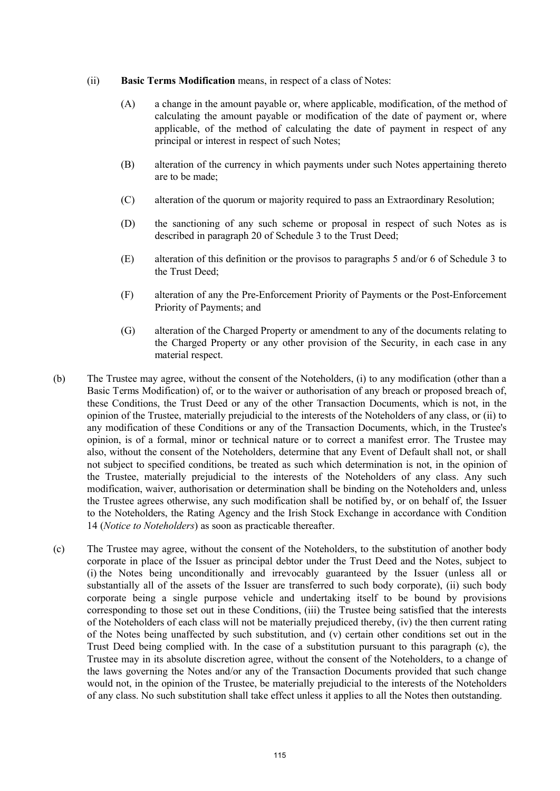## (ii) **Basic Terms Modification** means, in respect of a class of Notes:

- (A) a change in the amount payable or, where applicable, modification, of the method of calculating the amount payable or modification of the date of payment or, where applicable, of the method of calculating the date of payment in respect of any principal or interest in respect of such Notes;
- (B) alteration of the currency in which payments under such Notes appertaining thereto are to be made;
- (C) alteration of the quorum or majority required to pass an Extraordinary Resolution;
- (D) the sanctioning of any such scheme or proposal in respect of such Notes as is described in paragraph 20 of Schedule 3 to the Trust Deed;
- (E) alteration of this definition or the provisos to paragraphs 5 and/or 6 of Schedule 3 to the Trust Deed;
- (F) alteration of any the Pre-Enforcement Priority of Payments or the Post-Enforcement Priority of Payments; and
- (G) alteration of the Charged Property or amendment to any of the documents relating to the Charged Property or any other provision of the Security, in each case in any material respect.
- (b) The Trustee may agree, without the consent of the Noteholders, (i) to any modification (other than a Basic Terms Modification) of, or to the waiver or authorisation of any breach or proposed breach of, these Conditions, the Trust Deed or any of the other Transaction Documents, which is not, in the opinion of the Trustee, materially prejudicial to the interests of the Noteholders of any class, or (ii) to any modification of these Conditions or any of the Transaction Documents, which, in the Trustee's opinion, is of a formal, minor or technical nature or to correct a manifest error. The Trustee may also, without the consent of the Noteholders, determine that any Event of Default shall not, or shall not subject to specified conditions, be treated as such which determination is not, in the opinion of the Trustee, materially prejudicial to the interests of the Noteholders of any class. Any such modification, waiver, authorisation or determination shall be binding on the Noteholders and, unless the Trustee agrees otherwise, any such modification shall be notified by, or on behalf of, the Issuer to the Noteholders, the Rating Agency and the Irish Stock Exchange in accordance with Condition 14 (*Notice to Noteholders*) as soon as practicable thereafter.
- (c) The Trustee may agree, without the consent of the Noteholders, to the substitution of another body corporate in place of the Issuer as principal debtor under the Trust Deed and the Notes, subject to (i) the Notes being unconditionally and irrevocably guaranteed by the Issuer (unless all or substantially all of the assets of the Issuer are transferred to such body corporate), (ii) such body corporate being a single purpose vehicle and undertaking itself to be bound by provisions corresponding to those set out in these Conditions, (iii) the Trustee being satisfied that the interests of the Noteholders of each class will not be materially prejudiced thereby, (iv) the then current rating of the Notes being unaffected by such substitution, and (v) certain other conditions set out in the Trust Deed being complied with. In the case of a substitution pursuant to this paragraph (c), the Trustee may in its absolute discretion agree, without the consent of the Noteholders, to a change of the laws governing the Notes and/or any of the Transaction Documents provided that such change would not, in the opinion of the Trustee, be materially prejudicial to the interests of the Noteholders of any class. No such substitution shall take effect unless it applies to all the Notes then outstanding.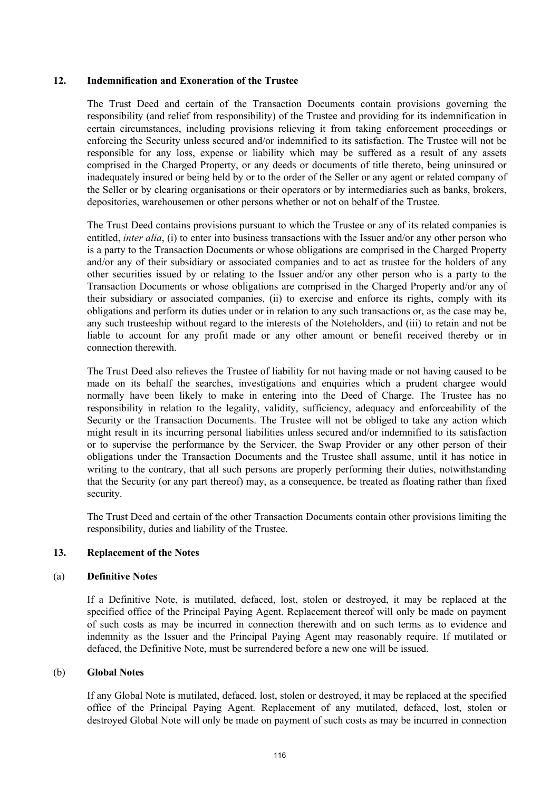## **12. Indemnification and Exoneration of the Trustee**

The Trust Deed and certain of the Transaction Documents contain provisions governing the responsibility (and relief from responsibility) of the Trustee and providing for its indemnification in certain circumstances, including provisions relieving it from taking enforcement proceedings or enforcing the Security unless secured and/or indemnified to its satisfaction. The Trustee will not be responsible for any loss, expense or liability which may be suffered as a result of any assets comprised in the Charged Property, or any deeds or documents of title thereto, being uninsured or inadequately insured or being held by or to the order of the Seller or any agent or related company of the Seller or by clearing organisations or their operators or by intermediaries such as banks, brokers, depositories, warehousemen or other persons whether or not on behalf of the Trustee.

The Trust Deed contains provisions pursuant to which the Trustee or any of its related companies is entitled, *inter alia*, (i) to enter into business transactions with the Issuer and/or any other person who is a party to the Transaction Documents or whose obligations are comprised in the Charged Property and/or any of their subsidiary or associated companies and to act as trustee for the holders of any other securities issued by or relating to the Issuer and/or any other person who is a party to the Transaction Documents or whose obligations are comprised in the Charged Property and/or any of their subsidiary or associated companies, (ii) to exercise and enforce its rights, comply with its obligations and perform its duties under or in relation to any such transactions or, as the case may be, any such trusteeship without regard to the interests of the Noteholders, and (iii) to retain and not be liable to account for any profit made or any other amount or benefit received thereby or in connection therewith.

The Trust Deed also relieves the Trustee of liability for not having made or not having caused to be made on its behalf the searches, investigations and enquiries which a prudent chargee would normally have been likely to make in entering into the Deed of Charge. The Trustee has no responsibility in relation to the legality, validity, sufficiency, adequacy and enforceability of the Security or the Transaction Documents. The Trustee will not be obliged to take any action which might result in its incurring personal liabilities unless secured and/or indemnified to its satisfaction or to supervise the performance by the Servicer, the Swap Provider or any other person of their obligations under the Transaction Documents and the Trustee shall assume, until it has notice in writing to the contrary, that all such persons are properly performing their duties, notwithstanding that the Security (or any part thereof) may, as a consequence, be treated as floating rather than fixed security.

The Trust Deed and certain of the other Transaction Documents contain other provisions limiting the responsibility, duties and liability of the Trustee.

## **13. Replacement of the Notes**

## (a) **Definitive Notes**

If a Definitive Note, is mutilated, defaced, lost, stolen or destroyed, it may be replaced at the specified office of the Principal Paying Agent. Replacement thereof will only be made on payment of such costs as may be incurred in connection therewith and on such terms as to evidence and indemnity as the Issuer and the Principal Paying Agent may reasonably require. If mutilated or defaced, the Definitive Note, must be surrendered before a new one will be issued.

## (b) **Global Notes**

If any Global Note is mutilated, defaced, lost, stolen or destroyed, it may be replaced at the specified office of the Principal Paying Agent. Replacement of any mutilated, defaced, lost, stolen or destroyed Global Note will only be made on payment of such costs as may be incurred in connection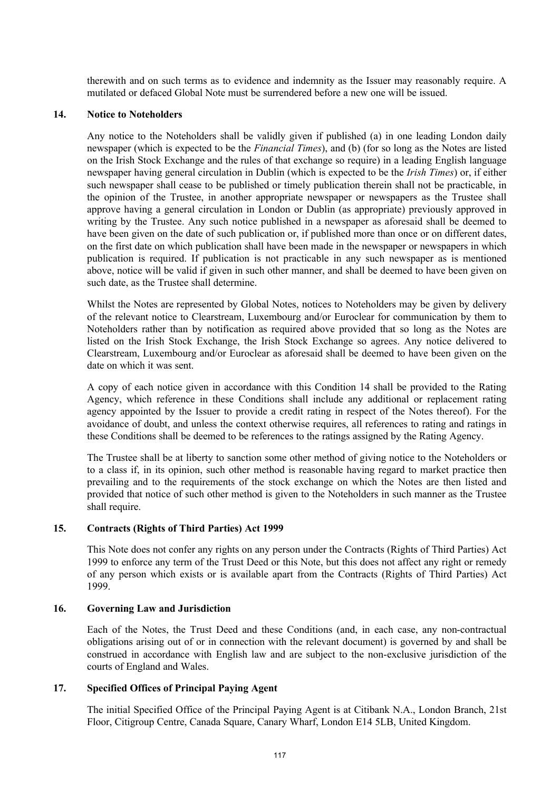therewith and on such terms as to evidence and indemnity as the Issuer may reasonably require. A mutilated or defaced Global Note must be surrendered before a new one will be issued.

### **14. Notice to Noteholders**

Any notice to the Noteholders shall be validly given if published (a) in one leading London daily newspaper (which is expected to be the *Financial Times*), and (b) (for so long as the Notes are listed on the Irish Stock Exchange and the rules of that exchange so require) in a leading English language newspaper having general circulation in Dublin (which is expected to be the *Irish Times*) or, if either such newspaper shall cease to be published or timely publication therein shall not be practicable, in the opinion of the Trustee, in another appropriate newspaper or newspapers as the Trustee shall approve having a general circulation in London or Dublin (as appropriate) previously approved in writing by the Trustee. Any such notice published in a newspaper as aforesaid shall be deemed to have been given on the date of such publication or, if published more than once or on different dates, on the first date on which publication shall have been made in the newspaper or newspapers in which publication is required. If publication is not practicable in any such newspaper as is mentioned above, notice will be valid if given in such other manner, and shall be deemed to have been given on such date, as the Trustee shall determine.

Whilst the Notes are represented by Global Notes, notices to Noteholders may be given by delivery of the relevant notice to Clearstream, Luxembourg and/or Euroclear for communication by them to Noteholders rather than by notification as required above provided that so long as the Notes are listed on the Irish Stock Exchange, the Irish Stock Exchange so agrees. Any notice delivered to Clearstream, Luxembourg and/or Euroclear as aforesaid shall be deemed to have been given on the date on which it was sent.

A copy of each notice given in accordance with this Condition 14 shall be provided to the Rating Agency, which reference in these Conditions shall include any additional or replacement rating agency appointed by the Issuer to provide a credit rating in respect of the Notes thereof). For the avoidance of doubt, and unless the context otherwise requires, all references to rating and ratings in these Conditions shall be deemed to be references to the ratings assigned by the Rating Agency.

The Trustee shall be at liberty to sanction some other method of giving notice to the Noteholders or to a class if, in its opinion, such other method is reasonable having regard to market practice then prevailing and to the requirements of the stock exchange on which the Notes are then listed and provided that notice of such other method is given to the Noteholders in such manner as the Trustee shall require.

## **15. Contracts (Rights of Third Parties) Act 1999**

This Note does not confer any rights on any person under the Contracts (Rights of Third Parties) Act 1999 to enforce any term of the Trust Deed or this Note, but this does not affect any right or remedy of any person which exists or is available apart from the Contracts (Rights of Third Parties) Act 1999.

#### **16. Governing Law and Jurisdiction**

Each of the Notes, the Trust Deed and these Conditions (and, in each case, any non-contractual obligations arising out of or in connection with the relevant document) is governed by and shall be construed in accordance with English law and are subject to the non-exclusive jurisdiction of the courts of England and Wales.

## **17. Specified Offices of Principal Paying Agent**

The initial Specified Office of the Principal Paying Agent is at Citibank N.A., London Branch, 21st Floor, Citigroup Centre, Canada Square, Canary Wharf, London E14 5LB, United Kingdom.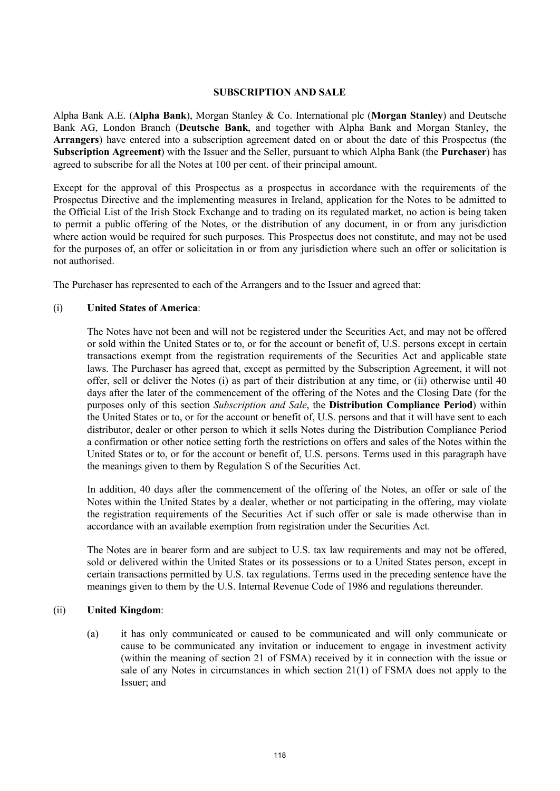## **SUBSCRIPTION AND SALE**

Alpha Bank A.E. (**Alpha Bank**), Morgan Stanley & Co. International plc (**Morgan Stanley**) and Deutsche Bank AG, London Branch (**Deutsche Bank**, and together with Alpha Bank and Morgan Stanley, the **Arrangers**) have entered into a subscription agreement dated on or about the date of this Prospectus (the **Subscription Agreement**) with the Issuer and the Seller, pursuant to which Alpha Bank (the **Purchaser**) has agreed to subscribe for all the Notes at 100 per cent. of their principal amount.

Except for the approval of this Prospectus as a prospectus in accordance with the requirements of the Prospectus Directive and the implementing measures in Ireland, application for the Notes to be admitted to the Official List of the Irish Stock Exchange and to trading on its regulated market, no action is being taken to permit a public offering of the Notes, or the distribution of any document, in or from any jurisdiction where action would be required for such purposes. This Prospectus does not constitute, and may not be used for the purposes of, an offer or solicitation in or from any jurisdiction where such an offer or solicitation is not authorised.

The Purchaser has represented to each of the Arrangers and to the Issuer and agreed that:

## (i) **United States of America**:

The Notes have not been and will not be registered under the Securities Act, and may not be offered or sold within the United States or to, or for the account or benefit of, U.S. persons except in certain transactions exempt from the registration requirements of the Securities Act and applicable state laws. The Purchaser has agreed that, except as permitted by the Subscription Agreement, it will not offer, sell or deliver the Notes (i) as part of their distribution at any time, or (ii) otherwise until 40 days after the later of the commencement of the offering of the Notes and the Closing Date (for the purposes only of this section *Subscription and Sale*, the **Distribution Compliance Period**) within the United States or to, or for the account or benefit of, U.S. persons and that it will have sent to each distributor, dealer or other person to which it sells Notes during the Distribution Compliance Period a confirmation or other notice setting forth the restrictions on offers and sales of the Notes within the United States or to, or for the account or benefit of, U.S. persons. Terms used in this paragraph have the meanings given to them by Regulation S of the Securities Act.

In addition, 40 days after the commencement of the offering of the Notes, an offer or sale of the Notes within the United States by a dealer, whether or not participating in the offering, may violate the registration requirements of the Securities Act if such offer or sale is made otherwise than in accordance with an available exemption from registration under the Securities Act.

The Notes are in bearer form and are subject to U.S. tax law requirements and may not be offered, sold or delivered within the United States or its possessions or to a United States person, except in certain transactions permitted by U.S. tax regulations. Terms used in the preceding sentence have the meanings given to them by the U.S. Internal Revenue Code of 1986 and regulations thereunder.

## (ii) **United Kingdom**:

(a) it has only communicated or caused to be communicated and will only communicate or cause to be communicated any invitation or inducement to engage in investment activity (within the meaning of section 21 of FSMA) received by it in connection with the issue or sale of any Notes in circumstances in which section 21(1) of FSMA does not apply to the Issuer; and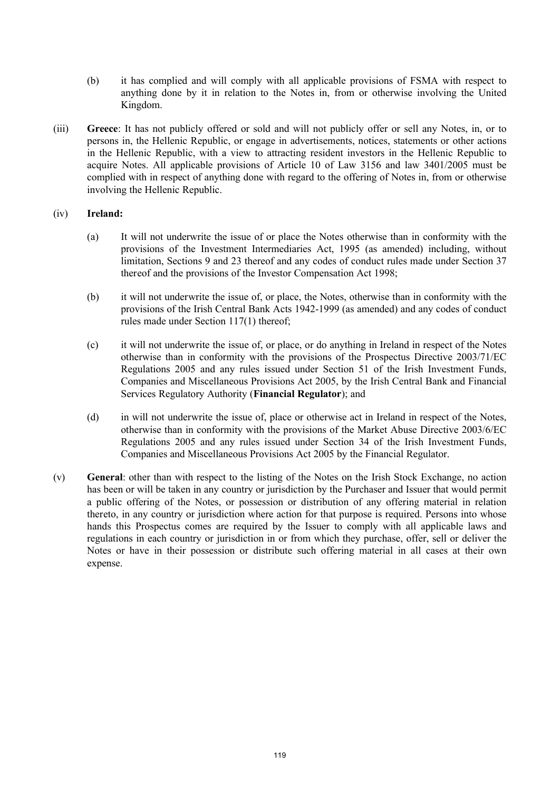- (b) it has complied and will comply with all applicable provisions of FSMA with respect to anything done by it in relation to the Notes in, from or otherwise involving the United Kingdom.
- (iii) **Greece**: It has not publicly offered or sold and will not publicly offer or sell any Notes, in, or to persons in, the Hellenic Republic, or engage in advertisements, notices, statements or other actions in the Hellenic Republic, with a view to attracting resident investors in the Hellenic Republic to acquire Notes. All applicable provisions of Article 10 of Law 3156 and law 3401/2005 must be complied with in respect of anything done with regard to the offering of Notes in, from or otherwise involving the Hellenic Republic.

# (iv) **Ireland:**

- (a) It will not underwrite the issue of or place the Notes otherwise than in conformity with the provisions of the Investment Intermediaries Act, 1995 (as amended) including, without limitation, Sections 9 and 23 thereof and any codes of conduct rules made under Section 37 thereof and the provisions of the Investor Compensation Act 1998;
- (b) it will not underwrite the issue of, or place, the Notes, otherwise than in conformity with the provisions of the Irish Central Bank Acts 1942-1999 (as amended) and any codes of conduct rules made under Section 117(1) thereof;
- (c) it will not underwrite the issue of, or place, or do anything in Ireland in respect of the Notes otherwise than in conformity with the provisions of the Prospectus Directive 2003/71/EC Regulations 2005 and any rules issued under Section 51 of the Irish Investment Funds, Companies and Miscellaneous Provisions Act 2005, by the Irish Central Bank and Financial Services Regulatory Authority (**Financial Regulator**); and
- (d) in will not underwrite the issue of, place or otherwise act in Ireland in respect of the Notes, otherwise than in conformity with the provisions of the Market Abuse Directive 2003/6/EC Regulations 2005 and any rules issued under Section 34 of the Irish Investment Funds, Companies and Miscellaneous Provisions Act 2005 by the Financial Regulator.
- (v) **General**: other than with respect to the listing of the Notes on the Irish Stock Exchange, no action has been or will be taken in any country or jurisdiction by the Purchaser and Issuer that would permit a public offering of the Notes, or possession or distribution of any offering material in relation thereto, in any country or jurisdiction where action for that purpose is required. Persons into whose hands this Prospectus comes are required by the Issuer to comply with all applicable laws and regulations in each country or jurisdiction in or from which they purchase, offer, sell or deliver the Notes or have in their possession or distribute such offering material in all cases at their own expense.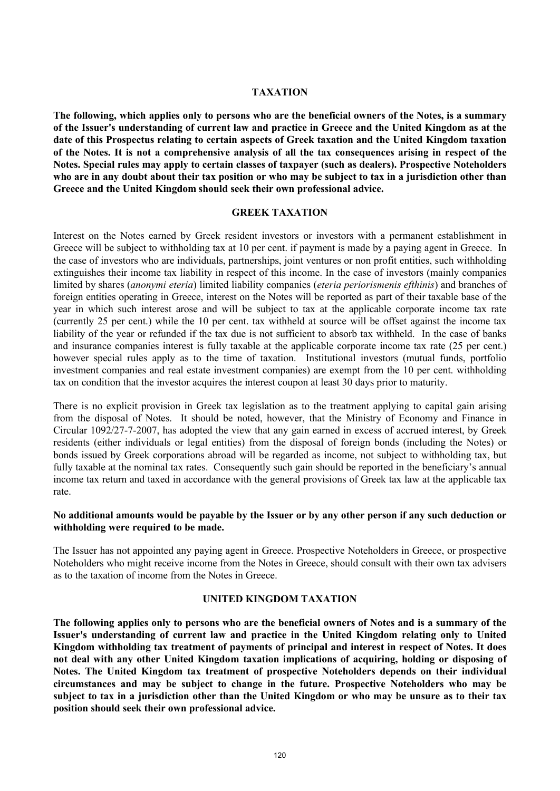## **TAXATION**

**The following, which applies only to persons who are the beneficial owners of the Notes, is a summary of the Issuer's understanding of current law and practice in Greece and the United Kingdom as at the date of this Prospectus relating to certain aspects of Greek taxation and the United Kingdom taxation of the Notes. It is not a comprehensive analysis of all the tax consequences arising in respect of the Notes. Special rules may apply to certain classes of taxpayer (such as dealers). Prospective Noteholders who are in any doubt about their tax position or who may be subject to tax in a jurisdiction other than Greece and the United Kingdom should seek their own professional advice.**

#### **GREEK TAXATION**

Interest on the Notes earned by Greek resident investors or investors with a permanent establishment in Greece will be subject to withholding tax at 10 per cent. if payment is made by a paying agent in Greece. In the case of investors who are individuals, partnerships, joint ventures or non profit entities, such withholding extinguishes their income tax liability in respect of this income. In the case of investors (mainly companies limited by shares (*anonymi eteria*) limited liability companies (*eteria periorismenis efthinis*) and branches of foreign entities operating in Greece, interest on the Notes will be reported as part of their taxable base of the year in which such interest arose and will be subject to tax at the applicable corporate income tax rate (currently 25 per cent.) while the 10 per cent. tax withheld at source will be offset against the income tax liability of the year or refunded if the tax due is not sufficient to absorb tax withheld. In the case of banks and insurance companies interest is fully taxable at the applicable corporate income tax rate (25 per cent.) however special rules apply as to the time of taxation. Institutional investors (mutual funds, portfolio investment companies and real estate investment companies) are exempt from the 10 per cent. withholding tax on condition that the investor acquires the interest coupon at least 30 days prior to maturity.

There is no explicit provision in Greek tax legislation as to the treatment applying to capital gain arising from the disposal of Notes. It should be noted, however, that the Ministry of Economy and Finance in Circular 1092/27-7-2007, has adopted the view that any gain earned in excess of accrued interest, by Greek residents (either individuals or legal entities) from the disposal of foreign bonds (including the Notes) or bonds issued by Greek corporations abroad will be regarded as income, not subject to withholding tax, but fully taxable at the nominal tax rates. Consequently such gain should be reported in the beneficiary's annual income tax return and taxed in accordance with the general provisions of Greek tax law at the applicable tax rate.

## **No additional amounts would be payable by the Issuer or by any other person if any such deduction or withholding were required to be made.**

The Issuer has not appointed any paying agent in Greece. Prospective Noteholders in Greece, or prospective Noteholders who might receive income from the Notes in Greece, should consult with their own tax advisers as to the taxation of income from the Notes in Greece.

### **UNITED KINGDOM TAXATION**

**The following applies only to persons who are the beneficial owners of Notes and is a summary of the Issuer's understanding of current law and practice in the United Kingdom relating only to United Kingdom withholding tax treatment of payments of principal and interest in respect of Notes. It does not deal with any other United Kingdom taxation implications of acquiring, holding or disposing of Notes. The United Kingdom tax treatment of prospective Noteholders depends on their individual circumstances and may be subject to change in the future. Prospective Noteholders who may be subject to tax in a jurisdiction other than the United Kingdom or who may be unsure as to their tax position should seek their own professional advice.**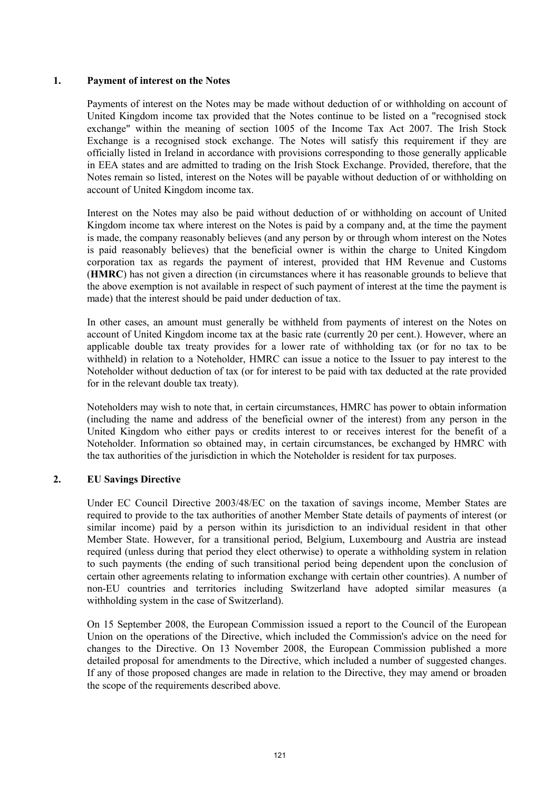## **1. Payment of interest on the Notes**

Payments of interest on the Notes may be made without deduction of or withholding on account of United Kingdom income tax provided that the Notes continue to be listed on a "recognised stock exchange" within the meaning of section 1005 of the Income Tax Act 2007. The Irish Stock Exchange is a recognised stock exchange. The Notes will satisfy this requirement if they are officially listed in Ireland in accordance with provisions corresponding to those generally applicable in EEA states and are admitted to trading on the Irish Stock Exchange. Provided, therefore, that the Notes remain so listed, interest on the Notes will be payable without deduction of or withholding on account of United Kingdom income tax.

Interest on the Notes may also be paid without deduction of or withholding on account of United Kingdom income tax where interest on the Notes is paid by a company and, at the time the payment is made, the company reasonably believes (and any person by or through whom interest on the Notes is paid reasonably believes) that the beneficial owner is within the charge to United Kingdom corporation tax as regards the payment of interest, provided that HM Revenue and Customs (**HMRC**) has not given a direction (in circumstances where it has reasonable grounds to believe that the above exemption is not available in respect of such payment of interest at the time the payment is made) that the interest should be paid under deduction of tax.

In other cases, an amount must generally be withheld from payments of interest on the Notes on account of United Kingdom income tax at the basic rate (currently 20 per cent.). However, where an applicable double tax treaty provides for a lower rate of withholding tax (or for no tax to be withheld) in relation to a Noteholder, HMRC can issue a notice to the Issuer to pay interest to the Noteholder without deduction of tax (or for interest to be paid with tax deducted at the rate provided for in the relevant double tax treaty).

Noteholders may wish to note that, in certain circumstances, HMRC has power to obtain information (including the name and address of the beneficial owner of the interest) from any person in the United Kingdom who either pays or credits interest to or receives interest for the benefit of a Noteholder. Information so obtained may, in certain circumstances, be exchanged by HMRC with the tax authorities of the jurisdiction in which the Noteholder is resident for tax purposes.

# **2. EU Savings Directive**

Under EC Council Directive 2003/48/EC on the taxation of savings income, Member States are required to provide to the tax authorities of another Member State details of payments of interest (or similar income) paid by a person within its jurisdiction to an individual resident in that other Member State. However, for a transitional period, Belgium, Luxembourg and Austria are instead required (unless during that period they elect otherwise) to operate a withholding system in relation to such payments (the ending of such transitional period being dependent upon the conclusion of certain other agreements relating to information exchange with certain other countries). A number of non-EU countries and territories including Switzerland have adopted similar measures (a withholding system in the case of Switzerland).

On 15 September 2008, the European Commission issued a report to the Council of the European Union on the operations of the Directive, which included the Commission's advice on the need for changes to the Directive. On 13 November 2008, the European Commission published a more detailed proposal for amendments to the Directive, which included a number of suggested changes. If any of those proposed changes are made in relation to the Directive, they may amend or broaden the scope of the requirements described above.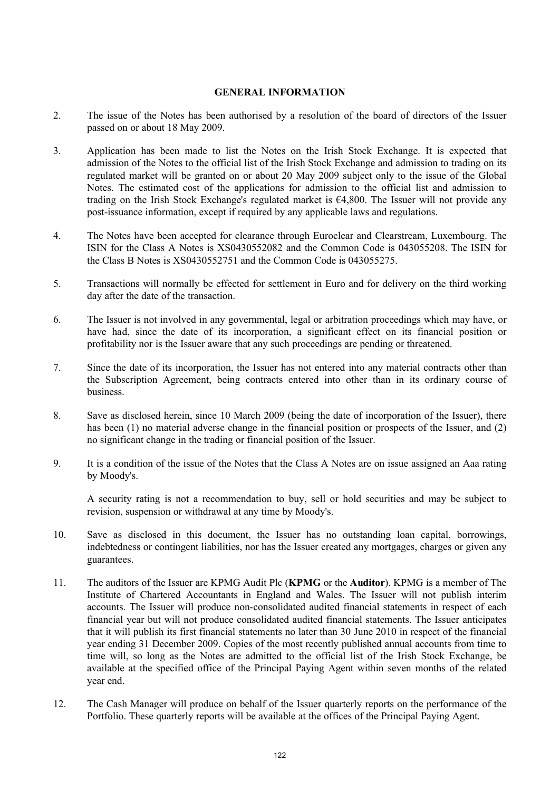## **GENERAL INFORMATION**

- 2. The issue of the Notes has been authorised by a resolution of the board of directors of the Issuer passed on or about 18 May 2009.
- 3. Application has been made to list the Notes on the Irish Stock Exchange. It is expected that admission of the Notes to the official list of the Irish Stock Exchange and admission to trading on its regulated market will be granted on or about 20 May 2009 subject only to the issue of the Global Notes. The estimated cost of the applications for admission to the official list and admission to trading on the Irish Stock Exchange's regulated market is  $64,800$ . The Issuer will not provide any post-issuance information, except if required by any applicable laws and regulations.
- 4. The Notes have been accepted for clearance through Euroclear and Clearstream, Luxembourg. The ISIN for the Class A Notes is XS0430552082 and the Common Code is 043055208. The ISIN for the Class B Notes is XS0430552751 and the Common Code is 043055275.
- 5. Transactions will normally be effected for settlement in Euro and for delivery on the third working day after the date of the transaction.
- 6. The Issuer is not involved in any governmental, legal or arbitration proceedings which may have, or have had, since the date of its incorporation, a significant effect on its financial position or profitability nor is the Issuer aware that any such proceedings are pending or threatened.
- 7. Since the date of its incorporation, the Issuer has not entered into any material contracts other than the Subscription Agreement, being contracts entered into other than in its ordinary course of business.
- 8. Save as disclosed herein, since 10 March 2009 (being the date of incorporation of the Issuer), there has been (1) no material adverse change in the financial position or prospects of the Issuer, and (2) no significant change in the trading or financial position of the Issuer.
- 9. It is a condition of the issue of the Notes that the Class A Notes are on issue assigned an Aaa rating by Moody's.

A security rating is not a recommendation to buy, sell or hold securities and may be subject to revision, suspension or withdrawal at any time by Moody's.

- 10. Save as disclosed in this document, the Issuer has no outstanding loan capital, borrowings, indebtedness or contingent liabilities, nor has the Issuer created any mortgages, charges or given any guarantees.
- 11. The auditors of the Issuer are KPMG Audit Plc (**KPMG** or the **Auditor**). KPMG is a member of The Institute of Chartered Accountants in England and Wales. The Issuer will not publish interim accounts. The Issuer will produce non-consolidated audited financial statements in respect of each financial year but will not produce consolidated audited financial statements. The Issuer anticipates that it will publish its first financial statements no later than 30 June 2010 in respect of the financial year ending 31 December 2009. Copies of the most recently published annual accounts from time to time will, so long as the Notes are admitted to the official list of the Irish Stock Exchange, be available at the specified office of the Principal Paying Agent within seven months of the related year end.
- 12. The Cash Manager will produce on behalf of the Issuer quarterly reports on the performance of the Portfolio. These quarterly reports will be available at the offices of the Principal Paying Agent.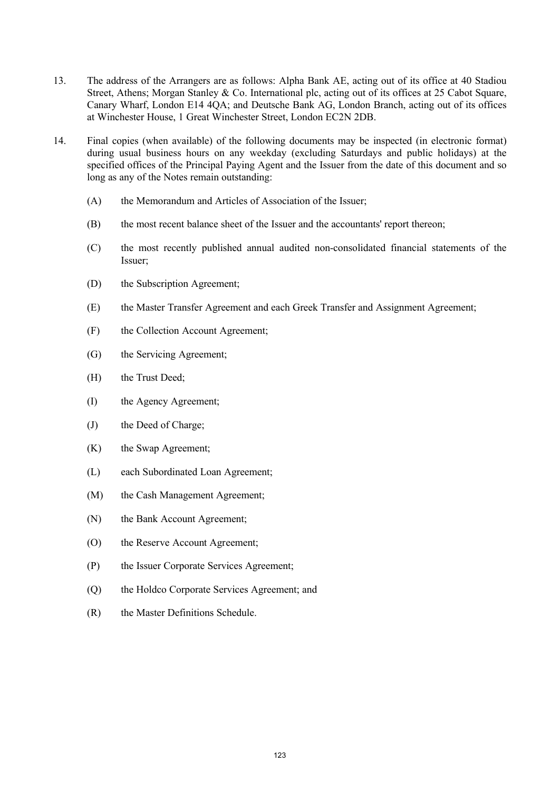- 13. The address of the Arrangers are as follows: Alpha Bank AE, acting out of its office at 40 Stadiou Street, Athens; Morgan Stanley & Co. International plc, acting out of its offices at 25 Cabot Square, Canary Wharf, London E14 4QA; and Deutsche Bank AG, London Branch, acting out of its offices at Winchester House, 1 Great Winchester Street, London EC2N 2DB.
- 14. Final copies (when available) of the following documents may be inspected (in electronic format) during usual business hours on any weekday (excluding Saturdays and public holidays) at the specified offices of the Principal Paying Agent and the Issuer from the date of this document and so long as any of the Notes remain outstanding:
	- (A) the Memorandum and Articles of Association of the Issuer;
	- (B) the most recent balance sheet of the Issuer and the accountants' report thereon;
	- (C) the most recently published annual audited non-consolidated financial statements of the Issuer;
	- (D) the Subscription Agreement;
	- (E) the Master Transfer Agreement and each Greek Transfer and Assignment Agreement;
	- (F) the Collection Account Agreement;
	- (G) the Servicing Agreement;
	- (H) the Trust Deed;
	- (I) the Agency Agreement;
	- (J) the Deed of Charge;
	- (K) the Swap Agreement;
	- (L) each Subordinated Loan Agreement;
	- (M) the Cash Management Agreement;
	- (N) the Bank Account Agreement;
	- (O) the Reserve Account Agreement;
	- (P) the Issuer Corporate Services Agreement;
	- (Q) the Holdco Corporate Services Agreement; and
	- (R) the Master Definitions Schedule.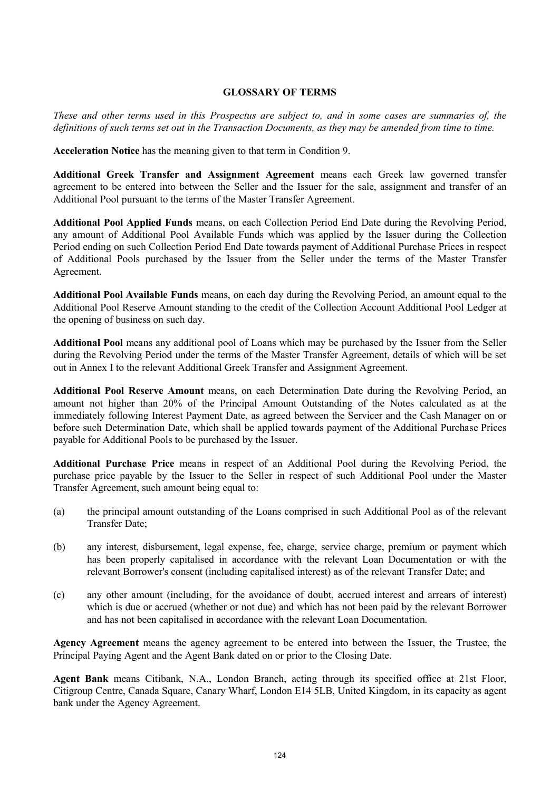## **GLOSSARY OF TERMS**

*These and other terms used in this Prospectus are subject to, and in some cases are summaries of, the definitions of such terms set out in the Transaction Documents, as they may be amended from time to time.*

**Acceleration Notice** has the meaning given to that term in Condition 9.

**Additional Greek Transfer and Assignment Agreement** means each Greek law governed transfer agreement to be entered into between the Seller and the Issuer for the sale, assignment and transfer of an Additional Pool pursuant to the terms of the Master Transfer Agreement.

**Additional Pool Applied Funds** means, on each Collection Period End Date during the Revolving Period, any amount of Additional Pool Available Funds which was applied by the Issuer during the Collection Period ending on such Collection Period End Date towards payment of Additional Purchase Prices in respect of Additional Pools purchased by the Issuer from the Seller under the terms of the Master Transfer Agreement.

**Additional Pool Available Funds** means, on each day during the Revolving Period, an amount equal to the Additional Pool Reserve Amount standing to the credit of the Collection Account Additional Pool Ledger at the opening of business on such day.

**Additional Pool** means any additional pool of Loans which may be purchased by the Issuer from the Seller during the Revolving Period under the terms of the Master Transfer Agreement, details of which will be set out in Annex I to the relevant Additional Greek Transfer and Assignment Agreement.

**Additional Pool Reserve Amount** means, on each Determination Date during the Revolving Period, an amount not higher than 20% of the Principal Amount Outstanding of the Notes calculated as at the immediately following Interest Payment Date, as agreed between the Servicer and the Cash Manager on or before such Determination Date, which shall be applied towards payment of the Additional Purchase Prices payable for Additional Pools to be purchased by the Issuer.

**Additional Purchase Price** means in respect of an Additional Pool during the Revolving Period, the purchase price payable by the Issuer to the Seller in respect of such Additional Pool under the Master Transfer Agreement, such amount being equal to:

- (a) the principal amount outstanding of the Loans comprised in such Additional Pool as of the relevant Transfer Date;
- (b) any interest, disbursement, legal expense, fee, charge, service charge, premium or payment which has been properly capitalised in accordance with the relevant Loan Documentation or with the relevant Borrower's consent (including capitalised interest) as of the relevant Transfer Date; and
- (c) any other amount (including, for the avoidance of doubt, accrued interest and arrears of interest) which is due or accrued (whether or not due) and which has not been paid by the relevant Borrower and has not been capitalised in accordance with the relevant Loan Documentation.

**Agency Agreement** means the agency agreement to be entered into between the Issuer, the Trustee, the Principal Paying Agent and the Agent Bank dated on or prior to the Closing Date.

**Agent Bank** means Citibank, N.A., London Branch, acting through its specified office at 21st Floor, Citigroup Centre, Canada Square, Canary Wharf, London E14 5LB, United Kingdom, in its capacity as agent bank under the Agency Agreement.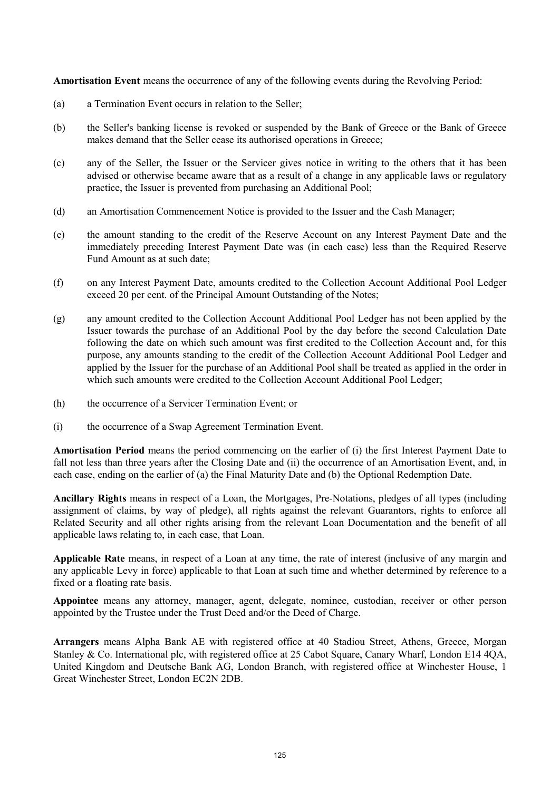**Amortisation Event** means the occurrence of any of the following events during the Revolving Period:

- (a) a Termination Event occurs in relation to the Seller;
- (b) the Seller's banking license is revoked or suspended by the Bank of Greece or the Bank of Greece makes demand that the Seller cease its authorised operations in Greece;
- (c) any of the Seller, the Issuer or the Servicer gives notice in writing to the others that it has been advised or otherwise became aware that as a result of a change in any applicable laws or regulatory practice, the Issuer is prevented from purchasing an Additional Pool;
- (d) an Amortisation Commencement Notice is provided to the Issuer and the Cash Manager;
- (e) the amount standing to the credit of the Reserve Account on any Interest Payment Date and the immediately preceding Interest Payment Date was (in each case) less than the Required Reserve Fund Amount as at such date;
- (f) on any Interest Payment Date, amounts credited to the Collection Account Additional Pool Ledger exceed 20 per cent. of the Principal Amount Outstanding of the Notes;
- (g) any amount credited to the Collection Account Additional Pool Ledger has not been applied by the Issuer towards the purchase of an Additional Pool by the day before the second Calculation Date following the date on which such amount was first credited to the Collection Account and, for this purpose, any amounts standing to the credit of the Collection Account Additional Pool Ledger and applied by the Issuer for the purchase of an Additional Pool shall be treated as applied in the order in which such amounts were credited to the Collection Account Additional Pool Ledger;
- (h) the occurrence of a Servicer Termination Event; or
- (i) the occurrence of a Swap Agreement Termination Event.

**Amortisation Period** means the period commencing on the earlier of (i) the first Interest Payment Date to fall not less than three years after the Closing Date and (ii) the occurrence of an Amortisation Event, and, in each case, ending on the earlier of (a) the Final Maturity Date and (b) the Optional Redemption Date.

**Ancillary Rights** means in respect of a Loan, the Mortgages, Pre-Notations, pledges of all types (including assignment of claims, by way of pledge), all rights against the relevant Guarantors, rights to enforce all Related Security and all other rights arising from the relevant Loan Documentation and the benefit of all applicable laws relating to, in each case, that Loan.

**Applicable Rate** means, in respect of a Loan at any time, the rate of interest (inclusive of any margin and any applicable Levy in force) applicable to that Loan at such time and whether determined by reference to a fixed or a floating rate basis.

**Appointee** means any attorney, manager, agent, delegate, nominee, custodian, receiver or other person appointed by the Trustee under the Trust Deed and/or the Deed of Charge.

**Arrangers** means Alpha Bank AE with registered office at 40 Stadiou Street, Athens, Greece, Morgan Stanley & Co. International plc, with registered office at 25 Cabot Square, Canary Wharf, London E14 4QA, United Kingdom and Deutsche Bank AG, London Branch, with registered office at Winchester House, 1 Great Winchester Street, London EC2N 2DB.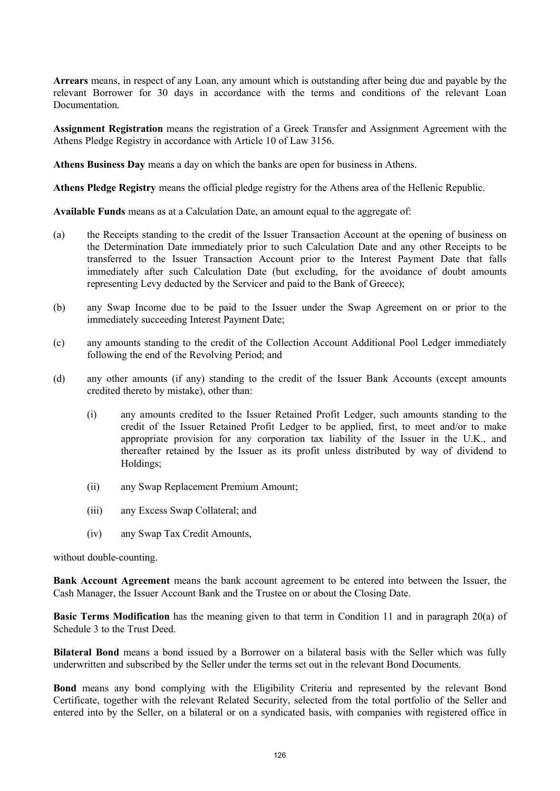**Arrears** means, in respect of any Loan, any amount which is outstanding after being due and payable by the relevant Borrower for 30 days in accordance with the terms and conditions of the relevant Loan Documentation.

**Assignment Registration** means the registration of a Greek Transfer and Assignment Agreement with the Athens Pledge Registry in accordance with Article 10 of Law 3156.

**Athens Business Day** means a day on which the banks are open for business in Athens.

**Athens Pledge Registry** means the official pledge registry for the Athens area of the Hellenic Republic.

**Available Funds** means as at a Calculation Date, an amount equal to the aggregate of:

- (a) the Receipts standing to the credit of the Issuer Transaction Account at the opening of business on the Determination Date immediately prior to such Calculation Date and any other Receipts to be transferred to the Issuer Transaction Account prior to the Interest Payment Date that falls immediately after such Calculation Date (but excluding, for the avoidance of doubt amounts representing Levy deducted by the Servicer and paid to the Bank of Greece);
- (b) any Swap Income due to be paid to the Issuer under the Swap Agreement on or prior to the immediately succeeding Interest Payment Date;
- (c) any amounts standing to the credit of the Collection Account Additional Pool Ledger immediately following the end of the Revolving Period; and
- (d) any other amounts (if any) standing to the credit of the Issuer Bank Accounts (except amounts credited thereto by mistake), other than:
	- (i) any amounts credited to the Issuer Retained Profit Ledger, such amounts standing to the credit of the Issuer Retained Profit Ledger to be applied, first, to meet and/or to make appropriate provision for any corporation tax liability of the Issuer in the U.K., and thereafter retained by the Issuer as its profit unless distributed by way of dividend to Holdings;
	- (ii) any Swap Replacement Premium Amount;
	- (iii) any Excess Swap Collateral; and
	- (iv) any Swap Tax Credit Amounts,

without double-counting.

**Bank Account Agreement** means the bank account agreement to be entered into between the Issuer, the Cash Manager, the Issuer Account Bank and the Trustee on or about the Closing Date.

**Basic Terms Modification** has the meaning given to that term in Condition 11 and in paragraph 20(a) of Schedule 3 to the Trust Deed.

**Bilateral Bond** means a bond issued by a Borrower on a bilateral basis with the Seller which was fully underwritten and subscribed by the Seller under the terms set out in the relevant Bond Documents.

**Bond** means any bond complying with the Eligibility Criteria and represented by the relevant Bond Certificate, together with the relevant Related Security, selected from the total portfolio of the Seller and entered into by the Seller, on a bilateral or on a syndicated basis, with companies with registered office in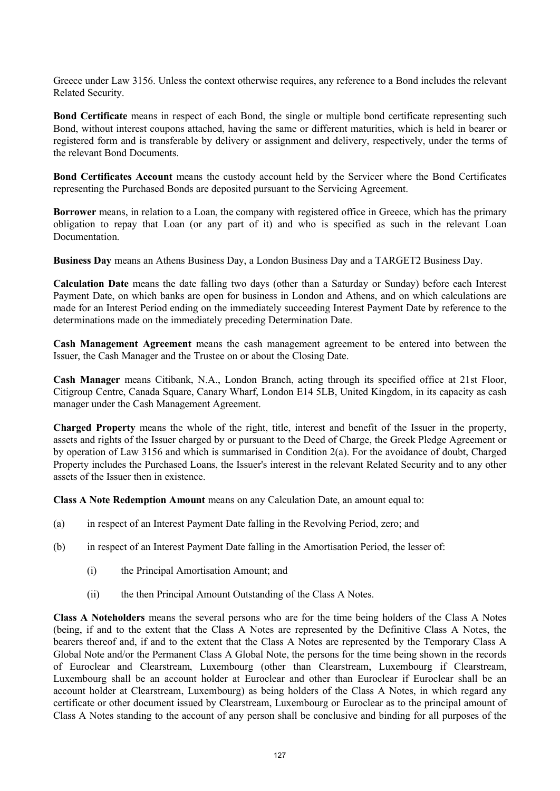Greece under Law 3156. Unless the context otherwise requires, any reference to a Bond includes the relevant Related Security.

**Bond Certificate** means in respect of each Bond, the single or multiple bond certificate representing such Bond, without interest coupons attached, having the same or different maturities, which is held in bearer or registered form and is transferable by delivery or assignment and delivery, respectively, under the terms of the relevant Bond Documents.

**Bond Certificates Account** means the custody account held by the Servicer where the Bond Certificates representing the Purchased Bonds are deposited pursuant to the Servicing Agreement.

**Borrower** means, in relation to a Loan, the company with registered office in Greece, which has the primary obligation to repay that Loan (or any part of it) and who is specified as such in the relevant Loan **Documentation** 

**Business Day** means an Athens Business Day, a London Business Day and a TARGET2 Business Day.

**Calculation Date** means the date falling two days (other than a Saturday or Sunday) before each Interest Payment Date, on which banks are open for business in London and Athens, and on which calculations are made for an Interest Period ending on the immediately succeeding Interest Payment Date by reference to the determinations made on the immediately preceding Determination Date.

**Cash Management Agreement** means the cash management agreement to be entered into between the Issuer, the Cash Manager and the Trustee on or about the Closing Date.

**Cash Manager** means Citibank, N.A., London Branch, acting through its specified office at 21st Floor, Citigroup Centre, Canada Square, Canary Wharf, London E14 5LB, United Kingdom, in its capacity as cash manager under the Cash Management Agreement.

**Charged Property** means the whole of the right, title, interest and benefit of the Issuer in the property, assets and rights of the Issuer charged by or pursuant to the Deed of Charge, the Greek Pledge Agreement or by operation of Law 3156 and which is summarised in Condition 2(a). For the avoidance of doubt, Charged Property includes the Purchased Loans, the Issuer's interest in the relevant Related Security and to any other assets of the Issuer then in existence.

**Class A Note Redemption Amount** means on any Calculation Date, an amount equal to:

- (a) in respect of an Interest Payment Date falling in the Revolving Period, zero; and
- (b) in respect of an Interest Payment Date falling in the Amortisation Period, the lesser of:
	- (i) the Principal Amortisation Amount; and
	- (ii) the then Principal Amount Outstanding of the Class A Notes.

**Class A Noteholders** means the several persons who are for the time being holders of the Class A Notes (being, if and to the extent that the Class A Notes are represented by the Definitive Class A Notes, the bearers thereof and, if and to the extent that the Class A Notes are represented by the Temporary Class A Global Note and/or the Permanent Class A Global Note, the persons for the time being shown in the records of Euroclear and Clearstream, Luxembourg (other than Clearstream, Luxembourg if Clearstream, Luxembourg shall be an account holder at Euroclear and other than Euroclear if Euroclear shall be an account holder at Clearstream, Luxembourg) as being holders of the Class A Notes, in which regard any certificate or other document issued by Clearstream, Luxembourg or Euroclear as to the principal amount of Class A Notes standing to the account of any person shall be conclusive and binding for all purposes of the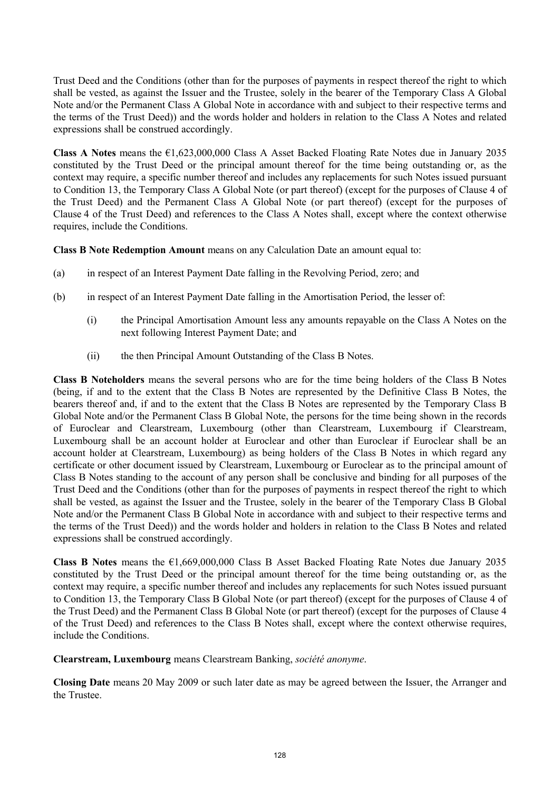Trust Deed and the Conditions (other than for the purposes of payments in respect thereof the right to which shall be vested, as against the Issuer and the Trustee, solely in the bearer of the Temporary Class A Global Note and/or the Permanent Class A Global Note in accordance with and subject to their respective terms and the terms of the Trust Deed)) and the words holder and holders in relation to the Class A Notes and related expressions shall be construed accordingly.

**Class A Notes** means the €1,623,000,000 Class A Asset Backed Floating Rate Notes due in January 2035 constituted by the Trust Deed or the principal amount thereof for the time being outstanding or, as the context may require, a specific number thereof and includes any replacements for such Notes issued pursuant to Condition 13, the Temporary Class A Global Note (or part thereof) (except for the purposes of Clause 4 of the Trust Deed) and the Permanent Class A Global Note (or part thereof) (except for the purposes of Clause 4 of the Trust Deed) and references to the Class A Notes shall, except where the context otherwise requires, include the Conditions.

**Class B Note Redemption Amount** means on any Calculation Date an amount equal to:

- (a) in respect of an Interest Payment Date falling in the Revolving Period, zero; and
- (b) in respect of an Interest Payment Date falling in the Amortisation Period, the lesser of:
	- (i) the Principal Amortisation Amount less any amounts repayable on the Class A Notes on the next following Interest Payment Date; and
	- (ii) the then Principal Amount Outstanding of the Class B Notes.

**Class B Noteholders** means the several persons who are for the time being holders of the Class B Notes (being, if and to the extent that the Class B Notes are represented by the Definitive Class B Notes, the bearers thereof and, if and to the extent that the Class B Notes are represented by the Temporary Class B Global Note and/or the Permanent Class B Global Note, the persons for the time being shown in the records of Euroclear and Clearstream, Luxembourg (other than Clearstream, Luxembourg if Clearstream, Luxembourg shall be an account holder at Euroclear and other than Euroclear if Euroclear shall be an account holder at Clearstream, Luxembourg) as being holders of the Class B Notes in which regard any certificate or other document issued by Clearstream, Luxembourg or Euroclear as to the principal amount of Class B Notes standing to the account of any person shall be conclusive and binding for all purposes of the Trust Deed and the Conditions (other than for the purposes of payments in respect thereof the right to which shall be vested, as against the Issuer and the Trustee, solely in the bearer of the Temporary Class B Global Note and/or the Permanent Class B Global Note in accordance with and subject to their respective terms and the terms of the Trust Deed)) and the words holder and holders in relation to the Class B Notes and related expressions shall be construed accordingly.

**Class B Notes** means the €1,669,000,000 Class B Asset Backed Floating Rate Notes due January 2035 constituted by the Trust Deed or the principal amount thereof for the time being outstanding or, as the context may require, a specific number thereof and includes any replacements for such Notes issued pursuant to Condition 13, the Temporary Class B Global Note (or part thereof) (except for the purposes of Clause 4 of the Trust Deed) and the Permanent Class B Global Note (or part thereof) (except for the purposes of Clause 4 of the Trust Deed) and references to the Class B Notes shall, except where the context otherwise requires, include the Conditions.

**Clearstream, Luxembourg** means Clearstream Banking, *société anonyme*.

**Closing Date** means 20 May 2009 or such later date as may be agreed between the Issuer, the Arranger and the Trustee.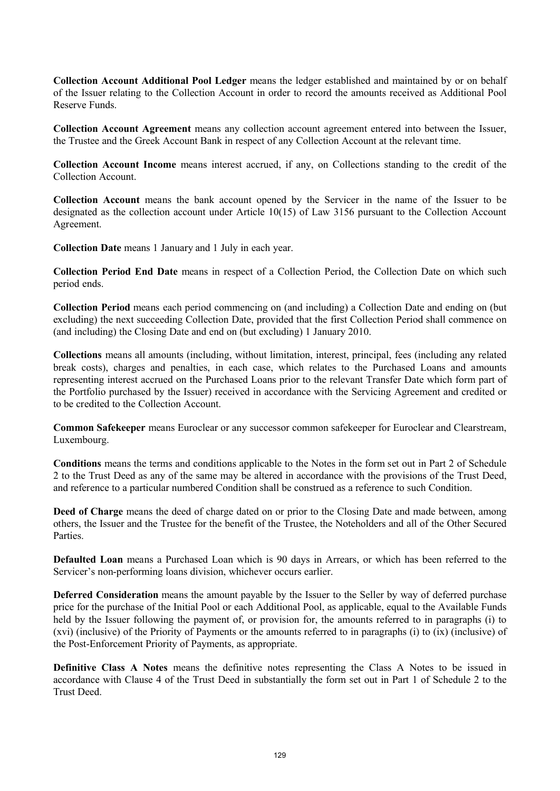**Collection Account Additional Pool Ledger** means the ledger established and maintained by or on behalf of the Issuer relating to the Collection Account in order to record the amounts received as Additional Pool Reserve Funds.

**Collection Account Agreement** means any collection account agreement entered into between the Issuer, the Trustee and the Greek Account Bank in respect of any Collection Account at the relevant time.

**Collection Account Income** means interest accrued, if any, on Collections standing to the credit of the Collection Account.

**Collection Account** means the bank account opened by the Servicer in the name of the Issuer to be designated as the collection account under Article 10(15) of Law 3156 pursuant to the Collection Account Agreement.

**Collection Date** means 1 January and 1 July in each year.

**Collection Period End Date** means in respect of a Collection Period, the Collection Date on which such period ends.

**Collection Period** means each period commencing on (and including) a Collection Date and ending on (but excluding) the next succeeding Collection Date, provided that the first Collection Period shall commence on (and including) the Closing Date and end on (but excluding) 1 January 2010.

**Collections** means all amounts (including, without limitation, interest, principal, fees (including any related break costs), charges and penalties, in each case, which relates to the Purchased Loans and amounts representing interest accrued on the Purchased Loans prior to the relevant Transfer Date which form part of the Portfolio purchased by the Issuer) received in accordance with the Servicing Agreement and credited or to be credited to the Collection Account.

**Common Safekeeper** means Euroclear or any successor common safekeeper for Euroclear and Clearstream, Luxembourg.

**Conditions** means the terms and conditions applicable to the Notes in the form set out in Part 2 of Schedule 2 to the Trust Deed as any of the same may be altered in accordance with the provisions of the Trust Deed, and reference to a particular numbered Condition shall be construed as a reference to such Condition.

**Deed of Charge** means the deed of charge dated on or prior to the Closing Date and made between, among others, the Issuer and the Trustee for the benefit of the Trustee, the Noteholders and all of the Other Secured **Parties** 

**Defaulted Loan** means a Purchased Loan which is 90 days in Arrears, or which has been referred to the Servicer's non-performing loans division, whichever occurs earlier.

**Deferred Consideration** means the amount payable by the Issuer to the Seller by way of deferred purchase price for the purchase of the Initial Pool or each Additional Pool, as applicable, equal to the Available Funds held by the Issuer following the payment of, or provision for, the amounts referred to in paragraphs (i) to (xvi) (inclusive) of the Priority of Payments or the amounts referred to in paragraphs (i) to (ix) (inclusive) of the Post-Enforcement Priority of Payments, as appropriate.

**Definitive Class A Notes** means the definitive notes representing the Class A Notes to be issued in accordance with Clause 4 of the Trust Deed in substantially the form set out in Part 1 of Schedule 2 to the Trust Deed.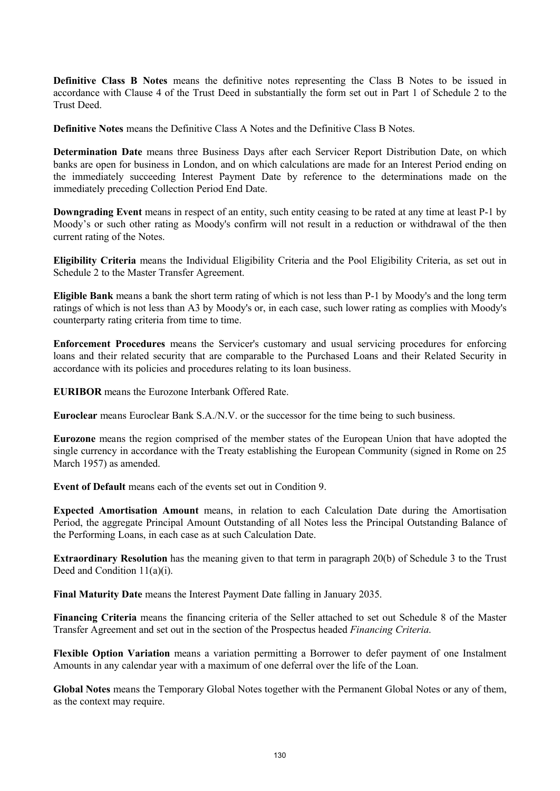**Definitive Class B Notes** means the definitive notes representing the Class B Notes to be issued in accordance with Clause 4 of the Trust Deed in substantially the form set out in Part 1 of Schedule 2 to the Trust Deed.

**Definitive Notes** means the Definitive Class A Notes and the Definitive Class B Notes.

**Determination Date** means three Business Days after each Servicer Report Distribution Date, on which banks are open for business in London, and on which calculations are made for an Interest Period ending on the immediately succeeding Interest Payment Date by reference to the determinations made on the immediately preceding Collection Period End Date.

**Downgrading Event** means in respect of an entity, such entity ceasing to be rated at any time at least P-1 by Moody's or such other rating as Moody's confirm will not result in a reduction or withdrawal of the then current rating of the Notes.

**Eligibility Criteria** means the Individual Eligibility Criteria and the Pool Eligibility Criteria, as set out in Schedule 2 to the Master Transfer Agreement.

**Eligible Bank** means a bank the short term rating of which is not less than P-1 by Moody's and the long term ratings of which is not less than A3 by Moody's or, in each case, such lower rating as complies with Moody's counterparty rating criteria from time to time.

**Enforcement Procedures** means the Servicer's customary and usual servicing procedures for enforcing loans and their related security that are comparable to the Purchased Loans and their Related Security in accordance with its policies and procedures relating to its loan business.

**EURIBOR** means the Eurozone Interbank Offered Rate.

**Euroclear** means Euroclear Bank S.A./N.V. or the successor for the time being to such business.

**Eurozone** means the region comprised of the member states of the European Union that have adopted the single currency in accordance with the Treaty establishing the European Community (signed in Rome on 25 March 1957) as amended.

**Event of Default** means each of the events set out in Condition 9.

**Expected Amortisation Amount** means, in relation to each Calculation Date during the Amortisation Period, the aggregate Principal Amount Outstanding of all Notes less the Principal Outstanding Balance of the Performing Loans, in each case as at such Calculation Date.

**Extraordinary Resolution** has the meaning given to that term in paragraph 20(b) of Schedule 3 to the Trust Deed and Condition 11(a)(i).

**Final Maturity Date** means the Interest Payment Date falling in January 2035.

**Financing Criteria** means the financing criteria of the Seller attached to set out Schedule 8 of the Master Transfer Agreement and set out in the section of the Prospectus headed *Financing Criteria*.

**Flexible Option Variation** means a variation permitting a Borrower to defer payment of one Instalment Amounts in any calendar year with a maximum of one deferral over the life of the Loan.

**Global Notes** means the Temporary Global Notes together with the Permanent Global Notes or any of them, as the context may require.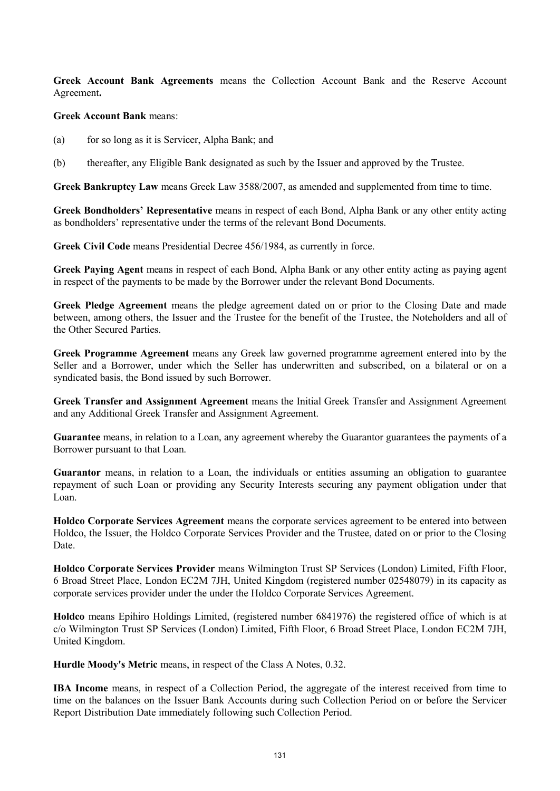**Greek Account Bank Agreements** means the Collection Account Bank and the Reserve Account Agreement**.**

#### **Greek Account Bank** means:

- (a) for so long as it is Servicer, Alpha Bank; and
- (b) thereafter, any Eligible Bank designated as such by the Issuer and approved by the Trustee.

**Greek Bankruptcy Law** means Greek Law 3588/2007, as amended and supplemented from time to time.

**Greek Bondholders' Representative** means in respect of each Bond, Alpha Bank or any other entity acting as bondholders' representative under the terms of the relevant Bond Documents.

**Greek Civil Code** means Presidential Decree 456/1984, as currently in force.

**Greek Paying Agent** means in respect of each Bond, Alpha Bank or any other entity acting as paying agent in respect of the payments to be made by the Borrower under the relevant Bond Documents.

**Greek Pledge Agreement** means the pledge agreement dated on or prior to the Closing Date and made between, among others, the Issuer and the Trustee for the benefit of the Trustee, the Noteholders and all of the Other Secured Parties.

**Greek Programme Agreement** means any Greek law governed programme agreement entered into by the Seller and a Borrower, under which the Seller has underwritten and subscribed, on a bilateral or on a syndicated basis, the Bond issued by such Borrower.

**Greek Transfer and Assignment Agreement** means the Initial Greek Transfer and Assignment Agreement and any Additional Greek Transfer and Assignment Agreement.

**Guarantee** means, in relation to a Loan, any agreement whereby the Guarantor guarantees the payments of a Borrower pursuant to that Loan.

**Guarantor** means, in relation to a Loan, the individuals or entities assuming an obligation to guarantee repayment of such Loan or providing any Security Interests securing any payment obligation under that Loan.

**Holdco Corporate Services Agreement** means the corporate services agreement to be entered into between Holdco, the Issuer, the Holdco Corporate Services Provider and the Trustee, dated on or prior to the Closing Date.

**Holdco Corporate Services Provider** means Wilmington Trust SP Services (London) Limited, Fifth Floor, 6 Broad Street Place, London EC2M 7JH, United Kingdom (registered number 02548079) in its capacity as corporate services provider under the under the Holdco Corporate Services Agreement.

**Holdco** means Epihiro Holdings Limited, (registered number 6841976) the registered office of which is at c/o Wilmington Trust SP Services (London) Limited, Fifth Floor, 6 Broad Street Place, London EC2M 7JH, United Kingdom.

**Hurdle Moody's Metric** means, in respect of the Class A Notes, 0.32.

**IBA Income** means, in respect of a Collection Period, the aggregate of the interest received from time to time on the balances on the Issuer Bank Accounts during such Collection Period on or before the Servicer Report Distribution Date immediately following such Collection Period.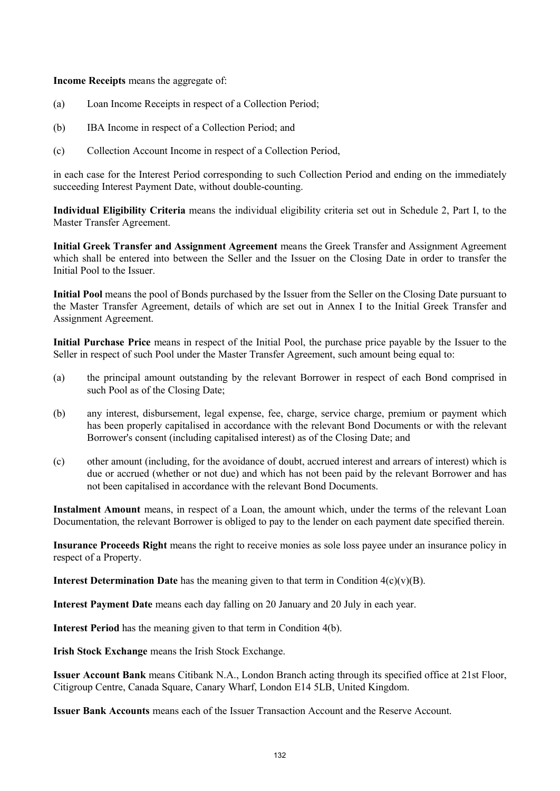**Income Receipts** means the aggregate of:

- (a) Loan Income Receipts in respect of a Collection Period;
- (b) IBA Income in respect of a Collection Period; and
- (c) Collection Account Income in respect of a Collection Period,

in each case for the Interest Period corresponding to such Collection Period and ending on the immediately succeeding Interest Payment Date, without double-counting.

**Individual Eligibility Criteria** means the individual eligibility criteria set out in Schedule 2, Part I, to the Master Transfer Agreement.

**Initial Greek Transfer and Assignment Agreement** means the Greek Transfer and Assignment Agreement which shall be entered into between the Seller and the Issuer on the Closing Date in order to transfer the Initial Pool to the Issuer.

**Initial Pool** means the pool of Bonds purchased by the Issuer from the Seller on the Closing Date pursuant to the Master Transfer Agreement, details of which are set out in Annex I to the Initial Greek Transfer and Assignment Agreement.

**Initial Purchase Price** means in respect of the Initial Pool, the purchase price payable by the Issuer to the Seller in respect of such Pool under the Master Transfer Agreement, such amount being equal to:

- (a) the principal amount outstanding by the relevant Borrower in respect of each Bond comprised in such Pool as of the Closing Date;
- (b) any interest, disbursement, legal expense, fee, charge, service charge, premium or payment which has been properly capitalised in accordance with the relevant Bond Documents or with the relevant Borrower's consent (including capitalised interest) as of the Closing Date; and
- (c) other amount (including, for the avoidance of doubt, accrued interest and arrears of interest) which is due or accrued (whether or not due) and which has not been paid by the relevant Borrower and has not been capitalised in accordance with the relevant Bond Documents.

**Instalment Amount** means, in respect of a Loan, the amount which, under the terms of the relevant Loan Documentation, the relevant Borrower is obliged to pay to the lender on each payment date specified therein.

**Insurance Proceeds Right** means the right to receive monies as sole loss payee under an insurance policy in respect of a Property.

**Interest Determination Date** has the meaning given to that term in Condition  $4(c)(v)(B)$ .

**Interest Payment Date** means each day falling on 20 January and 20 July in each year.

**Interest Period** has the meaning given to that term in Condition 4(b).

**Irish Stock Exchange** means the Irish Stock Exchange.

**Issuer Account Bank** means Citibank N.A., London Branch acting through its specified office at 21st Floor, Citigroup Centre, Canada Square, Canary Wharf, London E14 5LB, United Kingdom.

**Issuer Bank Accounts** means each of the Issuer Transaction Account and the Reserve Account.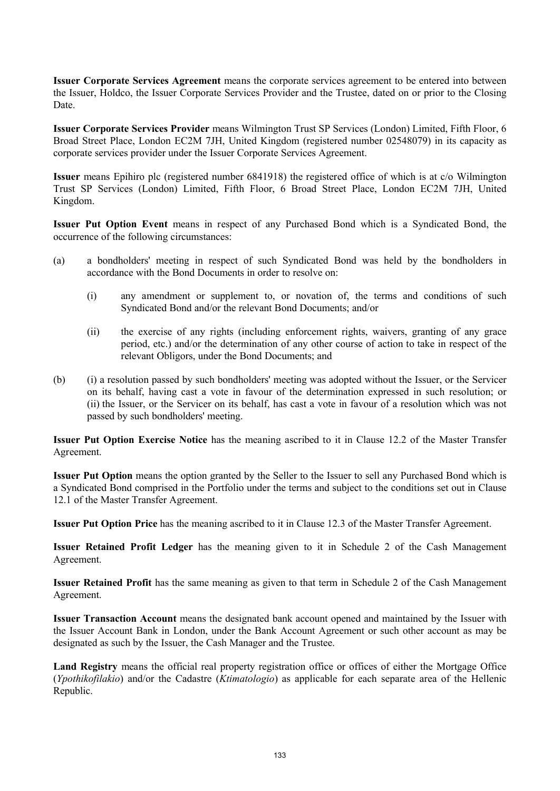**Issuer Corporate Services Agreement** means the corporate services agreement to be entered into between the Issuer, Holdco, the Issuer Corporate Services Provider and the Trustee, dated on or prior to the Closing Date.

**Issuer Corporate Services Provider** means Wilmington Trust SP Services (London) Limited, Fifth Floor, 6 Broad Street Place, London EC2M 7JH, United Kingdom (registered number 02548079) in its capacity as corporate services provider under the Issuer Corporate Services Agreement.

**Issuer** means Epihiro plc (registered number 6841918) the registered office of which is at c/o Wilmington Trust SP Services (London) Limited, Fifth Floor, 6 Broad Street Place, London EC2M 7JH, United Kingdom.

**Issuer Put Option Event** means in respect of any Purchased Bond which is a Syndicated Bond, the occurrence of the following circumstances:

- (a) a bondholders' meeting in respect of such Syndicated Bond was held by the bondholders in accordance with the Bond Documents in order to resolve on:
	- (i) any amendment or supplement to, or novation of, the terms and conditions of such Syndicated Bond and/or the relevant Bond Documents; and/or
	- (ii) the exercise of any rights (including enforcement rights, waivers, granting of any grace period, etc.) and/or the determination of any other course of action to take in respect of the relevant Obligors, under the Bond Documents; and
- (b) (i) a resolution passed by such bondholders' meeting was adopted without the Issuer, or the Servicer on its behalf, having cast a vote in favour of the determination expressed in such resolution; or (ii) the Issuer, or the Servicer on its behalf, has cast a vote in favour of a resolution which was not passed by such bondholders' meeting.

**Issuer Put Option Exercise Notice** has the meaning ascribed to it in Clause 12.2 of the Master Transfer Agreement.

**Issuer Put Option** means the option granted by the Seller to the Issuer to sell any Purchased Bond which is a Syndicated Bond comprised in the Portfolio under the terms and subject to the conditions set out in Clause 12.1 of the Master Transfer Agreement.

**Issuer Put Option Price** has the meaning ascribed to it in Clause 12.3 of the Master Transfer Agreement.

**Issuer Retained Profit Ledger** has the meaning given to it in Schedule 2 of the Cash Management Agreement.

**Issuer Retained Profit** has the same meaning as given to that term in Schedule 2 of the Cash Management Agreement.

**Issuer Transaction Account** means the designated bank account opened and maintained by the Issuer with the Issuer Account Bank in London, under the Bank Account Agreement or such other account as may be designated as such by the Issuer, the Cash Manager and the Trustee.

**Land Registry** means the official real property registration office or offices of either the Mortgage Office (*Ypothikofilakio*) and/or the Cadastre (*Ktimatologio*) as applicable for each separate area of the Hellenic Republic.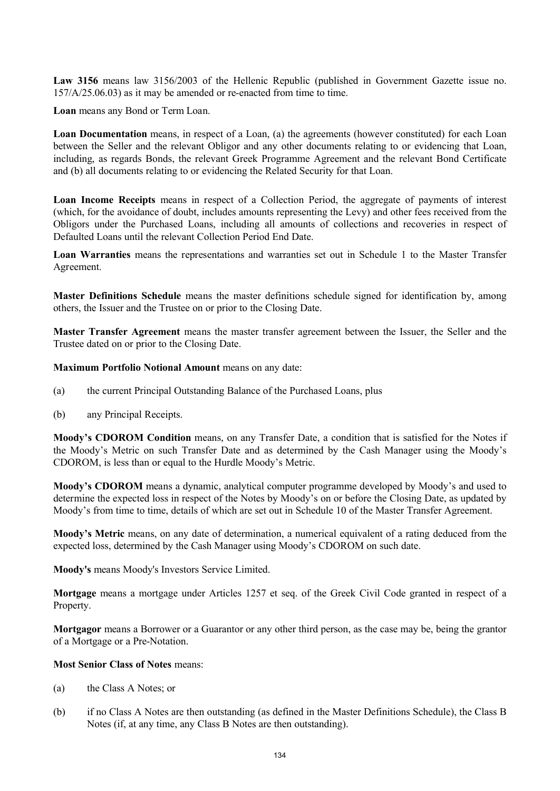**Law 3156** means law 3156/2003 of the Hellenic Republic (published in Government Gazette issue no. 157/A/25.06.03) as it may be amended or re-enacted from time to time.

**Loan** means any Bond or Term Loan.

**Loan Documentation** means, in respect of a Loan, (a) the agreements (however constituted) for each Loan between the Seller and the relevant Obligor and any other documents relating to or evidencing that Loan, including, as regards Bonds, the relevant Greek Programme Agreement and the relevant Bond Certificate and (b) all documents relating to or evidencing the Related Security for that Loan.

**Loan Income Receipts** means in respect of a Collection Period, the aggregate of payments of interest (which, for the avoidance of doubt, includes amounts representing the Levy) and other fees received from the Obligors under the Purchased Loans, including all amounts of collections and recoveries in respect of Defaulted Loans until the relevant Collection Period End Date.

**Loan Warranties** means the representations and warranties set out in Schedule 1 to the Master Transfer Agreement.

**Master Definitions Schedule** means the master definitions schedule signed for identification by, among others, the Issuer and the Trustee on or prior to the Closing Date.

**Master Transfer Agreement** means the master transfer agreement between the Issuer, the Seller and the Trustee dated on or prior to the Closing Date.

**Maximum Portfolio Notional Amount** means on any date:

- (a) the current Principal Outstanding Balance of the Purchased Loans, plus
- (b) any Principal Receipts.

**Moody's CDOROM Condition** means, on any Transfer Date, a condition that is satisfied for the Notes if the Moody's Metric on such Transfer Date and as determined by the Cash Manager using the Moody's CDOROM, is less than or equal to the Hurdle Moody's Metric.

**Moody's CDOROM** means a dynamic, analytical computer programme developed by Moody's and used to determine the expected loss in respect of the Notes by Moody's on or before the Closing Date, as updated by Moody's from time to time, details of which are set out in Schedule 10 of the Master Transfer Agreement.

**Moody's Metric** means, on any date of determination, a numerical equivalent of a rating deduced from the expected loss, determined by the Cash Manager using Moody's CDOROM on such date.

**Moody's** means Moody's Investors Service Limited.

**Mortgage** means a mortgage under Articles 1257 et seq. of the Greek Civil Code granted in respect of a Property.

**Mortgagor** means a Borrower or a Guarantor or any other third person, as the case may be, being the grantor of a Mortgage or a Pre-Notation.

#### **Most Senior Class of Notes** means:

- (a) the Class A Notes; or
- (b) if no Class A Notes are then outstanding (as defined in the Master Definitions Schedule), the Class B Notes (if, at any time, any Class B Notes are then outstanding).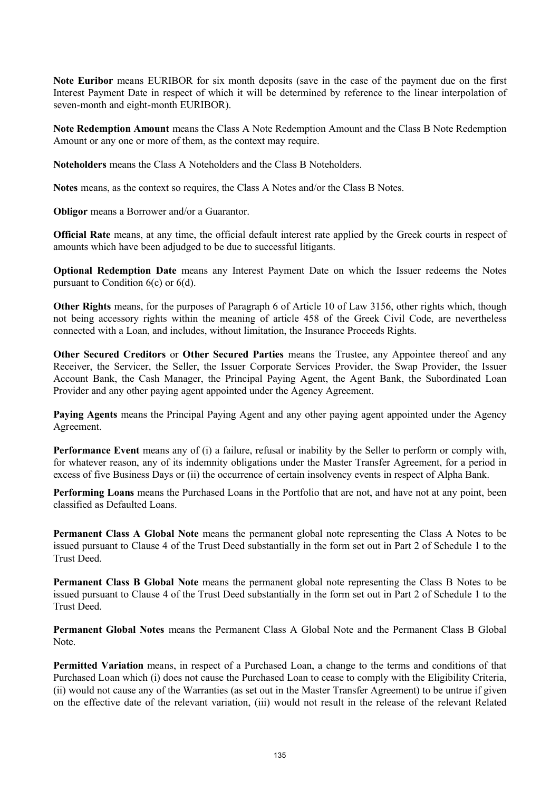**Note Euribor** means EURIBOR for six month deposits (save in the case of the payment due on the first Interest Payment Date in respect of which it will be determined by reference to the linear interpolation of seven-month and eight-month EURIBOR).

**Note Redemption Amount** means the Class A Note Redemption Amount and the Class B Note Redemption Amount or any one or more of them, as the context may require.

**Noteholders** means the Class A Noteholders and the Class B Noteholders.

**Notes** means, as the context so requires, the Class A Notes and/or the Class B Notes.

**Obligor** means a Borrower and/or a Guarantor.

**Official Rate** means, at any time, the official default interest rate applied by the Greek courts in respect of amounts which have been adjudged to be due to successful litigants.

**Optional Redemption Date** means any Interest Payment Date on which the Issuer redeems the Notes pursuant to Condition 6(c) or 6(d).

**Other Rights** means, for the purposes of Paragraph 6 of Article 10 of Law 3156, other rights which, though not being accessory rights within the meaning of article 458 of the Greek Civil Code, are nevertheless connected with a Loan, and includes, without limitation, the Insurance Proceeds Rights.

**Other Secured Creditors** or **Other Secured Parties** means the Trustee, any Appointee thereof and any Receiver, the Servicer, the Seller, the Issuer Corporate Services Provider, the Swap Provider, the Issuer Account Bank, the Cash Manager, the Principal Paying Agent, the Agent Bank, the Subordinated Loan Provider and any other paying agent appointed under the Agency Agreement.

**Paying Agents** means the Principal Paying Agent and any other paying agent appointed under the Agency Agreement.

**Performance Event** means any of (i) a failure, refusal or inability by the Seller to perform or comply with, for whatever reason, any of its indemnity obligations under the Master Transfer Agreement, for a period in excess of five Business Days or (ii) the occurrence of certain insolvency events in respect of Alpha Bank.

**Performing Loans** means the Purchased Loans in the Portfolio that are not, and have not at any point, been classified as Defaulted Loans.

**Permanent Class A Global Note** means the permanent global note representing the Class A Notes to be issued pursuant to Clause 4 of the Trust Deed substantially in the form set out in Part 2 of Schedule 1 to the Trust Deed.

**Permanent Class B Global Note** means the permanent global note representing the Class B Notes to be issued pursuant to Clause 4 of the Trust Deed substantially in the form set out in Part 2 of Schedule 1 to the Trust Deed.

**Permanent Global Notes** means the Permanent Class A Global Note and the Permanent Class B Global Note.

**Permitted Variation** means, in respect of a Purchased Loan, a change to the terms and conditions of that Purchased Loan which (i) does not cause the Purchased Loan to cease to comply with the Eligibility Criteria, (ii) would not cause any of the Warranties (as set out in the Master Transfer Agreement) to be untrue if given on the effective date of the relevant variation, (iii) would not result in the release of the relevant Related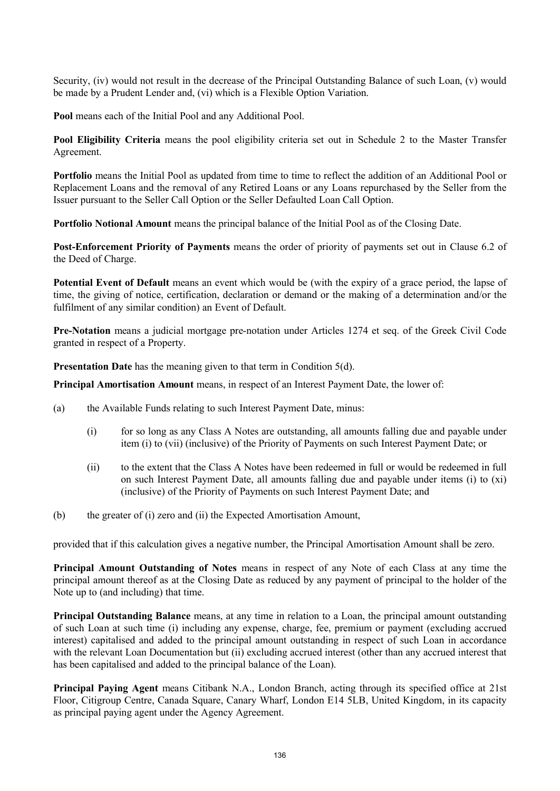Security, (iv) would not result in the decrease of the Principal Outstanding Balance of such Loan, (v) would be made by a Prudent Lender and, (vi) which is a Flexible Option Variation.

**Pool** means each of the Initial Pool and any Additional Pool.

**Pool Eligibility Criteria** means the pool eligibility criteria set out in Schedule 2 to the Master Transfer Agreement.

**Portfolio** means the Initial Pool as updated from time to time to reflect the addition of an Additional Pool or Replacement Loans and the removal of any Retired Loans or any Loans repurchased by the Seller from the Issuer pursuant to the Seller Call Option or the Seller Defaulted Loan Call Option.

**Portfolio Notional Amount** means the principal balance of the Initial Pool as of the Closing Date.

**Post-Enforcement Priority of Payments** means the order of priority of payments set out in Clause 6.2 of the Deed of Charge.

**Potential Event of Default** means an event which would be (with the expiry of a grace period, the lapse of time, the giving of notice, certification, declaration or demand or the making of a determination and/or the fulfilment of any similar condition) an Event of Default.

**Pre-Notation** means a judicial mortgage pre-notation under Articles 1274 et seq. of the Greek Civil Code granted in respect of a Property.

**Presentation Date** has the meaning given to that term in Condition 5(d).

**Principal Amortisation Amount** means, in respect of an Interest Payment Date, the lower of:

- (a) the Available Funds relating to such Interest Payment Date, minus:
	- (i) for so long as any Class A Notes are outstanding, all amounts falling due and payable under item (i) to (vii) (inclusive) of the Priority of Payments on such Interest Payment Date; or
	- (ii) to the extent that the Class A Notes have been redeemed in full or would be redeemed in full on such Interest Payment Date, all amounts falling due and payable under items (i) to (xi) (inclusive) of the Priority of Payments on such Interest Payment Date; and
- (b) the greater of (i) zero and (ii) the Expected Amortisation Amount,

provided that if this calculation gives a negative number, the Principal Amortisation Amount shall be zero.

**Principal Amount Outstanding of Notes** means in respect of any Note of each Class at any time the principal amount thereof as at the Closing Date as reduced by any payment of principal to the holder of the Note up to (and including) that time.

**Principal Outstanding Balance** means, at any time in relation to a Loan, the principal amount outstanding of such Loan at such time (i) including any expense, charge, fee, premium or payment (excluding accrued interest) capitalised and added to the principal amount outstanding in respect of such Loan in accordance with the relevant Loan Documentation but (ii) excluding accrued interest (other than any accrued interest that has been capitalised and added to the principal balance of the Loan).

**Principal Paying Agent** means Citibank N.A., London Branch, acting through its specified office at 21st Floor, Citigroup Centre, Canada Square, Canary Wharf, London E14 5LB, United Kingdom, in its capacity as principal paying agent under the Agency Agreement.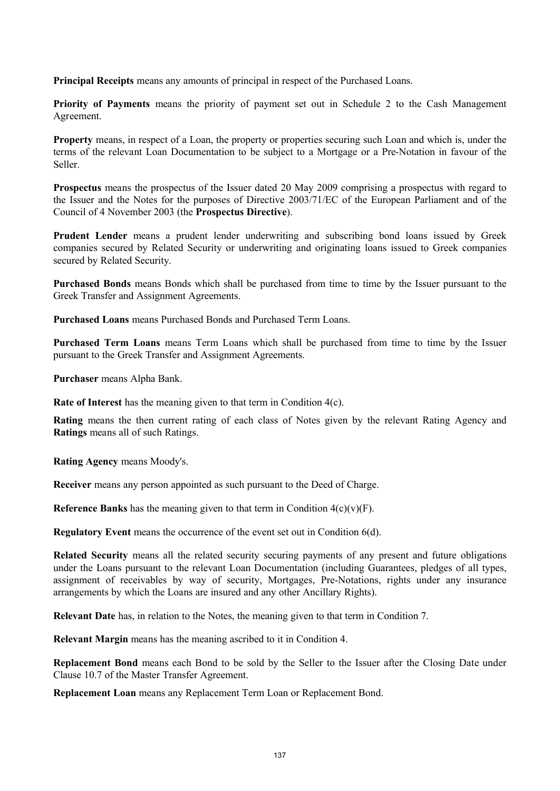**Principal Receipts** means any amounts of principal in respect of the Purchased Loans.

**Priority of Payments** means the priority of payment set out in Schedule 2 to the Cash Management Agreement.

**Property** means, in respect of a Loan, the property or properties securing such Loan and which is, under the terms of the relevant Loan Documentation to be subject to a Mortgage or a Pre-Notation in favour of the Seller.

**Prospectus** means the prospectus of the Issuer dated 20 May 2009 comprising a prospectus with regard to the Issuer and the Notes for the purposes of Directive 2003/71/EC of the European Parliament and of the Council of 4 November 2003 (the **Prospectus Directive**).

**Prudent Lender** means a prudent lender underwriting and subscribing bond loans issued by Greek companies secured by Related Security or underwriting and originating loans issued to Greek companies secured by Related Security.

**Purchased Bonds** means Bonds which shall be purchased from time to time by the Issuer pursuant to the Greek Transfer and Assignment Agreements.

**Purchased Loans** means Purchased Bonds and Purchased Term Loans.

**Purchased Term Loans** means Term Loans which shall be purchased from time to time by the Issuer pursuant to the Greek Transfer and Assignment Agreements.

**Purchaser** means Alpha Bank.

**Rate of Interest** has the meaning given to that term in Condition 4(c).

**Rating** means the then current rating of each class of Notes given by the relevant Rating Agency and **Ratings** means all of such Ratings.

**Rating Agency** means Moody's.

**Receiver** means any person appointed as such pursuant to the Deed of Charge.

**Reference Banks** has the meaning given to that term in Condition  $4(c)(v)(F)$ .

**Regulatory Event** means the occurrence of the event set out in Condition 6(d).

**Related Security** means all the related security securing payments of any present and future obligations under the Loans pursuant to the relevant Loan Documentation (including Guarantees, pledges of all types, assignment of receivables by way of security, Mortgages, Pre-Notations, rights under any insurance arrangements by which the Loans are insured and any other Ancillary Rights).

**Relevant Date** has, in relation to the Notes, the meaning given to that term in Condition 7.

**Relevant Margin** means has the meaning ascribed to it in Condition 4.

**Replacement Bond** means each Bond to be sold by the Seller to the Issuer after the Closing Date under Clause 10.7 of the Master Transfer Agreement.

**Replacement Loan** means any Replacement Term Loan or Replacement Bond.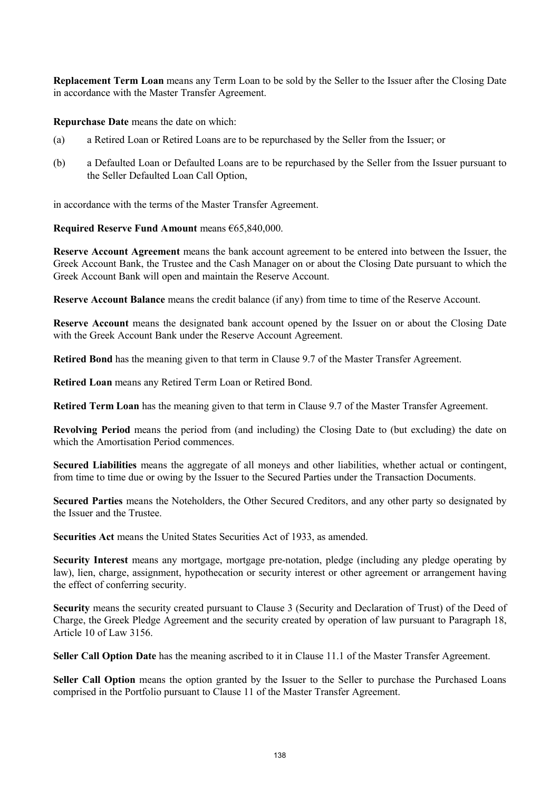**Replacement Term Loan** means any Term Loan to be sold by the Seller to the Issuer after the Closing Date in accordance with the Master Transfer Agreement.

**Repurchase Date** means the date on which:

- (a) a Retired Loan or Retired Loans are to be repurchased by the Seller from the Issuer; or
- (b) a Defaulted Loan or Defaulted Loans are to be repurchased by the Seller from the Issuer pursuant to the Seller Defaulted Loan Call Option,

in accordance with the terms of the Master Transfer Agreement.

### **Required Reserve Fund Amount** means €65,840,000.

**Reserve Account Agreement** means the bank account agreement to be entered into between the Issuer, the Greek Account Bank, the Trustee and the Cash Manager on or about the Closing Date pursuant to which the Greek Account Bank will open and maintain the Reserve Account.

**Reserve Account Balance** means the credit balance (if any) from time to time of the Reserve Account.

**Reserve Account** means the designated bank account opened by the Issuer on or about the Closing Date with the Greek Account Bank under the Reserve Account Agreement.

**Retired Bond** has the meaning given to that term in Clause 9.7 of the Master Transfer Agreement.

**Retired Loan** means any Retired Term Loan or Retired Bond.

**Retired Term Loan** has the meaning given to that term in Clause 9.7 of the Master Transfer Agreement.

**Revolving Period** means the period from (and including) the Closing Date to (but excluding) the date on which the Amortisation Period commences.

**Secured Liabilities** means the aggregate of all moneys and other liabilities, whether actual or contingent, from time to time due or owing by the Issuer to the Secured Parties under the Transaction Documents.

**Secured Parties** means the Noteholders, the Other Secured Creditors, and any other party so designated by the Issuer and the Trustee.

**Securities Act** means the United States Securities Act of 1933, as amended.

**Security Interest** means any mortgage, mortgage pre-notation, pledge (including any pledge operating by law), lien, charge, assignment, hypothecation or security interest or other agreement or arrangement having the effect of conferring security.

**Security** means the security created pursuant to Clause 3 (Security and Declaration of Trust) of the Deed of Charge, the Greek Pledge Agreement and the security created by operation of law pursuant to Paragraph 18, Article 10 of Law 3156.

**Seller Call Option Date** has the meaning ascribed to it in Clause 11.1 of the Master Transfer Agreement.

**Seller Call Option** means the option granted by the Issuer to the Seller to purchase the Purchased Loans comprised in the Portfolio pursuant to Clause 11 of the Master Transfer Agreement.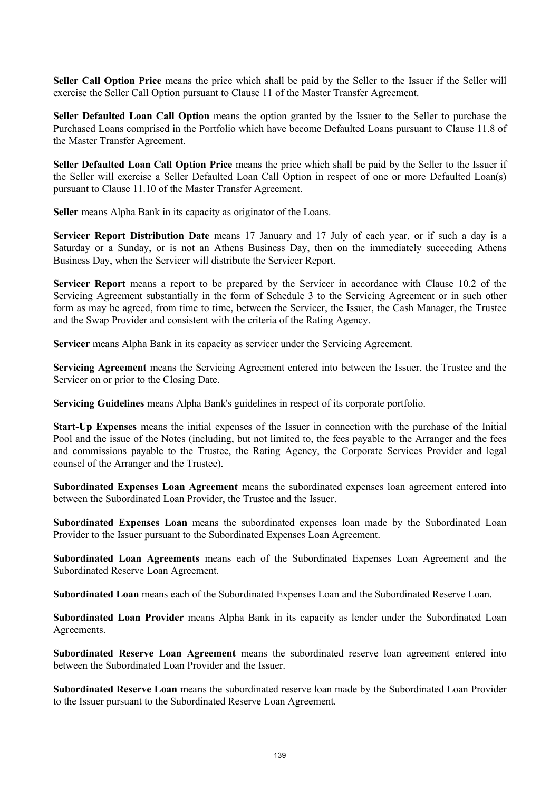**Seller Call Option Price** means the price which shall be paid by the Seller to the Issuer if the Seller will exercise the Seller Call Option pursuant to Clause 11 of the Master Transfer Agreement.

**Seller Defaulted Loan Call Option** means the option granted by the Issuer to the Seller to purchase the Purchased Loans comprised in the Portfolio which have become Defaulted Loans pursuant to Clause 11.8 of the Master Transfer Agreement.

**Seller Defaulted Loan Call Option Price** means the price which shall be paid by the Seller to the Issuer if the Seller will exercise a Seller Defaulted Loan Call Option in respect of one or more Defaulted Loan(s) pursuant to Clause 11.10 of the Master Transfer Agreement.

**Seller** means Alpha Bank in its capacity as originator of the Loans.

**Servicer Report Distribution Date** means 17 January and 17 July of each year, or if such a day is a Saturday or a Sunday, or is not an Athens Business Day, then on the immediately succeeding Athens Business Day, when the Servicer will distribute the Servicer Report.

**Servicer Report** means a report to be prepared by the Servicer in accordance with Clause 10.2 of the Servicing Agreement substantially in the form of Schedule 3 to the Servicing Agreement or in such other form as may be agreed, from time to time, between the Servicer, the Issuer, the Cash Manager, the Trustee and the Swap Provider and consistent with the criteria of the Rating Agency.

**Servicer** means Alpha Bank in its capacity as servicer under the Servicing Agreement.

**Servicing Agreement** means the Servicing Agreement entered into between the Issuer, the Trustee and the Servicer on or prior to the Closing Date.

**Servicing Guidelines** means Alpha Bank's guidelines in respect of its corporate portfolio.

**Start-Up Expenses** means the initial expenses of the Issuer in connection with the purchase of the Initial Pool and the issue of the Notes (including, but not limited to, the fees payable to the Arranger and the fees and commissions payable to the Trustee, the Rating Agency, the Corporate Services Provider and legal counsel of the Arranger and the Trustee).

**Subordinated Expenses Loan Agreement** means the subordinated expenses loan agreement entered into between the Subordinated Loan Provider, the Trustee and the Issuer.

**Subordinated Expenses Loan** means the subordinated expenses loan made by the Subordinated Loan Provider to the Issuer pursuant to the Subordinated Expenses Loan Agreement.

**Subordinated Loan Agreements** means each of the Subordinated Expenses Loan Agreement and the Subordinated Reserve Loan Agreement.

**Subordinated Loan** means each of the Subordinated Expenses Loan and the Subordinated Reserve Loan.

**Subordinated Loan Provider** means Alpha Bank in its capacity as lender under the Subordinated Loan Agreements.

**Subordinated Reserve Loan Agreement** means the subordinated reserve loan agreement entered into between the Subordinated Loan Provider and the Issuer.

**Subordinated Reserve Loan** means the subordinated reserve loan made by the Subordinated Loan Provider to the Issuer pursuant to the Subordinated Reserve Loan Agreement.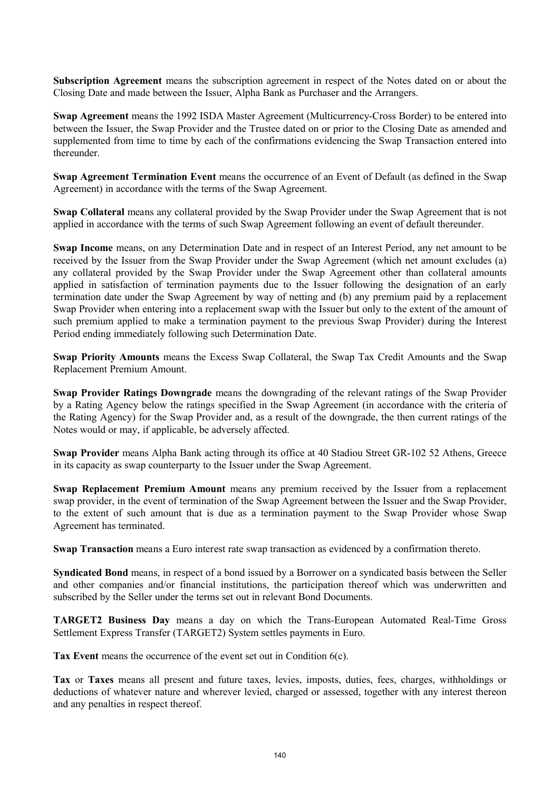**Subscription Agreement** means the subscription agreement in respect of the Notes dated on or about the Closing Date and made between the Issuer, Alpha Bank as Purchaser and the Arrangers.

**Swap Agreement** means the 1992 ISDA Master Agreement (Multicurrency-Cross Border) to be entered into between the Issuer, the Swap Provider and the Trustee dated on or prior to the Closing Date as amended and supplemented from time to time by each of the confirmations evidencing the Swap Transaction entered into thereunder.

**Swap Agreement Termination Event** means the occurrence of an Event of Default (as defined in the Swap Agreement) in accordance with the terms of the Swap Agreement.

**Swap Collateral** means any collateral provided by the Swap Provider under the Swap Agreement that is not applied in accordance with the terms of such Swap Agreement following an event of default thereunder.

**Swap Income** means, on any Determination Date and in respect of an Interest Period, any net amount to be received by the Issuer from the Swap Provider under the Swap Agreement (which net amount excludes (a) any collateral provided by the Swap Provider under the Swap Agreement other than collateral amounts applied in satisfaction of termination payments due to the Issuer following the designation of an early termination date under the Swap Agreement by way of netting and (b) any premium paid by a replacement Swap Provider when entering into a replacement swap with the Issuer but only to the extent of the amount of such premium applied to make a termination payment to the previous Swap Provider) during the Interest Period ending immediately following such Determination Date.

**Swap Priority Amounts** means the Excess Swap Collateral, the Swap Tax Credit Amounts and the Swap Replacement Premium Amount.

**Swap Provider Ratings Downgrade** means the downgrading of the relevant ratings of the Swap Provider by a Rating Agency below the ratings specified in the Swap Agreement (in accordance with the criteria of the Rating Agency) for the Swap Provider and, as a result of the downgrade, the then current ratings of the Notes would or may, if applicable, be adversely affected.

**Swap Provider** means Alpha Bank acting through its office at 40 Stadiou Street GR-102 52 Athens, Greece in its capacity as swap counterparty to the Issuer under the Swap Agreement.

**Swap Replacement Premium Amount** means any premium received by the Issuer from a replacement swap provider, in the event of termination of the Swap Agreement between the Issuer and the Swap Provider, to the extent of such amount that is due as a termination payment to the Swap Provider whose Swap Agreement has terminated.

**Swap Transaction** means a Euro interest rate swap transaction as evidenced by a confirmation thereto.

**Syndicated Bond** means, in respect of a bond issued by a Borrower on a syndicated basis between the Seller and other companies and/or financial institutions, the participation thereof which was underwritten and subscribed by the Seller under the terms set out in relevant Bond Documents.

**TARGET2 Business Day** means a day on which the Trans-European Automated Real-Time Gross Settlement Express Transfer (TARGET2) System settles payments in Euro.

**Tax Event** means the occurrence of the event set out in Condition 6(c).

**Tax** or **Taxes** means all present and future taxes, levies, imposts, duties, fees, charges, withholdings or deductions of whatever nature and wherever levied, charged or assessed, together with any interest thereon and any penalties in respect thereof.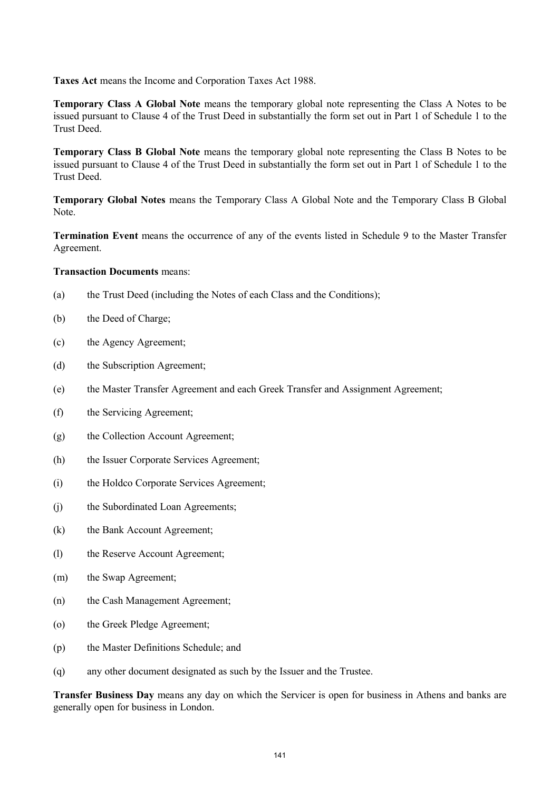**Taxes Act** means the Income and Corporation Taxes Act 1988.

**Temporary Class A Global Note** means the temporary global note representing the Class A Notes to be issued pursuant to Clause 4 of the Trust Deed in substantially the form set out in Part 1 of Schedule 1 to the Trust Deed.

**Temporary Class B Global Note** means the temporary global note representing the Class B Notes to be issued pursuant to Clause 4 of the Trust Deed in substantially the form set out in Part 1 of Schedule 1 to the Trust Deed.

**Temporary Global Notes** means the Temporary Class A Global Note and the Temporary Class B Global Note.

**Termination Event** means the occurrence of any of the events listed in Schedule 9 to the Master Transfer Agreement.

### **Transaction Documents** means:

- (a) the Trust Deed (including the Notes of each Class and the Conditions);
- (b) the Deed of Charge;
- (c) the Agency Agreement;
- (d) the Subscription Agreement;
- (e) the Master Transfer Agreement and each Greek Transfer and Assignment Agreement;
- (f) the Servicing Agreement;
- (g) the Collection Account Agreement;
- (h) the Issuer Corporate Services Agreement;
- (i) the Holdco Corporate Services Agreement;
- (j) the Subordinated Loan Agreements;
- (k) the Bank Account Agreement;
- (l) the Reserve Account Agreement;
- (m) the Swap Agreement;
- (n) the Cash Management Agreement;
- (o) the Greek Pledge Agreement;
- (p) the Master Definitions Schedule; and
- (q) any other document designated as such by the Issuer and the Trustee.

**Transfer Business Day** means any day on which the Servicer is open for business in Athens and banks are generally open for business in London.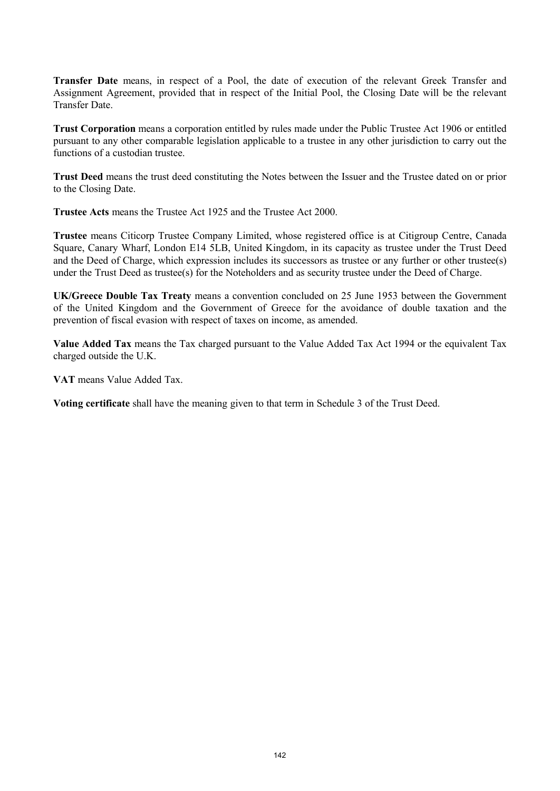**Transfer Date** means, in respect of a Pool, the date of execution of the relevant Greek Transfer and Assignment Agreement, provided that in respect of the Initial Pool, the Closing Date will be the relevant Transfer Date.

**Trust Corporation** means a corporation entitled by rules made under the Public Trustee Act 1906 or entitled pursuant to any other comparable legislation applicable to a trustee in any other jurisdiction to carry out the functions of a custodian trustee.

**Trust Deed** means the trust deed constituting the Notes between the Issuer and the Trustee dated on or prior to the Closing Date.

**Trustee Acts** means the Trustee Act 1925 and the Trustee Act 2000.

**Trustee** means Citicorp Trustee Company Limited, whose registered office is at Citigroup Centre, Canada Square, Canary Wharf, London E14 5LB, United Kingdom, in its capacity as trustee under the Trust Deed and the Deed of Charge, which expression includes its successors as trustee or any further or other trustee(s) under the Trust Deed as trustee(s) for the Noteholders and as security trustee under the Deed of Charge.

**UK/Greece Double Tax Treaty** means a convention concluded on 25 June 1953 between the Government of the United Kingdom and the Government of Greece for the avoidance of double taxation and the prevention of fiscal evasion with respect of taxes on income, as amended.

**Value Added Tax** means the Tax charged pursuant to the Value Added Tax Act 1994 or the equivalent Tax charged outside the U.K.

**VAT** means Value Added Tax.

**Voting certificate** shall have the meaning given to that term in Schedule 3 of the Trust Deed.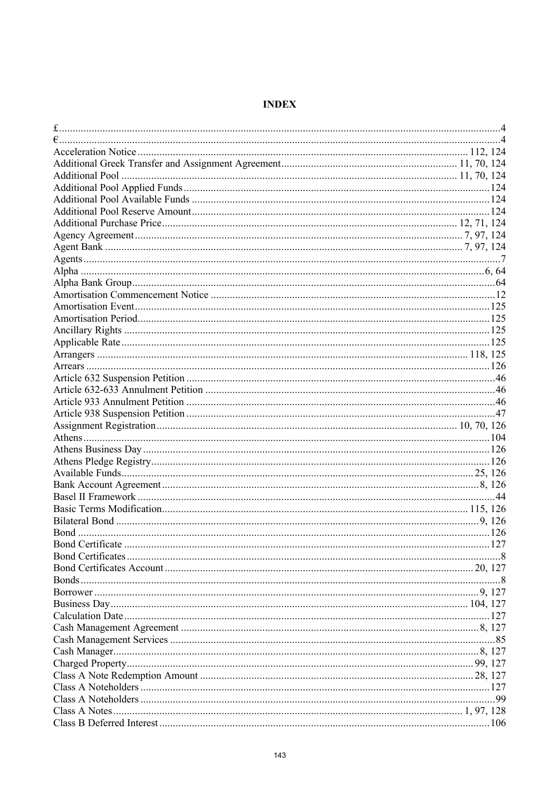# **INDEX**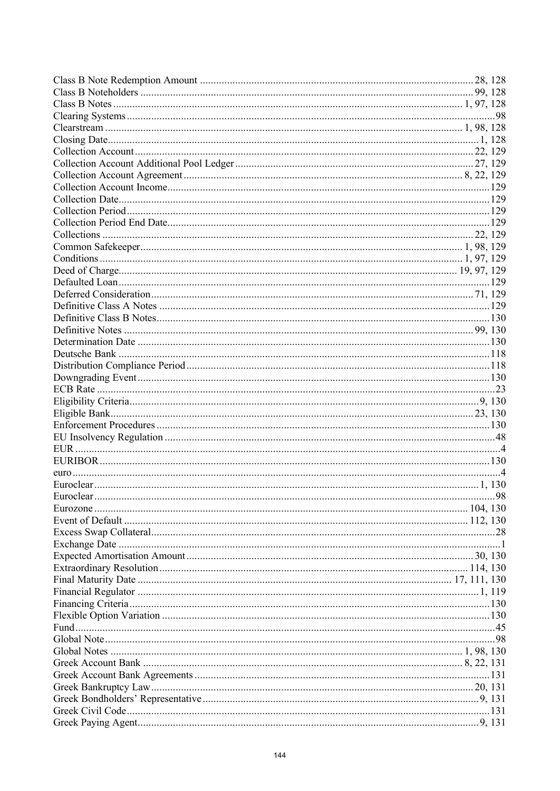|  | .98 |
|--|-----|
|  |     |
|  |     |
|  |     |
|  |     |
|  |     |
|  |     |
|  |     |
|  |     |
|  |     |
|  |     |
|  |     |
|  |     |
|  |     |
|  |     |
|  |     |
|  |     |
|  |     |
|  |     |
|  |     |
|  |     |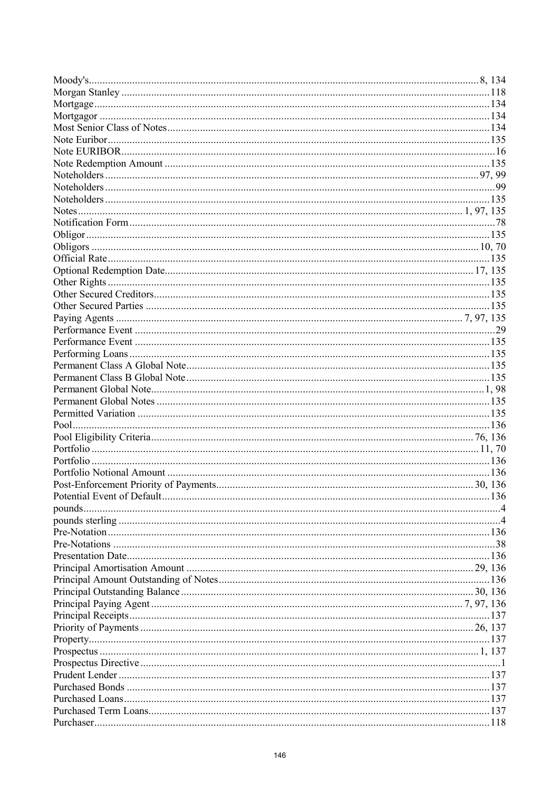|  | 137 |
|--|-----|
|  |     |
|  |     |
|  |     |
|  |     |
|  |     |
|  |     |
|  |     |